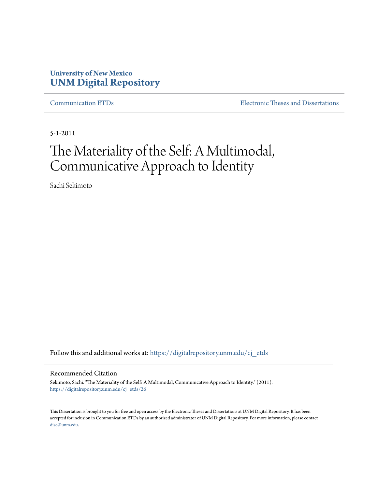# **University of New Mexico [UNM Digital Repository](https://digitalrepository.unm.edu?utm_source=digitalrepository.unm.edu%2Fcj_etds%2F26&utm_medium=PDF&utm_campaign=PDFCoverPages)**

[Communication ETDs](https://digitalrepository.unm.edu/cj_etds?utm_source=digitalrepository.unm.edu%2Fcj_etds%2F26&utm_medium=PDF&utm_campaign=PDFCoverPages) [Electronic Theses and Dissertations](https://digitalrepository.unm.edu/etds?utm_source=digitalrepository.unm.edu%2Fcj_etds%2F26&utm_medium=PDF&utm_campaign=PDFCoverPages)

5-1-2011

# The Materiality of the Self: A Multimodal, Communicative Approach to Identity

Sachi Sekimoto

Follow this and additional works at: [https://digitalrepository.unm.edu/cj\\_etds](https://digitalrepository.unm.edu/cj_etds?utm_source=digitalrepository.unm.edu%2Fcj_etds%2F26&utm_medium=PDF&utm_campaign=PDFCoverPages)

### Recommended Citation

Sekimoto, Sachi. "The Materiality of the Self: A Multimodal, Communicative Approach to Identity." (2011). [https://digitalrepository.unm.edu/cj\\_etds/26](https://digitalrepository.unm.edu/cj_etds/26?utm_source=digitalrepository.unm.edu%2Fcj_etds%2F26&utm_medium=PDF&utm_campaign=PDFCoverPages)

This Dissertation is brought to you for free and open access by the Electronic Theses and Dissertations at UNM Digital Repository. It has been accepted for inclusion in Communication ETDs by an authorized administrator of UNM Digital Repository. For more information, please contact [disc@unm.edu](mailto:disc@unm.edu).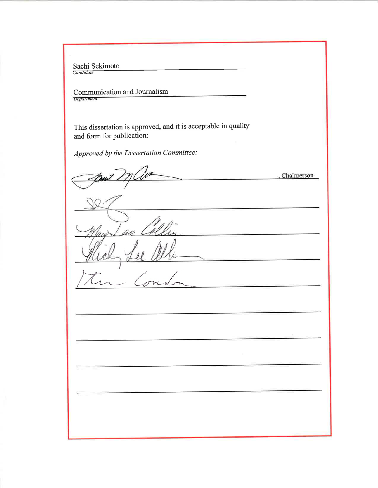Sachi Sekimoto

Communication and Journalism

This dissertation is approved, and it is acceptable in quality and form for publication:

Approved by the Dissertation Committee:

Chairperson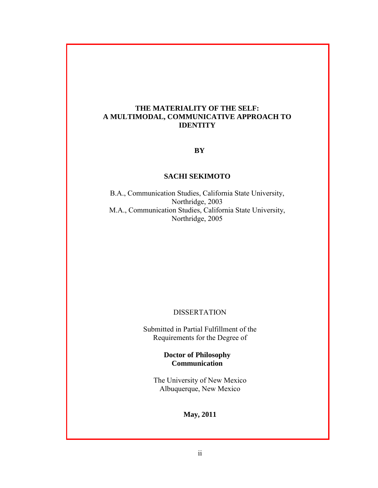### **THE MATERIALITY OF THE SELF: A MULTIMODAL, COMMUNICATIVE APPROACH TO IDENTITY**

### **BY**

### **SACHI SEKIMOTO**

B.A., Communication Studies, California State University, Northridge, 2003 M.A., Communication Studies, California State University, Northridge, 2005

## DISSERTATION

Submitted in Partial Fulfillment of the Requirements for the Degree of

> **Doctor of Philosophy Communication**

The University of New Mexico Albuquerque, New Mexico

**May, 2011**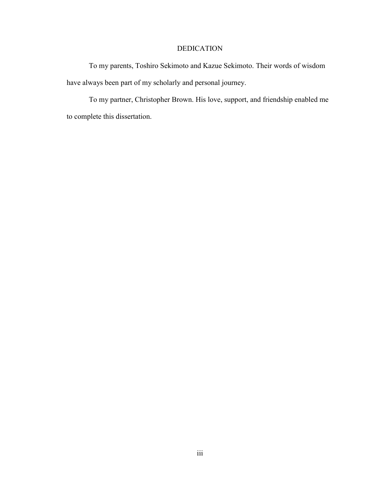## DEDICATION

 To my parents, Toshiro Sekimoto and Kazue Sekimoto. Their words of wisdom have always been part of my scholarly and personal journey.

To my partner, Christopher Brown. His love, support, and friendship enabled me to complete this dissertation.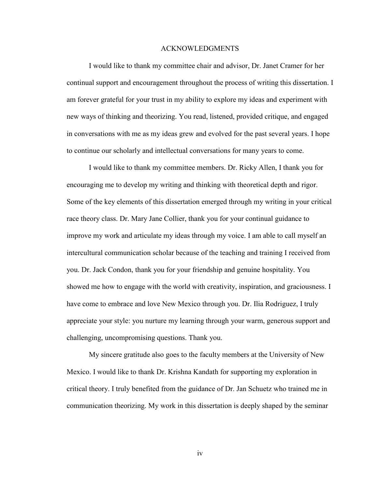### ACKNOWLEDGMENTS

 I would like to thank my committee chair and advisor, Dr. Janet Cramer for her continual support and encouragement throughout the process of writing this dissertation. I am forever grateful for your trust in my ability to explore my ideas and experiment with new ways of thinking and theorizing. You read, listened, provided critique, and engaged in conversations with me as my ideas grew and evolved for the past several years. I hope to continue our scholarly and intellectual conversations for many years to come.

I would like to thank my committee members. Dr. Ricky Allen, I thank you for encouraging me to develop my writing and thinking with theoretical depth and rigor. Some of the key elements of this dissertation emerged through my writing in your critical race theory class. Dr. Mary Jane Collier, thank you for your continual guidance to improve my work and articulate my ideas through my voice. I am able to call myself an intercultural communication scholar because of the teaching and training I received from you. Dr. Jack Condon, thank you for your friendship and genuine hospitality. You showed me how to engage with the world with creativity, inspiration, and graciousness. I have come to embrace and love New Mexico through you. Dr. Ilia Rodriguez, I truly appreciate your style: you nurture my learning through your warm, generous support and challenging, uncompromising questions. Thank you.

My sincere gratitude also goes to the faculty members at the University of New Mexico. I would like to thank Dr. Krishna Kandath for supporting my exploration in critical theory. I truly benefited from the guidance of Dr. Jan Schuetz who trained me in communication theorizing. My work in this dissertation is deeply shaped by the seminar

iv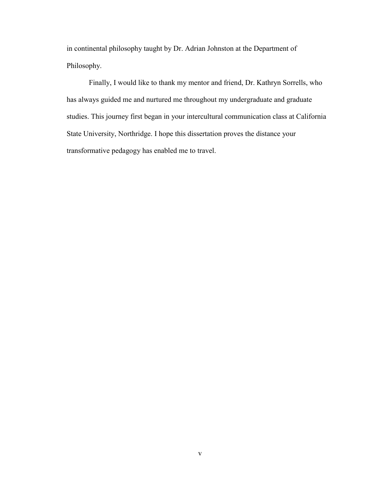in continental philosophy taught by Dr. Adrian Johnston at the Department of Philosophy.

Finally, I would like to thank my mentor and friend, Dr. Kathryn Sorrells, who has always guided me and nurtured me throughout my undergraduate and graduate studies. This journey first began in your intercultural communication class at California State University, Northridge. I hope this dissertation proves the distance your transformative pedagogy has enabled me to travel.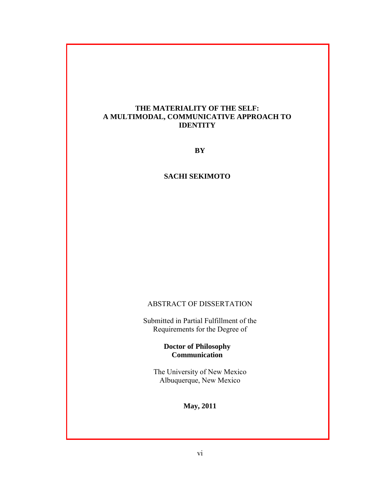### **THE MATERIALITY OF THE SELF: A MULTIMODAL, COMMUNICATIVE APPROACH TO IDENTITY**

**BY**

### **SACHI SEKIMOTO**

### ABSTRACT OF DISSERTATION

Submitted in Partial Fulfillment of the Requirements for the Degree of

## **Doctor of Philosophy Communication**

The University of New Mexico Albuquerque, New Mexico

**May, 2011**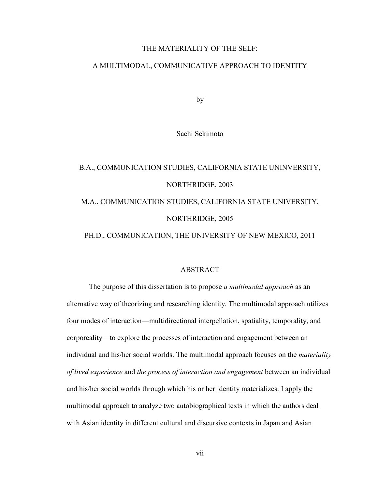### THE MATERIALITY OF THE SELF:

### A MULTIMODAL, COMMUNICATIVE APPROACH TO IDENTITY

by

Sachi Sekimoto

# B.A., COMMUNICATION STUDIES, CALIFORNIA STATE UNINVERSITY, NORTHRIDGE, 2003 M.A., COMMUNICATION STUDIES, CALIFORNIA STATE UNIVERSITY, NORTHRIDGE, 2005

PH.D., COMMUNICATION, THE UNIVERSITY OF NEW MEXICO, 2011

### ABSTRACT

The purpose of this dissertation is to propose *a multimodal approach* as an alternative way of theorizing and researching identity. The multimodal approach utilizes four modes of interaction—multidirectional interpellation, spatiality, temporality, and corporeality—to explore the processes of interaction and engagement between an individual and his/her social worlds. The multimodal approach focuses on the *materiality of lived experience* and *the process of interaction and engagement* between an individual and his/her social worlds through which his or her identity materializes. I apply the multimodal approach to analyze two autobiographical texts in which the authors deal with Asian identity in different cultural and discursive contexts in Japan and Asian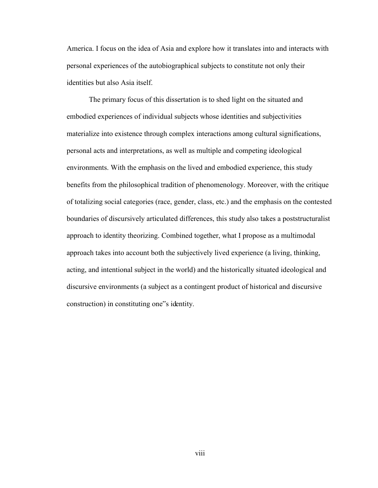America. I focus on the idea of Asia and explore how it translates into and interacts with personal experiences of the autobiographical subjects to constitute not only their identities but also Asia itself.

The primary focus of this dissertation is to shed light on the situated and embodied experiences of individual subjects whose identities and subjectivities materialize into existence through complex interactions among cultural significations, personal acts and interpretations, as well as multiple and competing ideological environments. With the emphasis on the lived and embodied experience, this study benefits from the philosophical tradition of phenomenology. Moreover, with the critique of totalizing social categories (race, gender, class, etc.) and the emphasis on the contested boundaries of discursively articulated differences, this study also takes a poststructuralist approach to identity theorizing. Combined together, what I propose as a multimodal approach takes into account both the subjectively lived experience (a living, thinking, acting, and intentional subject in the world) and the historically situated ideological and discursive environments (a subject as a contingent product of historical and discursive construction) in constituting one"s identity.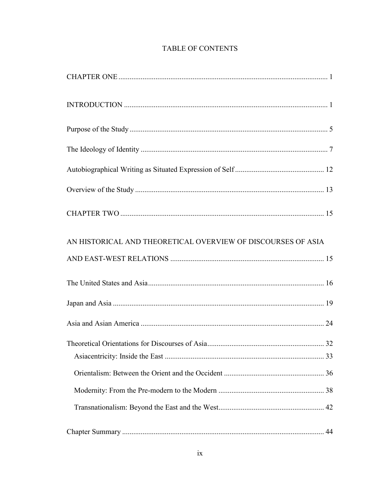# **TABLE OF CONTENTS**

| AN HISTORICAL AND THEORETICAL OVERVIEW OF DISCOURSES OF ASIA |    |
|--------------------------------------------------------------|----|
|                                                              |    |
|                                                              |    |
|                                                              |    |
|                                                              |    |
|                                                              |    |
|                                                              |    |
|                                                              |    |
|                                                              |    |
|                                                              |    |
|                                                              | 44 |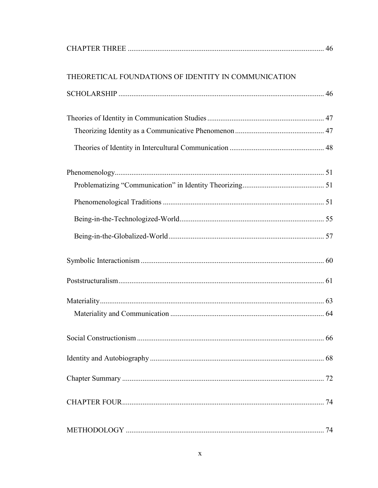| THEORETICAL FOUNDATIONS OF IDENTITY IN COMMUNICATION |    |
|------------------------------------------------------|----|
|                                                      |    |
|                                                      |    |
|                                                      |    |
|                                                      |    |
|                                                      |    |
|                                                      |    |
|                                                      |    |
|                                                      |    |
|                                                      |    |
|                                                      |    |
|                                                      |    |
|                                                      |    |
|                                                      |    |
|                                                      | 66 |
|                                                      |    |
|                                                      | 72 |
|                                                      |    |
|                                                      | 74 |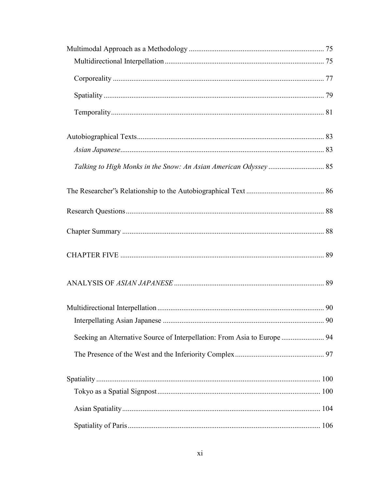| Seeking an Alternative Source of Interpellation: From Asia to Europe  94 |  |
|--------------------------------------------------------------------------|--|
|                                                                          |  |
|                                                                          |  |
|                                                                          |  |
|                                                                          |  |
|                                                                          |  |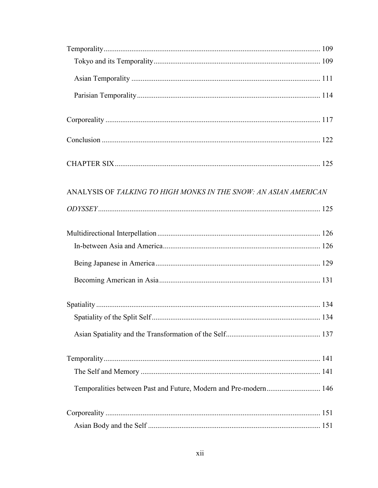| ANALYSIS OF TALKING TO HIGH MONKS IN THE SNOW: AN ASIAN AMERICAN |  |
|------------------------------------------------------------------|--|
|                                                                  |  |
|                                                                  |  |
|                                                                  |  |
|                                                                  |  |
|                                                                  |  |
|                                                                  |  |
|                                                                  |  |
|                                                                  |  |
|                                                                  |  |
|                                                                  |  |
| Temporalities between Past and Future, Modern and Pre-modern 146 |  |
|                                                                  |  |
|                                                                  |  |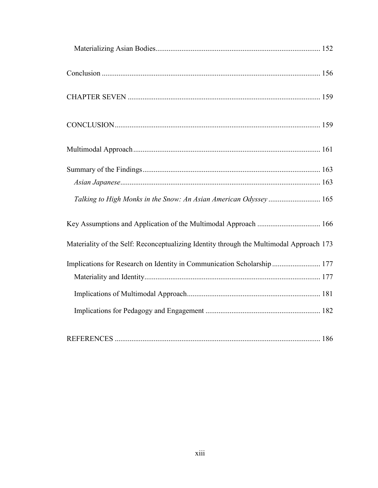<span id="page-13-0"></span>

| Talking to High Monks in the Snow: An Asian American Odyssey 165                        |  |
|-----------------------------------------------------------------------------------------|--|
|                                                                                         |  |
| Materiality of the Self: Reconceptualizing Identity through the Multimodal Approach 173 |  |
| Implications for Research on Identity in Communication Scholarship  177                 |  |
|                                                                                         |  |
|                                                                                         |  |
|                                                                                         |  |
|                                                                                         |  |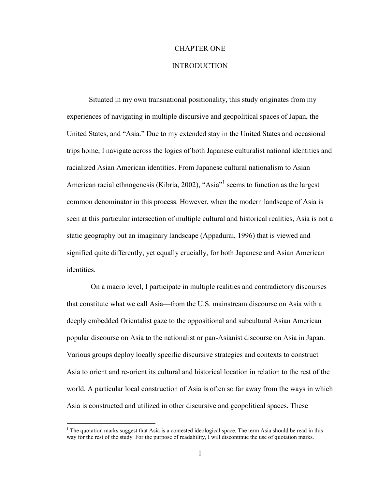### <span id="page-14-0"></span>CHAPTER ONE

### INTRODUCTION

Situated in my own transnational positionality, this study originates from my experiences of navigating in multiple discursive and geopolitical spaces of Japan, the United States, and "Asia." Due to my extended stay in the United States and occasional trips home, I navigate across the logics of both Japanese culturalist national identities and racialized Asian American identities. From Japanese cultural nationalism to Asian American racial ethnogenesis (Kibria, 2002), "Asia"<sup>1</sup> seems to function as the largest common denominator in this process. However, when the modern landscape of Asia is seen at this particular intersection of multiple cultural and historical realities, Asia is not a static geography but an imaginary landscape (Appadurai, 1996) that is viewed and signified quite differently, yet equally crucially, for both Japanese and Asian American identities.

On a macro level, I participate in multiple realities and contradictory discourses that constitute what we call Asia—from the U.S. mainstream discourse on Asia with a deeply embedded Orientalist gaze to the oppositional and subcultural Asian American popular discourse on Asia to the nationalist or pan-Asianist discourse on Asia in Japan. Various groups deploy locally specific discursive strategies and contexts to construct Asia to orient and re-orient its cultural and historical location in relation to the rest of the world. A particular local construction of Asia is often so far away from the ways in which Asia is constructed and utilized in other discursive and geopolitical spaces. These

 $\overline{a}$ 

<sup>&</sup>lt;sup>1</sup> The quotation marks suggest that Asia is a contested ideological space. The term Asia should be read in this way for the rest of the study. For the purpose of readability, I will discontinue the use of quotation marks.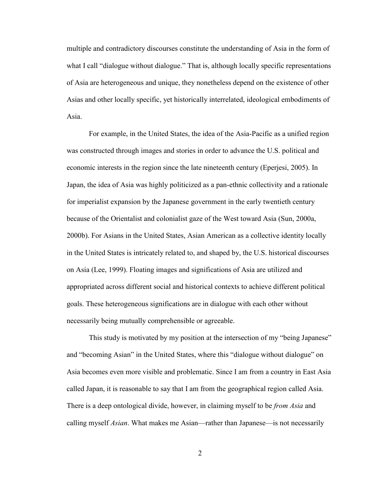multiple and contradictory discourses constitute the understanding of Asia in the form of what I call "dialogue without dialogue." That is, although locally specific representations of Asia are heterogeneous and unique, they nonetheless depend on the existence of other Asias and other locally specific, yet historically interrelated, ideological embodiments of Asia.

For example, in the United States, the idea of the Asia-Pacific as a unified region was constructed through images and stories in order to advance the U.S. political and economic interests in the region since the late nineteenth century (Eperjesi, 2005). In Japan, the idea of Asia was highly politicized as a pan-ethnic collectivity and a rationale for imperialist expansion by the Japanese government in the early twentieth century because of the Orientalist and colonialist gaze of the West toward Asia (Sun, 2000a, 2000b). For Asians in the United States, Asian American as a collective identity locally in the United States is intricately related to, and shaped by, the U.S. historical discourses on Asia (Lee, 1999). Floating images and significations of Asia are utilized and appropriated across different social and historical contexts to achieve different political goals. These heterogeneous significations are in dialogue with each other without necessarily being mutually comprehensible or agreeable.

This study is motivated by my position at the intersection of my "being Japanese" and "becoming Asian" in the United States, where this "dialogue without dialogue" on Asia becomes even more visible and problematic. Since I am from a country in East Asia called Japan, it is reasonable to say that I am from the geographical region called Asia. There is a deep ontological divide, however, in claiming myself to be *from Asia* and calling myself *Asian*. What makes me Asian—rather than Japanese—is not necessarily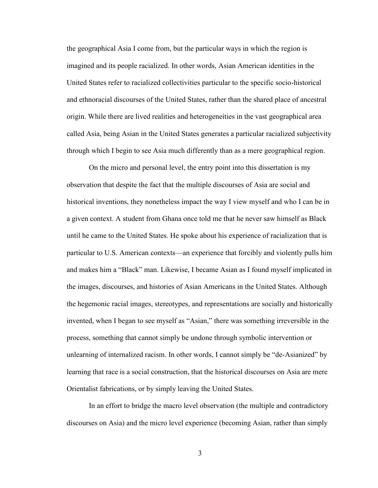the geographical Asia I come from, but the particular ways in which the region is imagined and its people racialized. In other words, Asian American identities in the United States refer to racialized collectivities particular to the specific socio-historical and ethnoracial discourses of the United States, rather than the shared place of ancestral origin. While there are lived realities and heterogeneities in the vast geographical area called Asia, being Asian in the United States generates a particular racialized subjectivity through which I begin to see Asia much differently than as a mere geographical region.

On the micro and personal level, the entry point into this dissertation is my observation that despite the fact that the multiple discourses of Asia are social and historical inventions, they nonetheless impact the way I view myself and who I can be in a given context. A student from Ghana once told me that he never saw himself as Black until he came to the United States. He spoke about his experience of racialization that is particular to U.S. American contexts—an experience that forcibly and violently pulls him and makes him a "Black" man. Likewise, I became Asian as I found myself implicated in the images, discourses, and histories of Asian Americans in the United States. Although the hegemonic racial images, stereotypes, and representations are socially and historically invented, when I began to see myself as "Asian," there was something irreversible in the process, something that cannot simply be undone through symbolic intervention or unlearning of internalized racism. In other words, I cannot simply be "de-Asianized" by learning that race is a social construction, that the historical discourses on Asia are mere Orientalist fabrications, or by simply leaving the United States.

In an effort to bridge the macro level observation (the multiple and contradictory discourses on Asia) and the micro level experience (becoming Asian, rather than simply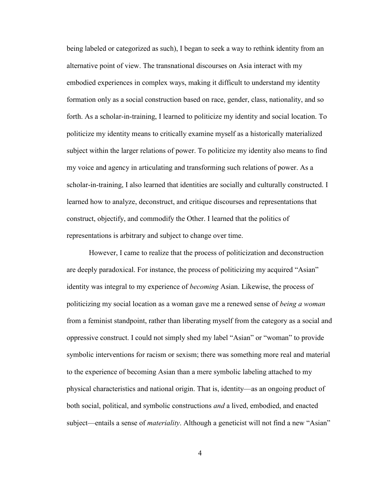being labeled or categorized as such), I began to seek a way to rethink identity from an alternative point of view. The transnational discourses on Asia interact with my embodied experiences in complex ways, making it difficult to understand my identity formation only as a social construction based on race, gender, class, nationality, and so forth. As a scholar-in-training, I learned to politicize my identity and social location. To politicize my identity means to critically examine myself as a historically materialized subject within the larger relations of power. To politicize my identity also means to find my voice and agency in articulating and transforming such relations of power. As a scholar-in-training, I also learned that identities are socially and culturally constructed. I learned how to analyze, deconstruct, and critique discourses and representations that construct, objectify, and commodify the Other. I learned that the politics of representations is arbitrary and subject to change over time.

However, I came to realize that the process of politicization and deconstruction are deeply paradoxical. For instance, the process of politicizing my acquired "Asian" identity was integral to my experience of *becoming* Asian. Likewise, the process of politicizing my social location as a woman gave me a renewed sense of *being a woman* from a feminist standpoint, rather than liberating myself from the category as a social and oppressive construct. I could not simply shed my label "Asian" or "woman" to provide symbolic interventions for racism or sexism; there was something more real and material to the experience of becoming Asian than a mere symbolic labeling attached to my physical characteristics and national origin. That is, identity—as an ongoing product of both social, political, and symbolic constructions *and* a lived, embodied, and enacted subject—entails a sense of *materiality*. Although a geneticist will not find a new "Asian"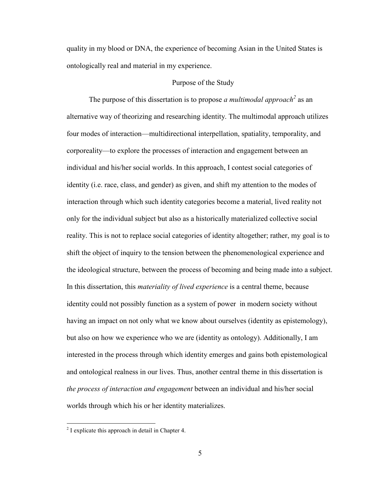quality in my blood or DNA, the experience of becoming Asian in the United States is ontologically real and material in my experience.

### Purpose of the Study

<span id="page-18-0"></span>The purpose of this dissertation is to propose *a multimodal approach<sup>2</sup>* as an alternative way of theorizing and researching identity. The multimodal approach utilizes four modes of interaction—multidirectional interpellation, spatiality, temporality, and corporeality—to explore the processes of interaction and engagement between an individual and his/her social worlds. In this approach, I contest social categories of identity (i.e. race, class, and gender) as given, and shift my attention to the modes of interaction through which such identity categories become a material, lived reality not only for the individual subject but also as a historically materialized collective social reality. This is not to replace social categories of identity altogether; rather, my goal is to shift the object of inquiry to the tension between the phenomenological experience and the ideological structure, between the process of becoming and being made into a subject. In this dissertation, this *materiality of lived experience* is a central theme, because identity could not possibly function as a system of power in modern society without having an impact on not only what we know about ourselves (identity as epistemology), but also on how we experience who we are (identity as ontology). Additionally, I am interested in the process through which identity emerges and gains both epistemological and ontological realness in our lives. Thus, another central theme in this dissertation is *the process of interaction and engagement* between an individual and his/her social worlds through which his or her identity materializes.

<sup>&</sup>lt;sup>2</sup> I explicate this approach in detail in Chapter 4.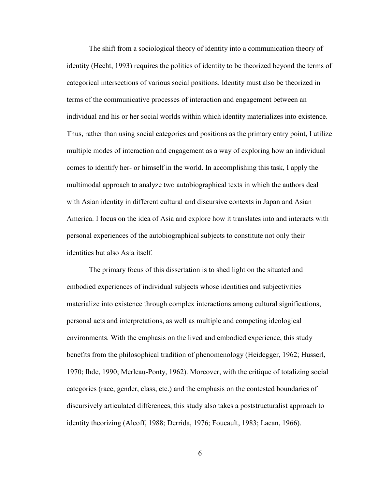The shift from a sociological theory of identity into a communication theory of identity (Hecht, 1993) requires the politics of identity to be theorized beyond the terms of categorical intersections of various social positions. Identity must also be theorized in terms of the communicative processes of interaction and engagement between an individual and his or her social worlds within which identity materializes into existence. Thus, rather than using social categories and positions as the primary entry point, I utilize multiple modes of interaction and engagement as a way of exploring how an individual comes to identify her- or himself in the world. In accomplishing this task, I apply the multimodal approach to analyze two autobiographical texts in which the authors deal with Asian identity in different cultural and discursive contexts in Japan and Asian America. I focus on the idea of Asia and explore how it translates into and interacts with personal experiences of the autobiographical subjects to constitute not only their identities but also Asia itself.

The primary focus of this dissertation is to shed light on the situated and embodied experiences of individual subjects whose identities and subjectivities materialize into existence through complex interactions among cultural significations, personal acts and interpretations, as well as multiple and competing ideological environments. With the emphasis on the lived and embodied experience, this study benefits from the philosophical tradition of phenomenology (Heidegger, 1962; Husserl, 1970; Ihde, 1990; Merleau-Ponty, 1962). Moreover, with the critique of totalizing social categories (race, gender, class, etc.) and the emphasis on the contested boundaries of discursively articulated differences, this study also takes a poststructuralist approach to identity theorizing (Alcoff, 1988; Derrida, 1976; Foucault, 1983; Lacan, 1966).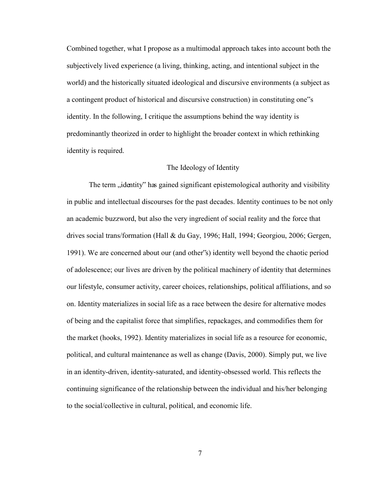Combined together, what I propose as a multimodal approach takes into account both the subjectively lived experience (a living, thinking, acting, and intentional subject in the world) and the historically situated ideological and discursive environments (a subject as a contingent product of historical and discursive construction) in constituting one"s identity. In the following, I critique the assumptions behind the way identity is predominantly theorized in order to highlight the broader context in which rethinking identity is required.

### The Ideology of Identity

<span id="page-20-0"></span>The term "identity" has gained significant epistemological authority and visibility in public and intellectual discourses for the past decades. Identity continues to be not only an academic buzzword, but also the very ingredient of social reality and the force that drives social trans/formation (Hall & du Gay, 1996; Hall, 1994; Georgiou, 2006; Gergen, 1991). We are concerned about our (and other"s) identity well beyond the chaotic period of adolescence; our lives are driven by the political machinery of identity that determines our lifestyle, consumer activity, career choices, relationships, political affiliations, and so on. Identity materializes in social life as a race between the desire for alternative modes of being and the capitalist force that simplifies, repackages, and commodifies them for the market (hooks, 1992). Identity materializes in social life as a resource for economic, political, and cultural maintenance as well as change (Davis, 2000). Simply put, we live in an identity-driven, identity-saturated, and identity-obsessed world. This reflects the continuing significance of the relationship between the individual and his/her belonging to the social/collective in cultural, political, and economic life.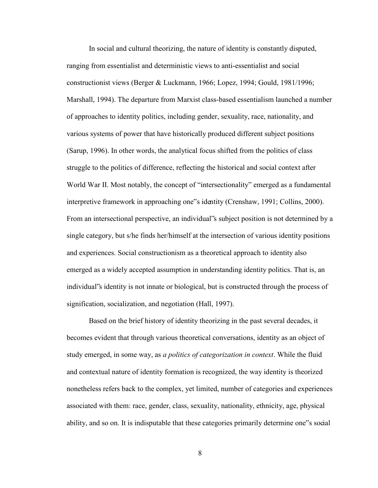In social and cultural theorizing, the nature of identity is constantly disputed, ranging from essentialist and deterministic views to anti-essentialist and social constructionist views (Berger & Luckmann, 1966; Lopez, 1994; Gould, 1981/1996; Marshall, 1994). The departure from Marxist class-based essentialism launched a number of approaches to identity politics, including gender, sexuality, race, nationality, and various systems of power that have historically produced different subject positions (Sarup, 1996). In other words, the analytical focus shifted from the politics of class struggle to the politics of difference, reflecting the historical and social context after World War II. Most notably, the concept of "intersectionality" emerged as a fundamental interpretive framework in approaching one"s identity (Crenshaw, 1991; Collins, 2000). From an intersectional perspective, an individual"s subject position is not determined by a single category, but s/he finds her/himself at the intersection of various identity positions and experiences. Social constructionism as a theoretical approach to identity also emerged as a widely accepted assumption in understanding identity politics. That is, an individual"s identity is not innate or biological, but is constructed through the process of signification, socialization, and negotiation (Hall, 1997).

Based on the brief history of identity theorizing in the past several decades, it becomes evident that through various theoretical conversations, identity as an object of study emerged, in some way, as *a politics of categorization in context*. While the fluid and contextual nature of identity formation is recognized, the way identity is theorized nonetheless refers back to the complex, yet limited, number of categories and experiences associated with them: race, gender, class, sexuality, nationality, ethnicity, age, physical ability, and so on. It is indisputable that these categories primarily determine one"s social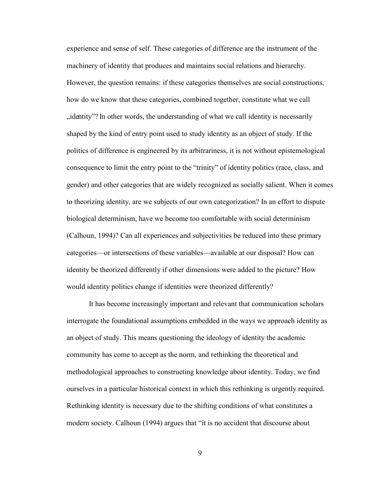experience and sense of self. These categories of difference are the instrument of the machinery of identity that produces and maintains social relations and hierarchy. However, the question remains: if these categories themselves are social constructions, how do we know that these categories, combined together, constitute what we call  $\mu$ , identity"? In other words, the understanding of what we call identity is necessarily shaped by the kind of entry point used to study identity as an object of study. If the politics of difference is engineered by its arbitrariness, it is not without epistemological consequence to limit the entry point to the "trinity" of identity politics (race, class, and gender) and other categories that are widely recognized as socially salient. When it comes to theorizing identity, are we subjects of our own categorization? In an effort to dispute biological determinism, have we become too comfortable with social determinism (Calhoun, 1994)? Can all experiences and subjectivities be reduced into these primary categories—or intersections of these variables—available at our disposal? How can identity be theorized differently if other dimensions were added to the picture? How would identity politics change if identities were theorized differently?

 It has become increasingly important and relevant that communication scholars interrogate the foundational assumptions embedded in the ways we approach identity as an object of study. This means questioning the ideology of identity the academic community has come to accept as the norm, and rethinking the theoretical and methodological approaches to constructing knowledge about identity. Today, we find ourselves in a particular historical context in which this rethinking is urgently required. Rethinking identity is necessary due to the shifting conditions of what constitutes a modern society. Calhoun (1994) argues that "it is no accident that discourse about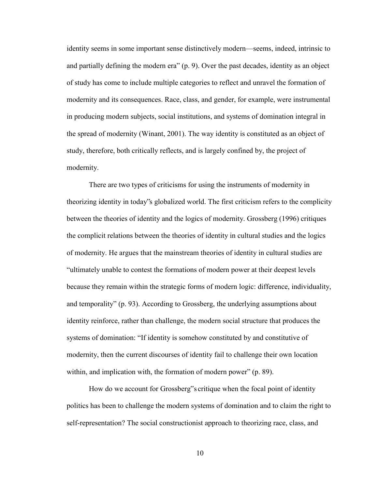identity seems in some important sense distinctively modern—seems, indeed, intrinsic to and partially defining the modern era" (p. 9). Over the past decades, identity as an object of study has come to include multiple categories to reflect and unravel the formation of modernity and its consequences. Race, class, and gender, for example, were instrumental in producing modern subjects, social institutions, and systems of domination integral in the spread of modernity (Winant, 2001). The way identity is constituted as an object of study, therefore, both critically reflects, and is largely confined by, the project of modernity.

There are two types of criticisms for using the instruments of modernity in theorizing identity in today"s globalized world. The first criticism refers to the complicity between the theories of identity and the logics of modernity. Grossberg (1996) critiques the complicit relations between the theories of identity in cultural studies and the logics of modernity. He argues that the mainstream theories of identity in cultural studies are "ultimately unable to contest the formations of modern power at their deepest levels because they remain within the strategic forms of modern logic: difference, individuality, and temporality" (p. 93). According to Grossberg, the underlying assumptions about identity reinforce, rather than challenge, the modern social structure that produces the systems of domination: "If identity is somehow constituted by and constitutive of modernity, then the current discourses of identity fail to challenge their own location within, and implication with, the formation of modern power" (p. 89).

How do we account for Grossberg"s critique when the focal point of identity politics has been to challenge the modern systems of domination and to claim the right to self-representation? The social constructionist approach to theorizing race, class, and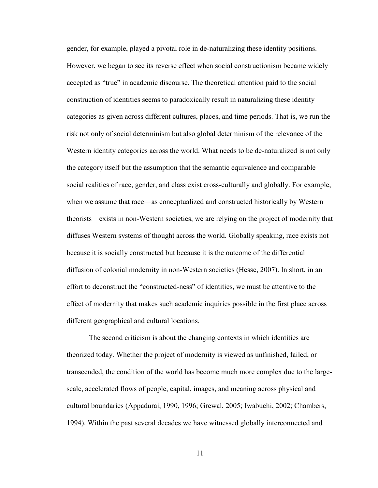gender, for example, played a pivotal role in de-naturalizing these identity positions. However, we began to see its reverse effect when social constructionism became widely accepted as "true" in academic discourse. The theoretical attention paid to the social construction of identities seems to paradoxically result in naturalizing these identity categories as given across different cultures, places, and time periods. That is, we run the risk not only of social determinism but also global determinism of the relevance of the Western identity categories across the world. What needs to be de-naturalized is not only the category itself but the assumption that the semantic equivalence and comparable social realities of race, gender, and class exist cross-culturally and globally. For example, when we assume that race—as conceptualized and constructed historically by Western theorists—exists in non-Western societies, we are relying on the project of modernity that diffuses Western systems of thought across the world. Globally speaking, race exists not because it is socially constructed but because it is the outcome of the differential diffusion of colonial modernity in non-Western societies (Hesse, 2007). In short, in an effort to deconstruct the "constructed-ness" of identities, we must be attentive to the effect of modernity that makes such academic inquiries possible in the first place across different geographical and cultural locations.

The second criticism is about the changing contexts in which identities are theorized today. Whether the project of modernity is viewed as unfinished, failed, or transcended, the condition of the world has become much more complex due to the largescale, accelerated flows of people, capital, images, and meaning across physical and cultural boundaries (Appadurai, 1990, 1996; Grewal, 2005; Iwabuchi, 2002; Chambers, 1994). Within the past several decades we have witnessed globally interconnected and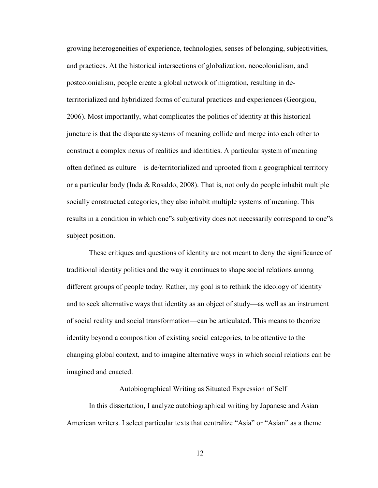growing heterogeneities of experience, technologies, senses of belonging, subjectivities, and practices. At the historical intersections of globalization, neocolonialism, and postcolonialism, people create a global network of migration, resulting in deterritorialized and hybridized forms of cultural practices and experiences (Georgiou, 2006). Most importantly, what complicates the politics of identity at this historical juncture is that the disparate systems of meaning collide and merge into each other to construct a complex nexus of realities and identities. A particular system of meaning often defined as culture—is de/territorialized and uprooted from a geographical territory or a particular body (Inda & Rosaldo, 2008). That is, not only do people inhabit multiple socially constructed categories, they also inhabit multiple systems of meaning. This results in a condition in which one"s subjectivity does not necessarily correspond to one"s subject position.

These critiques and questions of identity are not meant to deny the significance of traditional identity politics and the way it continues to shape social relations among different groups of people today. Rather, my goal is to rethink the ideology of identity and to seek alternative ways that identity as an object of study—as well as an instrument of social reality and social transformation—can be articulated. This means to theorize identity beyond a composition of existing social categories, to be attentive to the changing global context, and to imagine alternative ways in which social relations can be imagined and enacted.

### Autobiographical Writing as Situated Expression of Self

<span id="page-25-0"></span> In this dissertation, I analyze autobiographical writing by Japanese and Asian American writers. I select particular texts that centralize "Asia" or "Asian" as a theme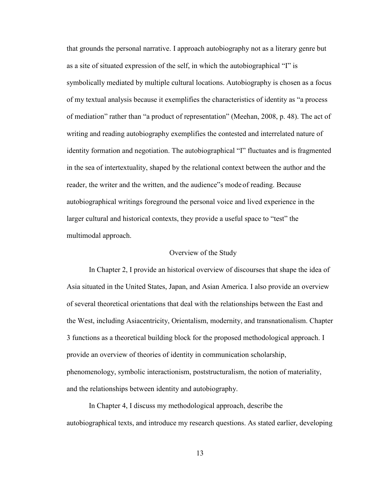that grounds the personal narrative. I approach autobiography not as a literary genre but as a site of situated expression of the self, in which the autobiographical "I" is symbolically mediated by multiple cultural locations. Autobiography is chosen as a focus of my textual analysis because it exemplifies the characteristics of identity as "a process of mediation" rather than "a product of representation" (Meehan, 2008, p. 48). The act of writing and reading autobiography exemplifies the contested and interrelated nature of identity formation and negotiation. The autobiographical "I" fluctuates and is fragmented in the sea of intertextuality, shaped by the relational context between the author and the reader, the writer and the written, and the audience"s mode of reading. Because autobiographical writings foreground the personal voice and lived experience in the larger cultural and historical contexts, they provide a useful space to "test" the multimodal approach.

### Overview of the Study

<span id="page-26-0"></span>In Chapter 2, I provide an historical overview of discourses that shape the idea of Asia situated in the United States, Japan, and Asian America. I also provide an overview of several theoretical orientations that deal with the relationships between the East and the West, including Asiacentricity, Orientalism, modernity, and transnationalism. Chapter 3 functions as a theoretical building block for the proposed methodological approach. I provide an overview of theories of identity in communication scholarship, phenomenology, symbolic interactionism, poststructuralism, the notion of materiality, and the relationships between identity and autobiography.

In Chapter 4, I discuss my methodological approach, describe the autobiographical texts, and introduce my research questions. As stated earlier, developing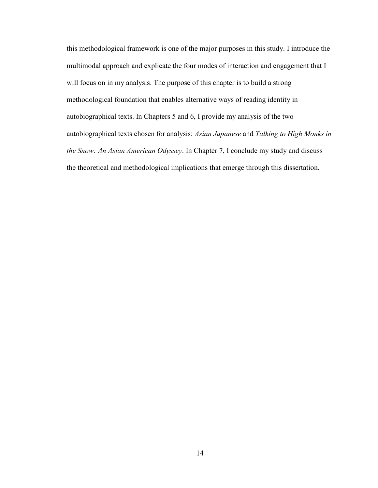this methodological framework is one of the major purposes in this study. I introduce the multimodal approach and explicate the four modes of interaction and engagement that I will focus on in my analysis. The purpose of this chapter is to build a strong methodological foundation that enables alternative ways of reading identity in autobiographical texts. In Chapters 5 and 6, I provide my analysis of the two autobiographical texts chosen for analysis: *Asian Japanese* and *Talking to High Monks in the Snow: An Asian American Odyssey*. In Chapter 7, I conclude my study and discuss the theoretical and methodological implications that emerge through this dissertation.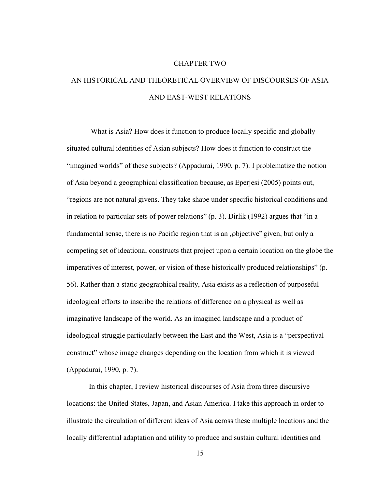#### CHAPTER TWO

# <span id="page-28-1"></span><span id="page-28-0"></span>AN HISTORICAL AND THEORETICAL OVERVIEW OF DISCOURSES OF ASIA AND EAST-WEST RELATIONS

What is Asia? How does it function to produce locally specific and globally situated cultural identities of Asian subjects? How does it function to construct the "imagined worlds" of these subjects? (Appadurai, 1990, p. 7). I problematize the notion of Asia beyond a geographical classification because, as Eperjesi (2005) points out, "regions are not natural givens. They take shape under specific historical conditions and in relation to particular sets of power relations" (p. 3). Dirlik (1992) argues that "in a fundamental sense, there is no Pacific region that is an "objective" given, but only a competing set of ideational constructs that project upon a certain location on the globe the imperatives of interest, power, or vision of these historically produced relationships" (p. 56). Rather than a static geographical reality, Asia exists as a reflection of purposeful ideological efforts to inscribe the relations of difference on a physical as well as imaginative landscape of the world. As an imagined landscape and a product of ideological struggle particularly between the East and the West, Asia is a "perspectival construct" whose image changes depending on the location from which it is viewed (Appadurai, 1990, p. 7).

In this chapter, I review historical discourses of Asia from three discursive locations: the United States, Japan, and Asian America. I take this approach in order to illustrate the circulation of different ideas of Asia across these multiple locations and the locally differential adaptation and utility to produce and sustain cultural identities and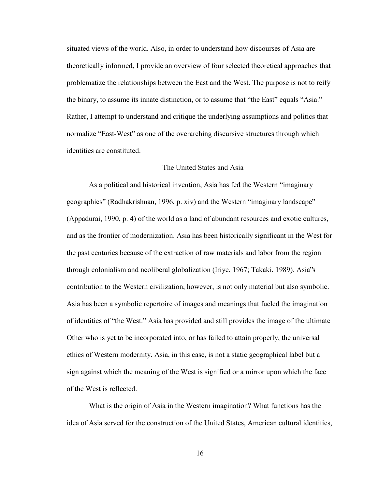situated views of the world. Also, in order to understand how discourses of Asia are theoretically informed, I provide an overview of four selected theoretical approaches that problematize the relationships between the East and the West. The purpose is not to reify the binary, to assume its innate distinction, or to assume that "the East" equals "Asia." Rather, I attempt to understand and critique the underlying assumptions and politics that normalize "East-West" as one of the overarching discursive structures through which identities are constituted.

### The United States and Asia

<span id="page-29-0"></span>As a political and historical invention, Asia has fed the Western "imaginary geographies" (Radhakrishnan, 1996, p. xiv) and the Western "imaginary landscape" (Appadurai, 1990, p. 4) of the world as a land of abundant resources and exotic cultures, and as the frontier of modernization. Asia has been historically significant in the West for the past centuries because of the extraction of raw materials and labor from the region through colonialism and neoliberal globalization (Iriye, 1967; Takaki, 1989). Asia"s contribution to the Western civilization, however, is not only material but also symbolic. Asia has been a symbolic repertoire of images and meanings that fueled the imagination of identities of "the West." Asia has provided and still provides the image of the ultimate Other who is yet to be incorporated into, or has failed to attain properly, the universal ethics of Western modernity. Asia, in this case, is not a static geographical label but a sign against which the meaning of the West is signified or a mirror upon which the face of the West is reflected.

What is the origin of Asia in the Western imagination? What functions has the idea of Asia served for the construction of the United States, American cultural identities,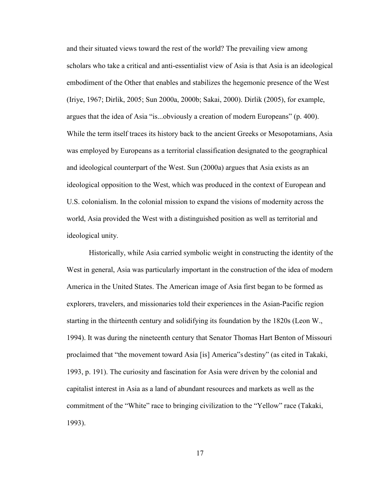and their situated views toward the rest of the world? The prevailing view among scholars who take a critical and anti-essentialist view of Asia is that Asia is an ideological embodiment of the Other that enables and stabilizes the hegemonic presence of the West (Iriye, 1967; Dirlik, 2005; Sun 2000a, 2000b; Sakai, 2000). Dirlik (2005), for example, argues that the idea of Asia "is...obviously a creation of modern Europeans" (p. 400). While the term itself traces its history back to the ancient Greeks or Mesopotamians, Asia was employed by Europeans as a territorial classification designated to the geographical and ideological counterpart of the West. Sun (2000a) argues that Asia exists as an ideological opposition to the West, which was produced in the context of European and U.S. colonialism. In the colonial mission to expand the visions of modernity across the world, Asia provided the West with a distinguished position as well as territorial and ideological unity.

Historically, while Asia carried symbolic weight in constructing the identity of the West in general, Asia was particularly important in the construction of the idea of modern America in the United States. The American image of Asia first began to be formed as explorers, travelers, and missionaries told their experiences in the Asian-Pacific region starting in the thirteenth century and solidifying its foundation by the 1820s (Leon W., 1994). It was during the nineteenth century that Senator Thomas Hart Benton of Missouri proclaimed that "the movement toward Asia [is] America"s destiny" (as cited in Takaki, 1993, p. 191). The curiosity and fascination for Asia were driven by the colonial and capitalist interest in Asia as a land of abundant resources and markets as well as the commitment of the "White" race to bringing civilization to the "Yellow" race (Takaki, 1993).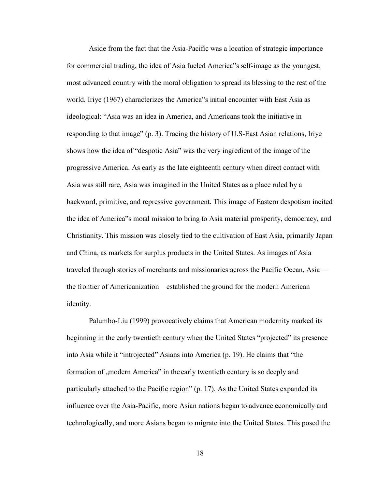Aside from the fact that the Asia-Pacific was a location of strategic importance for commercial trading, the idea of Asia fueled America"s self-image as the youngest, most advanced country with the moral obligation to spread its blessing to the rest of the world. Iriye (1967) characterizes the America"s initial encounter with East Asia as ideological: "Asia was an idea in America, and Americans took the initiative in responding to that image" (p. 3). Tracing the history of U.S-East Asian relations, Iriye shows how the idea of "despotic Asia" was the very ingredient of the image of the progressive America. As early as the late eighteenth century when direct contact with Asia was still rare, Asia was imagined in the United States as a place ruled by a backward, primitive, and repressive government. This image of Eastern despotism incited the idea of America"s moral mission to bring to Asia material prosperity, democracy, and Christianity. This mission was closely tied to the cultivation of East Asia, primarily Japan and China, as markets for surplus products in the United States. As images of Asia traveled through stories of merchants and missionaries across the Pacific Ocean, Asia the frontier of Americanization—established the ground for the modern American identity.

Palumbo-Liu (1999) provocatively claims that American modernity marked its beginning in the early twentieth century when the United States "projected" its presence into Asia while it "introjected" Asians into America (p. 19). He claims that "the formation of , modern America" in the early twentieth century is so deeply and particularly attached to the Pacific region" (p. 17). As the United States expanded its influence over the Asia-Pacific, more Asian nations began to advance economically and technologically, and more Asians began to migrate into the United States. This posed the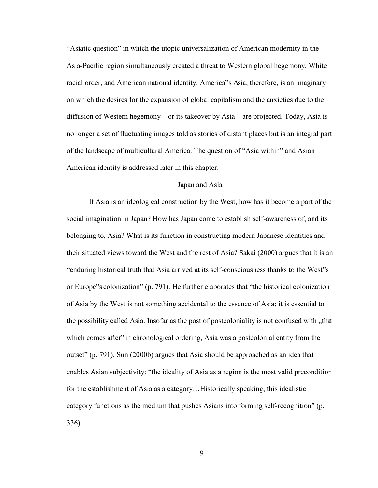"Asiatic question" in which the utopic universalization of American modernity in the Asia-Pacific region simultaneously created a threat to Western global hegemony, White racial order, and American national identity. America"s Asia, therefore, is an imaginary on which the desires for the expansion of global capitalism and the anxieties due to the diffusion of Western hegemony—or its takeover by Asia—are projected. Today, Asia is no longer a set of fluctuating images told as stories of distant places but is an integral part of the landscape of multicultural America. The question of "Asia within" and Asian American identity is addressed later in this chapter.

### Japan and Asia

<span id="page-32-0"></span>If Asia is an ideological construction by the West, how has it become a part of the social imagination in Japan? How has Japan come to establish self-awareness of, and its belonging to, Asia? What is its function in constructing modern Japanese identities and their situated views toward the West and the rest of Asia? Sakai (2000) argues that it is an "enduring historical truth that Asia arrived at its self-consciousness thanks to the West"s or Europe"s colonization" (p. 791). He further elaborates that "the historical colonization of Asia by the West is not something accidental to the essence of Asia; it is essential to the possibility called Asia. Insofar as the post of postcoloniality is not confused with  $\mu$ that which comes after" in chronological ordering, Asia was a postcolonial entity from the outset" (p. 791). Sun (2000b) argues that Asia should be approached as an idea that enables Asian subjectivity: "the ideality of Asia as a region is the most valid precondition for the establishment of Asia as a category…Historically speaking, this idealistic category functions as the medium that pushes Asians into forming self-recognition" (p. 336).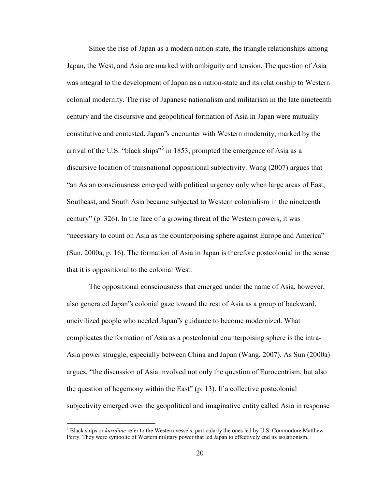Since the rise of Japan as a modern nation state, the triangle relationships among Japan, the West, and Asia are marked with ambiguity and tension. The question of Asia was integral to the development of Japan as a nation-state and its relationship to Western colonial modernity. The rise of Japanese nationalism and militarism in the late nineteenth century and the discursive and geopolitical formation of Asia in Japan were mutually constitutive and contested. Japan"s encounter with Western modernity, marked by the arrival of the U.S. "black ships"<sup>3</sup> in 1853, prompted the emergence of Asia as a discursive location of transnational oppositional subjectivity. Wang (2007) argues that "an Asian consciousness emerged with political urgency only when large areas of East, Southeast, and South Asia became subjected to Western colonialism in the nineteenth century" (p. 326). In the face of a growing threat of the Western powers, it was "necessary to count on Asia as the counterpoising sphere against Europe and America" (Sun, 2000a, p. 16). The formation of Asia in Japan is therefore postcolonial in the sense that it is oppositional to the colonial West.

The oppositional consciousness that emerged under the name of Asia, however, also generated Japan"s colonial gaze toward the rest of Asia as a group of backward, uncivilized people who needed Japan"s guidance to become modernized. What complicates the formation of Asia as a postcolonial counterpoising sphere is the intra-Asia power struggle, especially between China and Japan (Wang, 2007). As Sun (2000a) argues, "the discussion of Asia involved not only the question of Eurocentrism, but also the question of hegemony within the East" (p. 13). If a collective postcolonial subjectivity emerged over the geopolitical and imaginative entity called Asia in response

 $\overline{a}$ 

<sup>&</sup>lt;sup>3</sup> Black ships or *kurofune* refer to the Western vessels, particularly the ones led by U.S. Commodore Matthew Perry. They were symbolic of Western military power that led Japan to effectively end its isolationism.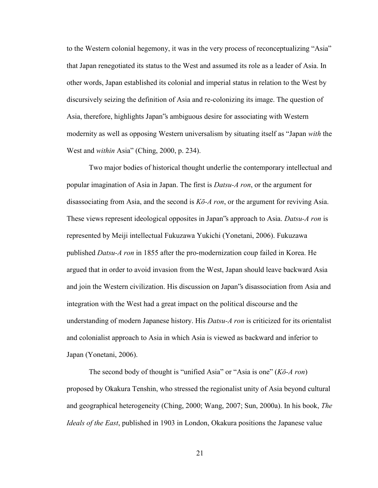to the Western colonial hegemony, it was in the very process of reconceptualizing "Asia" that Japan renegotiated its status to the West and assumed its role as a leader of Asia. In other words, Japan established its colonial and imperial status in relation to the West by discursively seizing the definition of Asia and re-colonizing its image. The question of Asia, therefore, highlights Japan"s ambiguous desire for associating with Western modernity as well as opposing Western universalism by situating itself as "Japan *with* the West and *within* Asia" (Ching, 2000, p. 234).

Two major bodies of historical thought underlie the contemporary intellectual and popular imagination of Asia in Japan. The first is *Datsu-A ron*, or the argument for disassociating from Asia, and the second is *Kō-A ron*, or the argument for reviving Asia. These views represent ideological opposites in Japan"s approach to Asia. *Datsu-A ron* is represented by Meiji intellectual Fukuzawa Yukichi (Yonetani, 2006). Fukuzawa published *Datsu-A ron* in 1855 after the pro-modernization coup failed in Korea. He argued that in order to avoid invasion from the West, Japan should leave backward Asia and join the Western civilization. His discussion on Japan"s disassociation from Asia and integration with the West had a great impact on the political discourse and the understanding of modern Japanese history. His *Datsu-A ron* is criticized for its orientalist and colonialist approach to Asia in which Asia is viewed as backward and inferior to Japan (Yonetani, 2006).

The second body of thought is "unified Asia" or "Asia is one" (*Kō-A ron*) proposed by Okakura Tenshin, who stressed the regionalist unity of Asia beyond cultural and geographical heterogeneity (Ching, 2000; Wang, 2007; Sun, 2000a). In his book, *The Ideals of the East*, published in 1903 in London, Okakura positions the Japanese value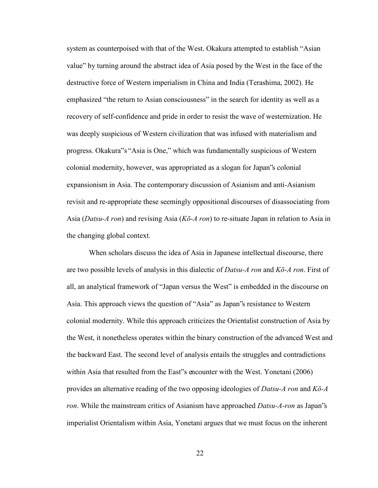system as counterpoised with that of the West. Okakura attempted to establish "Asian value" by turning around the abstract idea of Asia posed by the West in the face of the destructive force of Western imperialism in China and India (Terashima, 2002). He emphasized "the return to Asian consciousness" in the search for identity as well as a recovery of self-confidence and pride in order to resist the wave of westernization. He was deeply suspicious of Western civilization that was infused with materialism and progress. Okakura"s "Asia is One," which was fundamentally suspicious of Western colonial modernity, however, was appropriated as a slogan for Japan"s colonial expansionism in Asia. The contemporary discussion of Asianism and anti-Asianism revisit and re-appropriate these seemingly oppositional discourses of disassociating from Asia (*Datsu-A ron*) and revising Asia (*Kō-A ron*) to re-situate Japan in relation to Asia in the changing global context.

When scholars discuss the idea of Asia in Japanese intellectual discourse, there are two possible levels of analysis in this dialectic of *Datsu-A ron* and *Kō-A ron*. First of all, an analytical framework of "Japan versus the West" is embedded in the discourse on Asia. This approach views the question of "Asia" as Japan"s resistance to Western colonial modernity. While this approach criticizes the Orientalist construction of Asia by the West, it nonetheless operates within the binary construction of the advanced West and the backward East. The second level of analysis entails the struggles and contradictions within Asia that resulted from the East"s encounter with the West. Yonetani (2006) provides an alternative reading of the two opposing ideologies of *Datsu-A ron* and *Kō-A ron*. While the mainstream critics of Asianism have approached *Datsu-A-ron* as Japan"s imperialist Orientalism within Asia, Yonetani argues that we must focus on the inherent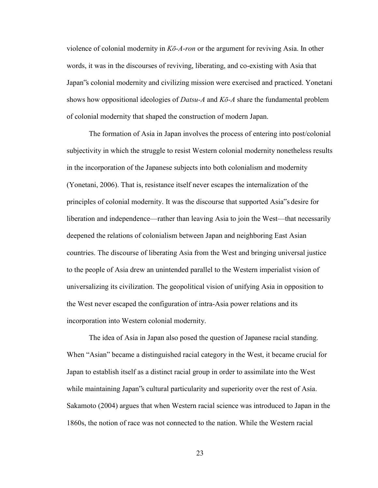violence of colonial modernity in *Kō-A-ron* or the argument for reviving Asia. In other words, it was in the discourses of reviving, liberating, and co-existing with Asia that Japan"s colonial modernity and civilizing mission were exercised and practiced. Yonetani shows how oppositional ideologies of *Datsu-A* and *Kō-A* share the fundamental problem of colonial modernity that shaped the construction of modern Japan.

The formation of Asia in Japan involves the process of entering into post/colonial subjectivity in which the struggle to resist Western colonial modernity nonetheless results in the incorporation of the Japanese subjects into both colonialism and modernity (Yonetani, 2006). That is, resistance itself never escapes the internalization of the principles of colonial modernity. It was the discourse that supported Asia"s desire for liberation and independence—rather than leaving Asia to join the West—that necessarily deepened the relations of colonialism between Japan and neighboring East Asian countries. The discourse of liberating Asia from the West and bringing universal justice to the people of Asia drew an unintended parallel to the Western imperialist vision of universalizing its civilization. The geopolitical vision of unifying Asia in opposition to the West never escaped the configuration of intra-Asia power relations and its incorporation into Western colonial modernity.

The idea of Asia in Japan also posed the question of Japanese racial standing. When "Asian" became a distinguished racial category in the West, it became crucial for Japan to establish itself as a distinct racial group in order to assimilate into the West while maintaining Japan"s cultural particularity and superiority over the rest of Asia. Sakamoto (2004) argues that when Western racial science was introduced to Japan in the 1860s, the notion of race was not connected to the nation. While the Western racial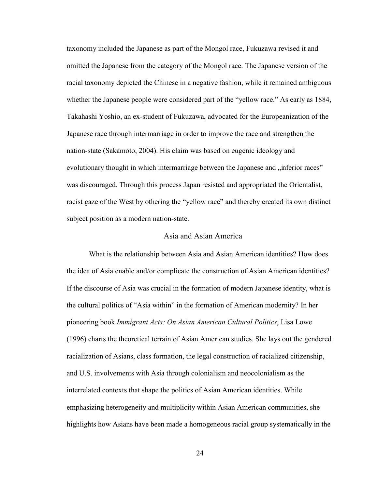taxonomy included the Japanese as part of the Mongol race, Fukuzawa revised it and omitted the Japanese from the category of the Mongol race. The Japanese version of the racial taxonomy depicted the Chinese in a negative fashion, while it remained ambiguous whether the Japanese people were considered part of the "yellow race." As early as 1884, Takahashi Yoshio, an ex-student of Fukuzawa, advocated for the Europeanization of the Japanese race through intermarriage in order to improve the race and strengthen the nation-state (Sakamoto, 2004). His claim was based on eugenic ideology and evolutionary thought in which intermarriage between the Japanese and "inferior races" was discouraged. Through this process Japan resisted and appropriated the Orientalist, racist gaze of the West by othering the "yellow race" and thereby created its own distinct subject position as a modern nation-state.

## Asia and Asian America

 What is the relationship between Asia and Asian American identities? How does the idea of Asia enable and/or complicate the construction of Asian American identities? If the discourse of Asia was crucial in the formation of modern Japanese identity, what is the cultural politics of "Asia within" in the formation of American modernity? In her pioneering book *Immigrant Acts: On Asian American Cultural Politics*, Lisa Lowe (1996) charts the theoretical terrain of Asian American studies. She lays out the gendered racialization of Asians, class formation, the legal construction of racialized citizenship, and U.S. involvements with Asia through colonialism and neocolonialism as the interrelated contexts that shape the politics of Asian American identities. While emphasizing heterogeneity and multiplicity within Asian American communities, she highlights how Asians have been made a homogeneous racial group systematically in the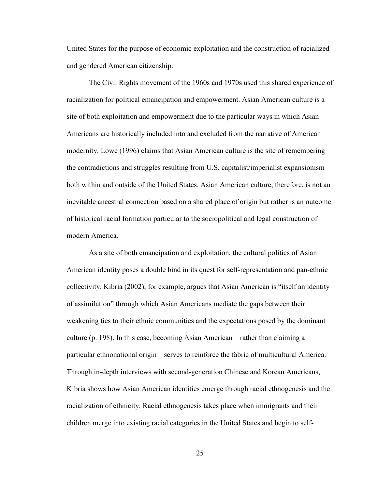United States for the purpose of economic exploitation and the construction of racialized and gendered American citizenship.

The Civil Rights movement of the 1960s and 1970s used this shared experience of racialization for political emancipation and empowerment. Asian American culture is a site of both exploitation and empowerment due to the particular ways in which Asian Americans are historically included into and excluded from the narrative of American modernity. Lowe (1996) claims that Asian American culture is the site of remembering the contradictions and struggles resulting from U.S. capitalist/imperialist expansionism both within and outside of the United States. Asian American culture, therefore, is not an inevitable ancestral connection based on a shared place of origin but rather is an outcome of historical racial formation particular to the sociopolitical and legal construction of modern America.

As a site of both emancipation and exploitation, the cultural politics of Asian American identity poses a double bind in its quest for self-representation and pan-ethnic collectivity. Kibria (2002), for example, argues that Asian American is "itself an identity of assimilation" through which Asian Americans mediate the gaps between their weakening ties to their ethnic communities and the expectations posed by the dominant culture (p. 198). In this case, becoming Asian American—rather than claiming a particular ethnonational origin—serves to reinforce the fabric of multicultural America. Through in-depth interviews with second-generation Chinese and Korean Americans, Kibria shows how Asian American identities emerge through racial ethnogenesis and the racialization of ethnicity. Racial ethnogenesis takes place when immigrants and their children merge into existing racial categories in the United States and begin to self-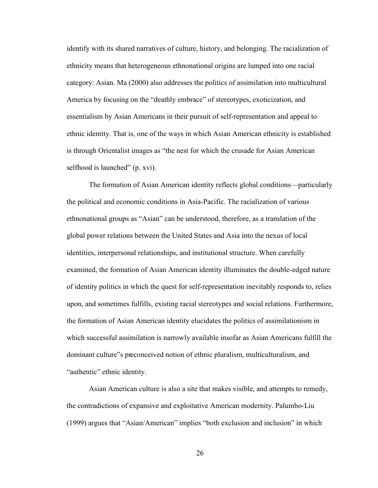identify with its shared narratives of culture, history, and belonging. The racialization of ethnicity means that heterogeneous ethnonational origins are lumped into one racial category: Asian. Ma (2000) also addresses the politics of assimilation into multicultural America by focusing on the "deathly embrace" of stereotypes, exoticization, and essentialism by Asian Americans in their pursuit of self-representation and appeal to ethnic identity. That is, one of the ways in which Asian American ethnicity is established is through Orientalist images as "the nest for which the crusade for Asian American selfhood is launched" (p. xvi).

The formation of Asian American identity reflects global conditions—particularly the political and economic conditions in Asia-Pacific. The racialization of various ethnonational groups as "Asian" can be understood, therefore, as a translation of the global power relations between the United States and Asia into the nexus of local identities, interpersonal relationships, and institutional structure. When carefully examined, the formation of Asian American identity illuminates the double-edged nature of identity politics in which the quest for self-representation inevitably responds to, relies upon, and sometimes fulfills, existing racial stereotypes and social relations. Furthermore, the formation of Asian American identity elucidates the politics of assimilationism in which successful assimilation is narrowly available insofar as Asian Americans fulfill the dominant culture"s preconceived notion of ethnic pluralism, multiculturalism, and "authentic" ethnic identity.

Asian American culture is also a site that makes visible, and attempts to remedy, the contradictions of expansive and exploitative American modernity. Palumbo-Liu (1999) argues that "Asian/American" implies "both exclusion and inclusion" in which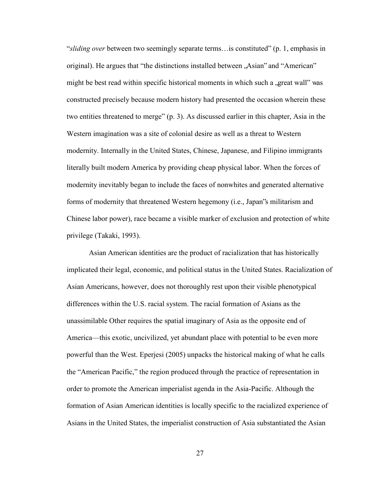"*sliding over* between two seemingly separate terms…is constituted" (p. 1, emphasis in original). He argues that "the distinctions installed between  $\Delta$ sian" and "American" might be best read within specific historical moments in which such a great wall" was constructed precisely because modern history had presented the occasion wherein these two entities threatened to merge" (p. 3). As discussed earlier in this chapter, Asia in the Western imagination was a site of colonial desire as well as a threat to Western modernity. Internally in the United States, Chinese, Japanese, and Filipino immigrants literally built modern America by providing cheap physical labor. When the forces of modernity inevitably began to include the faces of nonwhites and generated alternative forms of modernity that threatened Western hegemony (i.e., Japan"s militarism and Chinese labor power), race became a visible marker of exclusion and protection of white privilege (Takaki, 1993).

Asian American identities are the product of racialization that has historically implicated their legal, economic, and political status in the United States. Racialization of Asian Americans, however, does not thoroughly rest upon their visible phenotypical differences within the U.S. racial system. The racial formation of Asians as the unassimilable Other requires the spatial imaginary of Asia as the opposite end of America—this exotic, uncivilized, yet abundant place with potential to be even more powerful than the West. Eperjesi (2005) unpacks the historical making of what he calls the "American Pacific," the region produced through the practice of representation in order to promote the American imperialist agenda in the Asia-Pacific. Although the formation of Asian American identities is locally specific to the racialized experience of Asians in the United States, the imperialist construction of Asia substantiated the Asian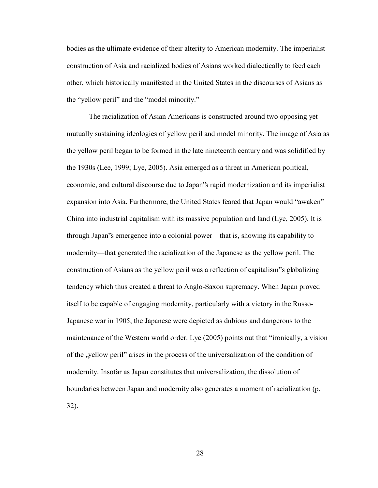bodies as the ultimate evidence of their alterity to American modernity. The imperialist construction of Asia and racialized bodies of Asians worked dialectically to feed each other, which historically manifested in the United States in the discourses of Asians as the "yellow peril" and the "model minority."

The racialization of Asian Americans is constructed around two opposing yet mutually sustaining ideologies of yellow peril and model minority. The image of Asia as the yellow peril began to be formed in the late nineteenth century and was solidified by the 1930s (Lee, 1999; Lye, 2005). Asia emerged as a threat in American political, economic, and cultural discourse due to Japan"s rapid modernization and its imperialist expansion into Asia. Furthermore, the United States feared that Japan would "awaken" China into industrial capitalism with its massive population and land (Lye, 2005). It is through Japan"s emergence into a colonial power—that is, showing its capability to modernity—that generated the racialization of the Japanese as the yellow peril. The construction of Asians as the yellow peril was a reflection of capitalism"s globalizing tendency which thus created a threat to Anglo-Saxon supremacy. When Japan proved itself to be capable of engaging modernity, particularly with a victory in the Russo-Japanese war in 1905, the Japanese were depicted as dubious and dangerous to the maintenance of the Western world order. Lye (2005) points out that "ironically, a vision of the "yellow peril" arises in the process of the universalization of the condition of modernity. Insofar as Japan constitutes that universalization, the dissolution of boundaries between Japan and modernity also generates a moment of racialization (p. 32).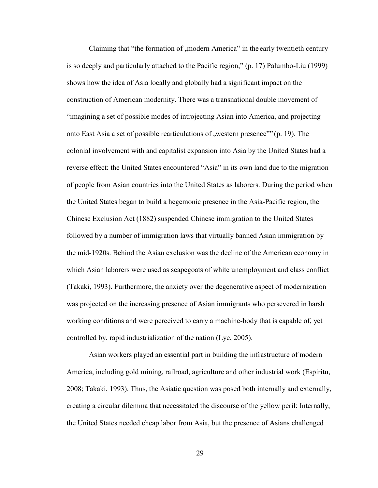Claiming that "the formation of , modern America" in the early twentieth century is so deeply and particularly attached to the Pacific region," (p. 17) Palumbo-Liu (1999) shows how the idea of Asia locally and globally had a significant impact on the construction of American modernity. There was a transnational double movement of "imagining a set of possible modes of introjecting Asian into America, and projecting onto East Asia a set of possible rearticulations of  $\alpha$ , western presence" (p. 19). The colonial involvement with and capitalist expansion into Asia by the United States had a reverse effect: the United States encountered "Asia" in its own land due to the migration of people from Asian countries into the United States as laborers. During the period when the United States began to build a hegemonic presence in the Asia-Pacific region, the Chinese Exclusion Act (1882) suspended Chinese immigration to the United States followed by a number of immigration laws that virtually banned Asian immigration by the mid-1920s. Behind the Asian exclusion was the decline of the American economy in which Asian laborers were used as scapegoats of white unemployment and class conflict (Takaki, 1993). Furthermore, the anxiety over the degenerative aspect of modernization was projected on the increasing presence of Asian immigrants who persevered in harsh working conditions and were perceived to carry a machine-body that is capable of, yet controlled by, rapid industrialization of the nation (Lye, 2005).

Asian workers played an essential part in building the infrastructure of modern America, including gold mining, railroad, agriculture and other industrial work (Espiritu, 2008; Takaki, 1993). Thus, the Asiatic question was posed both internally and externally, creating a circular dilemma that necessitated the discourse of the yellow peril: Internally, the United States needed cheap labor from Asia, but the presence of Asians challenged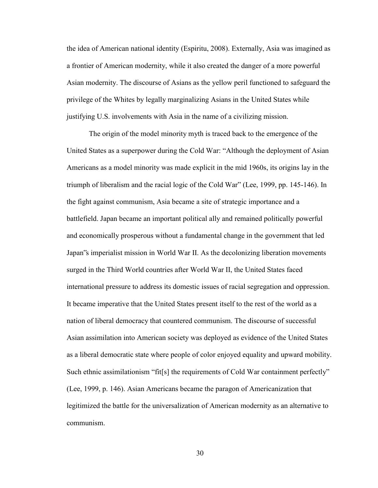the idea of American national identity (Espiritu, 2008). Externally, Asia was imagined as a frontier of American modernity, while it also created the danger of a more powerful Asian modernity. The discourse of Asians as the yellow peril functioned to safeguard the privilege of the Whites by legally marginalizing Asians in the United States while justifying U.S. involvements with Asia in the name of a civilizing mission.

 The origin of the model minority myth is traced back to the emergence of the United States as a superpower during the Cold War: "Although the deployment of Asian Americans as a model minority was made explicit in the mid 1960s, its origins lay in the triumph of liberalism and the racial logic of the Cold War" (Lee, 1999, pp. 145-146). In the fight against communism, Asia became a site of strategic importance and a battlefield. Japan became an important political ally and remained politically powerful and economically prosperous without a fundamental change in the government that led Japan"s imperialist mission in World War II. As the decolonizing liberation movements surged in the Third World countries after World War II, the United States faced international pressure to address its domestic issues of racial segregation and oppression. It became imperative that the United States present itself to the rest of the world as a nation of liberal democracy that countered communism. The discourse of successful Asian assimilation into American society was deployed as evidence of the United States as a liberal democratic state where people of color enjoyed equality and upward mobility. Such ethnic assimilationism "fit[s] the requirements of Cold War containment perfectly" (Lee, 1999, p. 146). Asian Americans became the paragon of Americanization that legitimized the battle for the universalization of American modernity as an alternative to communism.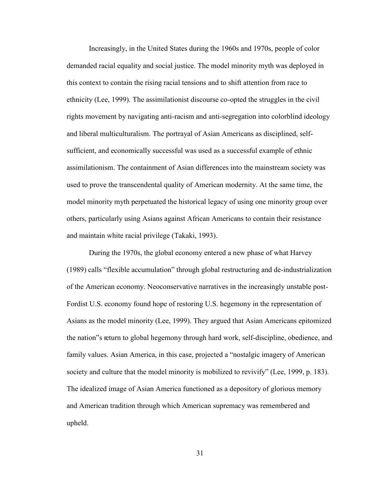Increasingly, in the United States during the 1960s and 1970s, people of color demanded racial equality and social justice. The model minority myth was deployed in this context to contain the rising racial tensions and to shift attention from race to ethnicity (Lee, 1999). The assimilationist discourse co-opted the struggles in the civil rights movement by navigating anti-racism and anti-segregation into colorblind ideology and liberal multiculturalism. The portrayal of Asian Americans as disciplined, selfsufficient, and economically successful was used as a successful example of ethnic assimilationism. The containment of Asian differences into the mainstream society was used to prove the transcendental quality of American modernity. At the same time, the model minority myth perpetuated the historical legacy of using one minority group over others, particularly using Asians against African Americans to contain their resistance and maintain white racial privilege (Takaki, 1993).

During the 1970s, the global economy entered a new phase of what Harvey (1989) calls "flexible accumulation" through global restructuring and de-industrialization of the American economy. Neoconservative narratives in the increasingly unstable post-Fordist U.S. economy found hope of restoring U.S. hegemony in the representation of Asians as the model minority (Lee, 1999). They argued that Asian Americans epitomized the nation"s return to global hegemony through hard work, self-discipline, obedience, and family values. Asian America, in this case, projected a "nostalgic imagery of American society and culture that the model minority is mobilized to revivify" (Lee, 1999, p. 183). The idealized image of Asian America functioned as a depository of glorious memory and American tradition through which American supremacy was remembered and upheld.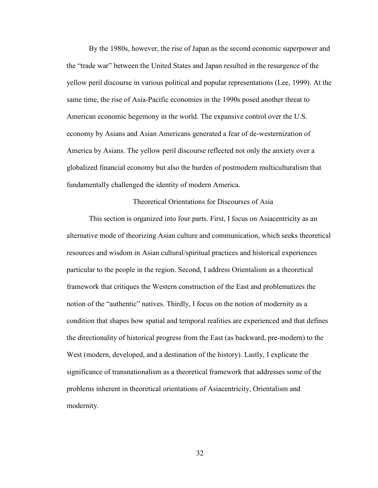By the 1980s, however, the rise of Japan as the second economic superpower and the "trade war" between the United States and Japan resulted in the resurgence of the yellow peril discourse in various political and popular representations (Lee, 1999). At the same time, the rise of Asia-Pacific economies in the 1990s posed another threat to American economic hegemony in the world. The expansive control over the U.S. economy by Asians and Asian Americans generated a fear of de-westernization of America by Asians. The yellow peril discourse reflected not only the anxiety over a globalized financial economy but also the burden of postmodern multiculturalism that fundamentally challenged the identity of modern America.

Theoretical Orientations for Discourses of Asia

This section is organized into four parts. First, I focus on Asiacentricity as an alternative mode of theorizing Asian culture and communication, which seeks theoretical resources and wisdom in Asian cultural/spiritual practices and historical experiences particular to the people in the region. Second, I address Orientalism as a theoretical framework that critiques the Western construction of the East and problematizes the notion of the "authentic" natives. Thirdly, I focus on the notion of modernity as a condition that shapes how spatial and temporal realities are experienced and that defines the directionality of historical progress from the East (as backward, pre-modern) to the West (modern, developed, and a destination of the history). Lastly, I explicate the significance of transnationalism as a theoretical framework that addresses some of the problems inherent in theoretical orientations of Asiacentricity, Orientalism and modernity.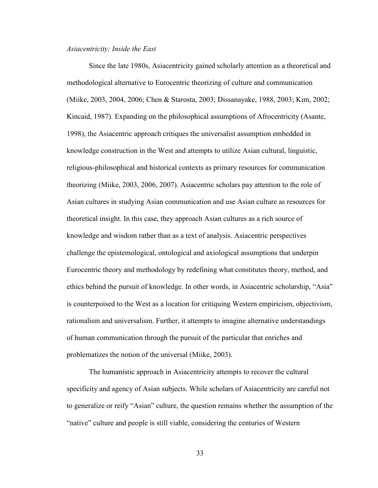#### *Asiacentricity: Inside the East*

 Since the late 1980s, Asiacentricity gained scholarly attention as a theoretical and methodological alternative to Eurocentric theorizing of culture and communication (Miike, 2003, 2004, 2006; Chen & Starosta, 2003; Dissanayake, 1988, 2003; Kim, 2002; Kincaid, 1987). Expanding on the philosophical assumptions of Afrocentricity (Asante, 1998), the Asiacentric approach critiques the universalist assumption embedded in knowledge construction in the West and attempts to utilize Asian cultural, linguistic, religious-philosophical and historical contexts as primary resources for communication theorizing (Miike, 2003, 2006, 2007). Asiacentric scholars pay attention to the role of Asian cultures in studying Asian communication and use Asian culture as resources for theoretical insight. In this case, they approach Asian cultures as a rich source of knowledge and wisdom rather than as a text of analysis. Asiacentric perspectives challenge the epistemological, ontological and axiological assumptions that underpin Eurocentric theory and methodology by redefining what constitutes theory, method, and ethics behind the pursuit of knowledge. In other words, in Asiacentric scholarship, "Asia" is counterpoised to the West as a location for critiquing Western empiricism, objectivism, rationalism and universalism. Further, it attempts to imagine alternative understandings of human communication through the pursuit of the particular that enriches and problematizes the notion of the universal (Miike, 2003).

The humanistic approach in Asiacentricity attempts to recover the cultural specificity and agency of Asian subjects. While scholars of Asiacentricity are careful not to generalize or reify "Asian" culture, the question remains whether the assumption of the "native" culture and people is still viable, considering the centuries of Western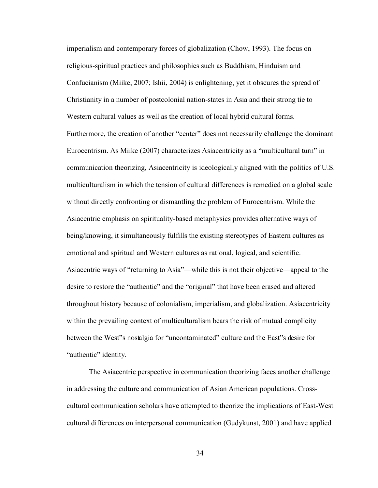imperialism and contemporary forces of globalization (Chow, 1993). The focus on religious-spiritual practices and philosophies such as Buddhism, Hinduism and Confucianism (Miike, 2007; Ishii, 2004) is enlightening, yet it obscures the spread of Christianity in a number of postcolonial nation-states in Asia and their strong tie to Western cultural values as well as the creation of local hybrid cultural forms. Furthermore, the creation of another "center" does not necessarily challenge the dominant Eurocentrism. As Miike (2007) characterizes Asiacentricity as a "multicultural turn" in communication theorizing, Asiacentricity is ideologically aligned with the politics of U.S. multiculturalism in which the tension of cultural differences is remedied on a global scale without directly confronting or dismantling the problem of Eurocentrism. While the Asiacentric emphasis on spirituality-based metaphysics provides alternative ways of being/knowing, it simultaneously fulfills the existing stereotypes of Eastern cultures as emotional and spiritual and Western cultures as rational, logical, and scientific. Asiacentric ways of "returning to Asia"—while this is not their objective—appeal to the desire to restore the "authentic" and the "original" that have been erased and altered throughout history because of colonialism, imperialism, and globalization. Asiacentricity within the prevailing context of multiculturalism bears the risk of mutual complicity between the West"s nostalgia for "uncontaminated" culture and the East"s desire for "authentic" identity.

 The Asiacentric perspective in communication theorizing faces another challenge in addressing the culture and communication of Asian American populations. Crosscultural communication scholars have attempted to theorize the implications of East-West cultural differences on interpersonal communication (Gudykunst, 2001) and have applied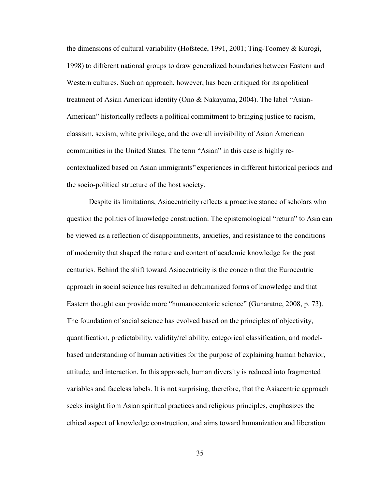the dimensions of cultural variability (Hofstede, 1991, 2001; Ting-Toomey & Kurogi, 1998) to different national groups to draw generalized boundaries between Eastern and Western cultures. Such an approach, however, has been critiqued for its apolitical treatment of Asian American identity (Ono & Nakayama, 2004). The label "Asian-American" historically reflects a political commitment to bringing justice to racism, classism, sexism, white privilege, and the overall invisibility of Asian American communities in the United States. The term "Asian" in this case is highly recontextualized based on Asian immigrants" experiences in different historical periods and the socio-political structure of the host society.

 Despite its limitations, Asiacentricity reflects a proactive stance of scholars who question the politics of knowledge construction. The epistemological "return" to Asia can be viewed as a reflection of disappointments, anxieties, and resistance to the conditions of modernity that shaped the nature and content of academic knowledge for the past centuries. Behind the shift toward Asiacentricity is the concern that the Eurocentric approach in social science has resulted in dehumanized forms of knowledge and that Eastern thought can provide more "humanocentoric science" (Gunaratne, 2008, p. 73). The foundation of social science has evolved based on the principles of objectivity, quantification, predictability, validity/reliability, categorical classification, and modelbased understanding of human activities for the purpose of explaining human behavior, attitude, and interaction. In this approach, human diversity is reduced into fragmented variables and faceless labels. It is not surprising, therefore, that the Asiacentric approach seeks insight from Asian spiritual practices and religious principles, emphasizes the ethical aspect of knowledge construction, and aims toward humanization and liberation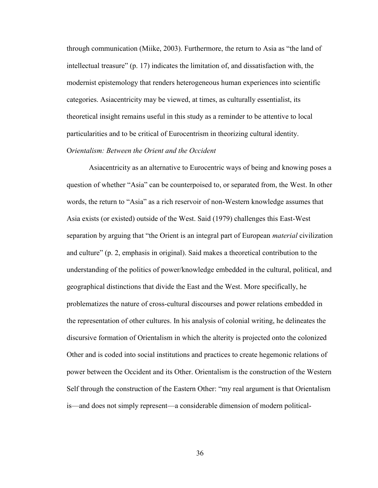through communication (Miike, 2003). Furthermore, the return to Asia as "the land of intellectual treasure" (p. 17) indicates the limitation of, and dissatisfaction with, the modernist epistemology that renders heterogeneous human experiences into scientific categories. Asiacentricity may be viewed, at times, as culturally essentialist, its theoretical insight remains useful in this study as a reminder to be attentive to local particularities and to be critical of Eurocentrism in theorizing cultural identity.

# O*rientalism: Between the Orient and the Occident*

Asiacentricity as an alternative to Eurocentric ways of being and knowing poses a question of whether "Asia" can be counterpoised to, or separated from, the West. In other words, the return to "Asia" as a rich reservoir of non-Western knowledge assumes that Asia exists (or existed) outside of the West. Said (1979) challenges this East-West separation by arguing that "the Orient is an integral part of European *material* civilization and culture" (p. 2, emphasis in original). Said makes a theoretical contribution to the understanding of the politics of power/knowledge embedded in the cultural, political, and geographical distinctions that divide the East and the West. More specifically, he problematizes the nature of cross-cultural discourses and power relations embedded in the representation of other cultures. In his analysis of colonial writing, he delineates the discursive formation of Orientalism in which the alterity is projected onto the colonized Other and is coded into social institutions and practices to create hegemonic relations of power between the Occident and its Other. Orientalism is the construction of the Western Self through the construction of the Eastern Other: "my real argument is that Orientalism is—and does not simply represent—a considerable dimension of modern political-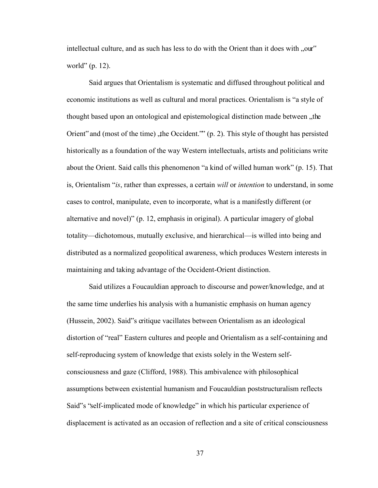intellectual culture, and as such has less to do with the Orient than it does with ... world" (p. 12).

Said argues that Orientalism is systematic and diffused throughout political and economic institutions as well as cultural and moral practices. Orientalism is "a style of thought based upon an ontological and epistemological distinction made between the Orient" and (most of the time), the Occident."  $(p. 2)$ . This style of thought has persisted historically as a foundation of the way Western intellectuals, artists and politicians write about the Orient. Said calls this phenomenon "a kind of willed human work" (p. 15). That is, Orientalism "*is*, rather than expresses, a certain *will* or *intention* to understand, in some cases to control, manipulate, even to incorporate, what is a manifestly different (or alternative and novel)" (p. 12, emphasis in original). A particular imagery of global totality—dichotomous, mutually exclusive, and hierarchical—is willed into being and distributed as a normalized geopolitical awareness, which produces Western interests in maintaining and taking advantage of the Occident-Orient distinction.

Said utilizes a Foucauldian approach to discourse and power/knowledge, and at the same time underlies his analysis with a humanistic emphasis on human agency (Hussein, 2002). Said"s critique vacillates between Orientalism as an ideological distortion of "real" Eastern cultures and people and Orientalism as a self-containing and self-reproducing system of knowledge that exists solely in the Western selfconsciousness and gaze (Clifford, 1988). This ambivalence with philosophical assumptions between existential humanism and Foucauldian poststructuralism reflects Said"s "self-implicated mode of knowledge" in which his particular experience of displacement is activated as an occasion of reflection and a site of critical consciousness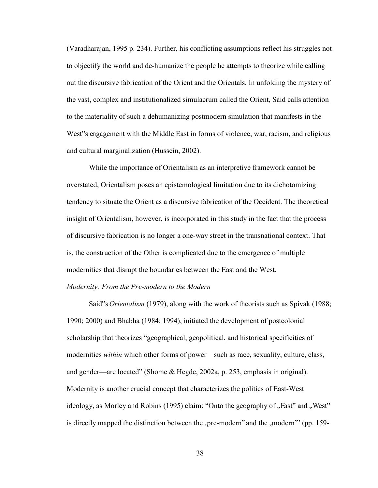(Varadharajan, 1995 p. 234). Further, his conflicting assumptions reflect his struggles not to objectify the world and de-humanize the people he attempts to theorize while calling out the discursive fabrication of the Orient and the Orientals. In unfolding the mystery of the vast, complex and institutionalized simulacrum called the Orient, Said calls attention to the materiality of such a dehumanizing postmodern simulation that manifests in the West"s engagement with the Middle East in forms of violence, war, racism, and religious and cultural marginalization (Hussein, 2002).

While the importance of Orientalism as an interpretive framework cannot be overstated, Orientalism poses an epistemological limitation due to its dichotomizing tendency to situate the Orient as a discursive fabrication of the Occident. The theoretical insight of Orientalism, however, is incorporated in this study in the fact that the process of discursive fabrication is no longer a one-way street in the transnational context. That is, the construction of the Other is complicated due to the emergence of multiple modernities that disrupt the boundaries between the East and the West.

# *Modernity: From the Pre-modern to the Modern*

Said"s *Orientalism* (1979), along with the work of theorists such as Spivak (1988; 1990; 2000) and Bhabha (1984; 1994), initiated the development of postcolonial scholarship that theorizes "geographical, geopolitical, and historical specificities of modernities *within* which other forms of power—such as race, sexuality, culture, class, and gender—are located" (Shome & Hegde, 2002a, p. 253, emphasis in original). Modernity is another crucial concept that characterizes the politics of East-West ideology, as Morley and Robins  $(1995)$  claim: "Onto the geography of  $\mathcal{F}$  East" and  $\mathcal{F}$  West" is directly mapped the distinction between the ,pre-modern and the ,modern <sup>or</sup> (pp. 159-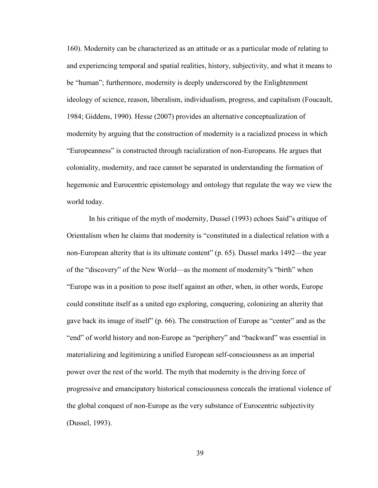160). Modernity can be characterized as an attitude or as a particular mode of relating to and experiencing temporal and spatial realities, history, subjectivity, and what it means to be "human"; furthermore, modernity is deeply underscored by the Enlightenment ideology of science, reason, liberalism, individualism, progress, and capitalism (Foucault, 1984; Giddens, 1990). Hesse (2007) provides an alternative conceptualization of modernity by arguing that the construction of modernity is a racialized process in which "Europeanness" is constructed through racialization of non-Europeans. He argues that coloniality, modernity, and race cannot be separated in understanding the formation of hegemonic and Eurocentric epistemology and ontology that regulate the way we view the world today.

In his critique of the myth of modernity, Dussel (1993) echoes Said"s critique of Orientalism when he claims that modernity is "constituted in a dialectical relation with a non-European alterity that is its ultimate content" (p. 65). Dussel marks 1492—the year of the "discovery" of the New World—as the moment of modernity"s "birth" when "Europe was in a position to pose itself against an other, when, in other words, Europe could constitute itself as a united ego exploring, conquering, colonizing an alterity that gave back its image of itself" (p. 66). The construction of Europe as "center" and as the "end" of world history and non-Europe as "periphery" and "backward" was essential in materializing and legitimizing a unified European self-consciousness as an imperial power over the rest of the world. The myth that modernity is the driving force of progressive and emancipatory historical consciousness conceals the irrational violence of the global conquest of non-Europe as the very substance of Eurocentric subjectivity (Dussel, 1993).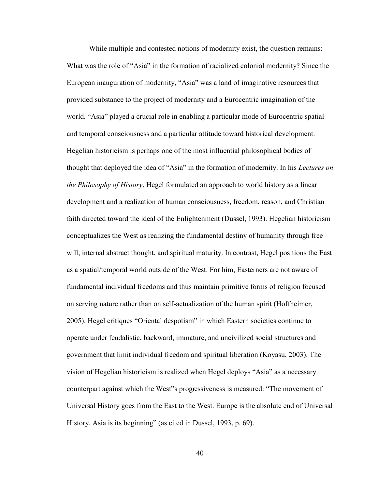While multiple and contested notions of modernity exist, the question remains: What was the role of "Asia" in the formation of racialized colonial modernity? Since the European inauguration of modernity, "Asia" was a land of imaginative resources that provided substance to the project of modernity and a Eurocentric imagination of the world. "Asia" played a crucial role in enabling a particular mode of Eurocentric spatial and temporal consciousness and a particular attitude toward historical development. Hegelian historicism is perhaps one of the most influential philosophical bodies of thought that deployed the idea of "Asia" in the formation of modernity. In his *Lectures on the Philosophy of History*, Hegel formulated an approach to world history as a linear development and a realization of human consciousness, freedom, reason, and Christian faith directed toward the ideal of the Enlightenment (Dussel, 1993). Hegelian historicism conceptualizes the West as realizing the fundamental destiny of humanity through free will, internal abstract thought, and spiritual maturity. In contrast, Hegel positions the East as a spatial/temporal world outside of the West. For him, Easterners are not aware of fundamental individual freedoms and thus maintain primitive forms of religion focused on serving nature rather than on self-actualization of the human spirit (Hoffheimer, 2005). Hegel critiques "Oriental despotism" in which Eastern societies continue to operate under feudalistic, backward, immature, and uncivilized social structures and government that limit individual freedom and spiritual liberation (Koyasu, 2003). The vision of Hegelian historicism is realized when Hegel deploys "Asia" as a necessary counterpart against which the West"s progressiveness is measured: "The movement of Universal History goes from the East to the West. Europe is the absolute end of Universal History. Asia is its beginning" (as cited in Dussel, 1993, p. 69).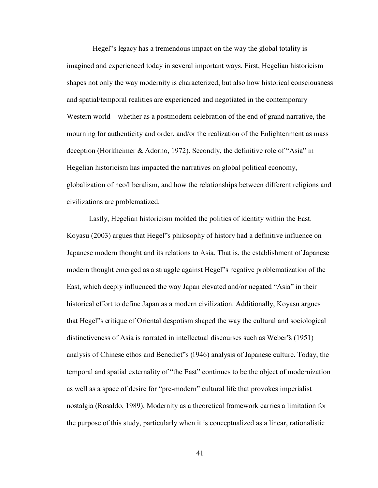Hegel"s legacy has a tremendous impact on the way the global totality is imagined and experienced today in several important ways. First, Hegelian historicism shapes not only the way modernity is characterized, but also how historical consciousness and spatial/temporal realities are experienced and negotiated in the contemporary Western world—whether as a postmodern celebration of the end of grand narrative, the mourning for authenticity and order, and/or the realization of the Enlightenment as mass deception (Horkheimer & Adorno, 1972). Secondly, the definitive role of "Asia" in Hegelian historicism has impacted the narratives on global political economy, globalization of neo/liberalism, and how the relationships between different religions and civilizations are problematized.

Lastly, Hegelian historicism molded the politics of identity within the East. Koyasu (2003) argues that Hegel"s philosophy of history had a definitive influence on Japanese modern thought and its relations to Asia. That is, the establishment of Japanese modern thought emerged as a struggle against Hegel"s negative problematization of the East, which deeply influenced the way Japan elevated and/or negated "Asia" in their historical effort to define Japan as a modern civilization. Additionally, Koyasu argues that Hegel"s critique of Oriental despotism shaped the way the cultural and sociological distinctiveness of Asia is narrated in intellectual discourses such as Weber"s (1951) analysis of Chinese ethos and Benedict"s (1946) analysis of Japanese culture. Today, the temporal and spatial externality of "the East" continues to be the object of modernization as well as a space of desire for "pre-modern" cultural life that provokes imperialist nostalgia (Rosaldo, 1989). Modernity as a theoretical framework carries a limitation for the purpose of this study, particularly when it is conceptualized as a linear, rationalistic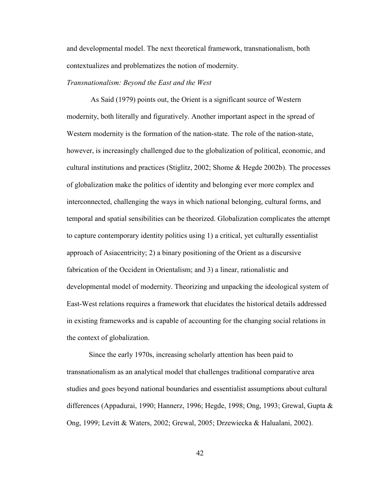and developmental model. The next theoretical framework, transnationalism, both contextualizes and problematizes the notion of modernity.

# *Transnationalism: Beyond the East and the West*

As Said (1979) points out, the Orient is a significant source of Western modernity, both literally and figuratively. Another important aspect in the spread of Western modernity is the formation of the nation-state. The role of the nation-state, however, is increasingly challenged due to the globalization of political, economic, and cultural institutions and practices (Stiglitz, 2002; Shome & Hegde 2002b). The processes of globalization make the politics of identity and belonging ever more complex and interconnected, challenging the ways in which national belonging, cultural forms, and temporal and spatial sensibilities can be theorized. Globalization complicates the attempt to capture contemporary identity politics using 1) a critical, yet culturally essentialist approach of Asiacentricity; 2) a binary positioning of the Orient as a discursive fabrication of the Occident in Orientalism; and 3) a linear, rationalistic and developmental model of modernity. Theorizing and unpacking the ideological system of East-West relations requires a framework that elucidates the historical details addressed in existing frameworks and is capable of accounting for the changing social relations in the context of globalization.

Since the early 1970s, increasing scholarly attention has been paid to transnationalism as an analytical model that challenges traditional comparative area studies and goes beyond national boundaries and essentialist assumptions about cultural differences (Appadurai, 1990; Hannerz, 1996; Hegde, 1998; Ong, 1993; Grewal, Gupta & Ong, 1999; Levitt & Waters, 2002; Grewal, 2005; Drzewiecka & Halualani, 2002).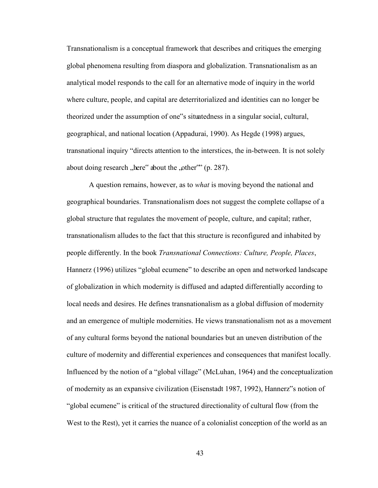Transnationalism is a conceptual framework that describes and critiques the emerging global phenomena resulting from diaspora and globalization. Transnationalism as an analytical model responds to the call for an alternative mode of inquiry in the world where culture, people, and capital are deterritorialized and identities can no longer be theorized under the assumption of one"s situatedness in a singular social, cultural, geographical, and national location (Appadurai, 1990). As Hegde (1998) argues, transnational inquiry "directs attention to the interstices, the in-between. It is not solely about doing research "here" about the "other"" (p. 287).

A question remains, however, as to *what* is moving beyond the national and geographical boundaries. Transnationalism does not suggest the complete collapse of a global structure that regulates the movement of people, culture, and capital; rather, transnationalism alludes to the fact that this structure is reconfigured and inhabited by people differently. In the book *Transnational Connections: Culture, People, Places*, Hannerz (1996) utilizes "global ecumene" to describe an open and networked landscape of globalization in which modernity is diffused and adapted differentially according to local needs and desires. He defines transnationalism as a global diffusion of modernity and an emergence of multiple modernities. He views transnationalism not as a movement of any cultural forms beyond the national boundaries but an uneven distribution of the culture of modernity and differential experiences and consequences that manifest locally. Influenced by the notion of a "global village" (McLuhan, 1964) and the conceptualization of modernity as an expansive civilization (Eisenstadt 1987, 1992), Hannerz"s notion of "global ecumene" is critical of the structured directionality of cultural flow (from the West to the Rest), yet it carries the nuance of a colonialist conception of the world as an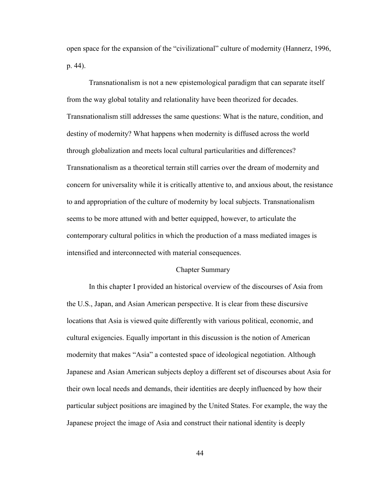open space for the expansion of the "civilizational" culture of modernity (Hannerz, 1996, p. 44).

Transnationalism is not a new epistemological paradigm that can separate itself from the way global totality and relationality have been theorized for decades. Transnationalism still addresses the same questions: What is the nature, condition, and destiny of modernity? What happens when modernity is diffused across the world through globalization and meets local cultural particularities and differences? Transnationalism as a theoretical terrain still carries over the dream of modernity and concern for universality while it is critically attentive to, and anxious about, the resistance to and appropriation of the culture of modernity by local subjects. Transnationalism seems to be more attuned with and better equipped, however, to articulate the contemporary cultural politics in which the production of a mass mediated images is intensified and interconnected with material consequences.

## Chapter Summary

In this chapter I provided an historical overview of the discourses of Asia from the U.S., Japan, and Asian American perspective. It is clear from these discursive locations that Asia is viewed quite differently with various political, economic, and cultural exigencies. Equally important in this discussion is the notion of American modernity that makes "Asia" a contested space of ideological negotiation. Although Japanese and Asian American subjects deploy a different set of discourses about Asia for their own local needs and demands, their identities are deeply influenced by how their particular subject positions are imagined by the United States. For example, the way the Japanese project the image of Asia and construct their national identity is deeply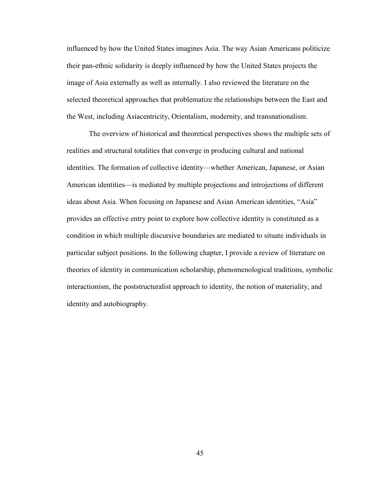influenced by how the United States imagines Asia. The way Asian Americans politicize their pan-ethnic solidarity is deeply influenced by how the United States projects the image of Asia externally as well as internally. I also reviewed the literature on the selected theoretical approaches that problematize the relationships between the East and the West, including Asiacentricity, Orientalism, modernity, and transnationalism.

The overview of historical and theoretical perspectives shows the multiple sets of realities and structural totalities that converge in producing cultural and national identities. The formation of collective identity—whether American, Japanese, or Asian American identities—is mediated by multiple projections and introjections of different ideas about Asia. When focusing on Japanese and Asian American identities, "Asia" provides an effective entry point to explore how collective identity is constituted as a condition in which multiple discursive boundaries are mediated to situate individuals in particular subject positions. In the following chapter, I provide a review of literature on theories of identity in communication scholarship, phenomenological traditions, symbolic interactionism, the poststructuralist approach to identity, the notion of materiality, and identity and autobiography.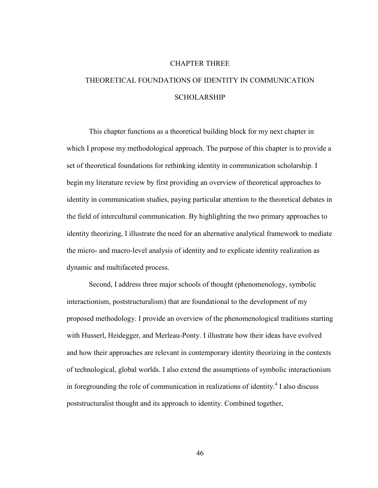#### CHAPTER THREE

# THEORETICAL FOUNDATIONS OF IDENTITY IN COMMUNICATION SCHOLARSHIP

This chapter functions as a theoretical building block for my next chapter in which I propose my methodological approach. The purpose of this chapter is to provide a set of theoretical foundations for rethinking identity in communication scholarship. I begin my literature review by first providing an overview of theoretical approaches to identity in communication studies, paying particular attention to the theoretical debates in the field of intercultural communication. By highlighting the two primary approaches to identity theorizing, I illustrate the need for an alternative analytical framework to mediate the micro- and macro-level analysis of identity and to explicate identity realization as dynamic and multifaceted process.

Second, I address three major schools of thought (phenomenology, symbolic interactionism, poststructuralism) that are foundational to the development of my proposed methodology. I provide an overview of the phenomenological traditions starting with Husserl, Heidegger, and Merleau-Ponty. I illustrate how their ideas have evolved and how their approaches are relevant in contemporary identity theorizing in the contexts of technological, global worlds. I also extend the assumptions of symbolic interactionism in foregrounding the role of communication in realizations of identity.<sup>4</sup> I also discuss poststructuralist thought and its approach to identity. Combined together,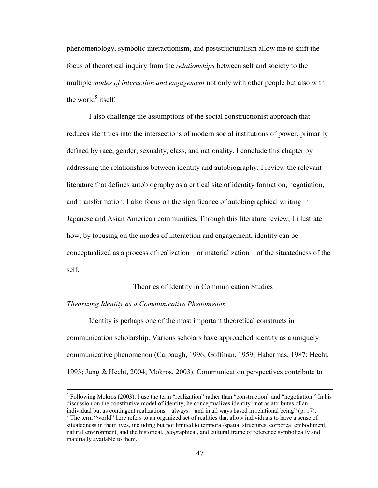phenomenology, symbolic interactionism, and poststructuralism allow me to shift the focus of theoretical inquiry from the *relationships* between self and society to the multiple *modes of interaction and engagement* not only with other people but also with the world<sup>5</sup> itself.

I also challenge the assumptions of the social constructionist approach that reduces identities into the intersections of modern social institutions of power, primarily defined by race, gender, sexuality, class, and nationality. I conclude this chapter by addressing the relationships between identity and autobiography. I review the relevant literature that defines autobiography as a critical site of identity formation, negotiation, and transformation. I also focus on the significance of autobiographical writing in Japanese and Asian American communities. Through this literature review, I illustrate how, by focusing on the modes of interaction and engagement, identity can be conceptualized as a process of realization—or materialization—of the situatedness of the self.

## Theories of Identity in Communication Studies

## *Theorizing Identity as a Communicative Phenomenon*

 $\overline{a}$ 

Identity is perhaps one of the most important theoretical constructs in communication scholarship. Various scholars have approached identity as a uniquely communicative phenomenon (Carbaugh, 1996; Goffman, 1959; Habermas, 1987; Hecht, 1993; Jung & Hecht, 2004; Mokros, 2003). Communication perspectives contribute to

<sup>&</sup>lt;sup>4</sup> Following Mokros (2003), I use the term "realization" rather than "construction" and "negotiation." In his discussion on the constitutive model of identity, he conceptualizes identity "not as attributes of an individual but as contingent realizations—always—and in all ways based in relational being" (p. 17).

<sup>&</sup>lt;sup>5</sup> The term "world" here refers to an organized set of realities that allow individuals to have a sense of situatedness in their lives, including but not limited to temporal/spatial structures, corporeal embodiment, natural environment, and the historical, geographical, and cultural frame of reference symbolically and materially available to them.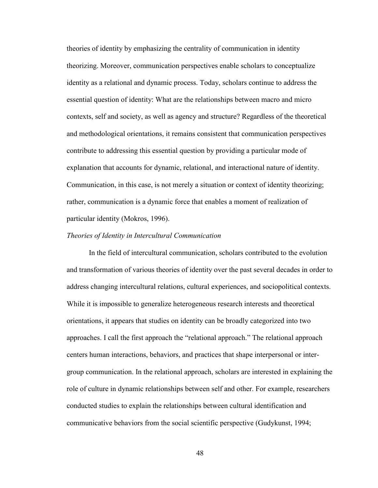theories of identity by emphasizing the centrality of communication in identity theorizing. Moreover, communication perspectives enable scholars to conceptualize identity as a relational and dynamic process. Today, scholars continue to address the essential question of identity: What are the relationships between macro and micro contexts, self and society, as well as agency and structure? Regardless of the theoretical and methodological orientations, it remains consistent that communication perspectives contribute to addressing this essential question by providing a particular mode of explanation that accounts for dynamic, relational, and interactional nature of identity. Communication, in this case, is not merely a situation or context of identity theorizing; rather, communication is a dynamic force that enables a moment of realization of particular identity (Mokros, 1996).

#### *Theories of Identity in Intercultural Communication*

In the field of intercultural communication, scholars contributed to the evolution and transformation of various theories of identity over the past several decades in order to address changing intercultural relations, cultural experiences, and sociopolitical contexts. While it is impossible to generalize heterogeneous research interests and theoretical orientations, it appears that studies on identity can be broadly categorized into two approaches. I call the first approach the "relational approach." The relational approach centers human interactions, behaviors, and practices that shape interpersonal or intergroup communication. In the relational approach, scholars are interested in explaining the role of culture in dynamic relationships between self and other. For example, researchers conducted studies to explain the relationships between cultural identification and communicative behaviors from the social scientific perspective (Gudykunst, 1994;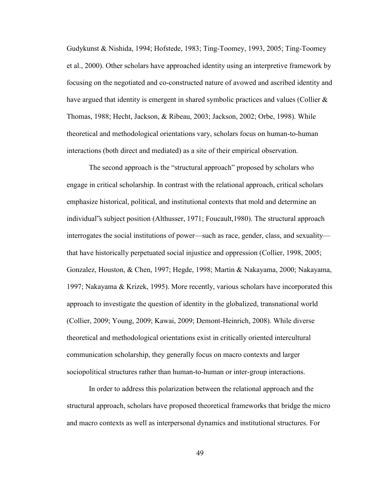Gudykunst & Nishida, 1994; Hofstede, 1983; Ting-Toomey, 1993, 2005; Ting-Toomey et al., 2000). Other scholars have approached identity using an interpretive framework by focusing on the negotiated and co-constructed nature of avowed and ascribed identity and have argued that identity is emergent in shared symbolic practices and values (Collier  $\&$ Thomas, 1988; Hecht, Jackson, & Ribeau, 2003; Jackson, 2002; Orbe, 1998). While theoretical and methodological orientations vary, scholars focus on human-to-human interactions (both direct and mediated) as a site of their empirical observation.

The second approach is the "structural approach" proposed by scholars who engage in critical scholarship. In contrast with the relational approach, critical scholars emphasize historical, political, and institutional contexts that mold and determine an individual"s subject position (Althusser, 1971; Foucault,1980). The structural approach interrogates the social institutions of power—such as race, gender, class, and sexuality that have historically perpetuated social injustice and oppression (Collier, 1998, 2005; Gonzalez, Houston, & Chen, 1997; Hegde, 1998; Martin & Nakayama, 2000; Nakayama, 1997; Nakayama & Krizek, 1995). More recently, various scholars have incorporated this approach to investigate the question of identity in the globalized, transnational world (Collier, 2009; Young, 2009; Kawai, 2009; Demont-Heinrich, 2008). While diverse theoretical and methodological orientations exist in critically oriented intercultural communication scholarship, they generally focus on macro contexts and larger sociopolitical structures rather than human-to-human or inter-group interactions.

In order to address this polarization between the relational approach and the structural approach, scholars have proposed theoretical frameworks that bridge the micro and macro contexts as well as interpersonal dynamics and institutional structures. For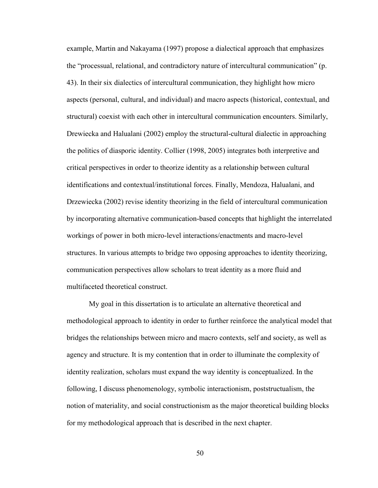example, Martin and Nakayama (1997) propose a dialectical approach that emphasizes the "processual, relational, and contradictory nature of intercultural communication" (p. 43). In their six dialectics of intercultural communication, they highlight how micro aspects (personal, cultural, and individual) and macro aspects (historical, contextual, and structural) coexist with each other in intercultural communication encounters. Similarly, Drewiecka and Halualani (2002) employ the structural-cultural dialectic in approaching the politics of diasporic identity. Collier (1998, 2005) integrates both interpretive and critical perspectives in order to theorize identity as a relationship between cultural identifications and contextual/institutional forces. Finally, Mendoza, Halualani, and Drzewiecka (2002) revise identity theorizing in the field of intercultural communication by incorporating alternative communication-based concepts that highlight the interrelated workings of power in both micro-level interactions/enactments and macro-level structures. In various attempts to bridge two opposing approaches to identity theorizing, communication perspectives allow scholars to treat identity as a more fluid and multifaceted theoretical construct.

My goal in this dissertation is to articulate an alternative theoretical and methodological approach to identity in order to further reinforce the analytical model that bridges the relationships between micro and macro contexts, self and society, as well as agency and structure. It is my contention that in order to illuminate the complexity of identity realization, scholars must expand the way identity is conceptualized. In the following, I discuss phenomenology, symbolic interactionism, poststructualism, the notion of materiality, and social constructionism as the major theoretical building blocks for my methodological approach that is described in the next chapter.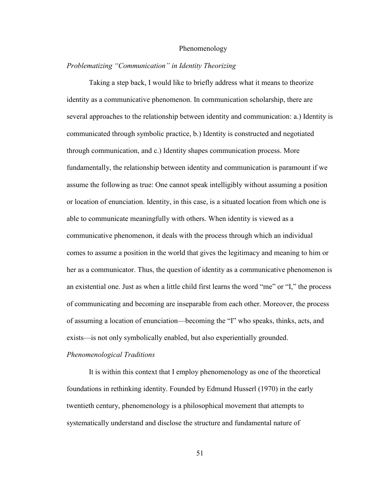#### Phenomenology

# *Problematizing "Communication" in Identity Theorizing*

Taking a step back, I would like to briefly address what it means to theorize identity as a communicative phenomenon. In communication scholarship, there are several approaches to the relationship between identity and communication: a.) Identity is communicated through symbolic practice, b.) Identity is constructed and negotiated through communication, and c.) Identity shapes communication process. More fundamentally, the relationship between identity and communication is paramount if we assume the following as true: One cannot speak intelligibly without assuming a position or location of enunciation. Identity, in this case, is a situated location from which one is able to communicate meaningfully with others. When identity is viewed as a communicative phenomenon, it deals with the process through which an individual comes to assume a position in the world that gives the legitimacy and meaning to him or her as a communicator. Thus, the question of identity as a communicative phenomenon is an existential one. Just as when a little child first learns the word "me" or "I," the process of communicating and becoming are inseparable from each other. Moreover, the process of assuming a location of enunciation—becoming the "I" who speaks, thinks, acts, and exists—is not only symbolically enabled, but also experientially grounded.

# *Phenomenological Traditions*

It is within this context that I employ phenomenology as one of the theoretical foundations in rethinking identity. Founded by Edmund Husserl (1970) in the early twentieth century, phenomenology is a philosophical movement that attempts to systematically understand and disclose the structure and fundamental nature of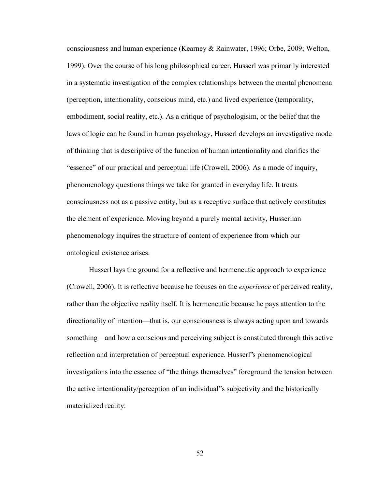consciousness and human experience (Kearney & Rainwater, 1996; Orbe, 2009; Welton, 1999). Over the course of his long philosophical career, Husserl was primarily interested in a systematic investigation of the complex relationships between the mental phenomena (perception, intentionality, conscious mind, etc.) and lived experience (temporality, embodiment, social reality, etc.). As a critique of psychologisim, or the belief that the laws of logic can be found in human psychology, Husserl develops an investigative mode of thinking that is descriptive of the function of human intentionality and clarifies the "essence" of our practical and perceptual life (Crowell, 2006). As a mode of inquiry, phenomenology questions things we take for granted in everyday life. It treats consciousness not as a passive entity, but as a receptive surface that actively constitutes the element of experience. Moving beyond a purely mental activity, Husserlian phenomenology inquires the structure of content of experience from which our ontological existence arises.

Husserl lays the ground for a reflective and hermeneutic approach to experience (Crowell, 2006). It is reflective because he focuses on the *experience* of perceived reality, rather than the objective reality itself. It is hermeneutic because he pays attention to the directionality of intention—that is, our consciousness is always acting upon and towards something—and how a conscious and perceiving subject is constituted through this active reflection and interpretation of perceptual experience. Husserl"s phenomenological investigations into the essence of "the things themselves" foreground the tension between the active intentionality/perception of an individual"s subjectivity and the historically materialized reality: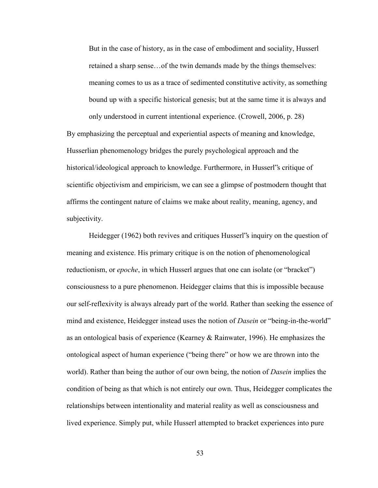But in the case of history, as in the case of embodiment and sociality, Husserl retained a sharp sense…of the twin demands made by the things themselves: meaning comes to us as a trace of sedimented constitutive activity, as something bound up with a specific historical genesis; but at the same time it is always and only understood in current intentional experience. (Crowell, 2006, p. 28)

By emphasizing the perceptual and experiential aspects of meaning and knowledge, Husserlian phenomenology bridges the purely psychological approach and the historical/ideological approach to knowledge. Furthermore, in Husserl"s critique of scientific objectivism and empiricism, we can see a glimpse of postmodern thought that affirms the contingent nature of claims we make about reality, meaning, agency, and subjectivity.

Heidegger (1962) both revives and critiques Husserl"s inquiry on the question of meaning and existence. His primary critique is on the notion of phenomenological reductionism, or *epoche*, in which Husserl argues that one can isolate (or "bracket") consciousness to a pure phenomenon. Heidegger claims that this is impossible because our self-reflexivity is always already part of the world. Rather than seeking the essence of mind and existence, Heidegger instead uses the notion of *Dasein* or "being-in-the-world" as an ontological basis of experience (Kearney & Rainwater, 1996). He emphasizes the ontological aspect of human experience ("being there" or how we are thrown into the world). Rather than being the author of our own being, the notion of *Dasein* implies the condition of being as that which is not entirely our own. Thus, Heidegger complicates the relationships between intentionality and material reality as well as consciousness and lived experience. Simply put, while Husserl attempted to bracket experiences into pure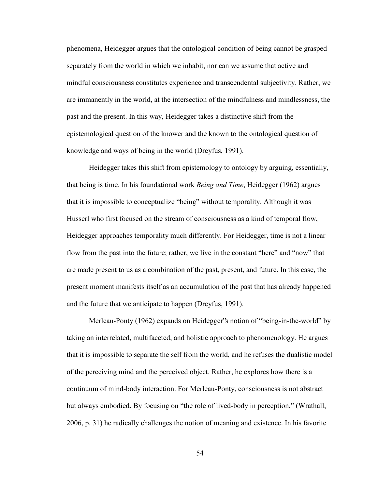phenomena, Heidegger argues that the ontological condition of being cannot be grasped separately from the world in which we inhabit, nor can we assume that active and mindful consciousness constitutes experience and transcendental subjectivity. Rather, we are immanently in the world, at the intersection of the mindfulness and mindlessness, the past and the present. In this way, Heidegger takes a distinctive shift from the epistemological question of the knower and the known to the ontological question of knowledge and ways of being in the world (Dreyfus, 1991).

Heidegger takes this shift from epistemology to ontology by arguing, essentially, that being is time. In his foundational work *Being and Time*, Heidegger (1962) argues that it is impossible to conceptualize "being" without temporality. Although it was Husserl who first focused on the stream of consciousness as a kind of temporal flow, Heidegger approaches temporality much differently. For Heidegger, time is not a linear flow from the past into the future; rather, we live in the constant "here" and "now" that are made present to us as a combination of the past, present, and future. In this case, the present moment manifests itself as an accumulation of the past that has already happened and the future that we anticipate to happen (Dreyfus, 1991).

 Merleau-Ponty (1962) expands on Heidegger"s notion of "being-in-the-world" by taking an interrelated, multifaceted, and holistic approach to phenomenology. He argues that it is impossible to separate the self from the world, and he refuses the dualistic model of the perceiving mind and the perceived object. Rather, he explores how there is a continuum of mind-body interaction. For Merleau-Ponty, consciousness is not abstract but always embodied. By focusing on "the role of lived-body in perception," (Wrathall, 2006, p. 31) he radically challenges the notion of meaning and existence. In his favorite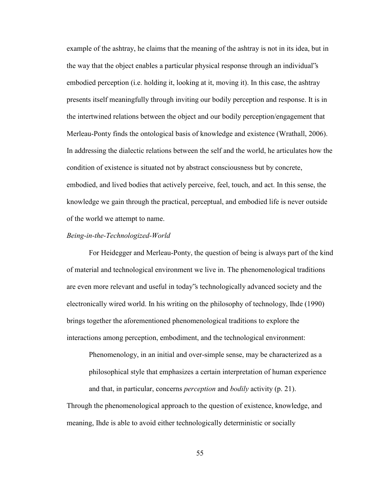example of the ashtray, he claims that the meaning of the ashtray is not in its idea, but in the way that the object enables a particular physical response through an individual"s embodied perception (i.e. holding it, looking at it, moving it). In this case, the ashtray presents itself meaningfully through inviting our bodily perception and response. It is in the intertwined relations between the object and our bodily perception/engagement that Merleau-Ponty finds the ontological basis of knowledge and existence (Wrathall, 2006). In addressing the dialectic relations between the self and the world, he articulates how the condition of existence is situated not by abstract consciousness but by concrete, embodied, and lived bodies that actively perceive, feel, touch, and act. In this sense, the knowledge we gain through the practical, perceptual, and embodied life is never outside of the world we attempt to name.

#### *Being-in-the-Technologized-World*

For Heidegger and Merleau-Ponty, the question of being is always part of the kind of material and technological environment we live in. The phenomenological traditions are even more relevant and useful in today"s technologically advanced society and the electronically wired world. In his writing on the philosophy of technology, Ihde (1990) brings together the aforementioned phenomenological traditions to explore the interactions among perception, embodiment, and the technological environment:

Phenomenology, in an initial and over-simple sense, may be characterized as a philosophical style that emphasizes a certain interpretation of human experience and that, in particular, concerns *perception* and *bodily* activity (p. 21).

Through the phenomenological approach to the question of existence, knowledge, and meaning, Ihde is able to avoid either technologically deterministic or socially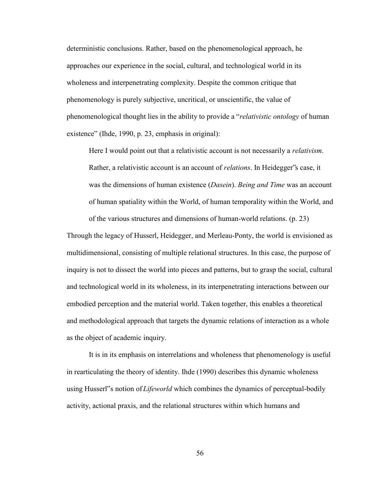deterministic conclusions. Rather, based on the phenomenological approach, he approaches our experience in the social, cultural, and technological world in its wholeness and interpenetrating complexity. Despite the common critique that phenomenology is purely subjective, uncritical, or unscientific, the value of phenomenological thought lies in the ability to provide a "*relativistic ontology* of human existence" (Ihde, 1990, p. 23, emphasis in original):

Here I would point out that a relativistic account is not necessarily a *relativism*. Rather, a relativistic account is an account of *relations*. In Heidegger"s case, it was the dimensions of human existence (*Dasein*). *Being and Time* was an account of human spatiality within the World, of human temporality within the World, and of the various structures and dimensions of human-world relations. (p. 23)

Through the legacy of Husserl, Heidegger, and Merleau-Ponty, the world is envisioned as multidimensional, consisting of multiple relational structures. In this case, the purpose of inquiry is not to dissect the world into pieces and patterns, but to grasp the social, cultural and technological world in its wholeness, in its interpenetrating interactions between our embodied perception and the material world. Taken together, this enables a theoretical and methodological approach that targets the dynamic relations of interaction as a whole as the object of academic inquiry.

It is in its emphasis on interrelations and wholeness that phenomenology is useful in rearticulating the theory of identity. Ihde (1990) describes this dynamic wholeness using Husserl"s notion of *Lifeworld* which combines the dynamics of perceptual-bodily activity, actional praxis, and the relational structures within which humans and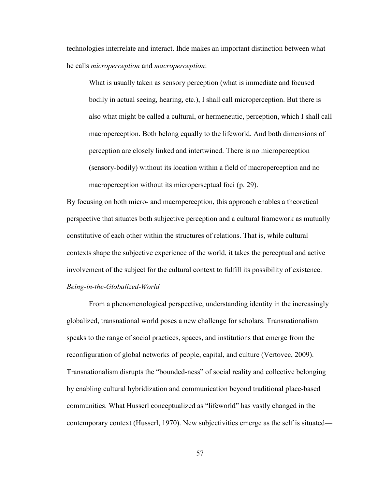technologies interrelate and interact. Ihde makes an important distinction between what he calls *microperception* and *macroperception*:

What is usually taken as sensory perception (what is immediate and focused bodily in actual seeing, hearing, etc.), I shall call microperception. But there is also what might be called a cultural, or hermeneutic, perception, which I shall call macroperception. Both belong equally to the lifeworld. And both dimensions of perception are closely linked and intertwined. There is no microperception (sensory-bodily) without its location within a field of macroperception and no macroperception without its microperseptual foci (p. 29).

By focusing on both micro- and macroperception, this approach enables a theoretical perspective that situates both subjective perception and a cultural framework as mutually constitutive of each other within the structures of relations. That is, while cultural contexts shape the subjective experience of the world, it takes the perceptual and active involvement of the subject for the cultural context to fulfill its possibility of existence. *Being-in-the-Globalized-World* 

From a phenomenological perspective, understanding identity in the increasingly globalized, transnational world poses a new challenge for scholars. Transnationalism speaks to the range of social practices, spaces, and institutions that emerge from the reconfiguration of global networks of people, capital, and culture (Vertovec, 2009). Transnationalism disrupts the "bounded-ness" of social reality and collective belonging by enabling cultural hybridization and communication beyond traditional place-based communities. What Husserl conceptualized as "lifeworld" has vastly changed in the contemporary context (Husserl, 1970). New subjectivities emerge as the self is situated—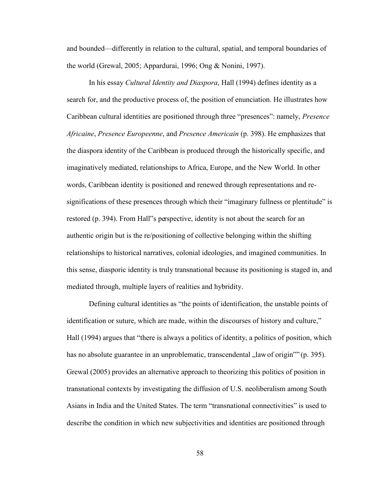and bounded—differently in relation to the cultural, spatial, and temporal boundaries of the world (Grewal, 2005; Appardurai, 1996; Ong & Nonini, 1997).

In his essay *Cultural Identity and Diaspora*, Hall (1994) defines identity as a search for, and the productive process of, the position of enunciation. He illustrates how Caribbean cultural identities are positioned through three "presences": namely, *Presence Africaine*, *Presence Europeenne*, and *Presence Americain* (p. 398). He emphasizes that the diaspora identity of the Caribbean is produced through the historically specific, and imaginatively mediated, relationships to Africa, Europe, and the New World. In other words, Caribbean identity is positioned and renewed through representations and resignifications of these presences through which their "imaginary fullness or plentitude" is restored (p. 394). From Hall"s perspective, identity is not about the search for an authentic origin but is the re/positioning of collective belonging within the shifting relationships to historical narratives, colonial ideologies, and imagined communities. In this sense, diasporic identity is truly transnational because its positioning is staged in, and mediated through, multiple layers of realities and hybridity.

Defining cultural identities as "the points of identification, the unstable points of identification or suture, which are made, within the discourses of history and culture," Hall (1994) argues that "there is always a politics of identity, a politics of position, which has no absolute guarantee in an unproblematic, transcendental "law of origin"" (p. 395). Grewal (2005) provides an alternative approach to theorizing this politics of position in transnational contexts by investigating the diffusion of U.S. neoliberalism among South Asians in India and the United States. The term "transnational connectivities" is used to describe the condition in which new subjectivities and identities are positioned through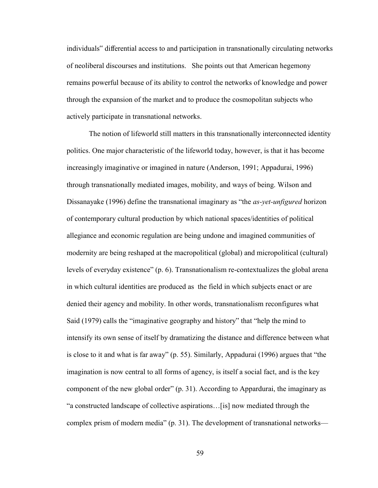individuals" differential access to and participation in transnationally circulating networks of neoliberal discourses and institutions. She points out that American hegemony remains powerful because of its ability to control the networks of knowledge and power through the expansion of the market and to produce the cosmopolitan subjects who actively participate in transnational networks.

The notion of lifeworld still matters in this transnationally interconnected identity politics. One major characteristic of the lifeworld today, however, is that it has become increasingly imaginative or imagined in nature (Anderson, 1991; Appadurai, 1996) through transnationally mediated images, mobility, and ways of being. Wilson and Dissanayake (1996) define the transnational imaginary as "the *as-yet-unfigured* horizon of contemporary cultural production by which national spaces/identities of political allegiance and economic regulation are being undone and imagined communities of modernity are being reshaped at the macropolitical (global) and micropolitical (cultural) levels of everyday existence" (p. 6). Transnationalism re-contextualizes the global arena in which cultural identities are produced as the field in which subjects enact or are denied their agency and mobility. In other words, transnationalism reconfigures what Said (1979) calls the "imaginative geography and history" that "help the mind to intensify its own sense of itself by dramatizing the distance and difference between what is close to it and what is far away" (p. 55). Similarly, Appadurai (1996) argues that "the imagination is now central to all forms of agency, is itself a social fact, and is the key component of the new global order" (p. 31). According to Appardurai, the imaginary as "a constructed landscape of collective aspirations…[is] now mediated through the complex prism of modern media" (p. 31). The development of transnational networks—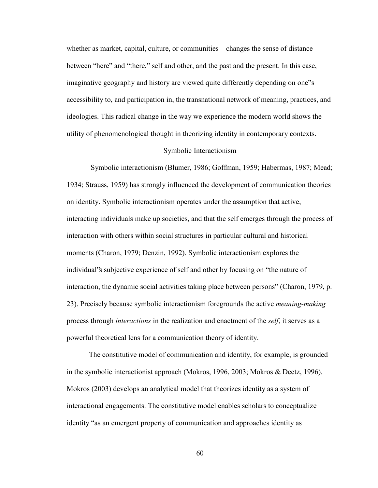whether as market, capital, culture, or communities—changes the sense of distance between "here" and "there," self and other, and the past and the present. In this case, imaginative geography and history are viewed quite differently depending on one"s accessibility to, and participation in, the transnational network of meaning, practices, and ideologies. This radical change in the way we experience the modern world shows the utility of phenomenological thought in theorizing identity in contemporary contexts.

## Symbolic Interactionism

Symbolic interactionism (Blumer, 1986; Goffman, 1959; Habermas, 1987; Mead; 1934; Strauss, 1959) has strongly influenced the development of communication theories on identity. Symbolic interactionism operates under the assumption that active, interacting individuals make up societies, and that the self emerges through the process of interaction with others within social structures in particular cultural and historical moments (Charon, 1979; Denzin, 1992). Symbolic interactionism explores the individual"s subjective experience of self and other by focusing on "the nature of interaction, the dynamic social activities taking place between persons" (Charon, 1979, p. 23). Precisely because symbolic interactionism foregrounds the active *meaning-making* process through *interactions* in the realization and enactment of the *self*, it serves as a powerful theoretical lens for a communication theory of identity.

The constitutive model of communication and identity, for example, is grounded in the symbolic interactionist approach (Mokros, 1996, 2003; Mokros & Deetz, 1996). Mokros (2003) develops an analytical model that theorizes identity as a system of interactional engagements. The constitutive model enables scholars to conceptualize identity "as an emergent property of communication and approaches identity as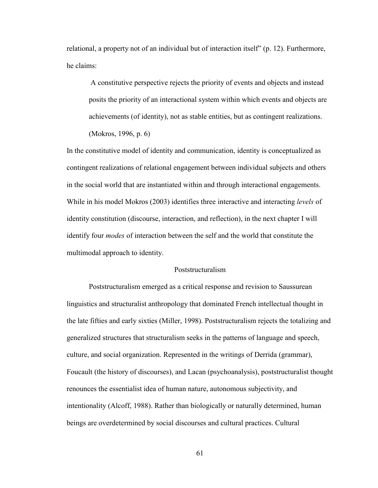relational, a property not of an individual but of interaction itself" (p. 12). Furthermore, he claims:

A constitutive perspective rejects the priority of events and objects and instead posits the priority of an interactional system within which events and objects are achievements (of identity), not as stable entities, but as contingent realizations. (Mokros, 1996, p. 6)

In the constitutive model of identity and communication, identity is conceptualized as contingent realizations of relational engagement between individual subjects and others in the social world that are instantiated within and through interactional engagements. While in his model Mokros (2003) identifies three interactive and interacting *levels* of identity constitution (discourse, interaction, and reflection), in the next chapter I will identify four *modes* of interaction between the self and the world that constitute the multimodal approach to identity.

### Poststructuralism

 Poststructuralism emerged as a critical response and revision to Saussurean linguistics and structuralist anthropology that dominated French intellectual thought in the late fifties and early sixties (Miller, 1998). Poststructuralism rejects the totalizing and generalized structures that structuralism seeks in the patterns of language and speech, culture, and social organization. Represented in the writings of Derrida (grammar), Foucault (the history of discourses), and Lacan (psychoanalysis), poststructuralist thought renounces the essentialist idea of human nature, autonomous subjectivity, and intentionality (Alcoff, 1988). Rather than biologically or naturally determined, human beings are overdetermined by social discourses and cultural practices. Cultural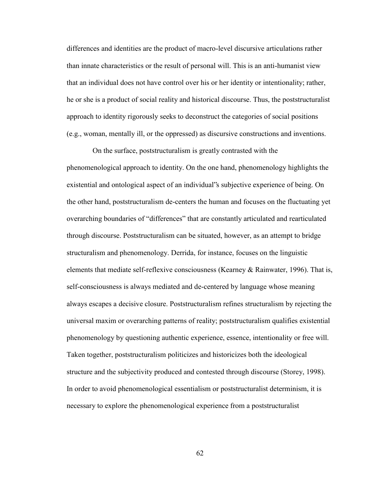differences and identities are the product of macro-level discursive articulations rather than innate characteristics or the result of personal will. This is an anti-humanist view that an individual does not have control over his or her identity or intentionality; rather, he or she is a product of social reality and historical discourse. Thus, the poststructuralist approach to identity rigorously seeks to deconstruct the categories of social positions (e.g., woman, mentally ill, or the oppressed) as discursive constructions and inventions.

 On the surface, poststructuralism is greatly contrasted with the phenomenological approach to identity. On the one hand, phenomenology highlights the existential and ontological aspect of an individual"s subjective experience of being. On the other hand, poststructuralism de-centers the human and focuses on the fluctuating yet overarching boundaries of "differences" that are constantly articulated and rearticulated through discourse. Poststructuralism can be situated, however, as an attempt to bridge structuralism and phenomenology. Derrida, for instance, focuses on the linguistic elements that mediate self-reflexive consciousness (Kearney & Rainwater, 1996). That is, self-consciousness is always mediated and de-centered by language whose meaning always escapes a decisive closure. Poststructuralism refines structuralism by rejecting the universal maxim or overarching patterns of reality; poststructuralism qualifies existential phenomenology by questioning authentic experience, essence, intentionality or free will. Taken together, poststructuralism politicizes and historicizes both the ideological structure and the subjectivity produced and contested through discourse (Storey, 1998). In order to avoid phenomenological essentialism or poststructuralist determinism, it is necessary to explore the phenomenological experience from a poststructuralist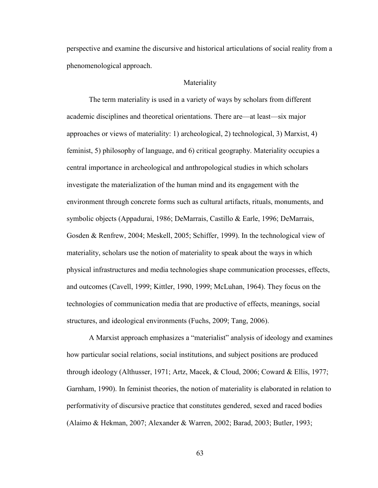perspective and examine the discursive and historical articulations of social reality from a phenomenological approach.

# Materiality

 The term materiality is used in a variety of ways by scholars from different academic disciplines and theoretical orientations. There are—at least—six major approaches or views of materiality: 1) archeological, 2) technological, 3) Marxist, 4) feminist, 5) philosophy of language, and 6) critical geography. Materiality occupies a central importance in archeological and anthropological studies in which scholars investigate the materialization of the human mind and its engagement with the environment through concrete forms such as cultural artifacts, rituals, monuments, and symbolic objects (Appadurai, 1986; DeMarrais, Castillo & Earle, 1996; DeMarrais, Gosden & Renfrew, 2004; Meskell, 2005; Schiffer, 1999). In the technological view of materiality, scholars use the notion of materiality to speak about the ways in which physical infrastructures and media technologies shape communication processes, effects, and outcomes (Cavell, 1999; Kittler, 1990, 1999; McLuhan, 1964). They focus on the technologies of communication media that are productive of effects, meanings, social structures, and ideological environments (Fuchs, 2009; Tang, 2006).

A Marxist approach emphasizes a "materialist" analysis of ideology and examines how particular social relations, social institutions, and subject positions are produced through ideology (Althusser, 1971; Artz, Macek, & Cloud, 2006; Coward & Ellis, 1977; Garnham, 1990). In feminist theories, the notion of materiality is elaborated in relation to performativity of discursive practice that constitutes gendered, sexed and raced bodies (Alaimo & Hekman, 2007; Alexander & Warren, 2002; Barad, 2003; Butler, 1993;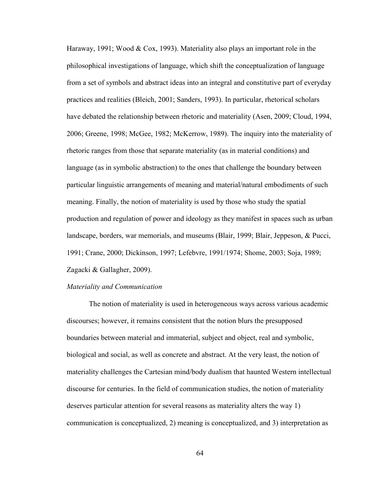Haraway, 1991; Wood & Cox, 1993). Materiality also plays an important role in the philosophical investigations of language, which shift the conceptualization of language from a set of symbols and abstract ideas into an integral and constitutive part of everyday practices and realities (Bleich, 2001; Sanders, 1993). In particular, rhetorical scholars have debated the relationship between rhetoric and materiality (Asen, 2009; Cloud, 1994, 2006; Greene, 1998; McGee, 1982; McKerrow, 1989). The inquiry into the materiality of rhetoric ranges from those that separate materiality (as in material conditions) and language (as in symbolic abstraction) to the ones that challenge the boundary between particular linguistic arrangements of meaning and material/natural embodiments of such meaning. Finally, the notion of materiality is used by those who study the spatial production and regulation of power and ideology as they manifest in spaces such as urban landscape, borders, war memorials, and museums (Blair, 1999; Blair, Jeppeson, & Pucci, 1991; Crane, 2000; Dickinson, 1997; Lefebvre, 1991/1974; Shome, 2003; Soja, 1989; Zagacki & Gallagher, 2009).

### *Materiality and Communication*

The notion of materiality is used in heterogeneous ways across various academic discourses; however, it remains consistent that the notion blurs the presupposed boundaries between material and immaterial, subject and object, real and symbolic, biological and social, as well as concrete and abstract. At the very least, the notion of materiality challenges the Cartesian mind/body dualism that haunted Western intellectual discourse for centuries. In the field of communication studies, the notion of materiality deserves particular attention for several reasons as materiality alters the way 1) communication is conceptualized, 2) meaning is conceptualized, and 3) interpretation as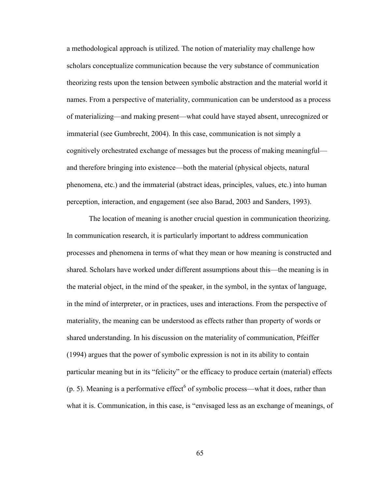a methodological approach is utilized. The notion of materiality may challenge how scholars conceptualize communication because the very substance of communication theorizing rests upon the tension between symbolic abstraction and the material world it names. From a perspective of materiality, communication can be understood as a process of materializing—and making present—what could have stayed absent, unrecognized or immaterial (see Gumbrecht, 2004). In this case, communication is not simply a cognitively orchestrated exchange of messages but the process of making meaningful and therefore bringing into existence—both the material (physical objects, natural phenomena, etc.) and the immaterial (abstract ideas, principles, values, etc.) into human perception, interaction, and engagement (see also Barad, 2003 and Sanders, 1993).

The location of meaning is another crucial question in communication theorizing. In communication research, it is particularly important to address communication processes and phenomena in terms of what they mean or how meaning is constructed and shared. Scholars have worked under different assumptions about this—the meaning is in the material object, in the mind of the speaker, in the symbol, in the syntax of language, in the mind of interpreter, or in practices, uses and interactions. From the perspective of materiality, the meaning can be understood as effects rather than property of words or shared understanding. In his discussion on the materiality of communication, Pfeiffer (1994) argues that the power of symbolic expression is not in its ability to contain particular meaning but in its "felicity" or the efficacy to produce certain (material) effects  $(p. 5)$ . Meaning is a performative effect<sup>6</sup> of symbolic process—what it does, rather than what it is. Communication, in this case, is "envisaged less as an exchange of meanings, of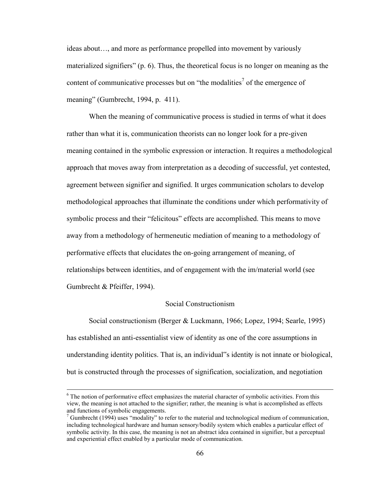ideas about…, and more as performance propelled into movement by variously materialized signifiers" (p. 6). Thus, the theoretical focus is no longer on meaning as the content of communicative processes but on "the modalities<sup>7</sup> of the emergence of meaning" (Gumbrecht, 1994, p. 411).

When the meaning of communicative process is studied in terms of what it does rather than what it is, communication theorists can no longer look for a pre-given meaning contained in the symbolic expression or interaction. It requires a methodological approach that moves away from interpretation as a decoding of successful, yet contested, agreement between signifier and signified. It urges communication scholars to develop methodological approaches that illuminate the conditions under which performativity of symbolic process and their "felicitous" effects are accomplished. This means to move away from a methodology of hermeneutic mediation of meaning to a methodology of performative effects that elucidates the on-going arrangement of meaning, of relationships between identities, and of engagement with the im/material world (see Gumbrecht & Pfeiffer, 1994).

## Social Constructionism

Social constructionism (Berger & Luckmann, 1966; Lopez, 1994; Searle, 1995) has established an anti-essentialist view of identity as one of the core assumptions in understanding identity politics. That is, an individual"s identity is not innate or biological, but is constructed through the processes of signification, socialization, and negotiation

 $\overline{a}$ 

<sup>&</sup>lt;sup>6</sup> The notion of performative effect emphasizes the material character of symbolic activities. From this view, the meaning is not attached to the signifier; rather, the meaning is what is accomplished as effects and functions of symbolic engagements.

 $<sup>7</sup>$  Gumbrecht (1994) uses "modality" to refer to the material and technological medium of communication,</sup> including technological hardware and human sensory/bodily system which enables a particular effect of symbolic activity. In this case, the meaning is not an abstract idea contained in signifier, but a perceptual and experiential effect enabled by a particular mode of communication.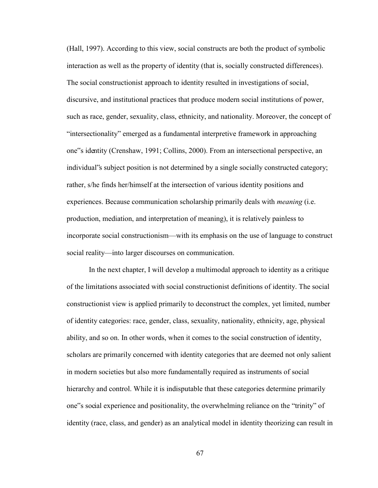(Hall, 1997). According to this view, social constructs are both the product of symbolic interaction as well as the property of identity (that is, socially constructed differences). The social constructionist approach to identity resulted in investigations of social, discursive, and institutional practices that produce modern social institutions of power, such as race, gender, sexuality, class, ethnicity, and nationality. Moreover, the concept of "intersectionality" emerged as a fundamental interpretive framework in approaching one"s identity (Crenshaw, 1991; Collins, 2000). From an intersectional perspective, an individual"s subject position is not determined by a single socially constructed category; rather, s/he finds her/himself at the intersection of various identity positions and experiences. Because communication scholarship primarily deals with *meaning* (i.e. production, mediation, and interpretation of meaning), it is relatively painless to incorporate social constructionism—with its emphasis on the use of language to construct social reality—into larger discourses on communication.

In the next chapter, I will develop a multimodal approach to identity as a critique of the limitations associated with social constructionist definitions of identity. The social constructionist view is applied primarily to deconstruct the complex, yet limited, number of identity categories: race, gender, class, sexuality, nationality, ethnicity, age, physical ability, and so on. In other words, when it comes to the social construction of identity, scholars are primarily concerned with identity categories that are deemed not only salient in modern societies but also more fundamentally required as instruments of social hierarchy and control. While it is indisputable that these categories determine primarily one"s social experience and positionality, the overwhelming reliance on the "trinity" of identity (race, class, and gender) as an analytical model in identity theorizing can result in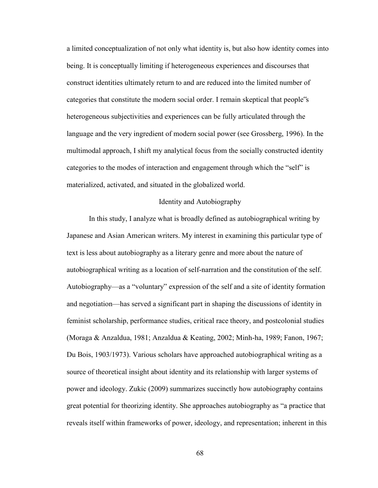a limited conceptualization of not only what identity is, but also how identity comes into being. It is conceptually limiting if heterogeneous experiences and discourses that construct identities ultimately return to and are reduced into the limited number of categories that constitute the modern social order. I remain skeptical that people"s heterogeneous subjectivities and experiences can be fully articulated through the language and the very ingredient of modern social power (see Grossberg, 1996). In the multimodal approach, I shift my analytical focus from the socially constructed identity categories to the modes of interaction and engagement through which the "self" is materialized, activated, and situated in the globalized world.

## Identity and Autobiography

In this study, I analyze what is broadly defined as autobiographical writing by Japanese and Asian American writers. My interest in examining this particular type of text is less about autobiography as a literary genre and more about the nature of autobiographical writing as a location of self-narration and the constitution of the self. Autobiography—as a "voluntary" expression of the self and a site of identity formation and negotiation—has served a significant part in shaping the discussions of identity in feminist scholarship, performance studies, critical race theory, and postcolonial studies (Moraga & Anzaldua, 1981; Anzaldua & Keating, 2002; Minh-ha, 1989; Fanon, 1967; Du Bois, 1903/1973). Various scholars have approached autobiographical writing as a source of theoretical insight about identity and its relationship with larger systems of power and ideology. Zukic (2009) summarizes succinctly how autobiography contains great potential for theorizing identity. She approaches autobiography as "a practice that reveals itself within frameworks of power, ideology, and representation; inherent in this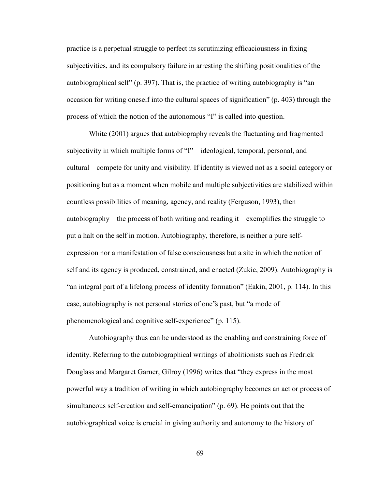practice is a perpetual struggle to perfect its scrutinizing efficaciousness in fixing subjectivities, and its compulsory failure in arresting the shifting positionalities of the autobiographical self" (p. 397). That is, the practice of writing autobiography is "an occasion for writing oneself into the cultural spaces of signification" (p. 403) through the process of which the notion of the autonomous "I" is called into question.

White (2001) argues that autobiography reveals the fluctuating and fragmented subjectivity in which multiple forms of "I"—ideological, temporal, personal, and cultural—compete for unity and visibility. If identity is viewed not as a social category or positioning but as a moment when mobile and multiple subjectivities are stabilized within countless possibilities of meaning, agency, and reality (Ferguson, 1993), then autobiography—the process of both writing and reading it—exemplifies the struggle to put a halt on the self in motion. Autobiography, therefore, is neither a pure selfexpression nor a manifestation of false consciousness but a site in which the notion of self and its agency is produced, constrained, and enacted (Zukic, 2009). Autobiography is "an integral part of a lifelong process of identity formation" (Eakin, 2001, p. 114). In this case, autobiography is not personal stories of one"s past, but "a mode of phenomenological and cognitive self-experience" (p. 115).

Autobiography thus can be understood as the enabling and constraining force of identity. Referring to the autobiographical writings of abolitionists such as Fredrick Douglass and Margaret Garner, Gilroy (1996) writes that "they express in the most powerful way a tradition of writing in which autobiography becomes an act or process of simultaneous self-creation and self-emancipation" (p. 69). He points out that the autobiographical voice is crucial in giving authority and autonomy to the history of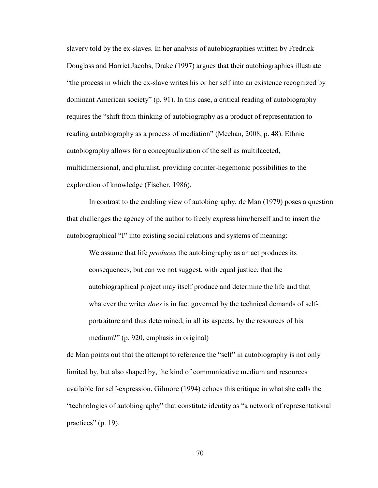slavery told by the ex-slaves. In her analysis of autobiographies written by Fredrick Douglass and Harriet Jacobs, Drake (1997) argues that their autobiographies illustrate "the process in which the ex-slave writes his or her self into an existence recognized by dominant American society" (p. 91). In this case, a critical reading of autobiography requires the "shift from thinking of autobiography as a product of representation to reading autobiography as a process of mediation" (Meehan, 2008, p. 48). Ethnic autobiography allows for a conceptualization of the self as multifaceted, multidimensional, and pluralist, providing counter-hegemonic possibilities to the exploration of knowledge (Fischer, 1986).

In contrast to the enabling view of autobiography, de Man (1979) poses a question that challenges the agency of the author to freely express him/herself and to insert the autobiographical "I" into existing social relations and systems of meaning:

We assume that life *produces* the autobiography as an act produces its consequences, but can we not suggest, with equal justice, that the autobiographical project may itself produce and determine the life and that whatever the writer *does* is in fact governed by the technical demands of selfportraiture and thus determined, in all its aspects, by the resources of his medium?" (p. 920, emphasis in original)

de Man points out that the attempt to reference the "self" in autobiography is not only limited by, but also shaped by, the kind of communicative medium and resources available for self-expression. Gilmore (1994) echoes this critique in what she calls the "technologies of autobiography" that constitute identity as "a network of representational practices" (p. 19).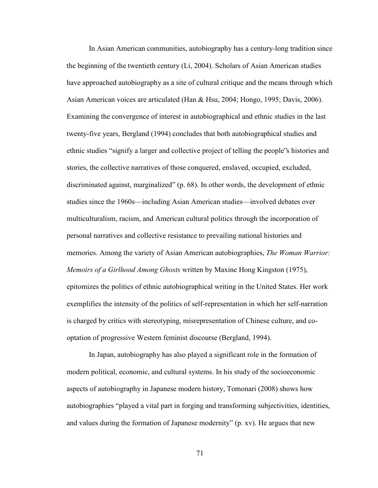In Asian American communities, autobiography has a century-long tradition since the beginning of the twentieth century (Li, 2004). Scholars of Asian American studies have approached autobiography as a site of cultural critique and the means through which Asian American voices are articulated (Han & Hsu, 2004; Hongo, 1995; Davis, 2006). Examining the convergence of interest in autobiographical and ethnic studies in the last twenty-five years, Bergland (1994) concludes that both autobiographical studies and ethnic studies "signify a larger and collective project of telling the people"s histories and stories, the collective narratives of those conquered, enslaved, occupied, excluded, discriminated against, marginalized" (p. 68). In other words, the development of ethnic studies since the 1960s—including Asian American studies—involved debates over multiculturalism, racism, and American cultural politics through the incorporation of personal narratives and collective resistance to prevailing national histories and memories. Among the variety of Asian American autobiographies, *The Woman Warrior: Memoirs of a Girlhood Among Ghosts* written by Maxine Hong Kingston (1975), epitomizes the politics of ethnic autobiographical writing in the United States. Her work exemplifies the intensity of the politics of self-representation in which her self-narration is charged by critics with stereotyping, misrepresentation of Chinese culture, and cooptation of progressive Western feminist discourse (Bergland, 1994).

 In Japan, autobiography has also played a significant role in the formation of modern political, economic, and cultural systems. In his study of the socioeconomic aspects of autobiography in Japanese modern history, Tomonari (2008) shows how autobiographies "played a vital part in forging and transforming subjectivities, identities, and values during the formation of Japanese modernity" (p. xv). He argues that new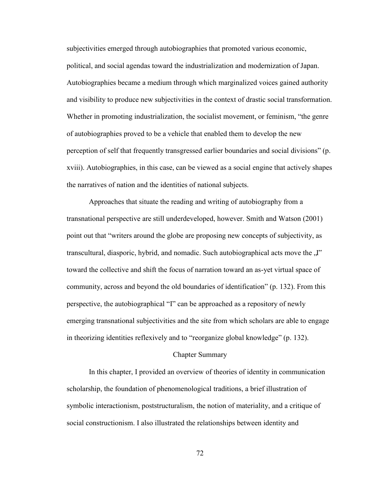subjectivities emerged through autobiographies that promoted various economic, political, and social agendas toward the industrialization and modernization of Japan. Autobiographies became a medium through which marginalized voices gained authority and visibility to produce new subjectivities in the context of drastic social transformation. Whether in promoting industrialization, the socialist movement, or feminism, "the genre of autobiographies proved to be a vehicle that enabled them to develop the new perception of self that frequently transgressed earlier boundaries and social divisions" (p. xviii). Autobiographies, in this case, can be viewed as a social engine that actively shapes the narratives of nation and the identities of national subjects.

 Approaches that situate the reading and writing of autobiography from a transnational perspective are still underdeveloped, however. Smith and Watson (2001) point out that "writers around the globe are proposing new concepts of subjectivity, as transcultural, diasporic, hybrid, and nomadic. Such autobiographical acts move the  $\mathcal{J}$ " toward the collective and shift the focus of narration toward an as-yet virtual space of community, across and beyond the old boundaries of identification" (p. 132). From this perspective, the autobiographical "I" can be approached as a repository of newly emerging transnational subjectivities and the site from which scholars are able to engage in theorizing identities reflexively and to "reorganize global knowledge" (p. 132).

### Chapter Summary

In this chapter, I provided an overview of theories of identity in communication scholarship, the foundation of phenomenological traditions, a brief illustration of symbolic interactionism, poststructuralism, the notion of materiality, and a critique of social constructionism. I also illustrated the relationships between identity and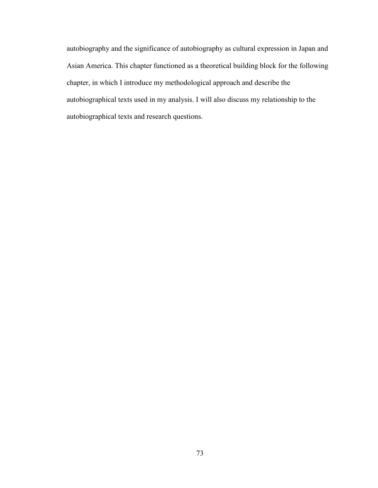autobiography and the significance of autobiography as cultural expression in Japan and Asian America. This chapter functioned as a theoretical building block for the following chapter, in which I introduce my methodological approach and describe the autobiographical texts used in my analysis. I will also discuss my relationship to the autobiographical texts and research questions.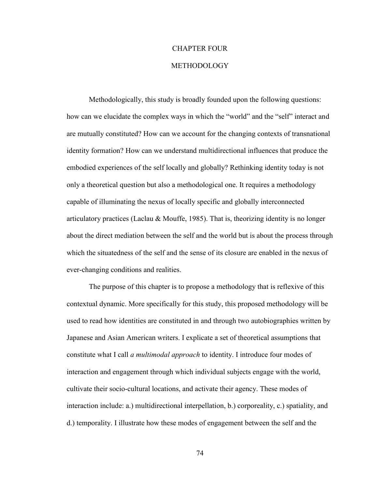## CHAPTER FOUR

## METHODOLOGY

 Methodologically, this study is broadly founded upon the following questions: how can we elucidate the complex ways in which the "world" and the "self" interact and are mutually constituted? How can we account for the changing contexts of transnational identity formation? How can we understand multidirectional influences that produce the embodied experiences of the self locally and globally? Rethinking identity today is not only a theoretical question but also a methodological one. It requires a methodology capable of illuminating the nexus of locally specific and globally interconnected articulatory practices (Laclau & Mouffe, 1985). That is, theorizing identity is no longer about the direct mediation between the self and the world but is about the process through which the situatedness of the self and the sense of its closure are enabled in the nexus of ever-changing conditions and realities.

The purpose of this chapter is to propose a methodology that is reflexive of this contextual dynamic. More specifically for this study, this proposed methodology will be used to read how identities are constituted in and through two autobiographies written by Japanese and Asian American writers. I explicate a set of theoretical assumptions that constitute what I call *a multimodal approach* to identity. I introduce four modes of interaction and engagement through which individual subjects engage with the world, cultivate their socio-cultural locations, and activate their agency. These modes of interaction include: a.) multidirectional interpellation, b.) corporeality, c.) spatiality, and d.) temporality. I illustrate how these modes of engagement between the self and the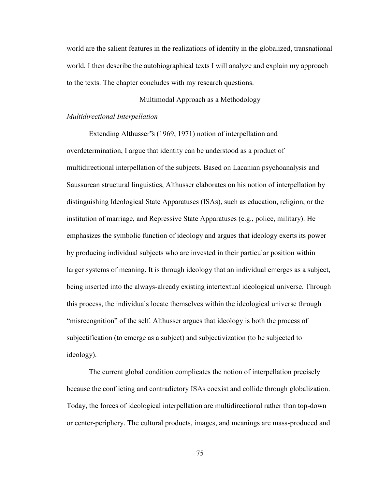world are the salient features in the realizations of identity in the globalized, transnational world. I then describe the autobiographical texts I will analyze and explain my approach to the texts. The chapter concludes with my research questions.

# Multimodal Approach as a Methodology

#### *Multidirectional Interpellation*

Extending Althusser"s (1969, 1971) notion of interpellation and overdetermination, I argue that identity can be understood as a product of multidirectional interpellation of the subjects. Based on Lacanian psychoanalysis and Saussurean structural linguistics, Althusser elaborates on his notion of interpellation by distinguishing Ideological State Apparatuses (ISAs), such as education, religion, or the institution of marriage, and Repressive State Apparatuses (e.g., police, military). He emphasizes the symbolic function of ideology and argues that ideology exerts its power by producing individual subjects who are invested in their particular position within larger systems of meaning. It is through ideology that an individual emerges as a subject, being inserted into the always-already existing intertextual ideological universe. Through this process, the individuals locate themselves within the ideological universe through "misrecognition" of the self. Althusser argues that ideology is both the process of subjectification (to emerge as a subject) and subjectivization (to be subjected to ideology).

The current global condition complicates the notion of interpellation precisely because the conflicting and contradictory ISAs coexist and collide through globalization. Today, the forces of ideological interpellation are multidirectional rather than top-down or center-periphery. The cultural products, images, and meanings are mass-produced and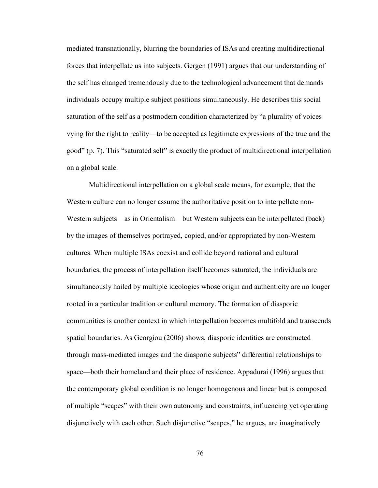mediated transnationally, blurring the boundaries of ISAs and creating multidirectional forces that interpellate us into subjects. Gergen (1991) argues that our understanding of the self has changed tremendously due to the technological advancement that demands individuals occupy multiple subject positions simultaneously. He describes this social saturation of the self as a postmodern condition characterized by "a plurality of voices vying for the right to reality—to be accepted as legitimate expressions of the true and the good" (p. 7). This "saturated self" is exactly the product of multidirectional interpellation on a global scale.

Multidirectional interpellation on a global scale means, for example, that the Western culture can no longer assume the authoritative position to interpellate non-Western subjects—as in Orientalism—but Western subjects can be interpellated (back) by the images of themselves portrayed, copied, and/or appropriated by non-Western cultures. When multiple ISAs coexist and collide beyond national and cultural boundaries, the process of interpellation itself becomes saturated; the individuals are simultaneously hailed by multiple ideologies whose origin and authenticity are no longer rooted in a particular tradition or cultural memory. The formation of diasporic communities is another context in which interpellation becomes multifold and transcends spatial boundaries. As Georgiou (2006) shows, diasporic identities are constructed through mass-mediated images and the diasporic subjects" differential relationships to space—both their homeland and their place of residence. Appadurai (1996) argues that the contemporary global condition is no longer homogenous and linear but is composed of multiple "scapes" with their own autonomy and constraints, influencing yet operating disjunctively with each other. Such disjunctive "scapes," he argues, are imaginatively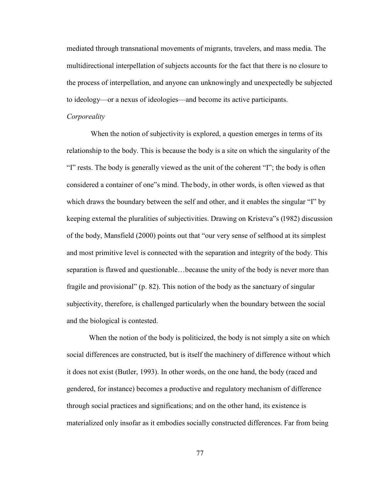mediated through transnational movements of migrants, travelers, and mass media. The multidirectional interpellation of subjects accounts for the fact that there is no closure to the process of interpellation, and anyone can unknowingly and unexpectedly be subjected to ideology—or a nexus of ideologies—and become its active participants.

#### *Corporeality*

When the notion of subjectivity is explored, a question emerges in terms of its relationship to the body. This is because the body is a site on which the singularity of the "I" rests. The body is generally viewed as the unit of the coherent "I"; the body is often considered a container of one"s mind. The body, in other words, is often viewed as that which draws the boundary between the self and other, and it enables the singular "I" by keeping external the pluralities of subjectivities. Drawing on Kristeva"s (1982) discussion of the body, Mansfield (2000) points out that "our very sense of selfhood at its simplest and most primitive level is connected with the separation and integrity of the body. This separation is flawed and questionable…because the unity of the body is never more than fragile and provisional" (p. 82). This notion of the body as the sanctuary of singular subjectivity, therefore, is challenged particularly when the boundary between the social and the biological is contested.

When the notion of the body is politicized, the body is not simply a site on which social differences are constructed, but is itself the machinery of difference without which it does not exist (Butler, 1993). In other words, on the one hand, the body (raced and gendered, for instance) becomes a productive and regulatory mechanism of difference through social practices and significations; and on the other hand, its existence is materialized only insofar as it embodies socially constructed differences. Far from being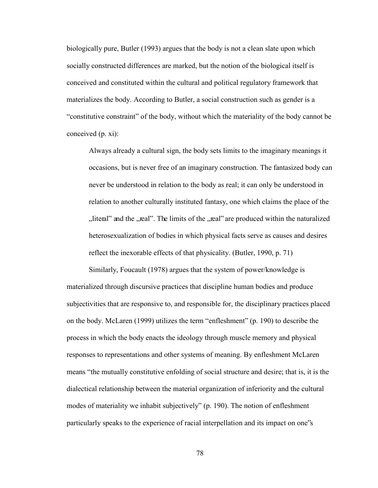biologically pure, Butler (1993) argues that the body is not a clean slate upon which socially constructed differences are marked, but the notion of the biological itself is conceived and constituted within the cultural and political regulatory framework that materializes the body. According to Butler, a social construction such as gender is a "constitutive constraint" of the body, without which the materiality of the body cannot be conceived (p. xi):

Always already a cultural sign, the body sets limits to the imaginary meanings it occasions, but is never free of an imaginary construction. The fantasized body can never be understood in relation to the body as real; it can only be understood in relation to another culturally instituted fantasy, one which claims the place of the "literal" and the "real". The limits of the "real" are produced within the naturalized heterosexualization of bodies in which physical facts serve as causes and desires reflect the inexorable effects of that physicality. (Butler, 1990, p. 71)

Similarly, Foucault (1978) argues that the system of power/knowledge is materialized through discursive practices that discipline human bodies and produce subjectivities that are responsive to, and responsible for, the disciplinary practices placed on the body. McLaren (1999) utilizes the term "enfleshment" (p. 190) to describe the process in which the body enacts the ideology through muscle memory and physical responses to representations and other systems of meaning. By enfleshment McLaren means "the mutually constitutive enfolding of social structure and desire; that is, it is the dialectical relationship between the material organization of inferiority and the cultural modes of materiality we inhabit subjectively" (p. 190). The notion of enfleshment particularly speaks to the experience of racial interpellation and its impact on one"s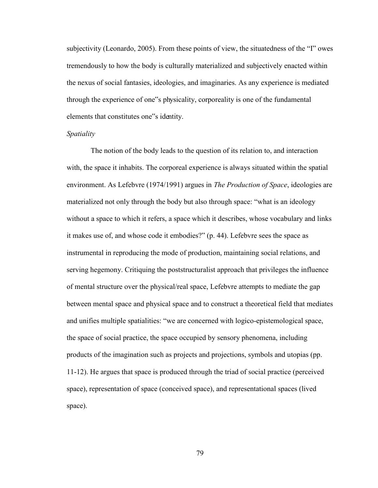subjectivity (Leonardo, 2005). From these points of view, the situatedness of the "I" owes tremendously to how the body is culturally materialized and subjectively enacted within the nexus of social fantasies, ideologies, and imaginaries. As any experience is mediated through the experience of one"s physicality, corporeality is one of the fundamental elements that constitutes one"s identity.

#### *Spatiality*

The notion of the body leads to the question of its relation to, and interaction with, the space it inhabits. The corporeal experience is always situated within the spatial environment. As Lefebvre (1974/1991) argues in *The Production of Space*, ideologies are materialized not only through the body but also through space: "what is an ideology without a space to which it refers, a space which it describes, whose vocabulary and links it makes use of, and whose code it embodies?" (p. 44). Lefebvre sees the space as instrumental in reproducing the mode of production, maintaining social relations, and serving hegemony. Critiquing the poststructuralist approach that privileges the influence of mental structure over the physical/real space, Lefebvre attempts to mediate the gap between mental space and physical space and to construct a theoretical field that mediates and unifies multiple spatialities: "we are concerned with logico-epistemological space, the space of social practice, the space occupied by sensory phenomena, including products of the imagination such as projects and projections, symbols and utopias (pp. 11-12). He argues that space is produced through the triad of social practice (perceived space), representation of space (conceived space), and representational spaces (lived space).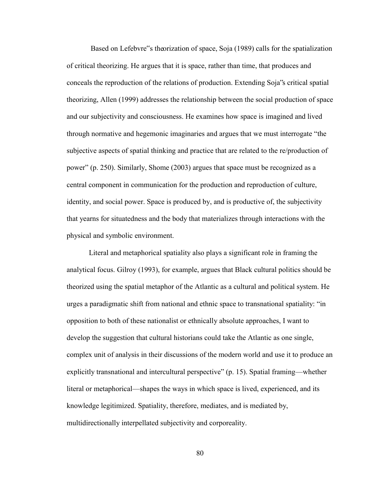Based on Lefebvre"s theorization of space, Soja (1989) calls for the spatialization of critical theorizing. He argues that it is space, rather than time, that produces and conceals the reproduction of the relations of production. Extending Soja"s critical spatial theorizing, Allen (1999) addresses the relationship between the social production of space and our subjectivity and consciousness. He examines how space is imagined and lived through normative and hegemonic imaginaries and argues that we must interrogate "the subjective aspects of spatial thinking and practice that are related to the re/production of power" (p. 250). Similarly, Shome (2003) argues that space must be recognized as a central component in communication for the production and reproduction of culture, identity, and social power. Space is produced by, and is productive of, the subjectivity that yearns for situatedness and the body that materializes through interactions with the physical and symbolic environment.

Literal and metaphorical spatiality also plays a significant role in framing the analytical focus. Gilroy (1993), for example, argues that Black cultural politics should be theorized using the spatial metaphor of the Atlantic as a cultural and political system. He urges a paradigmatic shift from national and ethnic space to transnational spatiality: "in opposition to both of these nationalist or ethnically absolute approaches, I want to develop the suggestion that cultural historians could take the Atlantic as one single, complex unit of analysis in their discussions of the modern world and use it to produce an explicitly transnational and intercultural perspective" (p. 15). Spatial framing—whether literal or metaphorical—shapes the ways in which space is lived, experienced, and its knowledge legitimized. Spatiality, therefore, mediates, and is mediated by, multidirectionally interpellated subjectivity and corporeality.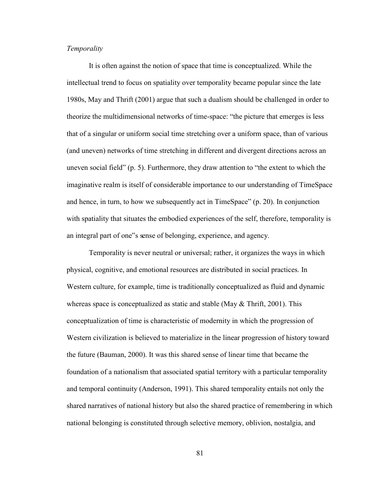# *Temporality*

It is often against the notion of space that time is conceptualized. While the intellectual trend to focus on spatiality over temporality became popular since the late 1980s, May and Thrift (2001) argue that such a dualism should be challenged in order to theorize the multidimensional networks of time-space: "the picture that emerges is less that of a singular or uniform social time stretching over a uniform space, than of various (and uneven) networks of time stretching in different and divergent directions across an uneven social field" (p. 5). Furthermore, they draw attention to "the extent to which the imaginative realm is itself of considerable importance to our understanding of TimeSpace and hence, in turn, to how we subsequently act in TimeSpace" (p. 20). In conjunction with spatiality that situates the embodied experiences of the self, therefore, temporality is an integral part of one"s sense of belonging, experience, and agency.

Temporality is never neutral or universal; rather, it organizes the ways in which physical, cognitive, and emotional resources are distributed in social practices. In Western culture, for example, time is traditionally conceptualized as fluid and dynamic whereas space is conceptualized as static and stable (May & Thrift, 2001). This conceptualization of time is characteristic of modernity in which the progression of Western civilization is believed to materialize in the linear progression of history toward the future (Bauman, 2000). It was this shared sense of linear time that became the foundation of a nationalism that associated spatial territory with a particular temporality and temporal continuity (Anderson, 1991). This shared temporality entails not only the shared narratives of national history but also the shared practice of remembering in which national belonging is constituted through selective memory, oblivion, nostalgia, and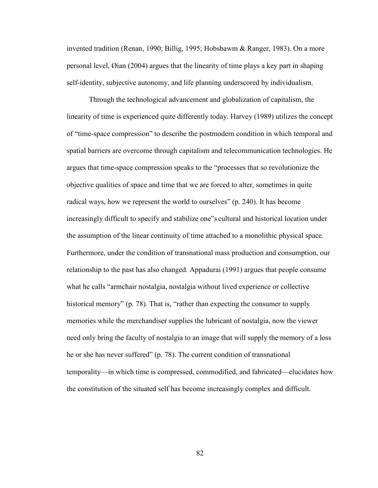invented tradition (Renan, 1990; Billig, 1995; Hobsbawm & Ranger, 1983). On a more personal level, Øian (2004) argues that the linearity of time plays a key part in shaping self-identity, subjective autonomy, and life planning underscored by individualism.

Through the technological advancement and globalization of capitalism, the linearity of time is experienced quite differently today. Harvey (1989) utilizes the concept of "time-space compression" to describe the postmodern condition in which temporal and spatial barriers are overcome through capitalism and telecommunication technologies. He argues that time-space compression speaks to the "processes that so revolutionize the objective qualities of space and time that we are forced to alter, sometimes in quite radical ways, how we represent the world to ourselves" (p. 240). It has become increasingly difficult to specify and stabilize one"s cultural and historical location under the assumption of the linear continuity of time attached to a monolithic physical space. Furthermore, under the condition of transnational mass production and consumption, our relationship to the past has also changed. Appadurai (1991) argues that people consume what he calls "armchair nostalgia, nostalgia without lived experience or collective historical memory" (p. 78). That is, "rather than expecting the consumer to supply memories while the merchandiser supplies the lubricant of nostalgia, now the viewer need only bring the faculty of nostalgia to an image that will supply the memory of a loss he or she has never suffered" (p. 78). The current condition of transnational temporality—in which time is compressed, commodified, and fabricated—elucidates how the constitution of the situated self has become increasingly complex and difficult.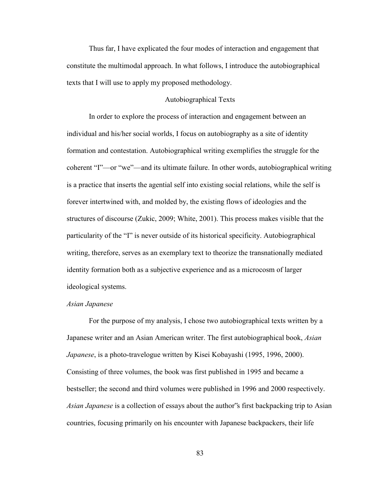Thus far, I have explicated the four modes of interaction and engagement that constitute the multimodal approach. In what follows, I introduce the autobiographical texts that I will use to apply my proposed methodology.

# Autobiographical Texts

 In order to explore the process of interaction and engagement between an individual and his/her social worlds, I focus on autobiography as a site of identity formation and contestation. Autobiographical writing exemplifies the struggle for the coherent "I"—or "we"—and its ultimate failure. In other words, autobiographical writing is a practice that inserts the agential self into existing social relations, while the self is forever intertwined with, and molded by, the existing flows of ideologies and the structures of discourse (Zukic, 2009; White, 2001). This process makes visible that the particularity of the "I" is never outside of its historical specificity. Autobiographical writing, therefore, serves as an exemplary text to theorize the transnationally mediated identity formation both as a subjective experience and as a microcosm of larger ideological systems.

### *Asian Japanese*

For the purpose of my analysis, I chose two autobiographical texts written by a Japanese writer and an Asian American writer. The first autobiographical book, *Asian Japanese*, is a photo-travelogue written by Kisei Kobayashi (1995, 1996, 2000). Consisting of three volumes, the book was first published in 1995 and became a bestseller; the second and third volumes were published in 1996 and 2000 respectively. *Asian Japanese* is a collection of essays about the author"s first backpacking trip to Asian countries, focusing primarily on his encounter with Japanese backpackers, their life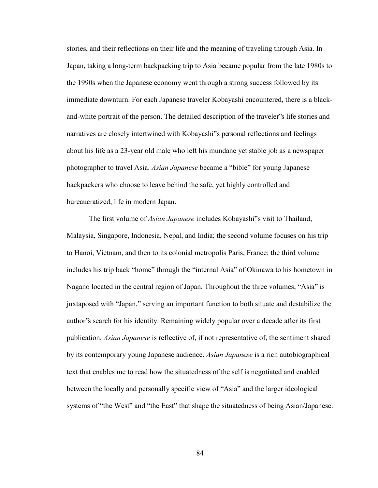stories, and their reflections on their life and the meaning of traveling through Asia. In Japan, taking a long-term backpacking trip to Asia became popular from the late 1980s to the 1990s when the Japanese economy went through a strong success followed by its immediate downturn. For each Japanese traveler Kobayashi encountered, there is a blackand-white portrait of the person. The detailed description of the traveler"s life stories and narratives are closely intertwined with Kobayashi"s personal reflections and feelings about his life as a 23-year old male who left his mundane yet stable job as a newspaper photographer to travel Asia. *Asian Japanese* became a "bible" for young Japanese backpackers who choose to leave behind the safe, yet highly controlled and bureaucratized, life in modern Japan.

 The first volume of *Asian Japanese* includes Kobayashi"s visit to Thailand, Malaysia, Singapore, Indonesia, Nepal, and India; the second volume focuses on his trip to Hanoi, Vietnam, and then to its colonial metropolis Paris, France; the third volume includes his trip back "home" through the "internal Asia" of Okinawa to his hometown in Nagano located in the central region of Japan. Throughout the three volumes, "Asia" is juxtaposed with "Japan," serving an important function to both situate and destabilize the author"s search for his identity. Remaining widely popular over a decade after its first publication, *Asian Japanese* is reflective of, if not representative of, the sentiment shared by its contemporary young Japanese audience. *Asian Japanese* is a rich autobiographical text that enables me to read how the situatedness of the self is negotiated and enabled between the locally and personally specific view of "Asia" and the larger ideological systems of "the West" and "the East" that shape the situatedness of being Asian/Japanese.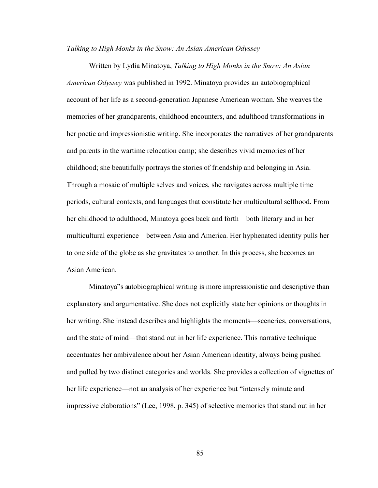#### *Talking to High Monks in the Snow: An Asian American Odyssey*

Written by Lydia Minatoya, *Talking to High Monks in the Snow: An Asian American Odyssey* was published in 1992. Minatoya provides an autobiographical account of her life as a second-generation Japanese American woman. She weaves the memories of her grandparents, childhood encounters, and adulthood transformations in her poetic and impressionistic writing. She incorporates the narratives of her grandparents and parents in the wartime relocation camp; she describes vivid memories of her childhood; she beautifully portrays the stories of friendship and belonging in Asia. Through a mosaic of multiple selves and voices, she navigates across multiple time periods, cultural contexts, and languages that constitute her multicultural selfhood. From her childhood to adulthood, Minatoya goes back and forth—both literary and in her multicultural experience—between Asia and America. Her hyphenated identity pulls her to one side of the globe as she gravitates to another. In this process, she becomes an Asian American.

Minatoya"s autobiographical writing is more impressionistic and descriptive than explanatory and argumentative. She does not explicitly state her opinions or thoughts in her writing. She instead describes and highlights the moments—sceneries, conversations, and the state of mind—that stand out in her life experience. This narrative technique accentuates her ambivalence about her Asian American identity, always being pushed and pulled by two distinct categories and worlds. She provides a collection of vignettes of her life experience—not an analysis of her experience but "intensely minute and impressive elaborations" (Lee, 1998, p. 345) of selective memories that stand out in her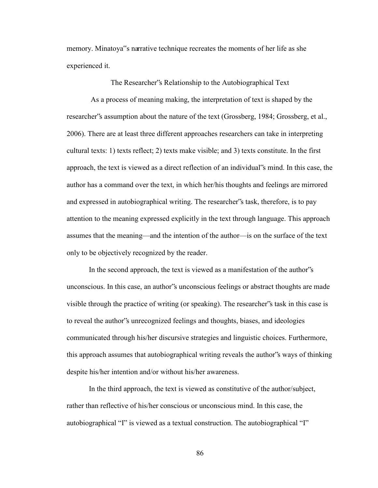memory. Minatoya"s narrative technique recreates the moments of her life as she experienced it.

The Researcher"s Relationship to the Autobiographical Text

 As a process of meaning making, the interpretation of text is shaped by the researcher"s assumption about the nature of the text (Grossberg, 1984; Grossberg, et al., 2006). There are at least three different approaches researchers can take in interpreting cultural texts: 1) texts reflect; 2) texts make visible; and 3) texts constitute. In the first approach, the text is viewed as a direct reflection of an individual"s mind. In this case, the author has a command over the text, in which her/his thoughts and feelings are mirrored and expressed in autobiographical writing. The researcher"s task, therefore, is to pay attention to the meaning expressed explicitly in the text through language. This approach assumes that the meaning—and the intention of the author—is on the surface of the text only to be objectively recognized by the reader.

In the second approach, the text is viewed as a manifestation of the author"s unconscious. In this case, an author"s unconscious feelings or abstract thoughts are made visible through the practice of writing (or speaking). The researcher"s task in this case is to reveal the author"s unrecognized feelings and thoughts, biases, and ideologies communicated through his/her discursive strategies and linguistic choices. Furthermore, this approach assumes that autobiographical writing reveals the author"s ways of thinking despite his/her intention and/or without his/her awareness.

In the third approach, the text is viewed as constitutive of the author/subject, rather than reflective of his/her conscious or unconscious mind. In this case, the autobiographical "I" is viewed as a textual construction. The autobiographical "I"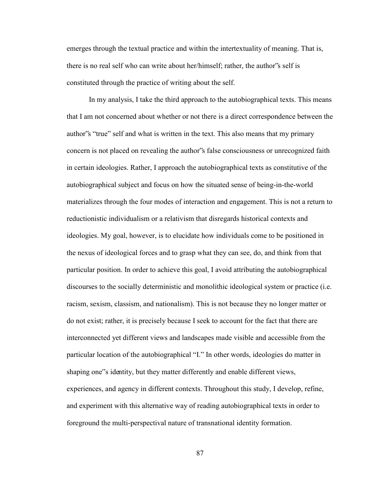emerges through the textual practice and within the intertextuality of meaning. That is, there is no real self who can write about her/himself; rather, the author"s self is constituted through the practice of writing about the self.

In my analysis, I take the third approach to the autobiographical texts. This means that I am not concerned about whether or not there is a direct correspondence between the author"s "true" self and what is written in the text. This also means that my primary concern is not placed on revealing the author"s false consciousness or unrecognized faith in certain ideologies. Rather, I approach the autobiographical texts as constitutive of the autobiographical subject and focus on how the situated sense of being-in-the-world materializes through the four modes of interaction and engagement. This is not a return to reductionistic individualism or a relativism that disregards historical contexts and ideologies. My goal, however, is to elucidate how individuals come to be positioned in the nexus of ideological forces and to grasp what they can see, do, and think from that particular position. In order to achieve this goal, I avoid attributing the autobiographical discourses to the socially deterministic and monolithic ideological system or practice (i.e. racism, sexism, classism, and nationalism). This is not because they no longer matter or do not exist; rather, it is precisely because I seek to account for the fact that there are interconnected yet different views and landscapes made visible and accessible from the particular location of the autobiographical "I." In other words, ideologies do matter in shaping one"s identity, but they matter differently and enable different views, experiences, and agency in different contexts. Throughout this study, I develop, refine, and experiment with this alternative way of reading autobiographical texts in order to foreground the multi-perspectival nature of transnational identity formation.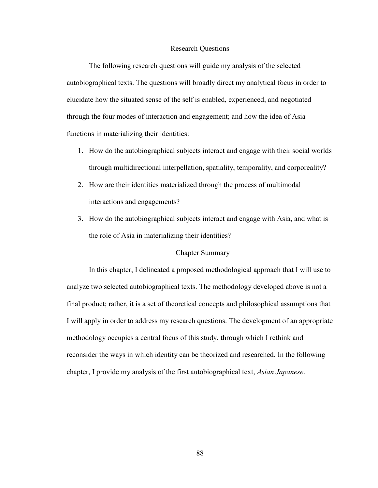### Research Questions

 The following research questions will guide my analysis of the selected autobiographical texts. The questions will broadly direct my analytical focus in order to elucidate how the situated sense of the self is enabled, experienced, and negotiated through the four modes of interaction and engagement; and how the idea of Asia functions in materializing their identities:

- 1. How do the autobiographical subjects interact and engage with their social worlds through multidirectional interpellation, spatiality, temporality, and corporeality?
- 2. How are their identities materialized through the process of multimodal interactions and engagements?
- 3. How do the autobiographical subjects interact and engage with Asia, and what is the role of Asia in materializing their identities?

# Chapter Summary

In this chapter, I delineated a proposed methodological approach that I will use to analyze two selected autobiographical texts. The methodology developed above is not a final product; rather, it is a set of theoretical concepts and philosophical assumptions that I will apply in order to address my research questions. The development of an appropriate methodology occupies a central focus of this study, through which I rethink and reconsider the ways in which identity can be theorized and researched. In the following chapter, I provide my analysis of the first autobiographical text, *Asian Japanese*.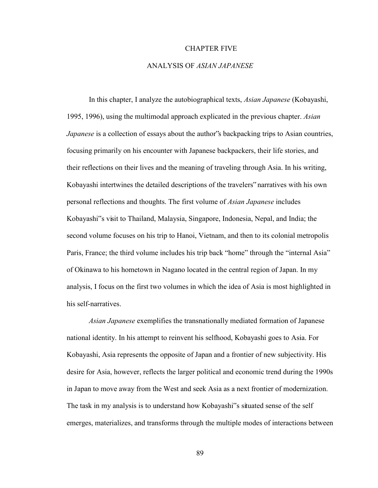#### CHAPTER FIVE

# ANALYSIS OF *ASIAN JAPANESE*

 In this chapter, I analyze the autobiographical texts, *Asian Japanese* (Kobayashi, 1995, 1996), using the multimodal approach explicated in the previous chapter. *Asian Japanese* is a collection of essays about the author's backpacking trips to Asian countries, focusing primarily on his encounter with Japanese backpackers, their life stories, and their reflections on their lives and the meaning of traveling through Asia. In his writing, Kobayashi intertwines the detailed descriptions of the travelers" narratives with his own personal reflections and thoughts. The first volume of *Asian Japanese* includes Kobayashi"s visit to Thailand, Malaysia, Singapore, Indonesia, Nepal, and India; the second volume focuses on his trip to Hanoi, Vietnam, and then to its colonial metropolis Paris, France; the third volume includes his trip back "home" through the "internal Asia" of Okinawa to his hometown in Nagano located in the central region of Japan. In my analysis, I focus on the first two volumes in which the idea of Asia is most highlighted in his self-narratives.

*Asian Japanese* exemplifies the transnationally mediated formation of Japanese national identity. In his attempt to reinvent his selfhood, Kobayashi goes to Asia. For Kobayashi, Asia represents the opposite of Japan and a frontier of new subjectivity. His desire for Asia, however, reflects the larger political and economic trend during the 1990s in Japan to move away from the West and seek Asia as a next frontier of modernization. The task in my analysis is to understand how Kobayashi"s situated sense of the self emerges, materializes, and transforms through the multiple modes of interactions between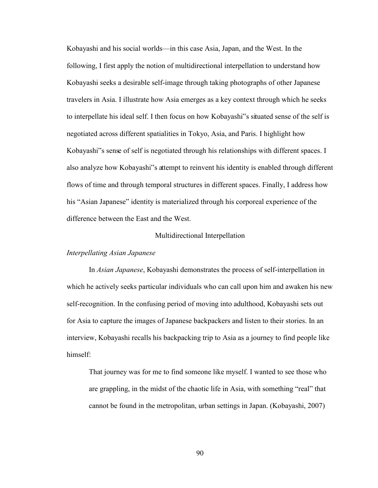Kobayashi and his social worlds—in this case Asia, Japan, and the West. In the following, I first apply the notion of multidirectional interpellation to understand how Kobayashi seeks a desirable self-image through taking photographs of other Japanese travelers in Asia. I illustrate how Asia emerges as a key context through which he seeks to interpellate his ideal self. I then focus on how Kobayashi"s situated sense of the self is negotiated across different spatialities in Tokyo, Asia, and Paris. I highlight how Kobayashi"s sense of self is negotiated through his relationships with different spaces. I also analyze how Kobayashi"s attempt to reinvent his identity is enabled through different flows of time and through temporal structures in different spaces. Finally, I address how his "Asian Japanese" identity is materialized through his corporeal experience of the difference between the East and the West.

### Multidirectional Interpellation

### *Interpellating Asian Japanese*

In *Asian Japanese*, Kobayashi demonstrates the process of self-interpellation in which he actively seeks particular individuals who can call upon him and awaken his new self-recognition. In the confusing period of moving into adulthood, Kobayashi sets out for Asia to capture the images of Japanese backpackers and listen to their stories. In an interview, Kobayashi recalls his backpacking trip to Asia as a journey to find people like himself:

That journey was for me to find someone like myself. I wanted to see those who are grappling, in the midst of the chaotic life in Asia, with something "real" that cannot be found in the metropolitan, urban settings in Japan. (Kobayashi, 2007)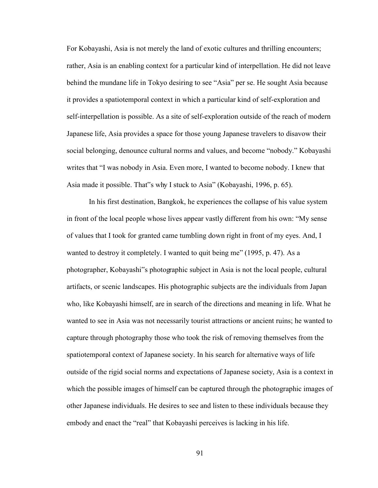For Kobayashi, Asia is not merely the land of exotic cultures and thrilling encounters; rather, Asia is an enabling context for a particular kind of interpellation. He did not leave behind the mundane life in Tokyo desiring to see "Asia" per se. He sought Asia because it provides a spatiotemporal context in which a particular kind of self-exploration and self-interpellation is possible. As a site of self-exploration outside of the reach of modern Japanese life, Asia provides a space for those young Japanese travelers to disavow their social belonging, denounce cultural norms and values, and become "nobody." Kobayashi writes that "I was nobody in Asia. Even more, I wanted to become nobody. I knew that Asia made it possible. That"s why I stuck to Asia" (Kobayashi, 1996, p. 65).

In his first destination, Bangkok, he experiences the collapse of his value system in front of the local people whose lives appear vastly different from his own: "My sense of values that I took for granted came tumbling down right in front of my eyes. And, I wanted to destroy it completely. I wanted to quit being me" (1995, p. 47). As a photographer, Kobayashi"s photographic subject in Asia is not the local people, cultural artifacts, or scenic landscapes. His photographic subjects are the individuals from Japan who, like Kobayashi himself, are in search of the directions and meaning in life. What he wanted to see in Asia was not necessarily tourist attractions or ancient ruins; he wanted to capture through photography those who took the risk of removing themselves from the spatiotemporal context of Japanese society. In his search for alternative ways of life outside of the rigid social norms and expectations of Japanese society, Asia is a context in which the possible images of himself can be captured through the photographic images of other Japanese individuals. He desires to see and listen to these individuals because they embody and enact the "real" that Kobayashi perceives is lacking in his life.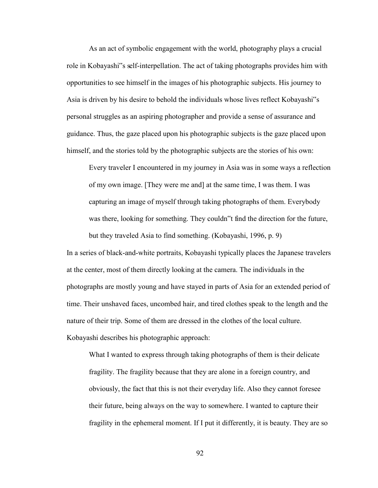As an act of symbolic engagement with the world, photography plays a crucial role in Kobayashi"s self-interpellation. The act of taking photographs provides him with opportunities to see himself in the images of his photographic subjects. His journey to Asia is driven by his desire to behold the individuals whose lives reflect Kobayashi"s personal struggles as an aspiring photographer and provide a sense of assurance and guidance. Thus, the gaze placed upon his photographic subjects is the gaze placed upon himself, and the stories told by the photographic subjects are the stories of his own:

Every traveler I encountered in my journey in Asia was in some ways a reflection of my own image. [They were me and] at the same time, I was them. I was capturing an image of myself through taking photographs of them. Everybody was there, looking for something. They couldn"t find the direction for the future, but they traveled Asia to find something. (Kobayashi, 1996, p. 9)

In a series of black-and-white portraits, Kobayashi typically places the Japanese travelers at the center, most of them directly looking at the camera. The individuals in the photographs are mostly young and have stayed in parts of Asia for an extended period of time. Their unshaved faces, uncombed hair, and tired clothes speak to the length and the nature of their trip. Some of them are dressed in the clothes of the local culture. Kobayashi describes his photographic approach:

What I wanted to express through taking photographs of them is their delicate fragility. The fragility because that they are alone in a foreign country, and obviously, the fact that this is not their everyday life. Also they cannot foresee their future, being always on the way to somewhere. I wanted to capture their fragility in the ephemeral moment. If I put it differently, it is beauty. They are so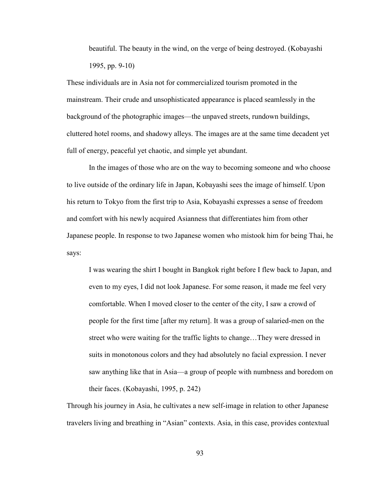beautiful. The beauty in the wind, on the verge of being destroyed. (Kobayashi 1995, pp. 9-10)

These individuals are in Asia not for commercialized tourism promoted in the mainstream. Their crude and unsophisticated appearance is placed seamlessly in the background of the photographic images—the unpaved streets, rundown buildings, cluttered hotel rooms, and shadowy alleys. The images are at the same time decadent yet full of energy, peaceful yet chaotic, and simple yet abundant.

In the images of those who are on the way to becoming someone and who choose to live outside of the ordinary life in Japan, Kobayashi sees the image of himself. Upon his return to Tokyo from the first trip to Asia, Kobayashi expresses a sense of freedom and comfort with his newly acquired Asianness that differentiates him from other Japanese people. In response to two Japanese women who mistook him for being Thai, he says:

I was wearing the shirt I bought in Bangkok right before I flew back to Japan, and even to my eyes, I did not look Japanese. For some reason, it made me feel very comfortable. When I moved closer to the center of the city, I saw a crowd of people for the first time [after my return]. It was a group of salaried-men on the street who were waiting for the traffic lights to change…They were dressed in suits in monotonous colors and they had absolutely no facial expression. I never saw anything like that in Asia—a group of people with numbness and boredom on their faces. (Kobayashi, 1995, p. 242)

Through his journey in Asia, he cultivates a new self-image in relation to other Japanese travelers living and breathing in "Asian" contexts. Asia, in this case, provides contextual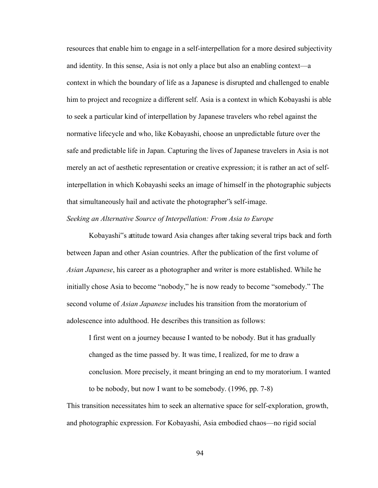resources that enable him to engage in a self-interpellation for a more desired subjectivity and identity. In this sense, Asia is not only a place but also an enabling context—a context in which the boundary of life as a Japanese is disrupted and challenged to enable him to project and recognize a different self. Asia is a context in which Kobayashi is able to seek a particular kind of interpellation by Japanese travelers who rebel against the normative lifecycle and who, like Kobayashi, choose an unpredictable future over the safe and predictable life in Japan. Capturing the lives of Japanese travelers in Asia is not merely an act of aesthetic representation or creative expression; it is rather an act of selfinterpellation in which Kobayashi seeks an image of himself in the photographic subjects that simultaneously hail and activate the photographer"s self-image. *Seeking an Alternative Source of Interpellation: From Asia to Europe* 

Kobayashi"s attitude toward Asia changes after taking several trips back and forth between Japan and other Asian countries. After the publication of the first volume of *Asian Japanese*, his career as a photographer and writer is more established. While he initially chose Asia to become "nobody," he is now ready to become "somebody." The second volume of *Asian Japanese* includes his transition from the moratorium of adolescence into adulthood. He describes this transition as follows:

I first went on a journey because I wanted to be nobody. But it has gradually changed as the time passed by. It was time, I realized, for me to draw a conclusion. More precisely, it meant bringing an end to my moratorium. I wanted to be nobody, but now I want to be somebody. (1996, pp. 7-8)

This transition necessitates him to seek an alternative space for self-exploration, growth, and photographic expression. For Kobayashi, Asia embodied chaos—no rigid social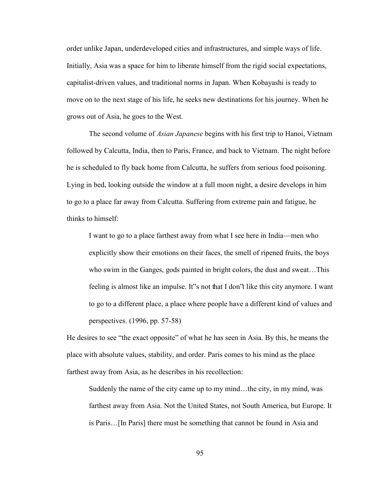order unlike Japan, underdeveloped cities and infrastructures, and simple ways of life. Initially, Asia was a space for him to liberate himself from the rigid social expectations, capitalist-driven values, and traditional norms in Japan. When Kobayashi is ready to move on to the next stage of his life, he seeks new destinations for his journey. When he grows out of Asia, he goes to the West.

The second volume of *Asian Japanese* begins with his first trip to Hanoi, Vietnam followed by Calcutta, India, then to Paris, France, and back to Vietnam. The night before he is scheduled to fly back home from Calcutta, he suffers from serious food poisoning. Lying in bed, looking outside the window at a full moon night, a desire develops in him to go to a place far away from Calcutta. Suffering from extreme pain and fatigue, he thinks to himself:

I want to go to a place farthest away from what I see here in India—men who explicitly show their emotions on their faces, the smell of ripened fruits, the boys who swim in the Ganges, gods painted in bright colors, the dust and sweat…This feeling is almost like an impulse. It"s not that I don"t like this city anymore. I want to go to a different place, a place where people have a different kind of values and perspectives. (1996, pp. 57-58)

He desires to see "the exact opposite" of what he has seen in Asia. By this, he means the place with absolute values, stability, and order. Paris comes to his mind as the place farthest away from Asia, as he describes in his recollection:

Suddenly the name of the city came up to my mind…the city, in my mind, was farthest away from Asia. Not the United States, not South America, but Europe. It is Paris…[In Paris] there must be something that cannot be found in Asia and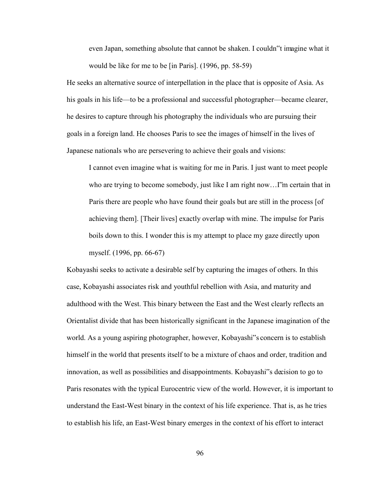even Japan, something absolute that cannot be shaken. I couldn"t imagine what it would be like for me to be [in Paris]. (1996, pp. 58-59)

He seeks an alternative source of interpellation in the place that is opposite of Asia. As his goals in his life—to be a professional and successful photographer—became clearer, he desires to capture through his photography the individuals who are pursuing their goals in a foreign land. He chooses Paris to see the images of himself in the lives of Japanese nationals who are persevering to achieve their goals and visions:

I cannot even imagine what is waiting for me in Paris. I just want to meet people who are trying to become somebody, just like I am right now…I"m certain that in Paris there are people who have found their goals but are still in the process [of achieving them]. [Their lives] exactly overlap with mine. The impulse for Paris boils down to this. I wonder this is my attempt to place my gaze directly upon myself. (1996, pp. 66-67)

Kobayashi seeks to activate a desirable self by capturing the images of others. In this case, Kobayashi associates risk and youthful rebellion with Asia, and maturity and adulthood with the West. This binary between the East and the West clearly reflects an Orientalist divide that has been historically significant in the Japanese imagination of the world. As a young aspiring photographer, however, Kobayashi"s concern is to establish himself in the world that presents itself to be a mixture of chaos and order, tradition and innovation, as well as possibilities and disappointments. Kobayashi"s decision to go to Paris resonates with the typical Eurocentric view of the world. However, it is important to understand the East-West binary in the context of his life experience. That is, as he tries to establish his life, an East-West binary emerges in the context of his effort to interact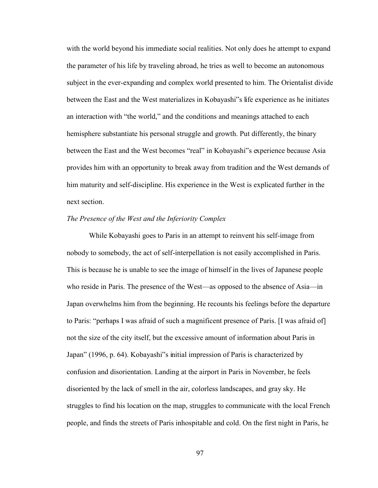with the world beyond his immediate social realities. Not only does he attempt to expand the parameter of his life by traveling abroad, he tries as well to become an autonomous subject in the ever-expanding and complex world presented to him. The Orientalist divide between the East and the West materializes in Kobayashi"s life experience as he initiates an interaction with "the world," and the conditions and meanings attached to each hemisphere substantiate his personal struggle and growth. Put differently, the binary between the East and the West becomes "real" in Kobayashi"s experience because Asia provides him with an opportunity to break away from tradition and the West demands of him maturity and self-discipline. His experience in the West is explicated further in the next section.

#### *The Presence of the West and the Inferiority Complex*

While Kobayashi goes to Paris in an attempt to reinvent his self-image from nobody to somebody, the act of self-interpellation is not easily accomplished in Paris. This is because he is unable to see the image of himself in the lives of Japanese people who reside in Paris. The presence of the West—as opposed to the absence of Asia—in Japan overwhelms him from the beginning. He recounts his feelings before the departure to Paris: "perhaps I was afraid of such a magnificent presence of Paris. [I was afraid of] not the size of the city itself, but the excessive amount of information about Paris in Japan" (1996, p. 64). Kobayashi"s initial impression of Paris is characterized by confusion and disorientation. Landing at the airport in Paris in November, he feels disoriented by the lack of smell in the air, colorless landscapes, and gray sky. He struggles to find his location on the map, struggles to communicate with the local French people, and finds the streets of Paris inhospitable and cold. On the first night in Paris, he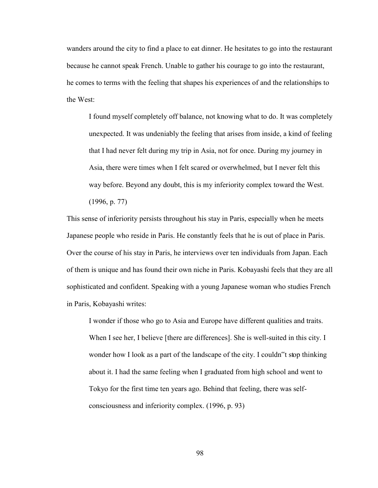wanders around the city to find a place to eat dinner. He hesitates to go into the restaurant because he cannot speak French. Unable to gather his courage to go into the restaurant, he comes to terms with the feeling that shapes his experiences of and the relationships to the West:

I found myself completely off balance, not knowing what to do. It was completely unexpected. It was undeniably the feeling that arises from inside, a kind of feeling that I had never felt during my trip in Asia, not for once. During my journey in Asia, there were times when I felt scared or overwhelmed, but I never felt this way before. Beyond any doubt, this is my inferiority complex toward the West. (1996, p. 77)

This sense of inferiority persists throughout his stay in Paris, especially when he meets Japanese people who reside in Paris. He constantly feels that he is out of place in Paris. Over the course of his stay in Paris, he interviews over ten individuals from Japan. Each of them is unique and has found their own niche in Paris. Kobayashi feels that they are all sophisticated and confident. Speaking with a young Japanese woman who studies French in Paris, Kobayashi writes:

I wonder if those who go to Asia and Europe have different qualities and traits. When I see her, I believe [there are differences]. She is well-suited in this city. I wonder how I look as a part of the landscape of the city. I couldn"t stop thinking about it. I had the same feeling when I graduated from high school and went to Tokyo for the first time ten years ago. Behind that feeling, there was selfconsciousness and inferiority complex. (1996, p. 93)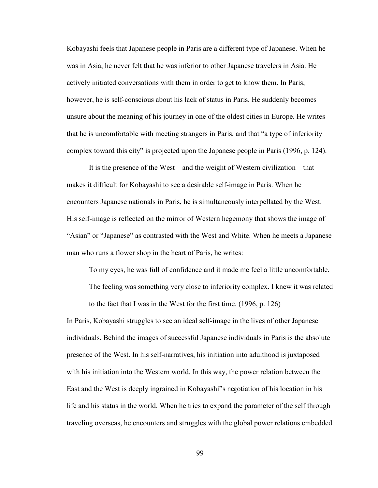Kobayashi feels that Japanese people in Paris are a different type of Japanese. When he was in Asia, he never felt that he was inferior to other Japanese travelers in Asia. He actively initiated conversations with them in order to get to know them. In Paris, however, he is self-conscious about his lack of status in Paris. He suddenly becomes unsure about the meaning of his journey in one of the oldest cities in Europe. He writes that he is uncomfortable with meeting strangers in Paris, and that "a type of inferiority complex toward this city" is projected upon the Japanese people in Paris (1996, p. 124).

It is the presence of the West—and the weight of Western civilization—that makes it difficult for Kobayashi to see a desirable self-image in Paris. When he encounters Japanese nationals in Paris, he is simultaneously interpellated by the West. His self-image is reflected on the mirror of Western hegemony that shows the image of "Asian" or "Japanese" as contrasted with the West and White. When he meets a Japanese man who runs a flower shop in the heart of Paris, he writes:

To my eyes, he was full of confidence and it made me feel a little uncomfortable.

The feeling was something very close to inferiority complex. I knew it was related to the fact that I was in the West for the first time. (1996, p. 126)

In Paris, Kobayashi struggles to see an ideal self-image in the lives of other Japanese individuals. Behind the images of successful Japanese individuals in Paris is the absolute presence of the West. In his self-narratives, his initiation into adulthood is juxtaposed with his initiation into the Western world. In this way, the power relation between the East and the West is deeply ingrained in Kobayashi"s negotiation of his location in his life and his status in the world. When he tries to expand the parameter of the self through traveling overseas, he encounters and struggles with the global power relations embedded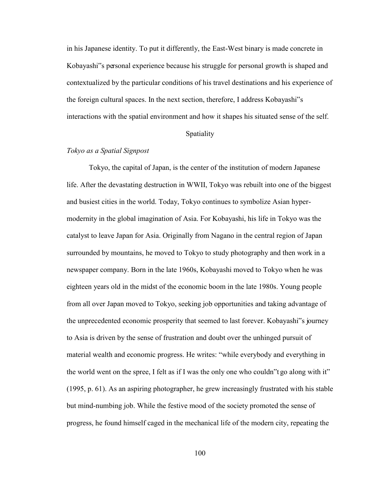in his Japanese identity. To put it differently, the East-West binary is made concrete in Kobayashi"s personal experience because his struggle for personal growth is shaped and contextualized by the particular conditions of his travel destinations and his experience of the foreign cultural spaces. In the next section, therefore, I address Kobayashi"s interactions with the spatial environment and how it shapes his situated sense of the self.

# Spatiality

# *Tokyo as a Spatial Signpost*

Tokyo, the capital of Japan, is the center of the institution of modern Japanese life. After the devastating destruction in WWII, Tokyo was rebuilt into one of the biggest and busiest cities in the world. Today, Tokyo continues to symbolize Asian hypermodernity in the global imagination of Asia. For Kobayashi, his life in Tokyo was the catalyst to leave Japan for Asia. Originally from Nagano in the central region of Japan surrounded by mountains, he moved to Tokyo to study photography and then work in a newspaper company. Born in the late 1960s, Kobayashi moved to Tokyo when he was eighteen years old in the midst of the economic boom in the late 1980s. Young people from all over Japan moved to Tokyo, seeking job opportunities and taking advantage of the unprecedented economic prosperity that seemed to last forever. Kobayashi"s journey to Asia is driven by the sense of frustration and doubt over the unhinged pursuit of material wealth and economic progress. He writes: "while everybody and everything in the world went on the spree, I felt as if I was the only one who couldn"t go along with it" (1995, p. 61). As an aspiring photographer, he grew increasingly frustrated with his stable but mind-numbing job. While the festive mood of the society promoted the sense of progress, he found himself caged in the mechanical life of the modern city, repeating the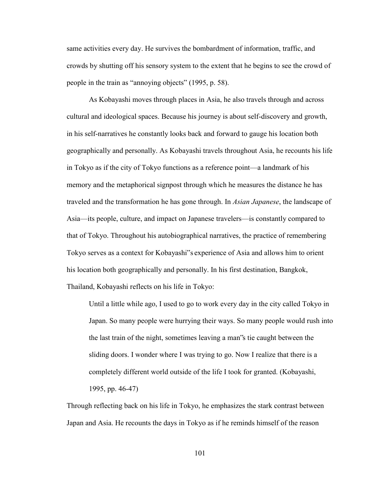same activities every day. He survives the bombardment of information, traffic, and crowds by shutting off his sensory system to the extent that he begins to see the crowd of people in the train as "annoying objects" (1995, p. 58).

As Kobayashi moves through places in Asia, he also travels through and across cultural and ideological spaces. Because his journey is about self-discovery and growth, in his self-narratives he constantly looks back and forward to gauge his location both geographically and personally. As Kobayashi travels throughout Asia, he recounts his life in Tokyo as if the city of Tokyo functions as a reference point—a landmark of his memory and the metaphorical signpost through which he measures the distance he has traveled and the transformation he has gone through. In *Asian Japanese*, the landscape of Asia—its people, culture, and impact on Japanese travelers—is constantly compared to that of Tokyo. Throughout his autobiographical narratives, the practice of remembering Tokyo serves as a context for Kobayashi"s experience of Asia and allows him to orient his location both geographically and personally. In his first destination, Bangkok, Thailand, Kobayashi reflects on his life in Tokyo:

Until a little while ago, I used to go to work every day in the city called Tokyo in Japan. So many people were hurrying their ways. So many people would rush into the last train of the night, sometimes leaving a man"s tie caught between the sliding doors. I wonder where I was trying to go. Now I realize that there is a completely different world outside of the life I took for granted. (Kobayashi, 1995, pp. 46-47)

Through reflecting back on his life in Tokyo, he emphasizes the stark contrast between Japan and Asia. He recounts the days in Tokyo as if he reminds himself of the reason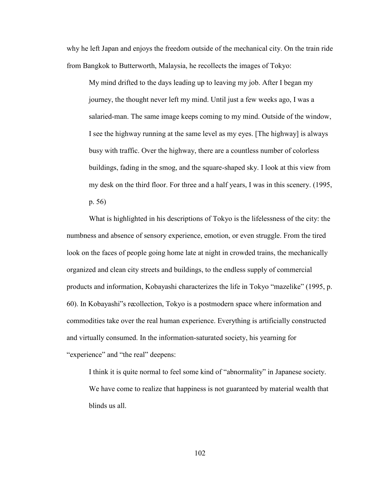why he left Japan and enjoys the freedom outside of the mechanical city. On the train ride from Bangkok to Butterworth, Malaysia, he recollects the images of Tokyo:

My mind drifted to the days leading up to leaving my job. After I began my journey, the thought never left my mind. Until just a few weeks ago, I was a salaried-man. The same image keeps coming to my mind. Outside of the window, I see the highway running at the same level as my eyes. [The highway] is always busy with traffic. Over the highway, there are a countless number of colorless buildings, fading in the smog, and the square-shaped sky. I look at this view from my desk on the third floor. For three and a half years, I was in this scenery. (1995, p. 56)

What is highlighted in his descriptions of Tokyo is the lifelessness of the city: the numbness and absence of sensory experience, emotion, or even struggle. From the tired look on the faces of people going home late at night in crowded trains, the mechanically organized and clean city streets and buildings, to the endless supply of commercial products and information, Kobayashi characterizes the life in Tokyo "mazelike" (1995, p. 60). In Kobayashi"s recollection, Tokyo is a postmodern space where information and commodities take over the real human experience. Everything is artificially constructed and virtually consumed. In the information-saturated society, his yearning for "experience" and "the real" deepens:

I think it is quite normal to feel some kind of "abnormality" in Japanese society. We have come to realize that happiness is not guaranteed by material wealth that blinds us all.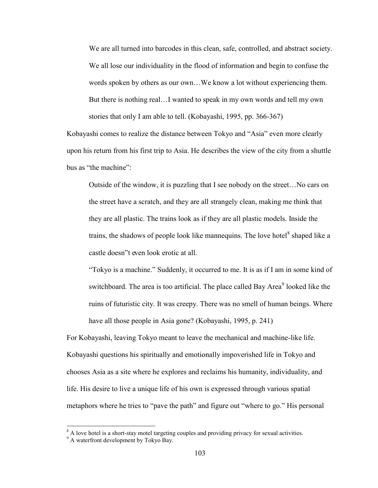We are all turned into barcodes in this clean, safe, controlled, and abstract society. We all lose our individuality in the flood of information and begin to confuse the words spoken by others as our own…We know a lot without experiencing them. But there is nothing real…I wanted to speak in my own words and tell my own stories that only I am able to tell. (Kobayashi, 1995, pp. 366-367)

Kobayashi comes to realize the distance between Tokyo and "Asia" even more clearly upon his return from his first trip to Asia. He describes the view of the city from a shuttle bus as "the machine":

Outside of the window, it is puzzling that I see nobody on the street…No cars on the street have a scratch, and they are all strangely clean, making me think that they are all plastic. The trains look as if they are all plastic models. Inside the trains, the shadows of people look like mannequins. The love hotel<sup>8</sup> shaped like a castle doesn"t even look erotic at all.

"Tokyo is a machine." Suddenly, it occurred to me. It is as if I am in some kind of switchboard. The area is too artificial. The place called Bay Area<sup>9</sup> looked like the ruins of futuristic city. It was creepy. There was no smell of human beings. Where have all those people in Asia gone? (Kobayashi, 1995, p. 241)

For Kobayashi, leaving Tokyo meant to leave the mechanical and machine-like life. Kobayashi questions his spiritually and emotionally impoverished life in Tokyo and chooses Asia as a site where he explores and reclaims his humanity, individuality, and life. His desire to live a unique life of his own is expressed through various spatial metaphors where he tries to "pave the path" and figure out "where to go." His personal

<sup>&</sup>lt;sup>8</sup> A love hotel is a short-stay motel targeting couples and providing privacy for sexual activities.

<sup>&</sup>lt;sup>9</sup> A waterfront development by Tokyo Bay.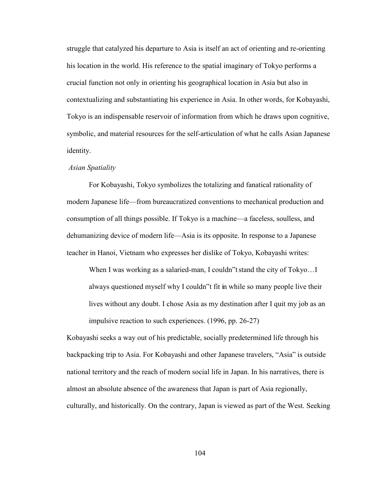struggle that catalyzed his departure to Asia is itself an act of orienting and re-orienting his location in the world. His reference to the spatial imaginary of Tokyo performs a crucial function not only in orienting his geographical location in Asia but also in contextualizing and substantiating his experience in Asia. In other words, for Kobayashi, Tokyo is an indispensable reservoir of information from which he draws upon cognitive, symbolic, and material resources for the self-articulation of what he calls Asian Japanese identity.

## *Asian Spatiality*

For Kobayashi, Tokyo symbolizes the totalizing and fanatical rationality of modern Japanese life—from bureaucratized conventions to mechanical production and consumption of all things possible. If Tokyo is a machine—a faceless, soulless, and dehumanizing device of modern life—Asia is its opposite. In response to a Japanese teacher in Hanoi, Vietnam who expresses her dislike of Tokyo, Kobayashi writes:

When I was working as a salaried-man, I couldn to stand the city of Tokyo...I always questioned myself why I couldn"t fit in while so many people live their lives without any doubt. I chose Asia as my destination after I quit my job as an impulsive reaction to such experiences. (1996, pp. 26-27)

Kobayashi seeks a way out of his predictable, socially predetermined life through his backpacking trip to Asia. For Kobayashi and other Japanese travelers, "Asia" is outside national territory and the reach of modern social life in Japan. In his narratives, there is almost an absolute absence of the awareness that Japan is part of Asia regionally, culturally, and historically. On the contrary, Japan is viewed as part of the West. Seeking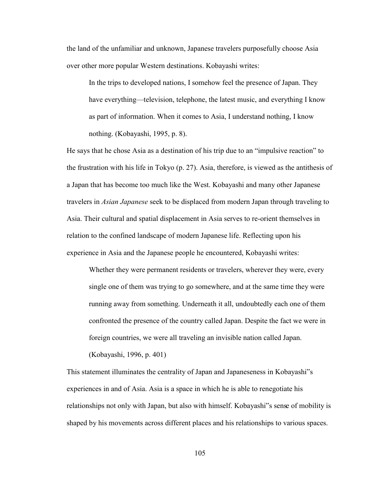the land of the unfamiliar and unknown, Japanese travelers purposefully choose Asia over other more popular Western destinations. Kobayashi writes:

In the trips to developed nations, I somehow feel the presence of Japan. They have everything—television, telephone, the latest music, and everything I know as part of information. When it comes to Asia, I understand nothing, I know nothing. (Kobayashi, 1995, p. 8).

He says that he chose Asia as a destination of his trip due to an "impulsive reaction" to the frustration with his life in Tokyo (p. 27). Asia, therefore, is viewed as the antithesis of a Japan that has become too much like the West. Kobayashi and many other Japanese travelers in *Asian Japanese* seek to be displaced from modern Japan through traveling to Asia. Their cultural and spatial displacement in Asia serves to re-orient themselves in relation to the confined landscape of modern Japanese life. Reflecting upon his experience in Asia and the Japanese people he encountered, Kobayashi writes:

Whether they were permanent residents or travelers, wherever they were, every single one of them was trying to go somewhere, and at the same time they were running away from something. Underneath it all, undoubtedly each one of them confronted the presence of the country called Japan. Despite the fact we were in foreign countries, we were all traveling an invisible nation called Japan.

(Kobayashi, 1996, p. 401)

This statement illuminates the centrality of Japan and Japaneseness in Kobayashi"s experiences in and of Asia. Asia is a space in which he is able to renegotiate his relationships not only with Japan, but also with himself. Kobayashi"s sense of mobility is shaped by his movements across different places and his relationships to various spaces.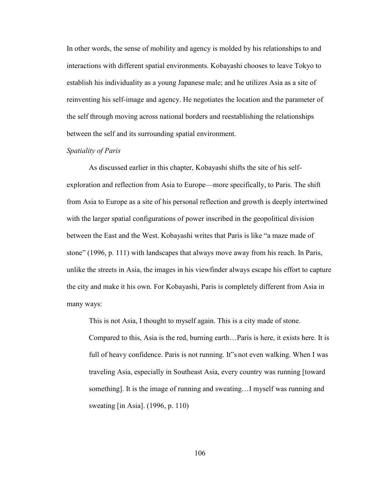In other words, the sense of mobility and agency is molded by his relationships to and interactions with different spatial environments. Kobayashi chooses to leave Tokyo to establish his individuality as a young Japanese male; and he utilizes Asia as a site of reinventing his self-image and agency. He negotiates the location and the parameter of the self through moving across national borders and reestablishing the relationships between the self and its surrounding spatial environment.

# *Spatiality of Paris*

As discussed earlier in this chapter, Kobayashi shifts the site of his selfexploration and reflection from Asia to Europe—more specifically, to Paris. The shift from Asia to Europe as a site of his personal reflection and growth is deeply intertwined with the larger spatial configurations of power inscribed in the geopolitical division between the East and the West. Kobayashi writes that Paris is like "a maze made of stone" (1996, p. 111) with landscapes that always move away from his reach. In Paris, unlike the streets in Asia, the images in his viewfinder always escape his effort to capture the city and make it his own. For Kobayashi, Paris is completely different from Asia in many ways:

This is not Asia, I thought to myself again. This is a city made of stone. Compared to this, Asia is the red, burning earth…Paris is here, it exists here. It is full of heavy confidence. Paris is not running. It snot even walking. When I was traveling Asia, especially in Southeast Asia, every country was running [toward something]. It is the image of running and sweating…I myself was running and sweating [in Asia]. (1996, p. 110)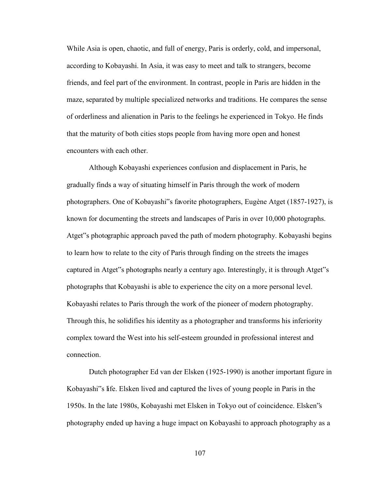While Asia is open, chaotic, and full of energy, Paris is orderly, cold, and impersonal, according to Kobayashi. In Asia, it was easy to meet and talk to strangers, become friends, and feel part of the environment. In contrast, people in Paris are hidden in the maze, separated by multiple specialized networks and traditions. He compares the sense of orderliness and alienation in Paris to the feelings he experienced in Tokyo. He finds that the maturity of both cities stops people from having more open and honest encounters with each other.

Although Kobayashi experiences confusion and displacement in Paris, he gradually finds a way of situating himself in Paris through the work of modern photographers. One of Kobayashi"s favorite photographers, Eugène Atget (1857-1927), is known for documenting the streets and landscapes of Paris in over 10,000 photographs. Atget"s photographic approach paved the path of modern photography. Kobayashi begins to learn how to relate to the city of Paris through finding on the streets the images captured in Atget"s photographs nearly a century ago. Interestingly, it is through Atget"s photographs that Kobayashi is able to experience the city on a more personal level. Kobayashi relates to Paris through the work of the pioneer of modern photography. Through this, he solidifies his identity as a photographer and transforms his inferiority complex toward the West into his self-esteem grounded in professional interest and connection.

Dutch photographer Ed van der Elsken (1925-1990) is another important figure in Kobayashi"s life. Elsken lived and captured the lives of young people in Paris in the 1950s. In the late 1980s, Kobayashi met Elsken in Tokyo out of coincidence. Elsken"s photography ended up having a huge impact on Kobayashi to approach photography as a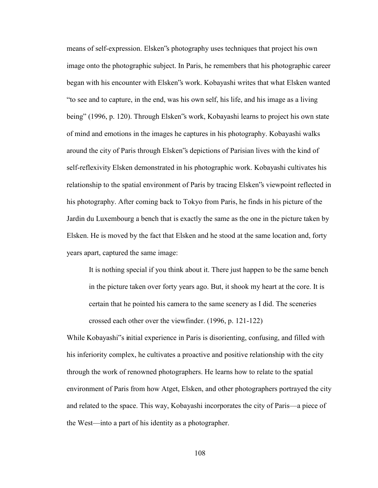means of self-expression. Elsken"s photography uses techniques that project his own image onto the photographic subject. In Paris, he remembers that his photographic career began with his encounter with Elsken"s work. Kobayashi writes that what Elsken wanted "to see and to capture, in the end, was his own self, his life, and his image as a living being" (1996, p. 120). Through Elsken"s work, Kobayashi learns to project his own state of mind and emotions in the images he captures in his photography. Kobayashi walks around the city of Paris through Elsken"s depictions of Parisian lives with the kind of self-reflexivity Elsken demonstrated in his photographic work. Kobayashi cultivates his relationship to the spatial environment of Paris by tracing Elsken"s viewpoint reflected in his photography. After coming back to Tokyo from Paris, he finds in his picture of the Jardin du Luxembourg a bench that is exactly the same as the one in the picture taken by Elsken. He is moved by the fact that Elsken and he stood at the same location and, forty years apart, captured the same image:

It is nothing special if you think about it. There just happen to be the same bench in the picture taken over forty years ago. But, it shook my heart at the core. It is certain that he pointed his camera to the same scenery as I did. The sceneries crossed each other over the viewfinder. (1996, p. 121-122)

While Kobayashi<sup>\*s</sup> initial experience in Paris is disorienting, confusing, and filled with his inferiority complex, he cultivates a proactive and positive relationship with the city through the work of renowned photographers. He learns how to relate to the spatial environment of Paris from how Atget, Elsken, and other photographers portrayed the city and related to the space. This way, Kobayashi incorporates the city of Paris—a piece of the West—into a part of his identity as a photographer.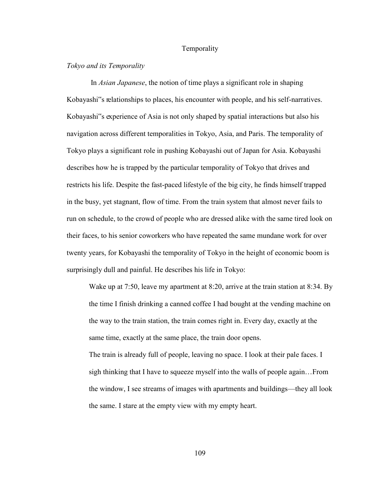## Temporality

# *Tokyo and its Temporality*

 In *Asian Japanese*, the notion of time plays a significant role in shaping Kobayashi"s relationships to places, his encounter with people, and his self-narratives. Kobayashi"s experience of Asia is not only shaped by spatial interactions but also his navigation across different temporalities in Tokyo, Asia, and Paris. The temporality of Tokyo plays a significant role in pushing Kobayashi out of Japan for Asia. Kobayashi describes how he is trapped by the particular temporality of Tokyo that drives and restricts his life. Despite the fast-paced lifestyle of the big city, he finds himself trapped in the busy, yet stagnant, flow of time. From the train system that almost never fails to run on schedule, to the crowd of people who are dressed alike with the same tired look on their faces, to his senior coworkers who have repeated the same mundane work for over twenty years, for Kobayashi the temporality of Tokyo in the height of economic boom is surprisingly dull and painful. He describes his life in Tokyo:

Wake up at 7:50, leave my apartment at 8:20, arrive at the train station at 8:34. By the time I finish drinking a canned coffee I had bought at the vending machine on the way to the train station, the train comes right in. Every day, exactly at the same time, exactly at the same place, the train door opens.

The train is already full of people, leaving no space. I look at their pale faces. I sigh thinking that I have to squeeze myself into the walls of people again…From the window, I see streams of images with apartments and buildings—they all look the same. I stare at the empty view with my empty heart.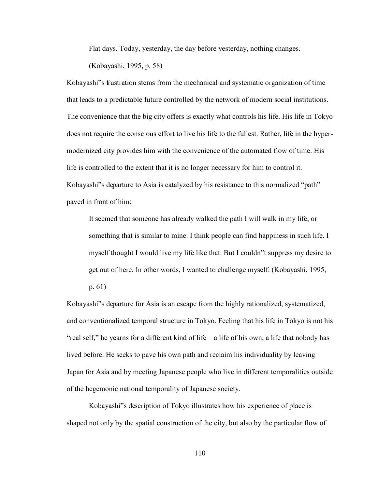Flat days. Today, yesterday, the day before yesterday, nothing changes.

(Kobayashi, 1995, p. 58)

Kobayashi"s frustration stems from the mechanical and systematic organization of time that leads to a predictable future controlled by the network of modern social institutions. The convenience that the big city offers is exactly what controls his life. His life in Tokyo does not require the conscious effort to live his life to the fullest. Rather, life in the hypermodernized city provides him with the convenience of the automated flow of time. His life is controlled to the extent that it is no longer necessary for him to control it. Kobayashi"s departure to Asia is catalyzed by his resistance to this normalized "path" paved in front of him:

It seemed that someone has already walked the path I will walk in my life, or something that is similar to mine. I think people can find happiness in such life. I myself thought I would live my life like that. But I couldn"t suppress my desire to get out of here. In other words, I wanted to challenge myself. (Kobayashi, 1995,

p. 61)

Kobayashi"s departure for Asia is an escape from the highly rationalized, systematized, and conventionalized temporal structure in Tokyo. Feeling that his life in Tokyo is not his "real self," he yearns for a different kind of life—a life of his own, a life that nobody has lived before. He seeks to pave his own path and reclaim his individuality by leaving Japan for Asia and by meeting Japanese people who live in different temporalities outside of the hegemonic national temporality of Japanese society.

Kobayashi"s description of Tokyo illustrates how his experience of place is shaped not only by the spatial construction of the city, but also by the particular flow of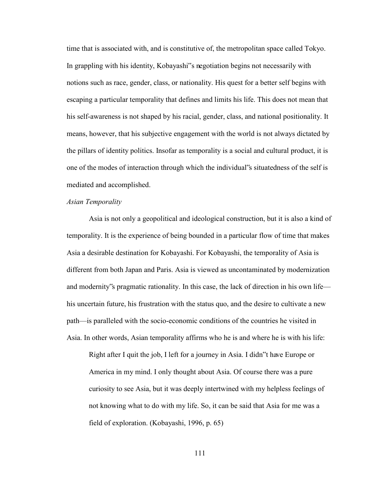time that is associated with, and is constitutive of, the metropolitan space called Tokyo. In grappling with his identity, Kobayashi"s negotiation begins not necessarily with notions such as race, gender, class, or nationality. His quest for a better self begins with escaping a particular temporality that defines and limits his life. This does not mean that his self-awareness is not shaped by his racial, gender, class, and national positionality. It means, however, that his subjective engagement with the world is not always dictated by the pillars of identity politics. Insofar as temporality is a social and cultural product, it is one of the modes of interaction through which the individual"s situatedness of the self is mediated and accomplished.

# *Asian Temporality*

Asia is not only a geopolitical and ideological construction, but it is also a kind of temporality. It is the experience of being bounded in a particular flow of time that makes Asia a desirable destination for Kobayashi. For Kobayashi, the temporality of Asia is different from both Japan and Paris. Asia is viewed as uncontaminated by modernization and modernity"s pragmatic rationality. In this case, the lack of direction in his own life his uncertain future, his frustration with the status quo, and the desire to cultivate a new path—is paralleled with the socio-economic conditions of the countries he visited in Asia. In other words, Asian temporality affirms who he is and where he is with his life:

Right after I quit the job, I left for a journey in Asia. I didn"t have Europe or America in my mind. I only thought about Asia. Of course there was a pure curiosity to see Asia, but it was deeply intertwined with my helpless feelings of not knowing what to do with my life. So, it can be said that Asia for me was a field of exploration. (Kobayashi, 1996, p. 65)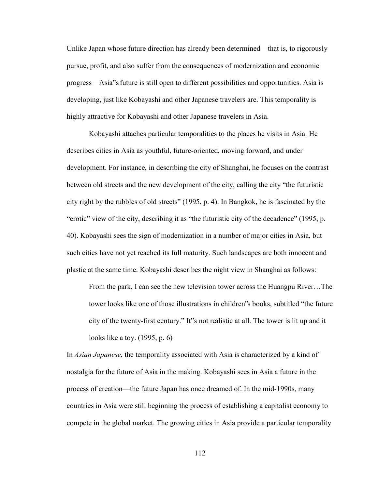Unlike Japan whose future direction has already been determined—that is, to rigorously pursue, profit, and also suffer from the consequences of modernization and economic progress—Asia"s future is still open to different possibilities and opportunities. Asia is developing, just like Kobayashi and other Japanese travelers are. This temporality is highly attractive for Kobayashi and other Japanese travelers in Asia.

Kobayashi attaches particular temporalities to the places he visits in Asia. He describes cities in Asia as youthful, future-oriented, moving forward, and under development. For instance, in describing the city of Shanghai, he focuses on the contrast between old streets and the new development of the city, calling the city "the futuristic city right by the rubbles of old streets" (1995, p. 4). In Bangkok, he is fascinated by the "erotic" view of the city, describing it as "the futuristic city of the decadence" (1995, p. 40). Kobayashi sees the sign of modernization in a number of major cities in Asia, but such cities have not yet reached its full maturity. Such landscapes are both innocent and plastic at the same time. Kobayashi describes the night view in Shanghai as follows:

From the park, I can see the new television tower across the Huangpu River…The tower looks like one of those illustrations in children"s books, subtitled "the future city of the twenty-first century." It"s not realistic at all. The tower is lit up and it looks like a toy. (1995, p. 6)

In *Asian Japanese*, the temporality associated with Asia is characterized by a kind of nostalgia for the future of Asia in the making. Kobayashi sees in Asia a future in the process of creation—the future Japan has once dreamed of. In the mid-1990s, many countries in Asia were still beginning the process of establishing a capitalist economy to compete in the global market. The growing cities in Asia provide a particular temporality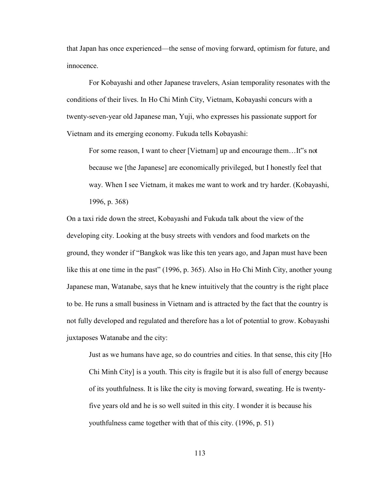that Japan has once experienced—the sense of moving forward, optimism for future, and innocence.

For Kobayashi and other Japanese travelers, Asian temporality resonates with the conditions of their lives. In Ho Chi Minh City, Vietnam, Kobayashi concurs with a twenty-seven-year old Japanese man, Yuji, who expresses his passionate support for Vietnam and its emerging economy. Fukuda tells Kobayashi:

For some reason, I want to cheer [Vietnam] up and encourage them...It"s not because we [the Japanese] are economically privileged, but I honestly feel that way. When I see Vietnam, it makes me want to work and try harder. (Kobayashi, 1996, p. 368)

On a taxi ride down the street, Kobayashi and Fukuda talk about the view of the developing city. Looking at the busy streets with vendors and food markets on the ground, they wonder if "Bangkok was like this ten years ago, and Japan must have been like this at one time in the past" (1996, p. 365). Also in Ho Chi Minh City, another young Japanese man, Watanabe, says that he knew intuitively that the country is the right place to be. He runs a small business in Vietnam and is attracted by the fact that the country is not fully developed and regulated and therefore has a lot of potential to grow. Kobayashi juxtaposes Watanabe and the city:

Just as we humans have age, so do countries and cities. In that sense, this city [Ho Chi Minh City] is a youth. This city is fragile but it is also full of energy because of its youthfulness. It is like the city is moving forward, sweating. He is twentyfive years old and he is so well suited in this city. I wonder it is because his youthfulness came together with that of this city. (1996, p. 51)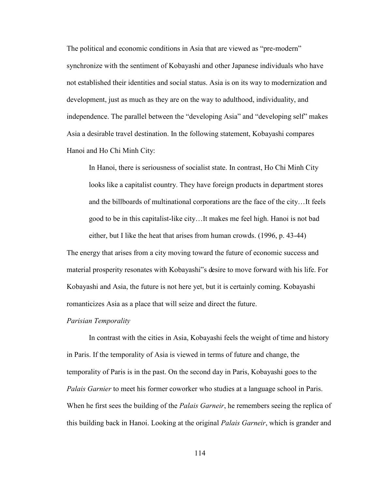The political and economic conditions in Asia that are viewed as "pre-modern" synchronize with the sentiment of Kobayashi and other Japanese individuals who have not established their identities and social status. Asia is on its way to modernization and development, just as much as they are on the way to adulthood, individuality, and independence. The parallel between the "developing Asia" and "developing self" makes Asia a desirable travel destination. In the following statement, Kobayashi compares Hanoi and Ho Chi Minh City:

In Hanoi, there is seriousness of socialist state. In contrast, Ho Chi Minh City looks like a capitalist country. They have foreign products in department stores and the billboards of multinational corporations are the face of the city…It feels good to be in this capitalist-like city…It makes me feel high. Hanoi is not bad either, but I like the heat that arises from human crowds. (1996, p. 43-44)

The energy that arises from a city moving toward the future of economic success and material prosperity resonates with Kobayashi"s desire to move forward with his life. For Kobayashi and Asia, the future is not here yet, but it is certainly coming. Kobayashi romanticizes Asia as a place that will seize and direct the future.

#### *Parisian Temporality*

In contrast with the cities in Asia, Kobayashi feels the weight of time and history in Paris. If the temporality of Asia is viewed in terms of future and change, the temporality of Paris is in the past. On the second day in Paris, Kobayashi goes to the *Palais Garnier* to meet his former coworker who studies at a language school in Paris. When he first sees the building of the *Palais Garneir*, he remembers seeing the replica of this building back in Hanoi. Looking at the original *Palais Garneir*, which is grander and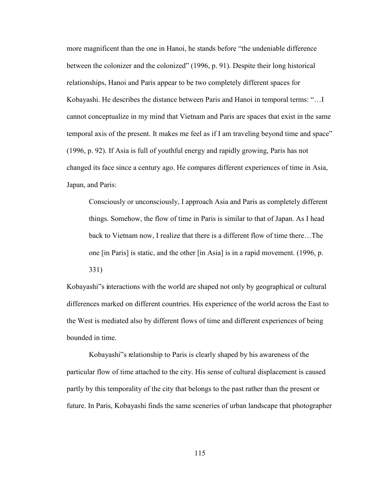more magnificent than the one in Hanoi, he stands before "the undeniable difference between the colonizer and the colonized" (1996, p. 91). Despite their long historical relationships, Hanoi and Paris appear to be two completely different spaces for Kobayashi. He describes the distance between Paris and Hanoi in temporal terms: "…I cannot conceptualize in my mind that Vietnam and Paris are spaces that exist in the same temporal axis of the present. It makes me feel as if I am traveling beyond time and space" (1996, p. 92). If Asia is full of youthful energy and rapidly growing, Paris has not changed its face since a century ago. He compares different experiences of time in Asia, Japan, and Paris:

Consciously or unconsciously, I approach Asia and Paris as completely different things. Somehow, the flow of time in Paris is similar to that of Japan. As I head back to Vietnam now, I realize that there is a different flow of time there…The one [in Paris] is static, and the other [in Asia] is in a rapid movement. (1996, p. 331)

Kobayashi"s interactions with the world are shaped not only by geographical or cultural differences marked on different countries. His experience of the world across the East to the West is mediated also by different flows of time and different experiences of being bounded in time.

Kobayashi"s relationship to Paris is clearly shaped by his awareness of the particular flow of time attached to the city. His sense of cultural displacement is caused partly by this temporality of the city that belongs to the past rather than the present or future. In Paris, Kobayashi finds the same sceneries of urban landscape that photographer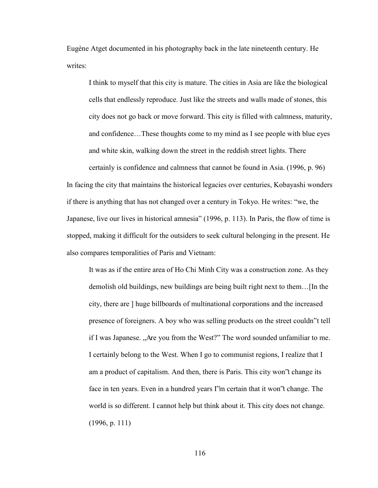Eugène Atget documented in his photography back in the late nineteenth century. He writes<sup>.</sup>

I think to myself that this city is mature. The cities in Asia are like the biological cells that endlessly reproduce. Just like the streets and walls made of stones, this city does not go back or move forward. This city is filled with calmness, maturity, and confidence…These thoughts come to my mind as I see people with blue eyes and white skin, walking down the street in the reddish street lights. There

certainly is confidence and calmness that cannot be found in Asia. (1996, p. 96) In facing the city that maintains the historical legacies over centuries, Kobayashi wonders if there is anything that has not changed over a century in Tokyo. He writes: "we, the Japanese, live our lives in historical amnesia" (1996, p. 113). In Paris, the flow of time is stopped, making it difficult for the outsiders to seek cultural belonging in the present. He also compares temporalities of Paris and Vietnam:

It was as if the entire area of Ho Chi Minh City was a construction zone. As they demolish old buildings, new buildings are being built right next to them…[In the city, there are ] huge billboards of multinational corporations and the increased presence of foreigners. A boy who was selling products on the street couldn"t tell if I was Japanese. "Are you from the West?" The word sounded unfamiliar to me. I certainly belong to the West. When I go to communist regions, I realize that I am a product of capitalism. And then, there is Paris. This city won"t change its face in ten years. Even in a hundred years I"m certain that it won"t change. The world is so different. I cannot help but think about it. This city does not change. (1996, p. 111)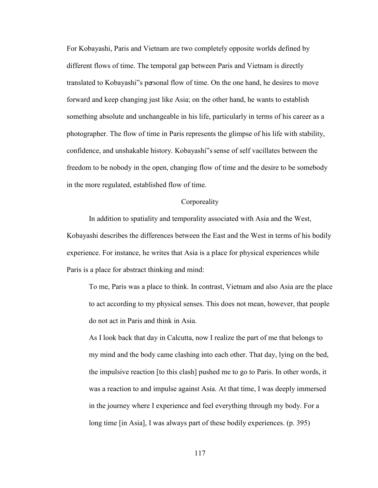For Kobayashi, Paris and Vietnam are two completely opposite worlds defined by different flows of time. The temporal gap between Paris and Vietnam is directly translated to Kobayashi"s personal flow of time. On the one hand, he desires to move forward and keep changing just like Asia; on the other hand, he wants to establish something absolute and unchangeable in his life, particularly in terms of his career as a photographer. The flow of time in Paris represents the glimpse of his life with stability, confidence, and unshakable history. Kobayashi"s sense of self vacillates between the freedom to be nobody in the open, changing flow of time and the desire to be somebody in the more regulated, established flow of time.

# **Corporeality**

 In addition to spatiality and temporality associated with Asia and the West, Kobayashi describes the differences between the East and the West in terms of his bodily experience. For instance, he writes that Asia is a place for physical experiences while Paris is a place for abstract thinking and mind:

To me, Paris was a place to think. In contrast, Vietnam and also Asia are the place to act according to my physical senses. This does not mean, however, that people do not act in Paris and think in Asia.

As I look back that day in Calcutta, now I realize the part of me that belongs to my mind and the body came clashing into each other. That day, lying on the bed, the impulsive reaction [to this clash] pushed me to go to Paris. In other words, it was a reaction to and impulse against Asia. At that time, I was deeply immersed in the journey where I experience and feel everything through my body. For a long time [in Asia], I was always part of these bodily experiences. (p. 395)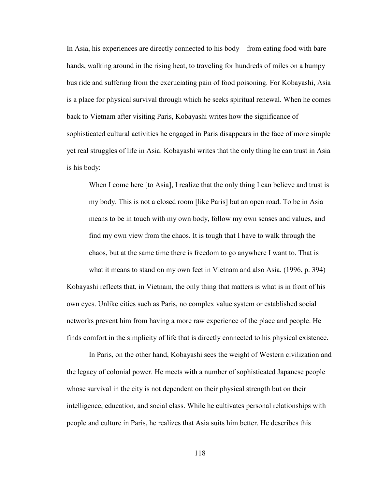In Asia, his experiences are directly connected to his body—from eating food with bare hands, walking around in the rising heat, to traveling for hundreds of miles on a bumpy bus ride and suffering from the excruciating pain of food poisoning. For Kobayashi, Asia is a place for physical survival through which he seeks spiritual renewal. When he comes back to Vietnam after visiting Paris, Kobayashi writes how the significance of sophisticated cultural activities he engaged in Paris disappears in the face of more simple yet real struggles of life in Asia. Kobayashi writes that the only thing he can trust in Asia is his body:

When I come here [to Asia], I realize that the only thing I can believe and trust is my body. This is not a closed room [like Paris] but an open road. To be in Asia means to be in touch with my own body, follow my own senses and values, and find my own view from the chaos. It is tough that I have to walk through the chaos, but at the same time there is freedom to go anywhere I want to. That is what it means to stand on my own feet in Vietnam and also Asia. (1996, p. 394)

Kobayashi reflects that, in Vietnam, the only thing that matters is what is in front of his own eyes. Unlike cities such as Paris, no complex value system or established social networks prevent him from having a more raw experience of the place and people. He finds comfort in the simplicity of life that is directly connected to his physical existence.

In Paris, on the other hand, Kobayashi sees the weight of Western civilization and the legacy of colonial power. He meets with a number of sophisticated Japanese people whose survival in the city is not dependent on their physical strength but on their intelligence, education, and social class. While he cultivates personal relationships with people and culture in Paris, he realizes that Asia suits him better. He describes this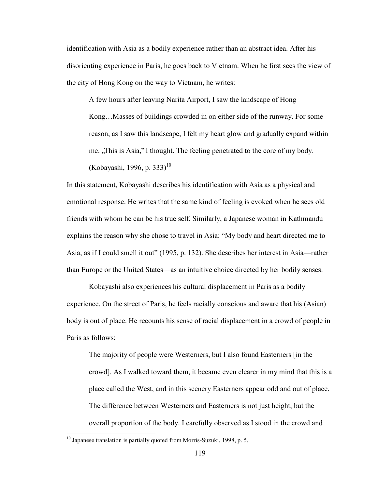identification with Asia as a bodily experience rather than an abstract idea. After his disorienting experience in Paris, he goes back to Vietnam. When he first sees the view of the city of Hong Kong on the way to Vietnam, he writes:

A few hours after leaving Narita Airport, I saw the landscape of Hong Kong…Masses of buildings crowded in on either side of the runway. For some reason, as I saw this landscape, I felt my heart glow and gradually expand within me. "This is Asia," I thought. The feeling penetrated to the core of my body. (Kobayashi, 1996, p. 333)<sup>10</sup>

In this statement, Kobayashi describes his identification with Asia as a physical and emotional response. He writes that the same kind of feeling is evoked when he sees old friends with whom he can be his true self. Similarly, a Japanese woman in Kathmandu explains the reason why she chose to travel in Asia: "My body and heart directed me to Asia, as if I could smell it out" (1995, p. 132). She describes her interest in Asia—rather than Europe or the United States—as an intuitive choice directed by her bodily senses.

Kobayashi also experiences his cultural displacement in Paris as a bodily experience. On the street of Paris, he feels racially conscious and aware that his (Asian) body is out of place. He recounts his sense of racial displacement in a crowd of people in Paris as follows:

The majority of people were Westerners, but I also found Easterners [in the crowd]. As I walked toward them, it became even clearer in my mind that this is a place called the West, and in this scenery Easterners appear odd and out of place. The difference between Westerners and Easterners is not just height, but the overall proportion of the body. I carefully observed as I stood in the crowd and

 $\overline{a}$ 

 $10$  Japanese translation is partially quoted from Morris-Suzuki, 1998, p. 5.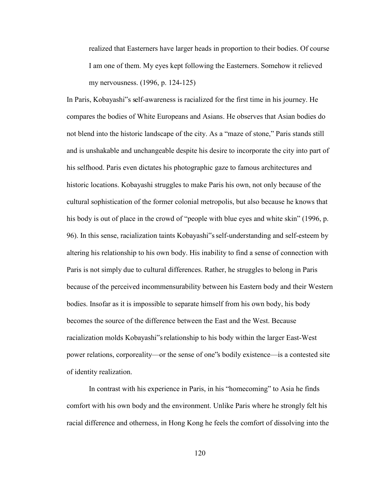realized that Easterners have larger heads in proportion to their bodies. Of course I am one of them. My eyes kept following the Easterners. Somehow it relieved my nervousness. (1996, p. 124-125)

In Paris, Kobayashi"s self-awareness is racialized for the first time in his journey. He compares the bodies of White Europeans and Asians. He observes that Asian bodies do not blend into the historic landscape of the city. As a "maze of stone," Paris stands still and is unshakable and unchangeable despite his desire to incorporate the city into part of his selfhood. Paris even dictates his photographic gaze to famous architectures and historic locations. Kobayashi struggles to make Paris his own, not only because of the cultural sophistication of the former colonial metropolis, but also because he knows that his body is out of place in the crowd of "people with blue eyes and white skin" (1996, p. 96). In this sense, racialization taints Kobayashi"s self-understanding and self-esteem by altering his relationship to his own body. His inability to find a sense of connection with Paris is not simply due to cultural differences. Rather, he struggles to belong in Paris because of the perceived incommensurability between his Eastern body and their Western bodies. Insofar as it is impossible to separate himself from his own body, his body becomes the source of the difference between the East and the West. Because racialization molds Kobayashi"s relationship to his body within the larger East-West power relations, corporeality—or the sense of one"s bodily existence—is a contested site of identity realization.

In contrast with his experience in Paris, in his "homecoming" to Asia he finds comfort with his own body and the environment. Unlike Paris where he strongly felt his racial difference and otherness, in Hong Kong he feels the comfort of dissolving into the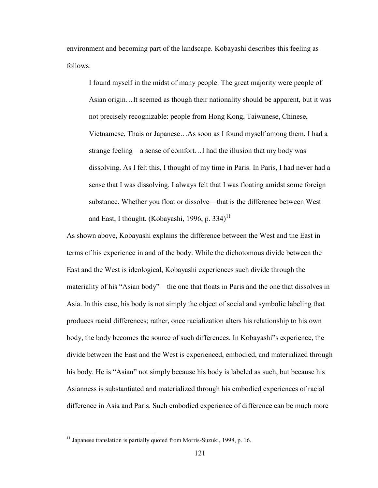environment and becoming part of the landscape. Kobayashi describes this feeling as follows:

I found myself in the midst of many people. The great majority were people of Asian origin…It seemed as though their nationality should be apparent, but it was not precisely recognizable: people from Hong Kong, Taiwanese, Chinese, Vietnamese, Thais or Japanese…As soon as I found myself among them, I had a strange feeling—a sense of comfort…I had the illusion that my body was dissolving. As I felt this, I thought of my time in Paris. In Paris, I had never had a sense that I was dissolving. I always felt that I was floating amidst some foreign substance. Whether you float or dissolve—that is the difference between West and East, I thought. (Kobayashi, 1996, p. 334)<sup>11</sup>

As shown above, Kobayashi explains the difference between the West and the East in terms of his experience in and of the body. While the dichotomous divide between the East and the West is ideological, Kobayashi experiences such divide through the materiality of his "Asian body"—the one that floats in Paris and the one that dissolves in Asia. In this case, his body is not simply the object of social and symbolic labeling that produces racial differences; rather, once racialization alters his relationship to his own body, the body becomes the source of such differences. In Kobayashi"s experience, the divide between the East and the West is experienced, embodied, and materialized through his body. He is "Asian" not simply because his body is labeled as such, but because his Asianness is substantiated and materialized through his embodied experiences of racial difference in Asia and Paris. Such embodied experience of difference can be much more

 $\overline{a}$ 

 $11$  Japanese translation is partially quoted from Morris-Suzuki, 1998, p. 16.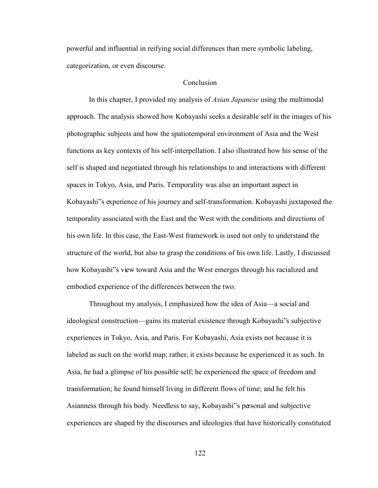powerful and influential in reifying social differences than mere symbolic labeling, categorization, or even discourse.

## Conclusion

 In this chapter, I provided my analysis of *Asian Japanese* using the multimodal approach. The analysis showed how Kobayashi seeks a desirable self in the images of his photographic subjects and how the spatiotemporal environment of Asia and the West functions as key contexts of his self-interpellation. I also illustrated how his sense of the self is shaped and negotiated through his relationships to and interactions with different spaces in Tokyo, Asia, and Paris. Temporality was also an important aspect in Kobayashi"s experience of his journey and self-transformation. Kobayashi juxtaposed the temporality associated with the East and the West with the conditions and directions of his own life. In this case, the East-West framework is used not only to understand the structure of the world, but also to grasp the conditions of his own life. Lastly, I discussed how Kobayashi"s view toward Asia and the West emerges through his racialized and embodied experience of the differences between the two.

Throughout my analysis, I emphasized how the idea of Asia—a social and ideological construction—gains its material existence through Kobayashi"s subjective experiences in Tokyo, Asia, and Paris. For Kobayashi, Asia exists not because it is labeled as such on the world map; rather, it exists because he experienced it as such. In Asia, he had a glimpse of his possible self; he experienced the space of freedom and transformation; he found himself living in different flows of time; and he felt his Asianness through his body. Needless to say, Kobayashi"s personal and subjective experiences are shaped by the discourses and ideologies that have historically constituted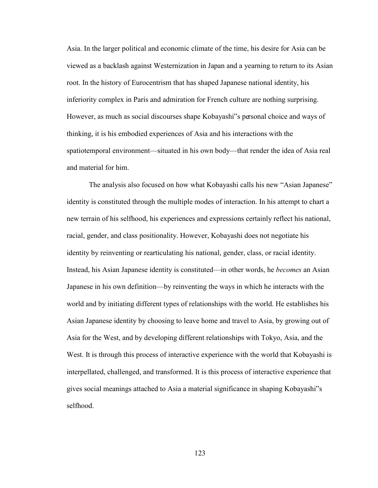Asia. In the larger political and economic climate of the time, his desire for Asia can be viewed as a backlash against Westernization in Japan and a yearning to return to its Asian root. In the history of Eurocentrism that has shaped Japanese national identity, his inferiority complex in Paris and admiration for French culture are nothing surprising. However, as much as social discourses shape Kobayashi"s personal choice and ways of thinking, it is his embodied experiences of Asia and his interactions with the spatiotemporal environment—situated in his own body—that render the idea of Asia real and material for him.

 The analysis also focused on how what Kobayashi calls his new "Asian Japanese" identity is constituted through the multiple modes of interaction. In his attempt to chart a new terrain of his selfhood, his experiences and expressions certainly reflect his national, racial, gender, and class positionality. However, Kobayashi does not negotiate his identity by reinventing or rearticulating his national, gender, class, or racial identity. Instead, his Asian Japanese identity is constituted—in other words, he *becomes* an Asian Japanese in his own definition—by reinventing the ways in which he interacts with the world and by initiating different types of relationships with the world. He establishes his Asian Japanese identity by choosing to leave home and travel to Asia, by growing out of Asia for the West, and by developing different relationships with Tokyo, Asia, and the West. It is through this process of interactive experience with the world that Kobayashi is interpellated, challenged, and transformed. It is this process of interactive experience that gives social meanings attached to Asia a material significance in shaping Kobayashi"s selfhood.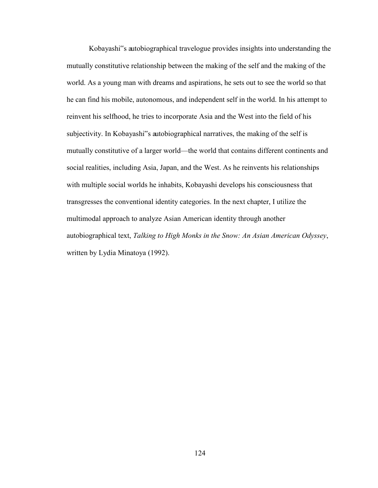Kobayashi"s autobiographical travelogue provides insights into understanding the mutually constitutive relationship between the making of the self and the making of the world. As a young man with dreams and aspirations, he sets out to see the world so that he can find his mobile, autonomous, and independent self in the world. In his attempt to reinvent his selfhood, he tries to incorporate Asia and the West into the field of his subjectivity. In Kobayashi"s autobiographical narratives, the making of the self is mutually constitutive of a larger world—the world that contains different continents and social realities, including Asia, Japan, and the West. As he reinvents his relationships with multiple social worlds he inhabits, Kobayashi develops his consciousness that transgresses the conventional identity categories. In the next chapter, I utilize the multimodal approach to analyze Asian American identity through another autobiographical text, *Talking to High Monks in the Snow: An Asian American Odyssey*, written by Lydia Minatoya (1992).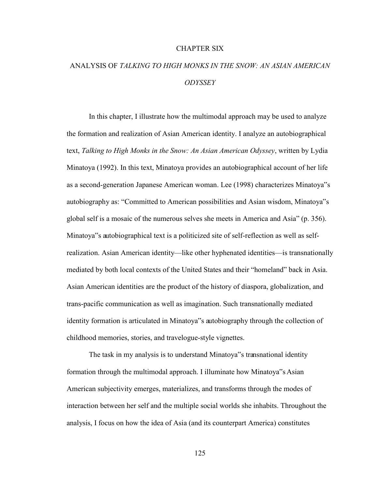## CHAPTER SIX

# ANALYSIS OF *TALKING TO HIGH MONKS IN THE SNOW: AN ASIAN AMERICAN ODYSSEY*

 In this chapter, I illustrate how the multimodal approach may be used to analyze the formation and realization of Asian American identity. I analyze an autobiographical text, *Talking to High Monks in the Snow: An Asian American Odyssey*, written by Lydia Minatoya (1992). In this text, Minatoya provides an autobiographical account of her life as a second-generation Japanese American woman. Lee (1998) characterizes Minatoya"s autobiography as: "Committed to American possibilities and Asian wisdom, Minatoya"s global self is a mosaic of the numerous selves she meets in America and Asia" (p. 356). Minatoya"s autobiographical text is a politicized site of self-reflection as well as selfrealization. Asian American identity—like other hyphenated identities—is transnationally mediated by both local contexts of the United States and their "homeland" back in Asia. Asian American identities are the product of the history of diaspora, globalization, and trans-pacific communication as well as imagination. Such transnationally mediated identity formation is articulated in Minatoya"s autobiography through the collection of childhood memories, stories, and travelogue-style vignettes.

The task in my analysis is to understand Minatoya"s transnational identity formation through the multimodal approach. I illuminate how Minatoya"s Asian American subjectivity emerges, materializes, and transforms through the modes of interaction between her self and the multiple social worlds she inhabits. Throughout the analysis, I focus on how the idea of Asia (and its counterpart America) constitutes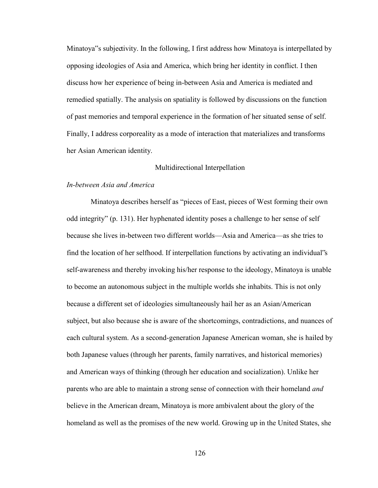Minatoya"s subjectivity. In the following, I first address how Minatoya is interpellated by opposing ideologies of Asia and America, which bring her identity in conflict. I then discuss how her experience of being in-between Asia and America is mediated and remedied spatially. The analysis on spatiality is followed by discussions on the function of past memories and temporal experience in the formation of her situated sense of self. Finally, I address corporeality as a mode of interaction that materializes and transforms her Asian American identity.

## Multidirectional Interpellation

## *In-between Asia and America*

Minatoya describes herself as "pieces of East, pieces of West forming their own odd integrity" (p. 131). Her hyphenated identity poses a challenge to her sense of self because she lives in-between two different worlds—Asia and America—as she tries to find the location of her selfhood. If interpellation functions by activating an individual"s self-awareness and thereby invoking his/her response to the ideology, Minatoya is unable to become an autonomous subject in the multiple worlds she inhabits. This is not only because a different set of ideologies simultaneously hail her as an Asian/American subject, but also because she is aware of the shortcomings, contradictions, and nuances of each cultural system. As a second-generation Japanese American woman, she is hailed by both Japanese values (through her parents, family narratives, and historical memories) and American ways of thinking (through her education and socialization). Unlike her parents who are able to maintain a strong sense of connection with their homeland *and* believe in the American dream, Minatoya is more ambivalent about the glory of the homeland as well as the promises of the new world. Growing up in the United States, she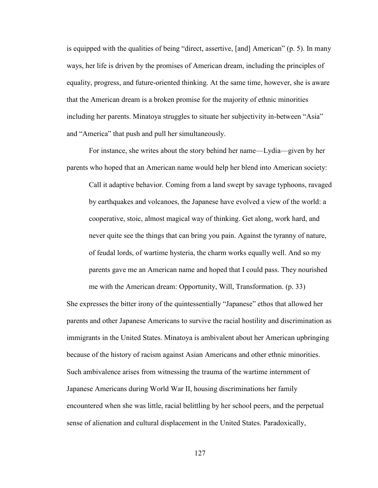is equipped with the qualities of being "direct, assertive, [and] American" (p. 5). In many ways, her life is driven by the promises of American dream, including the principles of equality, progress, and future-oriented thinking. At the same time, however, she is aware that the American dream is a broken promise for the majority of ethnic minorities including her parents. Minatoya struggles to situate her subjectivity in-between "Asia" and "America" that push and pull her simultaneously.

For instance, she writes about the story behind her name—Lydia—given by her parents who hoped that an American name would help her blend into American society:

Call it adaptive behavior. Coming from a land swept by savage typhoons, ravaged by earthquakes and volcanoes, the Japanese have evolved a view of the world: a cooperative, stoic, almost magical way of thinking. Get along, work hard, and never quite see the things that can bring you pain. Against the tyranny of nature, of feudal lords, of wartime hysteria, the charm works equally well. And so my parents gave me an American name and hoped that I could pass. They nourished me with the American dream: Opportunity, Will, Transformation. (p. 33)

She expresses the bitter irony of the quintessentially "Japanese" ethos that allowed her parents and other Japanese Americans to survive the racial hostility and discrimination as immigrants in the United States. Minatoya is ambivalent about her American upbringing because of the history of racism against Asian Americans and other ethnic minorities. Such ambivalence arises from witnessing the trauma of the wartime internment of Japanese Americans during World War II, housing discriminations her family encountered when she was little, racial belittling by her school peers, and the perpetual sense of alienation and cultural displacement in the United States. Paradoxically,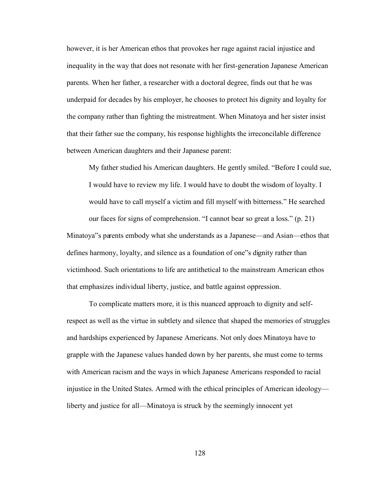however, it is her American ethos that provokes her rage against racial injustice and inequality in the way that does not resonate with her first-generation Japanese American parents. When her father, a researcher with a doctoral degree, finds out that he was underpaid for decades by his employer, he chooses to protect his dignity and loyalty for the company rather than fighting the mistreatment. When Minatoya and her sister insist that their father sue the company, his response highlights the irreconcilable difference between American daughters and their Japanese parent:

My father studied his American daughters. He gently smiled. "Before I could sue, I would have to review my life. I would have to doubt the wisdom of loyalty. I would have to call myself a victim and fill myself with bitterness." He searched our faces for signs of comprehension. "I cannot bear so great a loss." (p. 21) Minatoya"s parents embody what she understands as a Japanese—and Asian—ethos that defines harmony, loyalty, and silence as a foundation of one"s dignity rather than victimhood. Such orientations to life are antithetical to the mainstream American ethos that emphasizes individual liberty, justice, and battle against oppression.

To complicate matters more, it is this nuanced approach to dignity and selfrespect as well as the virtue in subtlety and silence that shaped the memories of struggles and hardships experienced by Japanese Americans. Not only does Minatoya have to grapple with the Japanese values handed down by her parents, she must come to terms with American racism and the ways in which Japanese Americans responded to racial injustice in the United States. Armed with the ethical principles of American ideology liberty and justice for all—Minatoya is struck by the seemingly innocent yet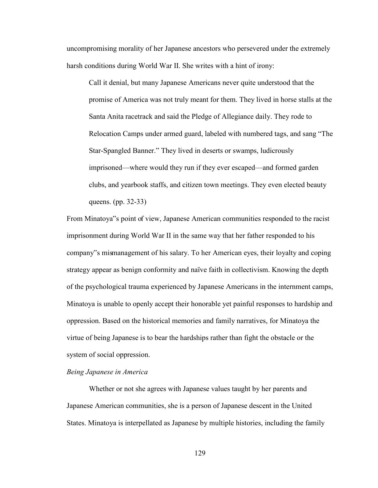uncompromising morality of her Japanese ancestors who persevered under the extremely harsh conditions during World War II. She writes with a hint of irony:

Call it denial, but many Japanese Americans never quite understood that the promise of America was not truly meant for them. They lived in horse stalls at the Santa Anita racetrack and said the Pledge of Allegiance daily. They rode to Relocation Camps under armed guard, labeled with numbered tags, and sang "The Star-Spangled Banner." They lived in deserts or swamps, ludicrously imprisoned—where would they run if they ever escaped—and formed garden clubs, and yearbook staffs, and citizen town meetings. They even elected beauty queens. (pp. 32-33)

From Minatoya"s point of view, Japanese American communities responded to the racist imprisonment during World War II in the same way that her father responded to his company"s mismanagement of his salary. To her American eyes, their loyalty and coping strategy appear as benign conformity and naïve faith in collectivism. Knowing the depth of the psychological trauma experienced by Japanese Americans in the internment camps, Minatoya is unable to openly accept their honorable yet painful responses to hardship and oppression. Based on the historical memories and family narratives, for Minatoya the virtue of being Japanese is to bear the hardships rather than fight the obstacle or the system of social oppression.

## *Being Japanese in America*

Whether or not she agrees with Japanese values taught by her parents and Japanese American communities, she is a person of Japanese descent in the United States. Minatoya is interpellated as Japanese by multiple histories, including the family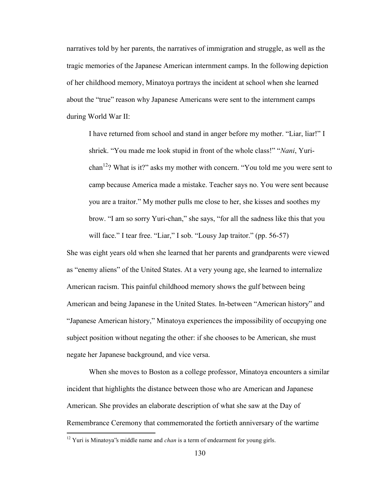narratives told by her parents, the narratives of immigration and struggle, as well as the tragic memories of the Japanese American internment camps. In the following depiction of her childhood memory, Minatoya portrays the incident at school when she learned about the "true" reason why Japanese Americans were sent to the internment camps during World War II:

I have returned from school and stand in anger before my mother. "Liar, liar!" I shriek. "You made me look stupid in front of the whole class!" "*Nani*, Yurichan<sup>12</sup>? What is it?" asks my mother with concern. "You told me you were sent to camp because America made a mistake. Teacher says no. You were sent because you are a traitor." My mother pulls me close to her, she kisses and soothes my brow. "I am so sorry Yuri-chan," she says, "for all the sadness like this that you will face." I tear free. "Liar," I sob. "Lousy Jap traitor." (pp. 56-57)

She was eight years old when she learned that her parents and grandparents were viewed as "enemy aliens" of the United States. At a very young age, she learned to internalize American racism. This painful childhood memory shows the gulf between being American and being Japanese in the United States. In-between "American history" and "Japanese American history," Minatoya experiences the impossibility of occupying one subject position without negating the other: if she chooses to be American, she must negate her Japanese background, and vice versa.

 When she moves to Boston as a college professor, Minatoya encounters a similar incident that highlights the distance between those who are American and Japanese American. She provides an elaborate description of what she saw at the Day of Remembrance Ceremony that commemorated the fortieth anniversary of the wartime

 $\overline{a}$ 

<sup>&</sup>lt;sup>12</sup> Yuri is Minatoya's middle name and *chan* is a term of endearment for young girls.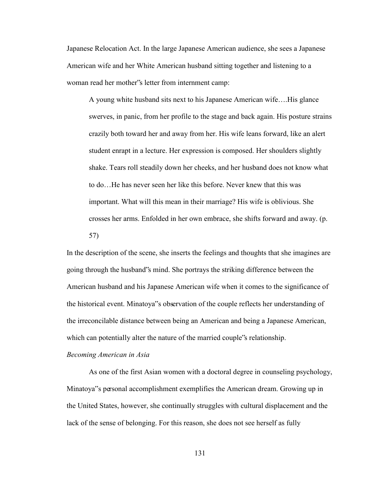Japanese Relocation Act. In the large Japanese American audience, she sees a Japanese American wife and her White American husband sitting together and listening to a woman read her mother"s letter from internment camp:

A young white husband sits next to his Japanese American wife….His glance swerves, in panic, from her profile to the stage and back again. His posture strains crazily both toward her and away from her. His wife leans forward, like an alert student enrapt in a lecture. Her expression is composed. Her shoulders slightly shake. Tears roll steadily down her cheeks, and her husband does not know what to do…He has never seen her like this before. Never knew that this was important. What will this mean in their marriage? His wife is oblivious. She crosses her arms. Enfolded in her own embrace, she shifts forward and away. (p. 57)

In the description of the scene, she inserts the feelings and thoughts that she imagines are going through the husband"s mind. She portrays the striking difference between the American husband and his Japanese American wife when it comes to the significance of the historical event. Minatoya"s observation of the couple reflects her understanding of the irreconcilable distance between being an American and being a Japanese American, which can potentially alter the nature of the married couple's relationship.

#### *Becoming American in Asia*

As one of the first Asian women with a doctoral degree in counseling psychology, Minatoya"s personal accomplishment exemplifies the American dream. Growing up in the United States, however, she continually struggles with cultural displacement and the lack of the sense of belonging. For this reason, she does not see herself as fully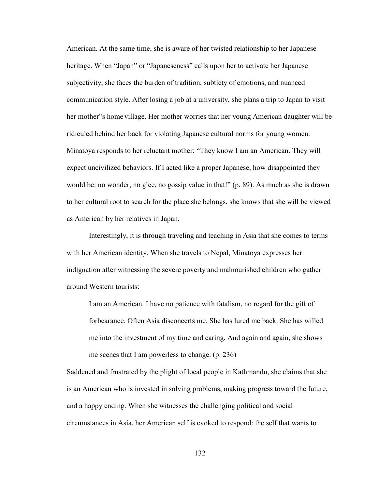American. At the same time, she is aware of her twisted relationship to her Japanese heritage. When "Japan" or "Japaneseness" calls upon her to activate her Japanese subjectivity, she faces the burden of tradition, subtlety of emotions, and nuanced communication style. After losing a job at a university, she plans a trip to Japan to visit her mother"s home village. Her mother worries that her young American daughter will be ridiculed behind her back for violating Japanese cultural norms for young women. Minatoya responds to her reluctant mother: "They know I am an American. They will expect uncivilized behaviors. If I acted like a proper Japanese, how disappointed they would be: no wonder, no glee, no gossip value in that!" (p. 89). As much as she is drawn to her cultural root to search for the place she belongs, she knows that she will be viewed as American by her relatives in Japan.

Interestingly, it is through traveling and teaching in Asia that she comes to terms with her American identity. When she travels to Nepal, Minatoya expresses her indignation after witnessing the severe poverty and malnourished children who gather around Western tourists:

I am an American. I have no patience with fatalism, no regard for the gift of forbearance. Often Asia disconcerts me. She has lured me back. She has willed me into the investment of my time and caring. And again and again, she shows me scenes that I am powerless to change. (p. 236)

Saddened and frustrated by the plight of local people in Kathmandu, she claims that she is an American who is invested in solving problems, making progress toward the future, and a happy ending. When she witnesses the challenging political and social circumstances in Asia, her American self is evoked to respond: the self that wants to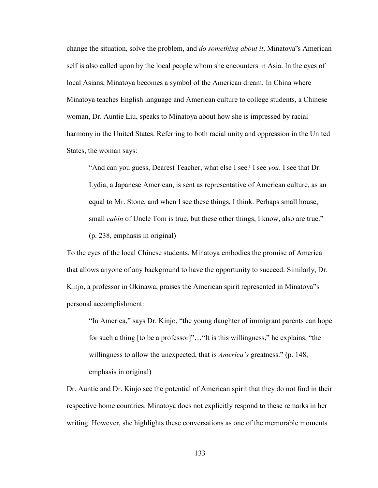change the situation, solve the problem, and *do something about it*. Minatoya"s American self is also called upon by the local people whom she encounters in Asia. In the eyes of local Asians, Minatoya becomes a symbol of the American dream. In China where Minatoya teaches English language and American culture to college students, a Chinese woman, Dr. Auntie Liu, speaks to Minatoya about how she is impressed by racial harmony in the United States. Referring to both racial unity and oppression in the United States, the woman says:

"And can you guess, Dearest Teacher, what else I see? I see *you*. I see that Dr. Lydia, a Japanese American, is sent as representative of American culture, as an equal to Mr. Stone, and when I see these things, I think. Perhaps small house, small *cabin* of Uncle Tom is true, but these other things, I know, also are true." (p. 238, emphasis in original)

To the eyes of the local Chinese students, Minatoya embodies the promise of America that allows anyone of any background to have the opportunity to succeed. Similarly, Dr. Kinjo, a professor in Okinawa, praises the American spirit represented in Minatoya"s personal accomplishment:

"In America," says Dr. Kinjo, "the young daughter of immigrant parents can hope for such a thing [to be a professor]"…"It is this willingness," he explains, "the willingness to allow the unexpected, that is *America's* greatness." (p. 148, emphasis in original)

Dr. Auntie and Dr. Kinjo see the potential of American spirit that they do not find in their respective home countries. Minatoya does not explicitly respond to these remarks in her writing. However, she highlights these conversations as one of the memorable moments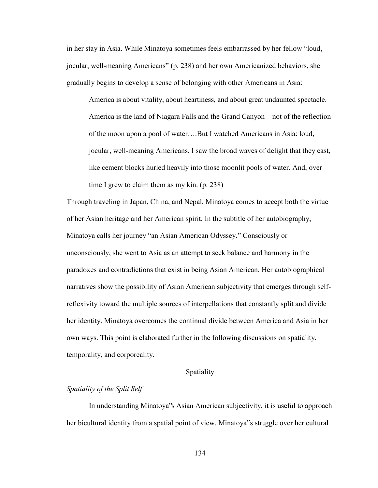in her stay in Asia. While Minatoya sometimes feels embarrassed by her fellow "loud, jocular, well-meaning Americans" (p. 238) and her own Americanized behaviors, she gradually begins to develop a sense of belonging with other Americans in Asia:

America is about vitality, about heartiness, and about great undaunted spectacle. America is the land of Niagara Falls and the Grand Canyon—not of the reflection of the moon upon a pool of water….But I watched Americans in Asia: loud, jocular, well-meaning Americans. I saw the broad waves of delight that they cast, like cement blocks hurled heavily into those moonlit pools of water. And, over time I grew to claim them as my kin. (p. 238)

Through traveling in Japan, China, and Nepal, Minatoya comes to accept both the virtue of her Asian heritage and her American spirit. In the subtitle of her autobiography, Minatoya calls her journey "an Asian American Odyssey." Consciously or unconsciously, she went to Asia as an attempt to seek balance and harmony in the paradoxes and contradictions that exist in being Asian American. Her autobiographical narratives show the possibility of Asian American subjectivity that emerges through selfreflexivity toward the multiple sources of interpellations that constantly split and divide her identity. Minatoya overcomes the continual divide between America and Asia in her own ways. This point is elaborated further in the following discussions on spatiality, temporality, and corporeality.

#### Spatiality

# *Spatiality of the Split Self*

 In understanding Minatoya"s Asian American subjectivity, it is useful to approach her bicultural identity from a spatial point of view. Minatoya"s struggle over her cultural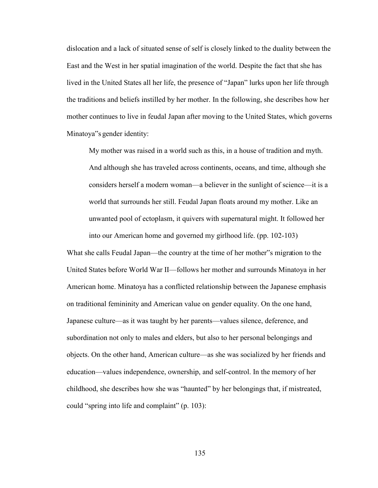dislocation and a lack of situated sense of self is closely linked to the duality between the East and the West in her spatial imagination of the world. Despite the fact that she has lived in the United States all her life, the presence of "Japan" lurks upon her life through the traditions and beliefs instilled by her mother. In the following, she describes how her mother continues to live in feudal Japan after moving to the United States, which governs Minatoya"s gender identity:

My mother was raised in a world such as this, in a house of tradition and myth. And although she has traveled across continents, oceans, and time, although she considers herself a modern woman—a believer in the sunlight of science—it is a world that surrounds her still. Feudal Japan floats around my mother. Like an unwanted pool of ectoplasm, it quivers with supernatural might. It followed her into our American home and governed my girlhood life. (pp. 102-103)

What she calls Feudal Japan—the country at the time of her mother"s migration to the United States before World War II—follows her mother and surrounds Minatoya in her American home. Minatoya has a conflicted relationship between the Japanese emphasis on traditional femininity and American value on gender equality. On the one hand, Japanese culture—as it was taught by her parents—values silence, deference, and subordination not only to males and elders, but also to her personal belongings and objects. On the other hand, American culture—as she was socialized by her friends and education—values independence, ownership, and self-control. In the memory of her childhood, she describes how she was "haunted" by her belongings that, if mistreated, could "spring into life and complaint" (p. 103):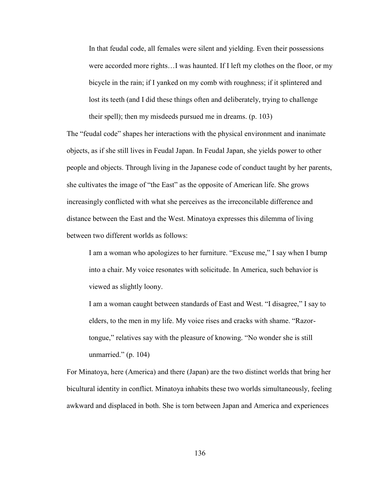In that feudal code, all females were silent and yielding. Even their possessions were accorded more rights…I was haunted. If I left my clothes on the floor, or my bicycle in the rain; if I yanked on my comb with roughness; if it splintered and lost its teeth (and I did these things often and deliberately, trying to challenge their spell); then my misdeeds pursued me in dreams. (p. 103)

The "feudal code" shapes her interactions with the physical environment and inanimate objects, as if she still lives in Feudal Japan. In Feudal Japan, she yields power to other people and objects. Through living in the Japanese code of conduct taught by her parents, she cultivates the image of "the East" as the opposite of American life. She grows increasingly conflicted with what she perceives as the irreconcilable difference and distance between the East and the West. Minatoya expresses this dilemma of living between two different worlds as follows:

I am a woman who apologizes to her furniture. "Excuse me," I say when I bump into a chair. My voice resonates with solicitude. In America, such behavior is viewed as slightly loony.

I am a woman caught between standards of East and West. "I disagree," I say to elders, to the men in my life. My voice rises and cracks with shame. "Razortongue," relatives say with the pleasure of knowing. "No wonder she is still unmarried." (p. 104)

For Minatoya, here (America) and there (Japan) are the two distinct worlds that bring her bicultural identity in conflict. Minatoya inhabits these two worlds simultaneously, feeling awkward and displaced in both. She is torn between Japan and America and experiences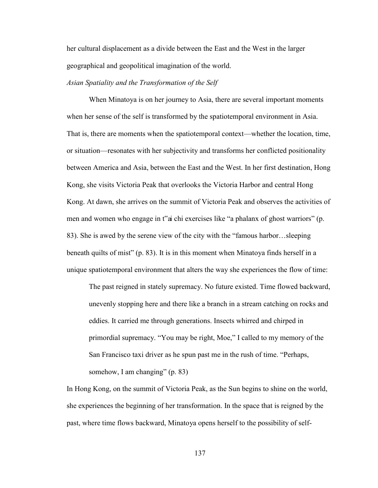her cultural displacement as a divide between the East and the West in the larger geographical and geopolitical imagination of the world.

## *Asian Spatiality and the Transformation of the Self*

 When Minatoya is on her journey to Asia, there are several important moments when her sense of the self is transformed by the spatiotemporal environment in Asia. That is, there are moments when the spatiotemporal context—whether the location, time, or situation—resonates with her subjectivity and transforms her conflicted positionality between America and Asia, between the East and the West. In her first destination, Hong Kong, she visits Victoria Peak that overlooks the Victoria Harbor and central Hong Kong. At dawn, she arrives on the summit of Victoria Peak and observes the activities of men and women who engage in t"ai chi exercises like "a phalanx of ghost warriors" (p. 83). She is awed by the serene view of the city with the "famous harbor…sleeping beneath quilts of mist" (p. 83). It is in this moment when Minatoya finds herself in a unique spatiotemporal environment that alters the way she experiences the flow of time:

The past reigned in stately supremacy. No future existed. Time flowed backward, unevenly stopping here and there like a branch in a stream catching on rocks and eddies. It carried me through generations. Insects whirred and chirped in primordial supremacy. "You may be right, Moe," I called to my memory of the San Francisco taxi driver as he spun past me in the rush of time. "Perhaps, somehow, I am changing" (p. 83)

In Hong Kong, on the summit of Victoria Peak, as the Sun begins to shine on the world, she experiences the beginning of her transformation. In the space that is reigned by the past, where time flows backward, Minatoya opens herself to the possibility of self-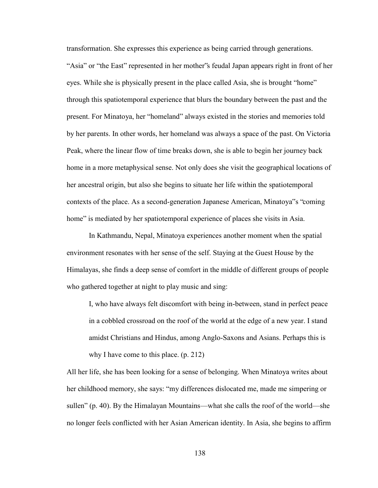transformation. She expresses this experience as being carried through generations. "Asia" or "the East" represented in her mother"s feudal Japan appears right in front of her eyes. While she is physically present in the place called Asia, she is brought "home" through this spatiotemporal experience that blurs the boundary between the past and the present. For Minatoya, her "homeland" always existed in the stories and memories told by her parents. In other words, her homeland was always a space of the past. On Victoria Peak, where the linear flow of time breaks down, she is able to begin her journey back home in a more metaphysical sense. Not only does she visit the geographical locations of her ancestral origin, but also she begins to situate her life within the spatiotemporal contexts of the place. As a second-generation Japanese American, Minatoya"s "coming home" is mediated by her spatiotemporal experience of places she visits in Asia.

In Kathmandu, Nepal, Minatoya experiences another moment when the spatial environment resonates with her sense of the self. Staying at the Guest House by the Himalayas, she finds a deep sense of comfort in the middle of different groups of people who gathered together at night to play music and sing:

I, who have always felt discomfort with being in-between, stand in perfect peace in a cobbled crossroad on the roof of the world at the edge of a new year. I stand amidst Christians and Hindus, among Anglo-Saxons and Asians. Perhaps this is why I have come to this place. (p. 212)

All her life, she has been looking for a sense of belonging. When Minatoya writes about her childhood memory, she says: "my differences dislocated me, made me simpering or sullen" (p. 40). By the Himalayan Mountains—what she calls the roof of the world—she no longer feels conflicted with her Asian American identity. In Asia, she begins to affirm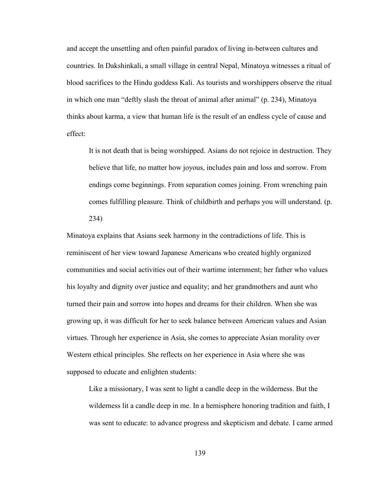and accept the unsettling and often painful paradox of living in-between cultures and countries. In Dakshinkali, a small village in central Nepal, Minatoya witnesses a ritual of blood sacrifices to the Hindu goddess Kali. As tourists and worshippers observe the ritual in which one man "deftly slash the throat of animal after animal" (p. 234), Minatoya thinks about karma, a view that human life is the result of an endless cycle of cause and effect:

It is not death that is being worshipped. Asians do not rejoice in destruction. They believe that life, no matter how joyous, includes pain and loss and sorrow. From endings come beginnings. From separation comes joining. From wrenching pain comes fulfilling pleasure. Think of childbirth and perhaps you will understand. (p. 234)

Minatoya explains that Asians seek harmony in the contradictions of life. This is reminiscent of her view toward Japanese Americans who created highly organized communities and social activities out of their wartime internment; her father who values his loyalty and dignity over justice and equality; and her grandmothers and aunt who turned their pain and sorrow into hopes and dreams for their children. When she was growing up, it was difficult for her to seek balance between American values and Asian virtues. Through her experience in Asia, she comes to appreciate Asian morality over Western ethical principles. She reflects on her experience in Asia where she was supposed to educate and enlighten students:

Like a missionary, I was sent to light a candle deep in the wilderness. But the wilderness lit a candle deep in me. In a hemisphere honoring tradition and faith, I was sent to educate: to advance progress and skepticism and debate. I came armed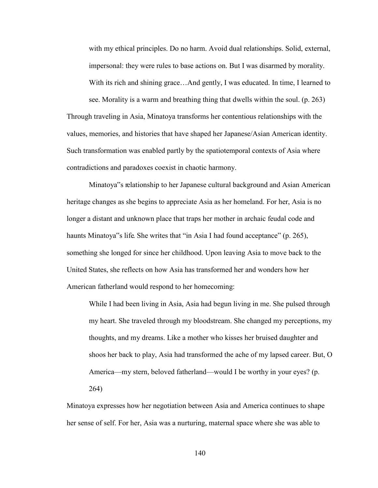with my ethical principles. Do no harm. Avoid dual relationships. Solid, external, impersonal: they were rules to base actions on. But I was disarmed by morality. With its rich and shining grace... And gently, I was educated. In time, I learned to

see. Morality is a warm and breathing thing that dwells within the soul. (p. 263) Through traveling in Asia, Minatoya transforms her contentious relationships with the values, memories, and histories that have shaped her Japanese/Asian American identity. Such transformation was enabled partly by the spatiotemporal contexts of Asia where contradictions and paradoxes coexist in chaotic harmony.

 Minatoya"s relationship to her Japanese cultural background and Asian American heritage changes as she begins to appreciate Asia as her homeland. For her, Asia is no longer a distant and unknown place that traps her mother in archaic feudal code and haunts Minatoya"s life. She writes that "in Asia I had found acceptance" (p. 265), something she longed for since her childhood. Upon leaving Asia to move back to the United States, she reflects on how Asia has transformed her and wonders how her American fatherland would respond to her homecoming:

While I had been living in Asia, Asia had begun living in me. She pulsed through my heart. She traveled through my bloodstream. She changed my perceptions, my thoughts, and my dreams. Like a mother who kisses her bruised daughter and shoos her back to play, Asia had transformed the ache of my lapsed career. But, O America—my stern, beloved fatherland—would I be worthy in your eyes? (p. 264)

Minatoya expresses how her negotiation between Asia and America continues to shape her sense of self. For her, Asia was a nurturing, maternal space where she was able to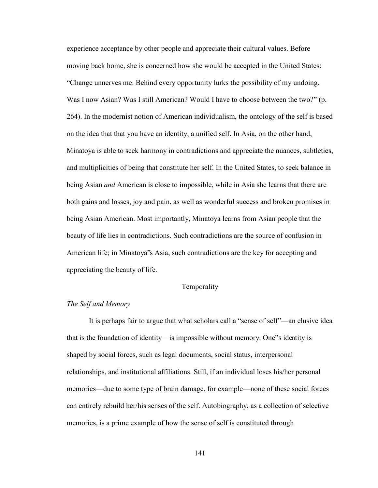experience acceptance by other people and appreciate their cultural values. Before moving back home, she is concerned how she would be accepted in the United States: "Change unnerves me. Behind every opportunity lurks the possibility of my undoing. Was I now Asian? Was I still American? Would I have to choose between the two?" (p. 264). In the modernist notion of American individualism, the ontology of the self is based on the idea that that you have an identity, a unified self. In Asia, on the other hand, Minatoya is able to seek harmony in contradictions and appreciate the nuances, subtleties, and multiplicities of being that constitute her self. In the United States, to seek balance in being Asian *and* American is close to impossible, while in Asia she learns that there are both gains and losses, joy and pain, as well as wonderful success and broken promises in being Asian American. Most importantly, Minatoya learns from Asian people that the beauty of life lies in contradictions. Such contradictions are the source of confusion in American life; in Minatoya"s Asia, such contradictions are the key for accepting and appreciating the beauty of life.

### Temporality

### *The Self and Memory*

It is perhaps fair to argue that what scholars call a "sense of self"—an elusive idea that is the foundation of identity—is impossible without memory. One"s identity is shaped by social forces, such as legal documents, social status, interpersonal relationships, and institutional affiliations. Still, if an individual loses his/her personal memories—due to some type of brain damage, for example—none of these social forces can entirely rebuild her/his senses of the self. Autobiography, as a collection of selective memories, is a prime example of how the sense of self is constituted through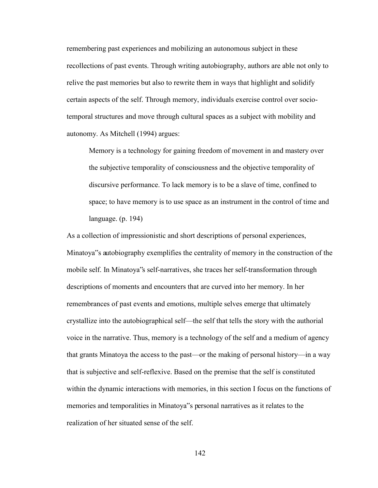remembering past experiences and mobilizing an autonomous subject in these recollections of past events. Through writing autobiography, authors are able not only to relive the past memories but also to rewrite them in ways that highlight and solidify certain aspects of the self. Through memory, individuals exercise control over sociotemporal structures and move through cultural spaces as a subject with mobility and autonomy. As Mitchell (1994) argues:

Memory is a technology for gaining freedom of movement in and mastery over the subjective temporality of consciousness and the objective temporality of discursive performance. To lack memory is to be a slave of time, confined to space; to have memory is to use space as an instrument in the control of time and language. (p. 194)

As a collection of impressionistic and short descriptions of personal experiences, Minatoya"s autobiography exemplifies the centrality of memory in the construction of the mobile self. In Minatoya"s self-narratives, she traces her self-transformation through descriptions of moments and encounters that are curved into her memory. In her remembrances of past events and emotions, multiple selves emerge that ultimately crystallize into the autobiographical self—the self that tells the story with the authorial voice in the narrative. Thus, memory is a technology of the self and a medium of agency that grants Minatoya the access to the past—or the making of personal history—in a way that is subjective and self-reflexive. Based on the premise that the self is constituted within the dynamic interactions with memories, in this section I focus on the functions of memories and temporalities in Minatoya"s personal narratives as it relates to the realization of her situated sense of the self.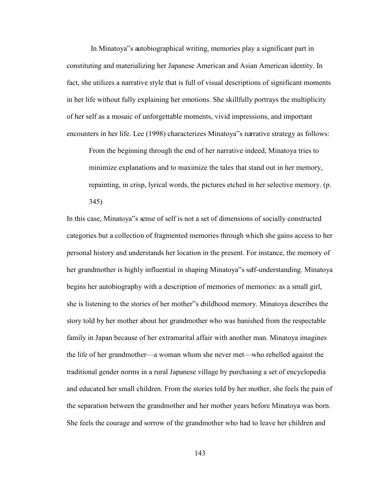In Minatoya"s autobiographical writing, memories play a significant part in constituting and materializing her Japanese American and Asian American identity. In fact, she utilizes a narrative style that is full of visual descriptions of significant moments in her life without fully explaining her emotions. She skillfully portrays the multiplicity of her self as a mosaic of unforgettable moments, vivid impressions, and important encounters in her life. Lee (1998) characterizes Minatoya"s narrative strategy as follows:

From the beginning through the end of her narrative indeed, Minatoya tries to minimize explanations and to maximize the tales that stand out in her memory, repainting, in crisp, lyrical words, the pictures etched in her selective memory. (p. 345)

In this case, Minatoya"s sense of self is not a set of dimensions of socially constructed categories but a collection of fragmented memories through which she gains access to her personal history and understands her location in the present. For instance, the memory of her grandmother is highly influential in shaping Minatoya"s self-understanding. Minatoya begins her autobiography with a description of memories of memories: as a small girl, she is listening to the stories of her mother"s childhood memory. Minatoya describes the story told by her mother about her grandmother who was banished from the respectable family in Japan because of her extramarital affair with another man. Minatoya imagines the life of her grandmother—a woman whom she never met—who rebelled against the traditional gender norms in a rural Japanese village by purchasing a set of encyclopedia and educated her small children. From the stories told by her mother, she feels the pain of the separation between the grandmother and her mother years before Minatoya was born. She feels the courage and sorrow of the grandmother who had to leave her children and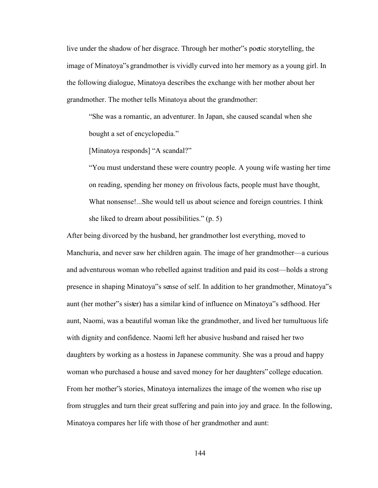live under the shadow of her disgrace. Through her mother"s poetic storytelling, the image of Minatoya"s grandmother is vividly curved into her memory as a young girl. In the following dialogue, Minatoya describes the exchange with her mother about her grandmother. The mother tells Minatoya about the grandmother:

"She was a romantic, an adventurer. In Japan, she caused scandal when she bought a set of encyclopedia."

[Minatoya responds] "A scandal?"

"You must understand these were country people. A young wife wasting her time on reading, spending her money on frivolous facts, people must have thought, What nonsense!...She would tell us about science and foreign countries. I think she liked to dream about possibilities." (p. 5)

After being divorced by the husband, her grandmother lost everything, moved to Manchuria, and never saw her children again. The image of her grandmother—a curious and adventurous woman who rebelled against tradition and paid its cost—holds a strong presence in shaping Minatoya"s sense of self. In addition to her grandmother, Minatoya"s aunt (her mother"s sister) has a similar kind of influence on Minatoya"s selfhood. Her aunt, Naomi, was a beautiful woman like the grandmother, and lived her tumultuous life with dignity and confidence. Naomi left her abusive husband and raised her two daughters by working as a hostess in Japanese community. She was a proud and happy woman who purchased a house and saved money for her daughters" college education. From her mother"s stories, Minatoya internalizes the image of the women who rise up from struggles and turn their great suffering and pain into joy and grace. In the following, Minatoya compares her life with those of her grandmother and aunt: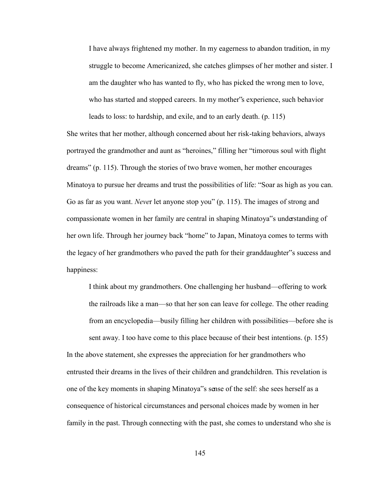I have always frightened my mother. In my eagerness to abandon tradition, in my struggle to become Americanized, she catches glimpses of her mother and sister. I am the daughter who has wanted to fly, who has picked the wrong men to love, who has started and stopped careers. In my mother"s experience, such behavior leads to loss: to hardship, and exile, and to an early death. (p. 115)

She writes that her mother, although concerned about her risk-taking behaviors, always portrayed the grandmother and aunt as "heroines," filling her "timorous soul with flight dreams" (p. 115). Through the stories of two brave women, her mother encourages Minatoya to pursue her dreams and trust the possibilities of life: "Soar as high as you can. Go as far as you want. *Neve*r let anyone stop you" (p. 115). The images of strong and compassionate women in her family are central in shaping Minatoya"s understanding of her own life. Through her journey back "home" to Japan, Minatoya comes to terms with the legacy of her grandmothers who paved the path for their granddaughter"s success and happiness:

I think about my grandmothers. One challenging her husband—offering to work the railroads like a man—so that her son can leave for college. The other reading from an encyclopedia—busily filling her children with possibilities—before she is sent away. I too have come to this place because of their best intentions. (p. 155) In the above statement, she expresses the appreciation for her grandmothers who entrusted their dreams in the lives of their children and grandchildren. This revelation is one of the key moments in shaping Minatoya"s sense of the self: she sees herself as a consequence of historical circumstances and personal choices made by women in her

145

family in the past. Through connecting with the past, she comes to understand who she is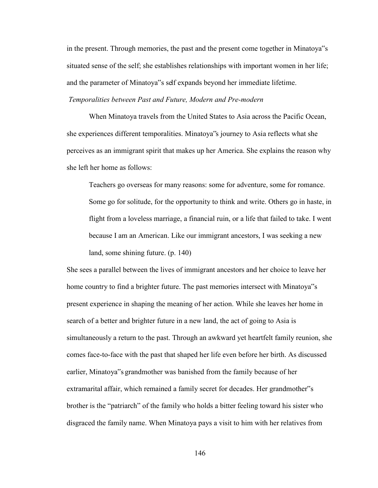in the present. Through memories, the past and the present come together in Minatoya"s situated sense of the self; she establishes relationships with important women in her life; and the parameter of Minatoya"s self expands beyond her immediate lifetime.

*Temporalities between Past and Future, Modern and Pre-modern* 

When Minatoya travels from the United States to Asia across the Pacific Ocean, she experiences different temporalities. Minatoya"s journey to Asia reflects what she perceives as an immigrant spirit that makes up her America. She explains the reason why she left her home as follows:

Teachers go overseas for many reasons: some for adventure, some for romance. Some go for solitude, for the opportunity to think and write. Others go in haste, in flight from a loveless marriage, a financial ruin, or a life that failed to take. I went because I am an American. Like our immigrant ancestors, I was seeking a new land, some shining future. (p. 140)

She sees a parallel between the lives of immigrant ancestors and her choice to leave her home country to find a brighter future. The past memories intersect with Minatoya"s present experience in shaping the meaning of her action. While she leaves her home in search of a better and brighter future in a new land, the act of going to Asia is simultaneously a return to the past. Through an awkward yet heartfelt family reunion, she comes face-to-face with the past that shaped her life even before her birth. As discussed earlier, Minatoya"s grandmother was banished from the family because of her extramarital affair, which remained a family secret for decades. Her grandmother"s brother is the "patriarch" of the family who holds a bitter feeling toward his sister who disgraced the family name. When Minatoya pays a visit to him with her relatives from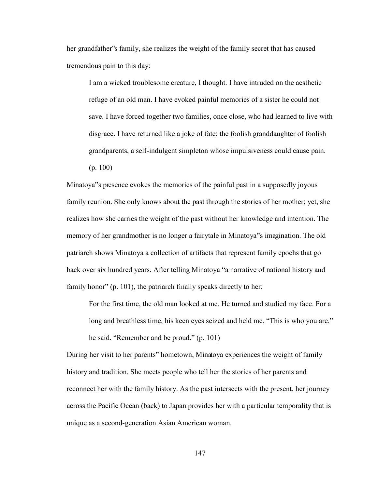her grandfather"s family, she realizes the weight of the family secret that has caused tremendous pain to this day:

I am a wicked troublesome creature, I thought. I have intruded on the aesthetic refuge of an old man. I have evoked painful memories of a sister he could not save. I have forced together two families, once close, who had learned to live with disgrace. I have returned like a joke of fate: the foolish granddaughter of foolish grandparents, a self-indulgent simpleton whose impulsiveness could cause pain. (p. 100)

Minatoya"s presence evokes the memories of the painful past in a supposedly joyous family reunion. She only knows about the past through the stories of her mother; yet, she realizes how she carries the weight of the past without her knowledge and intention. The memory of her grandmother is no longer a fairytale in Minatoya"s imagination. The old patriarch shows Minatoya a collection of artifacts that represent family epochs that go back over six hundred years. After telling Minatoya "a narrative of national history and family honor" (p. 101), the patriarch finally speaks directly to her:

For the first time, the old man looked at me. He turned and studied my face. For a long and breathless time, his keen eyes seized and held me. "This is who you are," he said. "Remember and be proud." (p. 101)

During her visit to her parents" hometown, Minatoya experiences the weight of family history and tradition. She meets people who tell her the stories of her parents and reconnect her with the family history. As the past intersects with the present, her journey across the Pacific Ocean (back) to Japan provides her with a particular temporality that is unique as a second-generation Asian American woman.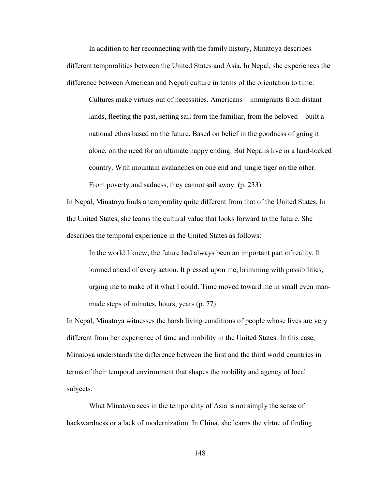In addition to her reconnecting with the family history, Minatoya describes different temporalities between the United States and Asia. In Nepal, she experiences the difference between American and Nepali culture in terms of the orientation to time:

Cultures make virtues out of necessities. Americans—immigrants from distant lands, fleeting the past, setting sail from the familiar, from the beloved—built a national ethos based on the future. Based on belief in the goodness of going it alone, on the need for an ultimate happy ending. But Nepalis live in a land-locked country. With mountain avalanches on one end and jungle tiger on the other. From poverty and sadness, they cannot sail away. (p. 233)

In Nepal, Minatoya finds a temporality quite different from that of the United States. In the United States, she learns the cultural value that looks forward to the future. She describes the temporal experience in the United States as follows:

In the world I knew, the future had always been an important part of reality. It loomed ahead of every action. It pressed upon me, brimming with possibilities, urging me to make of it what I could. Time moved toward me in small even manmade steps of minutes, hours, years (p. 77)

In Nepal, Minatoya witnesses the harsh living conditions of people whose lives are very different from her experience of time and mobility in the United States. In this case, Minatoya understands the difference between the first and the third world countries in terms of their temporal environment that shapes the mobility and agency of local subjects.

What Minatoya sees in the temporality of Asia is not simply the sense of backwardness or a lack of modernization. In China, she learns the virtue of finding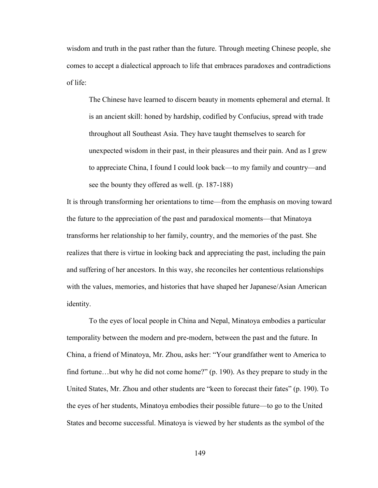wisdom and truth in the past rather than the future. Through meeting Chinese people, she comes to accept a dialectical approach to life that embraces paradoxes and contradictions of life:

The Chinese have learned to discern beauty in moments ephemeral and eternal. It is an ancient skill: honed by hardship, codified by Confucius, spread with trade throughout all Southeast Asia. They have taught themselves to search for unexpected wisdom in their past, in their pleasures and their pain. And as I grew to appreciate China, I found I could look back—to my family and country—and see the bounty they offered as well. (p. 187-188)

It is through transforming her orientations to time—from the emphasis on moving toward the future to the appreciation of the past and paradoxical moments—that Minatoya transforms her relationship to her family, country, and the memories of the past. She realizes that there is virtue in looking back and appreciating the past, including the pain and suffering of her ancestors. In this way, she reconciles her contentious relationships with the values, memories, and histories that have shaped her Japanese/Asian American identity.

 To the eyes of local people in China and Nepal, Minatoya embodies a particular temporality between the modern and pre-modern, between the past and the future. In China, a friend of Minatoya, Mr. Zhou, asks her: "Your grandfather went to America to find fortune…but why he did not come home?" (p. 190). As they prepare to study in the United States, Mr. Zhou and other students are "keen to forecast their fates" (p. 190). To the eyes of her students, Minatoya embodies their possible future—to go to the United States and become successful. Minatoya is viewed by her students as the symbol of the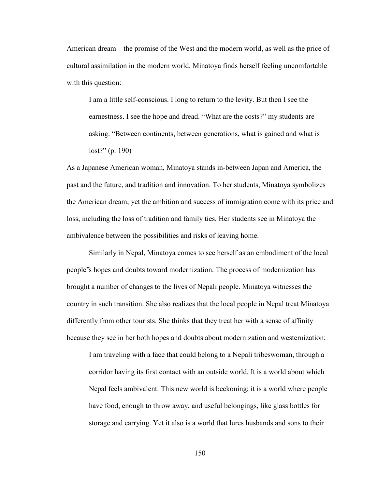American dream—the promise of the West and the modern world, as well as the price of cultural assimilation in the modern world. Minatoya finds herself feeling uncomfortable with this question:

I am a little self-conscious. I long to return to the levity. But then I see the earnestness. I see the hope and dread. "What are the costs?" my students are asking. "Between continents, between generations, what is gained and what is lost?" (p. 190)

As a Japanese American woman, Minatoya stands in-between Japan and America, the past and the future, and tradition and innovation. To her students, Minatoya symbolizes the American dream; yet the ambition and success of immigration come with its price and loss, including the loss of tradition and family ties. Her students see in Minatoya the ambivalence between the possibilities and risks of leaving home.

Similarly in Nepal, Minatoya comes to see herself as an embodiment of the local people"s hopes and doubts toward modernization. The process of modernization has brought a number of changes to the lives of Nepali people. Minatoya witnesses the country in such transition. She also realizes that the local people in Nepal treat Minatoya differently from other tourists. She thinks that they treat her with a sense of affinity because they see in her both hopes and doubts about modernization and westernization:

I am traveling with a face that could belong to a Nepali tribeswoman, through a corridor having its first contact with an outside world. It is a world about which Nepal feels ambivalent. This new world is beckoning; it is a world where people have food, enough to throw away, and useful belongings, like glass bottles for storage and carrying. Yet it also is a world that lures husbands and sons to their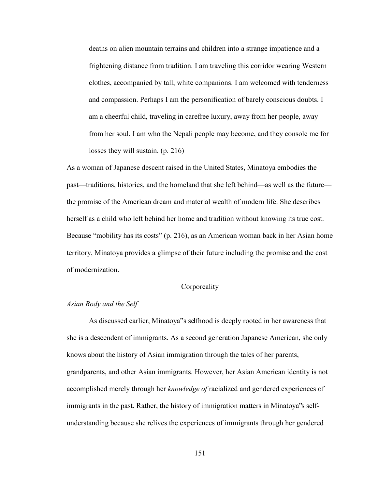deaths on alien mountain terrains and children into a strange impatience and a frightening distance from tradition. I am traveling this corridor wearing Western clothes, accompanied by tall, white companions. I am welcomed with tenderness and compassion. Perhaps I am the personification of barely conscious doubts. I am a cheerful child, traveling in carefree luxury, away from her people, away from her soul. I am who the Nepali people may become, and they console me for losses they will sustain. (p. 216)

As a woman of Japanese descent raised in the United States, Minatoya embodies the past—traditions, histories, and the homeland that she left behind—as well as the future the promise of the American dream and material wealth of modern life. She describes herself as a child who left behind her home and tradition without knowing its true cost. Because "mobility has its costs" (p. 216), as an American woman back in her Asian home territory, Minatoya provides a glimpse of their future including the promise and the cost of modernization.

### **Corporeality**

# *Asian Body and the Self*

As discussed earlier, Minatoya"s selfhood is deeply rooted in her awareness that she is a descendent of immigrants. As a second generation Japanese American, she only knows about the history of Asian immigration through the tales of her parents, grandparents, and other Asian immigrants. However, her Asian American identity is not accomplished merely through her *knowledge of* racialized and gendered experiences of immigrants in the past. Rather, the history of immigration matters in Minatoya"s selfunderstanding because she relives the experiences of immigrants through her gendered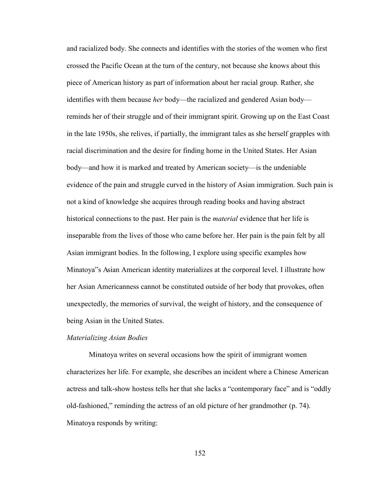and racialized body. She connects and identifies with the stories of the women who first crossed the Pacific Ocean at the turn of the century, not because she knows about this piece of American history as part of information about her racial group. Rather, she identifies with them because *her* body—the racialized and gendered Asian body reminds her of their struggle and of their immigrant spirit. Growing up on the East Coast in the late 1950s, she relives, if partially, the immigrant tales as she herself grapples with racial discrimination and the desire for finding home in the United States. Her Asian body—and how it is marked and treated by American society—is the undeniable evidence of the pain and struggle curved in the history of Asian immigration. Such pain is not a kind of knowledge she acquires through reading books and having abstract historical connections to the past. Her pain is the *material* evidence that her life is inseparable from the lives of those who came before her. Her pain is the pain felt by all Asian immigrant bodies. In the following, I explore using specific examples how Minatoya"s Asian American identity materializes at the corporeal level. I illustrate how her Asian Americanness cannot be constituted outside of her body that provokes, often unexpectedly, the memories of survival, the weight of history, and the consequence of being Asian in the United States.

#### *Materializing Asian Bodies*

Minatoya writes on several occasions how the spirit of immigrant women characterizes her life. For example, she describes an incident where a Chinese American actress and talk-show hostess tells her that she lacks a "contemporary face" and is "oddly old-fashioned," reminding the actress of an old picture of her grandmother (p. 74). Minatoya responds by writing: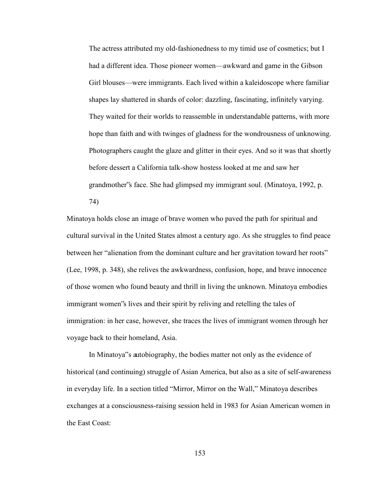The actress attributed my old-fashionedness to my timid use of cosmetics; but I had a different idea. Those pioneer women—awkward and game in the Gibson Girl blouses—were immigrants. Each lived within a kaleidoscope where familiar shapes lay shattered in shards of color: dazzling, fascinating, infinitely varying. They waited for their worlds to reassemble in understandable patterns, with more hope than faith and with twinges of gladness for the wondrousness of unknowing. Photographers caught the glaze and glitter in their eyes. And so it was that shortly before dessert a California talk-show hostess looked at me and saw her grandmother"s face. She had glimpsed my immigrant soul. (Minatoya, 1992, p.

74)

Minatoya holds close an image of brave women who paved the path for spiritual and cultural survival in the United States almost a century ago. As she struggles to find peace between her "alienation from the dominant culture and her gravitation toward her roots" (Lee, 1998, p. 348), she relives the awkwardness, confusion, hope, and brave innocence of those women who found beauty and thrill in living the unknown. Minatoya embodies immigrant women"s lives and their spirit by reliving and retelling the tales of immigration: in her case, however, she traces the lives of immigrant women through her voyage back to their homeland, Asia.

 In Minatoya"s autobiography, the bodies matter not only as the evidence of historical (and continuing) struggle of Asian America, but also as a site of self-awareness in everyday life. In a section titled "Mirror, Mirror on the Wall," Minatoya describes exchanges at a consciousness-raising session held in 1983 for Asian American women in the East Coast: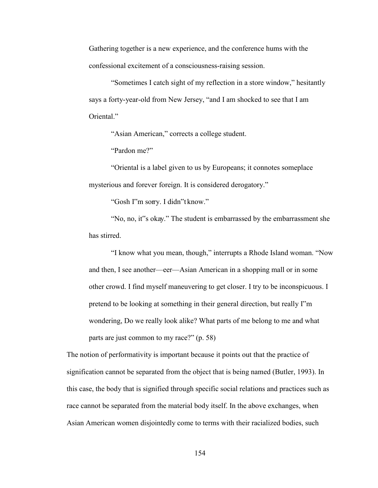Gathering together is a new experience, and the conference hums with the confessional excitement of a consciousness-raising session.

"Sometimes I catch sight of my reflection in a store window," hesitantly says a forty-year-old from New Jersey, "and I am shocked to see that I am Oriental."

"Asian American," corrects a college student.

"Pardon me?"

 "Oriental is a label given to us by Europeans; it connotes someplace mysterious and forever foreign. It is considered derogatory."

"Gosh I"m sorry. I didn"t know."

 "No, no, it"s okay." The student is embarrassed by the embarrassment she has stirred.

"I know what you mean, though," interrupts a Rhode Island woman. "Now and then, I see another—eer—Asian American in a shopping mall or in some other crowd. I find myself maneuvering to get closer. I try to be inconspicuous. I pretend to be looking at something in their general direction, but really I"m wondering, Do we really look alike? What parts of me belong to me and what parts are just common to my race?" (p. 58)

The notion of performativity is important because it points out that the practice of signification cannot be separated from the object that is being named (Butler, 1993). In this case, the body that is signified through specific social relations and practices such as race cannot be separated from the material body itself. In the above exchanges, when Asian American women disjointedly come to terms with their racialized bodies, such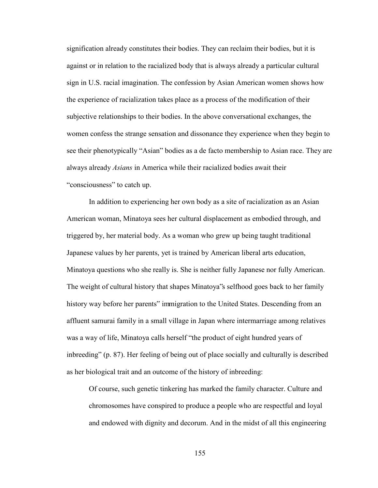signification already constitutes their bodies. They can reclaim their bodies, but it is against or in relation to the racialized body that is always already a particular cultural sign in U.S. racial imagination. The confession by Asian American women shows how the experience of racialization takes place as a process of the modification of their subjective relationships to their bodies. In the above conversational exchanges, the women confess the strange sensation and dissonance they experience when they begin to see their phenotypically "Asian" bodies as a de facto membership to Asian race. They are always already *Asians* in America while their racialized bodies await their "consciousness" to catch up.

In addition to experiencing her own body as a site of racialization as an Asian American woman, Minatoya sees her cultural displacement as embodied through, and triggered by, her material body. As a woman who grew up being taught traditional Japanese values by her parents, yet is trained by American liberal arts education, Minatoya questions who she really is. She is neither fully Japanese nor fully American. The weight of cultural history that shapes Minatoya"s selfhood goes back to her family history way before her parents" immigration to the United States. Descending from an affluent samurai family in a small village in Japan where intermarriage among relatives was a way of life, Minatoya calls herself "the product of eight hundred years of inbreeding" (p. 87). Her feeling of being out of place socially and culturally is described as her biological trait and an outcome of the history of inbreeding:

Of course, such genetic tinkering has marked the family character. Culture and chromosomes have conspired to produce a people who are respectful and loyal and endowed with dignity and decorum. And in the midst of all this engineering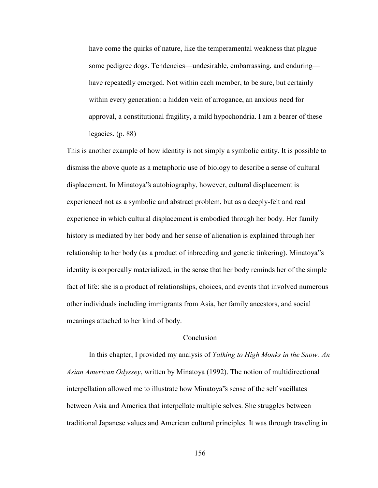have come the quirks of nature, like the temperamental weakness that plague some pedigree dogs. Tendencies—undesirable, embarrassing, and enduring have repeatedly emerged. Not within each member, to be sure, but certainly within every generation: a hidden vein of arrogance, an anxious need for approval, a constitutional fragility, a mild hypochondria. I am a bearer of these legacies. (p. 88)

This is another example of how identity is not simply a symbolic entity. It is possible to dismiss the above quote as a metaphoric use of biology to describe a sense of cultural displacement. In Minatoya"s autobiography, however, cultural displacement is experienced not as a symbolic and abstract problem, but as a deeply-felt and real experience in which cultural displacement is embodied through her body. Her family history is mediated by her body and her sense of alienation is explained through her relationship to her body (as a product of inbreeding and genetic tinkering). Minatoya"s identity is corporeally materialized, in the sense that her body reminds her of the simple fact of life: she is a product of relationships, choices, and events that involved numerous other individuals including immigrants from Asia, her family ancestors, and social meanings attached to her kind of body.

### Conclusion

 In this chapter, I provided my analysis of *Talking to High Monks in the Snow: An Asian American Odyssey*, written by Minatoya (1992). The notion of multidirectional interpellation allowed me to illustrate how Minatoya"s sense of the self vacillates between Asia and America that interpellate multiple selves. She struggles between traditional Japanese values and American cultural principles. It was through traveling in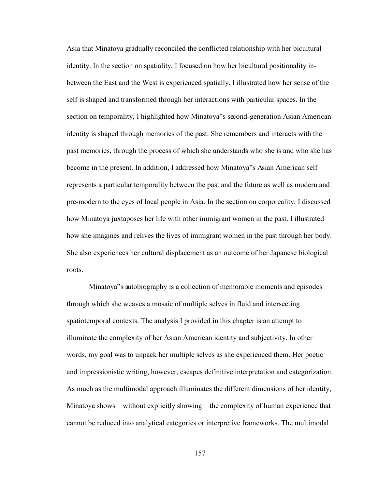Asia that Minatoya gradually reconciled the conflicted relationship with her bicultural identity. In the section on spatiality, I focused on how her bicultural positionality inbetween the East and the West is experienced spatially. I illustrated how her sense of the self is shaped and transformed through her interactions with particular spaces. In the section on temporality, I highlighted how Minatoya"s second-generation Asian American identity is shaped through memories of the past. She remembers and interacts with the past memories, through the process of which she understands who she is and who she has become in the present. In addition, I addressed how Minatoya"s Asian American self represents a particular temporality between the past and the future as well as modern and pre-modern to the eyes of local people in Asia. In the section on corporeality, I discussed how Minatoya juxtaposes her life with other immigrant women in the past. I illustrated how she imagines and relives the lives of immigrant women in the past through her body. She also experiences her cultural displacement as an outcome of her Japanese biological roots.

 Minatoya"s autobiography is a collection of memorable moments and episodes through which she weaves a mosaic of multiple selves in fluid and intersecting spatiotemporal contexts. The analysis I provided in this chapter is an attempt to illuminate the complexity of her Asian American identity and subjectivity. In other words, my goal was to unpack her multiple selves as she experienced them. Her poetic and impressionistic writing, however, escapes definitive interpretation and categorization. As much as the multimodal approach illuminates the different dimensions of her identity, Minatoya shows—without explicitly showing—the complexity of human experience that cannot be reduced into analytical categories or interpretive frameworks. The multimodal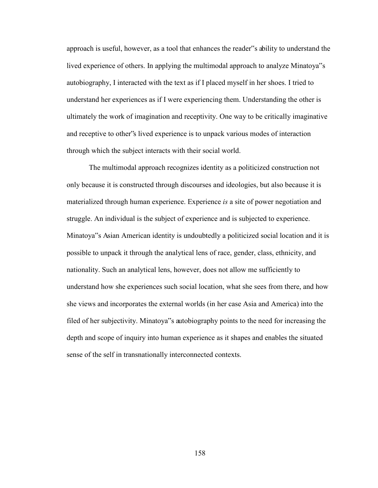approach is useful, however, as a tool that enhances the reader"s ability to understand the lived experience of others. In applying the multimodal approach to analyze Minatoya"s autobiography, I interacted with the text as if I placed myself in her shoes. I tried to understand her experiences as if I were experiencing them. Understanding the other is ultimately the work of imagination and receptivity. One way to be critically imaginative and receptive to other"s lived experience is to unpack various modes of interaction through which the subject interacts with their social world.

The multimodal approach recognizes identity as a politicized construction not only because it is constructed through discourses and ideologies, but also because it is materialized through human experience. Experience *is* a site of power negotiation and struggle. An individual is the subject of experience and is subjected to experience. Minatoya"s Asian American identity is undoubtedly a politicized social location and it is possible to unpack it through the analytical lens of race, gender, class, ethnicity, and nationality. Such an analytical lens, however, does not allow me sufficiently to understand how she experiences such social location, what she sees from there, and how she views and incorporates the external worlds (in her case Asia and America) into the filed of her subjectivity. Minatoya"s autobiography points to the need for increasing the depth and scope of inquiry into human experience as it shapes and enables the situated sense of the self in transnationally interconnected contexts.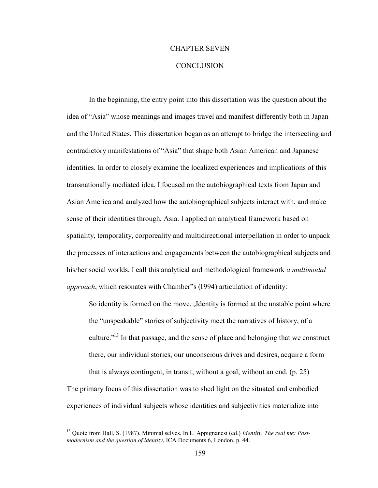### CHAPTER SEVEN

### **CONCLUSION**

In the beginning, the entry point into this dissertation was the question about the idea of "Asia" whose meanings and images travel and manifest differently both in Japan and the United States. This dissertation began as an attempt to bridge the intersecting and contradictory manifestations of "Asia" that shape both Asian American and Japanese identities. In order to closely examine the localized experiences and implications of this transnationally mediated idea, I focused on the autobiographical texts from Japan and Asian America and analyzed how the autobiographical subjects interact with, and make sense of their identities through, Asia. I applied an analytical framework based on spatiality, temporality, corporeality and multidirectional interpellation in order to unpack the processes of interactions and engagements between the autobiographical subjects and his/her social worlds. I call this analytical and methodological framework *a multimodal approach*, which resonates with Chamber"s (1994) articulation of identity:

So identity is formed on the move. "Identity is formed at the unstable point where the "unspeakable" stories of subjectivity meet the narratives of history, of a culture.<sup> $13$ </sup> In that passage, and the sense of place and belonging that we construct there, our individual stories, our unconscious drives and desires, acquire a form that is always contingent, in transit, without a goal, without an end. (p. 25)

The primary focus of this dissertation was to shed light on the situated and embodied experiences of individual subjects whose identities and subjectivities materialize into

 $\overline{a}$ 

<sup>13</sup> Quote from Hall, S. (1987). Minimal selves. In L. Appignanesi (ed.) *Identity. The real me: Postmodernism and the question of identity*, ICA Documents 6, London, p. 44.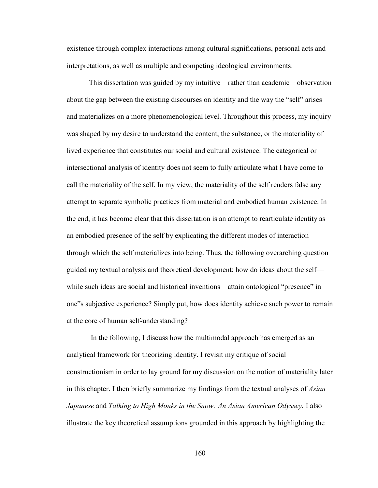existence through complex interactions among cultural significations, personal acts and interpretations, as well as multiple and competing ideological environments.

This dissertation was guided by my intuitive—rather than academic—observation about the gap between the existing discourses on identity and the way the "self" arises and materializes on a more phenomenological level. Throughout this process, my inquiry was shaped by my desire to understand the content, the substance, or the materiality of lived experience that constitutes our social and cultural existence. The categorical or intersectional analysis of identity does not seem to fully articulate what I have come to call the materiality of the self. In my view, the materiality of the self renders false any attempt to separate symbolic practices from material and embodied human existence. In the end, it has become clear that this dissertation is an attempt to rearticulate identity as an embodied presence of the self by explicating the different modes of interaction through which the self materializes into being. Thus, the following overarching question guided my textual analysis and theoretical development: how do ideas about the self while such ideas are social and historical inventions—attain ontological "presence" in one"s subjective experience? Simply put, how does identity achieve such power to remain at the core of human self-understanding?

 In the following, I discuss how the multimodal approach has emerged as an analytical framework for theorizing identity. I revisit my critique of social constructionism in order to lay ground for my discussion on the notion of materiality later in this chapter. I then briefly summarize my findings from the textual analyses of *Asian Japanese* and *Talking to High Monks in the Snow: An Asian American Odyssey.* I also illustrate the key theoretical assumptions grounded in this approach by highlighting the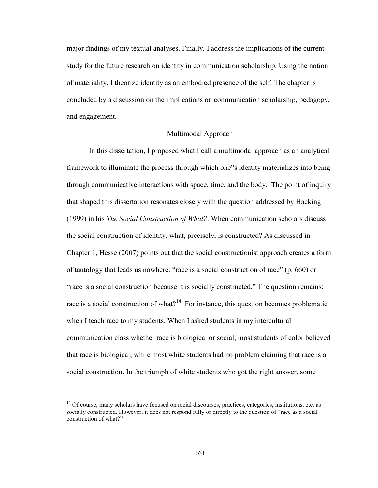major findings of my textual analyses. Finally, I address the implications of the current study for the future research on identity in communication scholarship. Using the notion of materiality, I theorize identity as an embodied presence of the self. The chapter is concluded by a discussion on the implications on communication scholarship, pedagogy, and engagement.

### Multimodal Approach

In this dissertation, I proposed what I call a multimodal approach as an analytical framework to illuminate the process through which one"s identity materializes into being through communicative interactions with space, time, and the body. The point of inquiry that shaped this dissertation resonates closely with the question addressed by Hacking (1999) in his *The Social Construction of What?*. When communication scholars discuss the social construction of identity, what, precisely, is constructed? As discussed in Chapter 1, Hesse (2007) points out that the social constructionist approach creates a form of tautology that leads us nowhere: "race is a social construction of race" (p. 660) or "race is a social construction because it is socially constructed." The question remains: race is a social construction of what?<sup>14</sup> For instance, this question becomes problematic when I teach race to my students. When I asked students in my intercultural communication class whether race is biological or social, most students of color believed that race is biological, while most white students had no problem claiming that race is a social construction. In the triumph of white students who got the right answer, some

 $\overline{a}$ 

<sup>&</sup>lt;sup>14</sup> Of course, many scholars have focused on racial discourses, practices, categories, institutions, etc. as socially constructed. However, it does not respond fully or directly to the question of "race as a social construction of what?"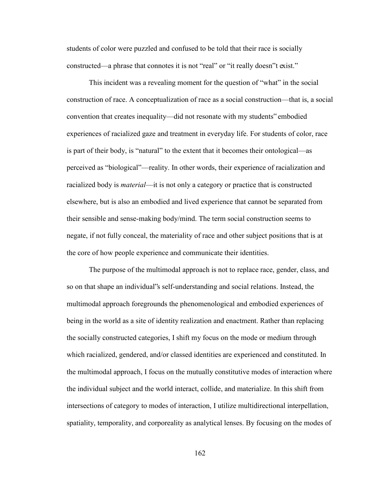students of color were puzzled and confused to be told that their race is socially constructed—a phrase that connotes it is not "real" or "it really doesn"t exist."

This incident was a revealing moment for the question of "what" in the social construction of race. A conceptualization of race as a social construction—that is, a social convention that creates inequality—did not resonate with my students" embodied experiences of racialized gaze and treatment in everyday life. For students of color, race is part of their body, is "natural" to the extent that it becomes their ontological—as perceived as "biological"—reality. In other words, their experience of racialization and racialized body is *material*—it is not only a category or practice that is constructed elsewhere, but is also an embodied and lived experience that cannot be separated from their sensible and sense-making body/mind. The term social construction seems to negate, if not fully conceal, the materiality of race and other subject positions that is at the core of how people experience and communicate their identities.

The purpose of the multimodal approach is not to replace race, gender, class, and so on that shape an individual"s self-understanding and social relations. Instead, the multimodal approach foregrounds the phenomenological and embodied experiences of being in the world as a site of identity realization and enactment. Rather than replacing the socially constructed categories, I shift my focus on the mode or medium through which racialized, gendered, and/or classed identities are experienced and constituted. In the multimodal approach, I focus on the mutually constitutive modes of interaction where the individual subject and the world interact, collide, and materialize. In this shift from intersections of category to modes of interaction, I utilize multidirectional interpellation, spatiality, temporality, and corporeality as analytical lenses. By focusing on the modes of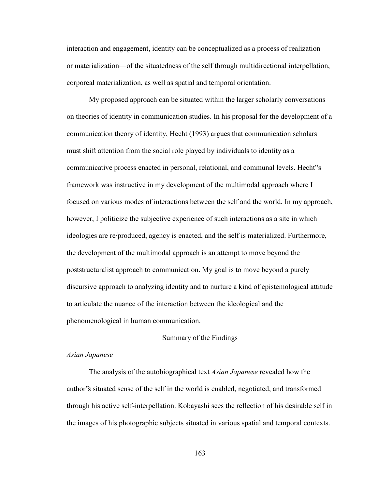interaction and engagement, identity can be conceptualized as a process of realization or materialization—of the situatedness of the self through multidirectional interpellation, corporeal materialization, as well as spatial and temporal orientation.

My proposed approach can be situated within the larger scholarly conversations on theories of identity in communication studies. In his proposal for the development of a communication theory of identity, Hecht (1993) argues that communication scholars must shift attention from the social role played by individuals to identity as a communicative process enacted in personal, relational, and communal levels. Hecht"s framework was instructive in my development of the multimodal approach where I focused on various modes of interactions between the self and the world. In my approach, however, I politicize the subjective experience of such interactions as a site in which ideologies are re/produced, agency is enacted, and the self is materialized. Furthermore, the development of the multimodal approach is an attempt to move beyond the poststructuralist approach to communication. My goal is to move beyond a purely discursive approach to analyzing identity and to nurture a kind of epistemological attitude to articulate the nuance of the interaction between the ideological and the phenomenological in human communication.

### Summary of the Findings

#### *Asian Japanese*

The analysis of the autobiographical text *Asian Japanese* revealed how the author"s situated sense of the self in the world is enabled, negotiated, and transformed through his active self-interpellation. Kobayashi sees the reflection of his desirable self in the images of his photographic subjects situated in various spatial and temporal contexts.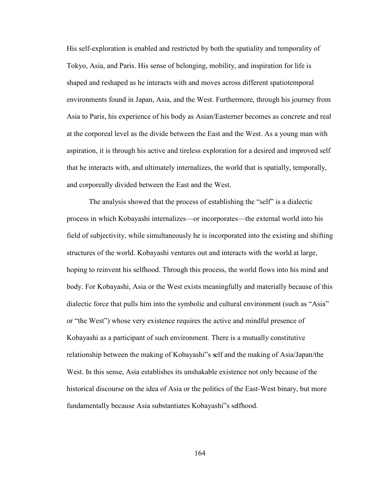His self-exploration is enabled and restricted by both the spatiality and temporality of Tokyo, Asia, and Paris. His sense of belonging, mobility, and inspiration for life is shaped and reshaped as he interacts with and moves across different spatiotemporal environments found in Japan, Asia, and the West. Furthermore, through his journey from Asia to Paris, his experience of his body as Asian/Easterner becomes as concrete and real at the corporeal level as the divide between the East and the West. As a young man with aspiration, it is through his active and tireless exploration for a desired and improved self that he interacts with, and ultimately internalizes, the world that is spatially, temporally, and corporeally divided between the East and the West.

The analysis showed that the process of establishing the "self" is a dialectic process in which Kobayashi internalizes—or incorporates—the external world into his field of subjectivity, while simultaneously he is incorporated into the existing and shifting structures of the world. Kobayashi ventures out and interacts with the world at large, hoping to reinvent his selfhood. Through this process, the world flows into his mind and body. For Kobayashi, Asia or the West exists meaningfully and materially because of this dialectic force that pulls him into the symbolic and cultural environment (such as "Asia" or "the West") whose very existence requires the active and mindful presence of Kobayashi as a participant of such environment. There is a mutually constitutive relationship between the making of Kobayashi"s self and the making of Asia/Japan/the West. In this sense, Asia establishes its unshakable existence not only because of the historical discourse on the idea of Asia or the politics of the East-West binary, but more fundamentally because Asia substantiates Kobayashi"s selfhood.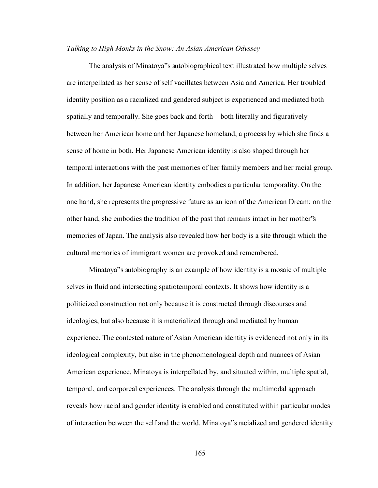#### *Talking to High Monks in the Snow: An Asian American Odyssey*

The analysis of Minatoya"s autobiographical text illustrated how multiple selves are interpellated as her sense of self vacillates between Asia and America. Her troubled identity position as a racialized and gendered subject is experienced and mediated both spatially and temporally. She goes back and forth—both literally and figuratively between her American home and her Japanese homeland, a process by which she finds a sense of home in both. Her Japanese American identity is also shaped through her temporal interactions with the past memories of her family members and her racial group. In addition, her Japanese American identity embodies a particular temporality. On the one hand, she represents the progressive future as an icon of the American Dream; on the other hand, she embodies the tradition of the past that remains intact in her mother"s memories of Japan. The analysis also revealed how her body is a site through which the cultural memories of immigrant women are provoked and remembered.

Minatoya"s autobiography is an example of how identity is a mosaic of multiple selves in fluid and intersecting spatiotemporal contexts. It shows how identity is a politicized construction not only because it is constructed through discourses and ideologies, but also because it is materialized through and mediated by human experience. The contested nature of Asian American identity is evidenced not only in its ideological complexity, but also in the phenomenological depth and nuances of Asian American experience. Minatoya is interpellated by, and situated within, multiple spatial, temporal, and corporeal experiences. The analysis through the multimodal approach reveals how racial and gender identity is enabled and constituted within particular modes of interaction between the self and the world. Minatoya"s racialized and gendered identity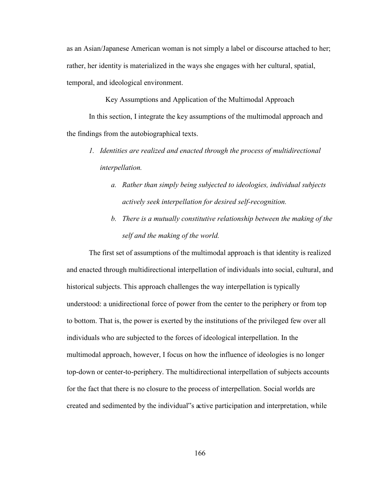as an Asian/Japanese American woman is not simply a label or discourse attached to her; rather, her identity is materialized in the ways she engages with her cultural, spatial, temporal, and ideological environment.

Key Assumptions and Application of the Multimodal Approach

 In this section, I integrate the key assumptions of the multimodal approach and the findings from the autobiographical texts.

- *1. Identities are realized and enacted through the process of multidirectional interpellation.* 
	- *a. Rather than simply being subjected to ideologies, individual subjects actively seek interpellation for desired self-recognition.*
	- *b. There is a mutually constitutive relationship between the making of the self and the making of the world.*

The first set of assumptions of the multimodal approach is that identity is realized and enacted through multidirectional interpellation of individuals into social, cultural, and historical subjects. This approach challenges the way interpellation is typically understood: a unidirectional force of power from the center to the periphery or from top to bottom. That is, the power is exerted by the institutions of the privileged few over all individuals who are subjected to the forces of ideological interpellation. In the multimodal approach, however, I focus on how the influence of ideologies is no longer top-down or center-to-periphery. The multidirectional interpellation of subjects accounts for the fact that there is no closure to the process of interpellation. Social worlds are created and sedimented by the individual"s active participation and interpretation, while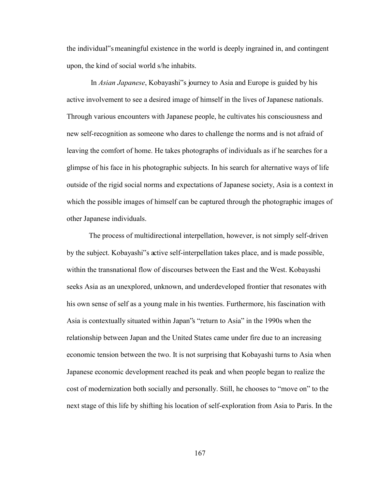the individual"s meaningful existence in the world is deeply ingrained in, and contingent upon, the kind of social world s/he inhabits.

 In *Asian Japanese*, Kobayashi"s journey to Asia and Europe is guided by his active involvement to see a desired image of himself in the lives of Japanese nationals. Through various encounters with Japanese people, he cultivates his consciousness and new self-recognition as someone who dares to challenge the norms and is not afraid of leaving the comfort of home. He takes photographs of individuals as if he searches for a glimpse of his face in his photographic subjects. In his search for alternative ways of life outside of the rigid social norms and expectations of Japanese society, Asia is a context in which the possible images of himself can be captured through the photographic images of other Japanese individuals.

The process of multidirectional interpellation, however, is not simply self-driven by the subject. Kobayashi"s active self-interpellation takes place, and is made possible, within the transnational flow of discourses between the East and the West. Kobayashi seeks Asia as an unexplored, unknown, and underdeveloped frontier that resonates with his own sense of self as a young male in his twenties. Furthermore, his fascination with Asia is contextually situated within Japan"s "return to Asia" in the 1990s when the relationship between Japan and the United States came under fire due to an increasing economic tension between the two. It is not surprising that Kobayashi turns to Asia when Japanese economic development reached its peak and when people began to realize the cost of modernization both socially and personally. Still, he chooses to "move on" to the next stage of this life by shifting his location of self-exploration from Asia to Paris. In the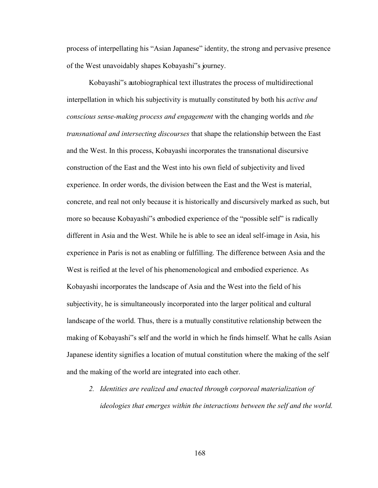process of interpellating his "Asian Japanese" identity, the strong and pervasive presence of the West unavoidably shapes Kobayashi"s journey.

Kobayashi"s autobiographical text illustrates the process of multidirectional interpellation in which his subjectivity is mutually constituted by both his *active and conscious sense-making process and engagement* with the changing worlds and *the transnational and intersecting discourses* that shape the relationship between the East and the West. In this process, Kobayashi incorporates the transnational discursive construction of the East and the West into his own field of subjectivity and lived experience. In order words, the division between the East and the West is material, concrete, and real not only because it is historically and discursively marked as such, but more so because Kobayashi"s embodied experience of the "possible self" is radically different in Asia and the West. While he is able to see an ideal self-image in Asia, his experience in Paris is not as enabling or fulfilling. The difference between Asia and the West is reified at the level of his phenomenological and embodied experience. As Kobayashi incorporates the landscape of Asia and the West into the field of his subjectivity, he is simultaneously incorporated into the larger political and cultural landscape of the world. Thus, there is a mutually constitutive relationship between the making of Kobayashi"s self and the world in which he finds himself. What he calls Asian Japanese identity signifies a location of mutual constitution where the making of the self and the making of the world are integrated into each other.

*2. Identities are realized and enacted through corporeal materialization of ideologies that emerges within the interactions between the self and the world.*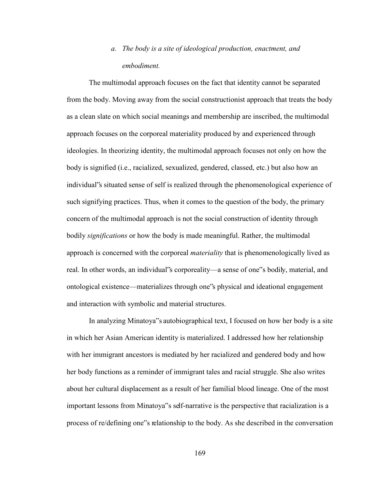## *a. The body is a site of ideological production, enactment, and embodiment.*

The multimodal approach focuses on the fact that identity cannot be separated from the body. Moving away from the social constructionist approach that treats the body as a clean slate on which social meanings and membership are inscribed, the multimodal approach focuses on the corporeal materiality produced by and experienced through ideologies. In theorizing identity, the multimodal approach focuses not only on how the body is signified (i.e., racialized, sexualized, gendered, classed, etc.) but also how an individual"s situated sense of self is realized through the phenomenological experience of such signifying practices. Thus, when it comes to the question of the body, the primary concern of the multimodal approach is not the social construction of identity through bodily *significations* or how the body is made meaningful. Rather, the multimodal approach is concerned with the corporeal *materiality* that is phenomenologically lived as real. In other words, an individual"s corporeality—a sense of one"s bodily, material, and ontological existence—materializes through one"s physical and ideational engagement and interaction with symbolic and material structures.

In analyzing Minatoya"s autobiographical text, I focused on how her body is a site in which her Asian American identity is materialized. I addressed how her relationship with her immigrant ancestors is mediated by her racialized and gendered body and how her body functions as a reminder of immigrant tales and racial struggle. She also writes about her cultural displacement as a result of her familial blood lineage. One of the most important lessons from Minatoya"s self-narrative is the perspective that racialization is a process of re/defining one"s relationship to the body. As she described in the conversation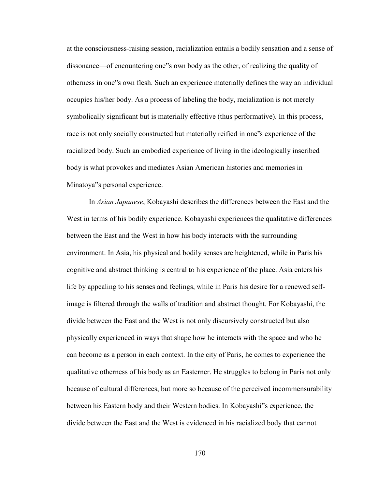at the consciousness-raising session, racialization entails a bodily sensation and a sense of dissonance—of encountering one"s own body as the other, of realizing the quality of otherness in one"s own flesh. Such an experience materially defines the way an individual occupies his/her body. As a process of labeling the body, racialization is not merely symbolically significant but is materially effective (thus performative). In this process, race is not only socially constructed but materially reified in one"s experience of the racialized body. Such an embodied experience of living in the ideologically inscribed body is what provokes and mediates Asian American histories and memories in Minatoya"s personal experience.

In *Asian Japanese*, Kobayashi describes the differences between the East and the West in terms of his bodily experience. Kobayashi experiences the qualitative differences between the East and the West in how his body interacts with the surrounding environment. In Asia, his physical and bodily senses are heightened, while in Paris his cognitive and abstract thinking is central to his experience of the place. Asia enters his life by appealing to his senses and feelings, while in Paris his desire for a renewed selfimage is filtered through the walls of tradition and abstract thought. For Kobayashi, the divide between the East and the West is not only discursively constructed but also physically experienced in ways that shape how he interacts with the space and who he can become as a person in each context. In the city of Paris, he comes to experience the qualitative otherness of his body as an Easterner. He struggles to belong in Paris not only because of cultural differences, but more so because of the perceived incommensurability between his Eastern body and their Western bodies. In Kobayashi"s experience, the divide between the East and the West is evidenced in his racialized body that cannot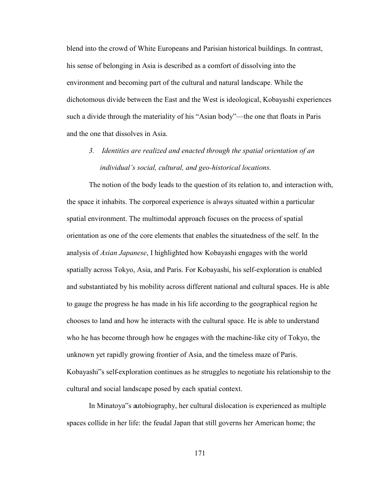blend into the crowd of White Europeans and Parisian historical buildings. In contrast, his sense of belonging in Asia is described as a comfort of dissolving into the environment and becoming part of the cultural and natural landscape. While the dichotomous divide between the East and the West is ideological, Kobayashi experiences such a divide through the materiality of his "Asian body"—the one that floats in Paris and the one that dissolves in Asia.

*3. Identities are realized and enacted through the spatial orientation of an individual's social, cultural, and geo-historical locations.* 

The notion of the body leads to the question of its relation to, and interaction with, the space it inhabits. The corporeal experience is always situated within a particular spatial environment. The multimodal approach focuses on the process of spatial orientation as one of the core elements that enables the situatedness of the self. In the analysis of *Asian Japanese*, I highlighted how Kobayashi engages with the world spatially across Tokyo, Asia, and Paris. For Kobayashi, his self-exploration is enabled and substantiated by his mobility across different national and cultural spaces. He is able to gauge the progress he has made in his life according to the geographical region he chooses to land and how he interacts with the cultural space. He is able to understand who he has become through how he engages with the machine-like city of Tokyo, the unknown yet rapidly growing frontier of Asia, and the timeless maze of Paris. Kobayashi"s self-exploration continues as he struggles to negotiate his relationship to the cultural and social landscape posed by each spatial context.

 In Minatoya"s autobiography, her cultural dislocation is experienced as multiple spaces collide in her life: the feudal Japan that still governs her American home; the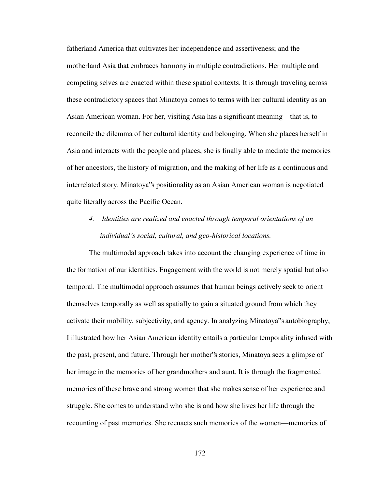fatherland America that cultivates her independence and assertiveness; and the motherland Asia that embraces harmony in multiple contradictions. Her multiple and competing selves are enacted within these spatial contexts. It is through traveling across these contradictory spaces that Minatoya comes to terms with her cultural identity as an Asian American woman. For her, visiting Asia has a significant meaning—that is, to reconcile the dilemma of her cultural identity and belonging. When she places herself in Asia and interacts with the people and places, she is finally able to mediate the memories of her ancestors, the history of migration, and the making of her life as a continuous and interrelated story. Minatoya"s positionality as an Asian American woman is negotiated quite literally across the Pacific Ocean.

*4. Identities are realized and enacted through temporal orientations of an individual's social, cultural, and geo-historical locations.* 

The multimodal approach takes into account the changing experience of time in the formation of our identities. Engagement with the world is not merely spatial but also temporal. The multimodal approach assumes that human beings actively seek to orient themselves temporally as well as spatially to gain a situated ground from which they activate their mobility, subjectivity, and agency. In analyzing Minatoya"s autobiography, I illustrated how her Asian American identity entails a particular temporality infused with the past, present, and future. Through her mother"s stories, Minatoya sees a glimpse of her image in the memories of her grandmothers and aunt. It is through the fragmented memories of these brave and strong women that she makes sense of her experience and struggle. She comes to understand who she is and how she lives her life through the recounting of past memories. She reenacts such memories of the women—memories of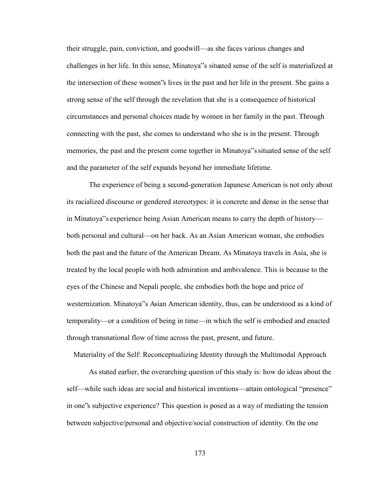their struggle, pain, conviction, and goodwill—as she faces various changes and challenges in her life. In this sense, Minatoya"s situated sense of the self is materialized at the intersection of these women"s lives in the past and her life in the present. She gains a strong sense of the self through the revelation that she is a consequence of historical circumstances and personal choices made by women in her family in the past. Through connecting with the past, she comes to understand who she is in the present. Through memories, the past and the present come together in Minatoya"s situated sense of the self and the parameter of the self expands beyond her immediate lifetime.

The experience of being a second-generation Japanese American is not only about its racialized discourse or gendered stereotypes: it is concrete and dense in the sense that in Minatoya"s experience being Asian American means to carry the depth of history both personal and cultural—on her back. As an Asian American woman, she embodies both the past and the future of the American Dream. As Minatoya travels in Asia, she is treated by the local people with both admiration and ambivalence. This is because to the eyes of the Chinese and Nepali people, she embodies both the hope and price of westernization. Minatoya"s Asian American identity, thus, can be understood as a kind of temporality—or a condition of being in time—in which the self is embodied and enacted through transnational flow of time across the past, present, and future.

Materiality of the Self: Reconceptualizing Identity through the Multimodal Approach

As stated earlier, the overarching question of this study is: how do ideas about the self—while such ideas are social and historical inventions—attain ontological "presence" in one"s subjective experience? This question is posed as a way of mediating the tension between subjective/personal and objective/social construction of identity. On the one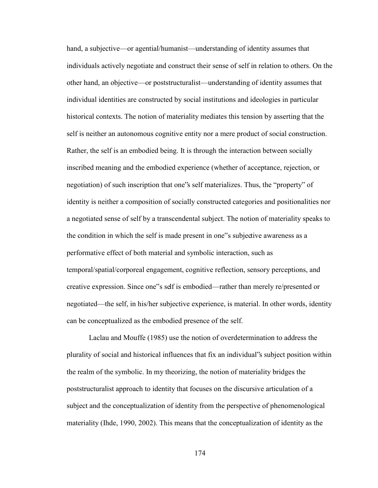hand, a subjective—or agential/humanist—understanding of identity assumes that individuals actively negotiate and construct their sense of self in relation to others. On the other hand, an objective—or poststructuralist—understanding of identity assumes that individual identities are constructed by social institutions and ideologies in particular historical contexts. The notion of materiality mediates this tension by asserting that the self is neither an autonomous cognitive entity nor a mere product of social construction. Rather, the self is an embodied being. It is through the interaction between socially inscribed meaning and the embodied experience (whether of acceptance, rejection, or negotiation) of such inscription that one"s self materializes. Thus, the "property" of identity is neither a composition of socially constructed categories and positionalities nor a negotiated sense of self by a transcendental subject. The notion of materiality speaks to the condition in which the self is made present in one"s subjective awareness as a performative effect of both material and symbolic interaction, such as temporal/spatial/corporeal engagement, cognitive reflection, sensory perceptions, and creative expression. Since one"s self is embodied—rather than merely re/presented or negotiated—the self, in his/her subjective experience, is material. In other words, identity can be conceptualized as the embodied presence of the self.

Laclau and Mouffe (1985) use the notion of overdetermination to address the plurality of social and historical influences that fix an individual"s subject position within the realm of the symbolic. In my theorizing, the notion of materiality bridges the poststructuralist approach to identity that focuses on the discursive articulation of a subject and the conceptualization of identity from the perspective of phenomenological materiality (Ihde, 1990, 2002). This means that the conceptualization of identity as the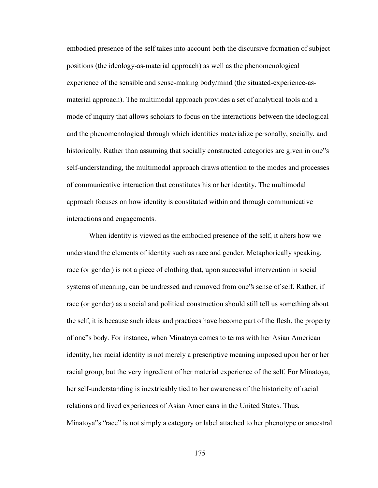embodied presence of the self takes into account both the discursive formation of subject positions (the ideology-as-material approach) as well as the phenomenological experience of the sensible and sense-making body/mind (the situated-experience-asmaterial approach). The multimodal approach provides a set of analytical tools and a mode of inquiry that allows scholars to focus on the interactions between the ideological and the phenomenological through which identities materialize personally, socially, and historically. Rather than assuming that socially constructed categories are given in one"s self-understanding, the multimodal approach draws attention to the modes and processes of communicative interaction that constitutes his or her identity. The multimodal approach focuses on how identity is constituted within and through communicative interactions and engagements.

When identity is viewed as the embodied presence of the self, it alters how we understand the elements of identity such as race and gender. Metaphorically speaking, race (or gender) is not a piece of clothing that, upon successful intervention in social systems of meaning, can be undressed and removed from one"s sense of self. Rather, if race (or gender) as a social and political construction should still tell us something about the self, it is because such ideas and practices have become part of the flesh, the property of one"s body. For instance, when Minatoya comes to terms with her Asian American identity, her racial identity is not merely a prescriptive meaning imposed upon her or her racial group, but the very ingredient of her material experience of the self. For Minatoya, her self-understanding is inextricably tied to her awareness of the historicity of racial relations and lived experiences of Asian Americans in the United States. Thus, Minatoya"s "race" is not simply a category or label attached to her phenotype or ancestral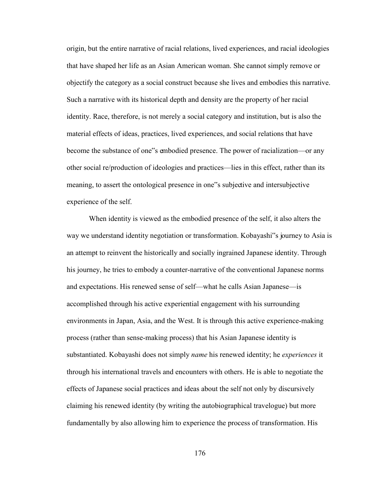origin, but the entire narrative of racial relations, lived experiences, and racial ideologies that have shaped her life as an Asian American woman. She cannot simply remove or objectify the category as a social construct because she lives and embodies this narrative. Such a narrative with its historical depth and density are the property of her racial identity. Race, therefore, is not merely a social category and institution, but is also the material effects of ideas, practices, lived experiences, and social relations that have become the substance of one"s embodied presence. The power of racialization—or any other social re/production of ideologies and practices—lies in this effect, rather than its meaning, to assert the ontological presence in one"s subjective and intersubjective experience of the self.

When identity is viewed as the embodied presence of the self, it also alters the way we understand identity negotiation or transformation. Kobayashi"s journey to Asia is an attempt to reinvent the historically and socially ingrained Japanese identity. Through his journey, he tries to embody a counter-narrative of the conventional Japanese norms and expectations. His renewed sense of self—what he calls Asian Japanese—is accomplished through his active experiential engagement with his surrounding environments in Japan, Asia, and the West. It is through this active experience-making process (rather than sense-making process) that his Asian Japanese identity is substantiated. Kobayashi does not simply *name* his renewed identity; he *experiences* it through his international travels and encounters with others. He is able to negotiate the effects of Japanese social practices and ideas about the self not only by discursively claiming his renewed identity (by writing the autobiographical travelogue) but more fundamentally by also allowing him to experience the process of transformation. His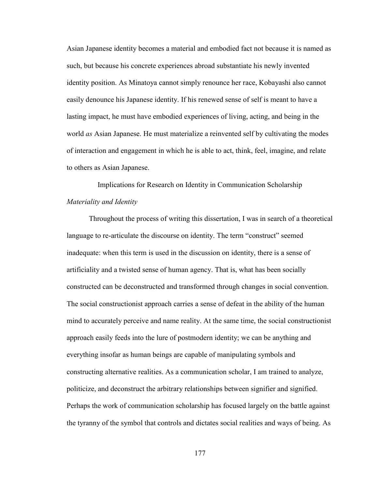Asian Japanese identity becomes a material and embodied fact not because it is named as such, but because his concrete experiences abroad substantiate his newly invented identity position. As Minatoya cannot simply renounce her race, Kobayashi also cannot easily denounce his Japanese identity. If his renewed sense of self is meant to have a lasting impact, he must have embodied experiences of living, acting, and being in the world *as* Asian Japanese. He must materialize a reinvented self by cultivating the modes of interaction and engagement in which he is able to act, think, feel, imagine, and relate to others as Asian Japanese.

Implications for Research on Identity in Communication Scholarship *Materiality and Identity* 

Throughout the process of writing this dissertation, I was in search of a theoretical language to re-articulate the discourse on identity. The term "construct" seemed inadequate: when this term is used in the discussion on identity, there is a sense of artificiality and a twisted sense of human agency. That is, what has been socially constructed can be deconstructed and transformed through changes in social convention. The social constructionist approach carries a sense of defeat in the ability of the human mind to accurately perceive and name reality. At the same time, the social constructionist approach easily feeds into the lure of postmodern identity; we can be anything and everything insofar as human beings are capable of manipulating symbols and constructing alternative realities. As a communication scholar, I am trained to analyze, politicize, and deconstruct the arbitrary relationships between signifier and signified. Perhaps the work of communication scholarship has focused largely on the battle against the tyranny of the symbol that controls and dictates social realities and ways of being. As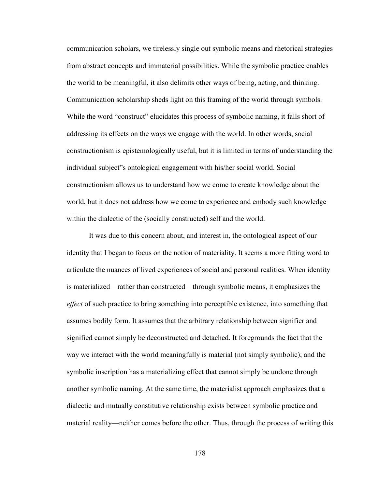communication scholars, we tirelessly single out symbolic means and rhetorical strategies from abstract concepts and immaterial possibilities. While the symbolic practice enables the world to be meaningful, it also delimits other ways of being, acting, and thinking. Communication scholarship sheds light on this framing of the world through symbols. While the word "construct" elucidates this process of symbolic naming, it falls short of addressing its effects on the ways we engage with the world. In other words, social constructionism is epistemologically useful, but it is limited in terms of understanding the individual subject"s ontological engagement with his/her social world. Social constructionism allows us to understand how we come to create knowledge about the world, but it does not address how we come to experience and embody such knowledge within the dialectic of the (socially constructed) self and the world.

It was due to this concern about, and interest in, the ontological aspect of our identity that I began to focus on the notion of materiality. It seems a more fitting word to articulate the nuances of lived experiences of social and personal realities. When identity is materialized—rather than constructed—through symbolic means, it emphasizes the *effect* of such practice to bring something into perceptible existence, into something that assumes bodily form. It assumes that the arbitrary relationship between signifier and signified cannot simply be deconstructed and detached. It foregrounds the fact that the way we interact with the world meaningfully is material (not simply symbolic); and the symbolic inscription has a materializing effect that cannot simply be undone through another symbolic naming. At the same time, the materialist approach emphasizes that a dialectic and mutually constitutive relationship exists between symbolic practice and material reality—neither comes before the other. Thus, through the process of writing this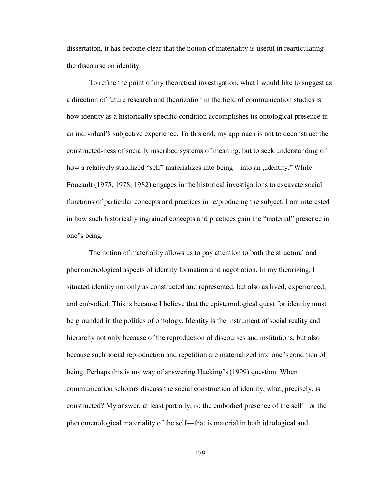dissertation, it has become clear that the notion of materiality is useful in rearticulating the discourse on identity.

To refine the point of my theoretical investigation, what I would like to suggest as a direction of future research and theorization in the field of communication studies is how identity as a historically specific condition accomplishes its ontological presence in an individual"s subjective experience. To this end, my approach is not to deconstruct the constructed-ness of socially inscribed systems of meaning, but to seek understanding of how a relatively stabilized "self" materializes into being—into an "identity." While Foucault (1975, 1978, 1982) engages in the historical investigations to excavate social functions of particular concepts and practices in re/producing the subject, I am interested in how such historically ingrained concepts and practices gain the "material" presence in one"s being.

The notion of materiality allows us to pay attention to both the structural and phenomenological aspects of identity formation and negotiation. In my theorizing, I situated identity not only as constructed and represented, but also as lived, experienced, and embodied. This is because I believe that the epistemological quest for identity must be grounded in the politics of ontology. Identity is the instrument of social reality and hierarchy not only because of the reproduction of discourses and institutions, but also because such social reproduction and repetition are materialized into one"s condition of being. Perhaps this is my way of answering Hacking"s (1999) question. When communication scholars discuss the social construction of identity, what, precisely, is constructed? My answer, at least partially, is: the embodied presence of the self—or the phenomenological materiality of the self—that is material in both ideological and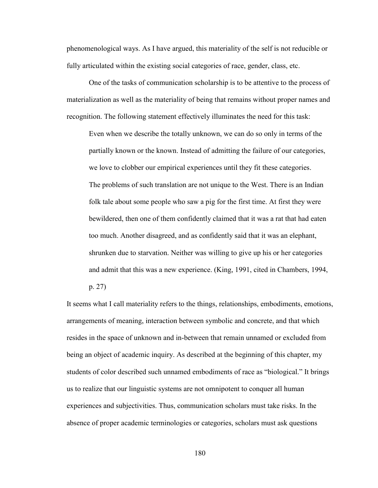phenomenological ways. As I have argued, this materiality of the self is not reducible or fully articulated within the existing social categories of race, gender, class, etc.

One of the tasks of communication scholarship is to be attentive to the process of materialization as well as the materiality of being that remains without proper names and recognition. The following statement effectively illuminates the need for this task:

Even when we describe the totally unknown, we can do so only in terms of the partially known or the known. Instead of admitting the failure of our categories, we love to clobber our empirical experiences until they fit these categories. The problems of such translation are not unique to the West. There is an Indian folk tale about some people who saw a pig for the first time. At first they were bewildered, then one of them confidently claimed that it was a rat that had eaten too much. Another disagreed, and as confidently said that it was an elephant, shrunken due to starvation. Neither was willing to give up his or her categories and admit that this was a new experience. (King, 1991, cited in Chambers, 1994,

p. 27)

It seems what I call materiality refers to the things, relationships, embodiments, emotions, arrangements of meaning, interaction between symbolic and concrete, and that which resides in the space of unknown and in-between that remain unnamed or excluded from being an object of academic inquiry. As described at the beginning of this chapter, my students of color described such unnamed embodiments of race as "biological." It brings us to realize that our linguistic systems are not omnipotent to conquer all human experiences and subjectivities. Thus, communication scholars must take risks. In the absence of proper academic terminologies or categories, scholars must ask questions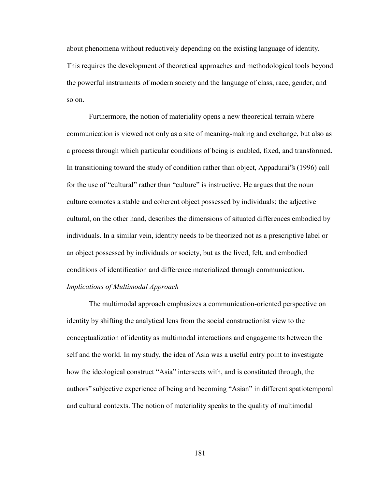about phenomena without reductively depending on the existing language of identity. This requires the development of theoretical approaches and methodological tools beyond the powerful instruments of modern society and the language of class, race, gender, and so on.

Furthermore, the notion of materiality opens a new theoretical terrain where communication is viewed not only as a site of meaning-making and exchange, but also as a process through which particular conditions of being is enabled, fixed, and transformed. In transitioning toward the study of condition rather than object, Appadurai"s (1996) call for the use of "cultural" rather than "culture" is instructive. He argues that the noun culture connotes a stable and coherent object possessed by individuals; the adjective cultural, on the other hand, describes the dimensions of situated differences embodied by individuals. In a similar vein, identity needs to be theorized not as a prescriptive label or an object possessed by individuals or society, but as the lived, felt, and embodied conditions of identification and difference materialized through communication. *Implications of Multimodal Approach* 

The multimodal approach emphasizes a communication-oriented perspective on identity by shifting the analytical lens from the social constructionist view to the conceptualization of identity as multimodal interactions and engagements between the self and the world. In my study, the idea of Asia was a useful entry point to investigate how the ideological construct "Asia" intersects with, and is constituted through, the authors" subjective experience of being and becoming "Asian" in different spatiotemporal and cultural contexts. The notion of materiality speaks to the quality of multimodal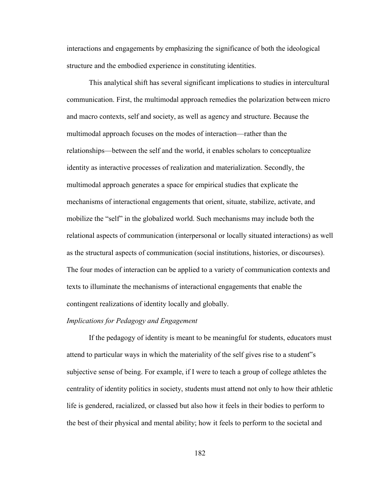interactions and engagements by emphasizing the significance of both the ideological structure and the embodied experience in constituting identities.

This analytical shift has several significant implications to studies in intercultural communication. First, the multimodal approach remedies the polarization between micro and macro contexts, self and society, as well as agency and structure. Because the multimodal approach focuses on the modes of interaction—rather than the relationships—between the self and the world, it enables scholars to conceptualize identity as interactive processes of realization and materialization. Secondly, the multimodal approach generates a space for empirical studies that explicate the mechanisms of interactional engagements that orient, situate, stabilize, activate, and mobilize the "self" in the globalized world. Such mechanisms may include both the relational aspects of communication (interpersonal or locally situated interactions) as well as the structural aspects of communication (social institutions, histories, or discourses). The four modes of interaction can be applied to a variety of communication contexts and texts to illuminate the mechanisms of interactional engagements that enable the contingent realizations of identity locally and globally.

## *Implications for Pedagogy and Engagement*

If the pedagogy of identity is meant to be meaningful for students, educators must attend to particular ways in which the materiality of the self gives rise to a student"s subjective sense of being. For example, if I were to teach a group of college athletes the centrality of identity politics in society, students must attend not only to how their athletic life is gendered, racialized, or classed but also how it feels in their bodies to perform to the best of their physical and mental ability; how it feels to perform to the societal and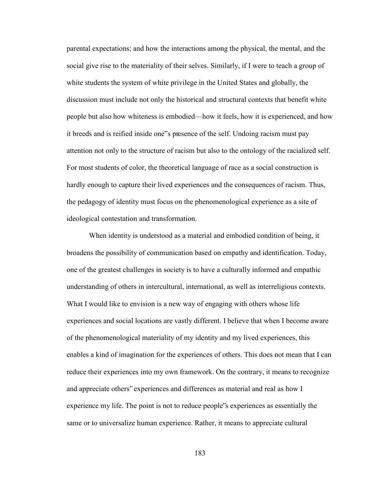parental expectations; and how the interactions among the physical, the mental, and the social give rise to the materiality of their selves. Similarly, if I were to teach a group of white students the system of white privilege in the United States and globally, the discussion must include not only the historical and structural contexts that benefit white people but also how whiteness is embodied—how it feels, how it is experienced, and how it breeds and is reified inside one"s presence of the self. Undoing racism must pay attention not only to the structure of racism but also to the ontology of the racialized self. For most students of color, the theoretical language of race as a social construction is hardly enough to capture their lived experiences and the consequences of racism. Thus, the pedagogy of identity must focus on the phenomenological experience as a site of ideological contestation and transformation.

When identity is understood as a material and embodied condition of being, it broadens the possibility of communication based on empathy and identification. Today, one of the greatest challenges in society is to have a culturally informed and empathic understanding of others in intercultural, international, as well as interreligious contexts. What I would like to envision is a new way of engaging with others whose life experiences and social locations are vastly different. I believe that when I become aware of the phenomenological materiality of my identity and my lived experiences, this enables a kind of imagination for the experiences of others. This does not mean that I can reduce their experiences into my own framework. On the contrary, it means to recognize and appreciate others" experiences and differences as material and real as how I experience my life. The point is not to reduce people"s experiences as essentially the same or to universalize human experience. Rather, it means to appreciate cultural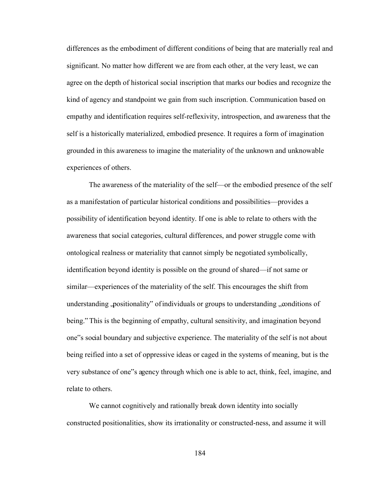differences as the embodiment of different conditions of being that are materially real and significant. No matter how different we are from each other, at the very least, we can agree on the depth of historical social inscription that marks our bodies and recognize the kind of agency and standpoint we gain from such inscription. Communication based on empathy and identification requires self-reflexivity, introspection, and awareness that the self is a historically materialized, embodied presence. It requires a form of imagination grounded in this awareness to imagine the materiality of the unknown and unknowable experiences of others.

The awareness of the materiality of the self—or the embodied presence of the self as a manifestation of particular historical conditions and possibilities—provides a possibility of identification beyond identity. If one is able to relate to others with the awareness that social categories, cultural differences, and power struggle come with ontological realness or materiality that cannot simply be negotiated symbolically, identification beyond identity is possible on the ground of shared—if not same or similar—experiences of the materiality of the self. This encourages the shift from understanding positionality" of individuals or groups to understanding "conditions of being." This is the beginning of empathy, cultural sensitivity, and imagination beyond one"s social boundary and subjective experience. The materiality of the self is not about being reified into a set of oppressive ideas or caged in the systems of meaning, but is the very substance of one"s agency through which one is able to act, think, feel, imagine, and relate to others.

We cannot cognitively and rationally break down identity into socially constructed positionalities, show its irrationality or constructed-ness, and assume it will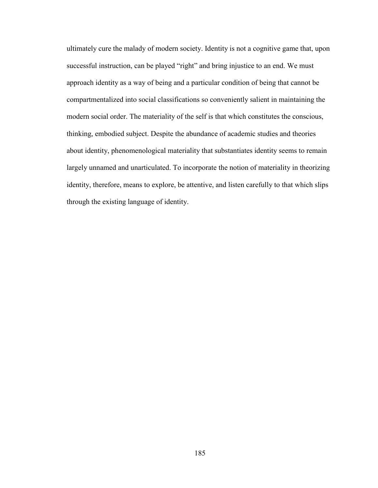ultimately cure the malady of modern society. Identity is not a cognitive game that, upon successful instruction, can be played "right" and bring injustice to an end. We must approach identity as a way of being and a particular condition of being that cannot be compartmentalized into social classifications so conveniently salient in maintaining the modern social order. The materiality of the self is that which constitutes the conscious, thinking, embodied subject. Despite the abundance of academic studies and theories about identity, phenomenological materiality that substantiates identity seems to remain largely unnamed and unarticulated. To incorporate the notion of materiality in theorizing identity, therefore, means to explore, be attentive, and listen carefully to that which slips through the existing language of identity.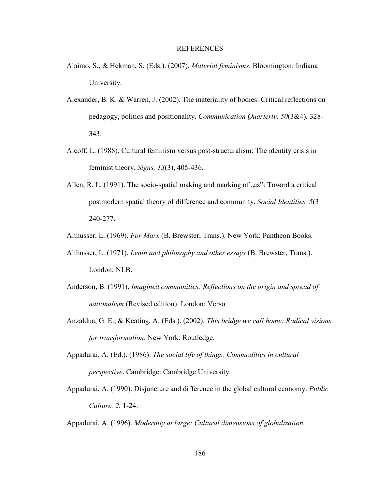## REFERENCES

- Alaimo, S., & Hekman, S. (Eds.). (2007). *Material feminisms*. Bloomington: Indiana University.
- Alexander, B. K. & Warren, J. (2002). The materiality of bodies: Critical reflections on pedagogy, politics and positionality. *Communication Quarterly, 50*(3&4), 328- 343.
- Alcoff, L. (1988). Cultural feminism versus post-structuralism: The identity crisis in feminist theory. *Signs, 13*(3), 405-436.
- Allen, R. L.  $(1991)$ . The socio-spatial making and marking of  $\mu$ us": Toward a critical postmodern spatial theory of difference and community. *Social Identities, 5*(3 240-277.
- Althusser, L. (1969). *For Marx* (B. Brewster, Trans.). New York: Pantheon Books.
- Althusser, L. (1971). *Lenin and philosophy and other essays* (B. Brewster, Trans.). London: NLB.
- Anderson, B. (1991). *Imagined communities: Reflections on the origin and spread of nationalism* (Revised edition). London: Verso
- Anzaldua, G. E., & Keating, A. (Eds.). (2002). *This bridge we call home: Radical visions for transformation*. New York: Routledge.
- Appadurai, A. (Ed.). (1986). *The social life of things: Commodities in cultural perspective*. Cambridge: Cambridge University.
- Appadurai, A. (1990). Disjuncture and difference in the global cultural economy. *Public Culture, 2*, 1-24.

Appadurai, A. (1996). *Modernity at large: Cultural dimensions of globalization.*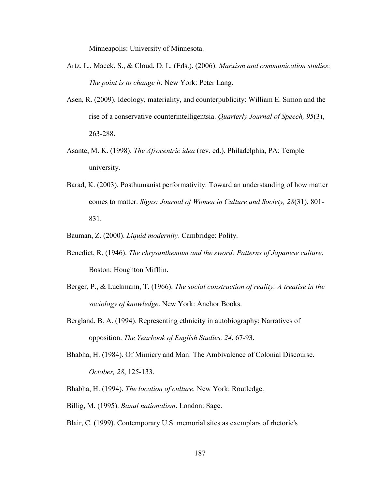Minneapolis: University of Minnesota.

- Artz, L., Macek, S., & Cloud, D. L. (Eds.). (2006). *Marxism and communication studies: The point is to change it*. New York: Peter Lang.
- Asen, R. (2009). Ideology, materiality, and counterpublicity: William E. Simon and the rise of a conservative counterintelligentsia. *Quarterly Journal of Speech, 95*(3), 263-288.
- Asante, M. K. (1998). *The Afrocentric idea* (rev. ed.). Philadelphia, PA: Temple university.
- Barad, K. (2003). Posthumanist performativity: Toward an understanding of how matter comes to matter. *Signs: Journal of Women in Culture and Society, 28*(31), 801- 831.

Bauman, Z. (2000). *Liquid modernity*. Cambridge: Polity.

- Benedict, R. (1946). *The chrysanthemum and the sword: Patterns of Japanese culture*. Boston: Houghton Mifflin.
- Berger, P., & Luckmann, T. (1966). *The social construction of reality: A treatise in the sociology of knowledge*. New York: Anchor Books.
- Bergland, B. A. (1994). Representing ethnicity in autobiography: Narratives of opposition. *The Yearbook of English Studies, 24*, 67-93.
- Bhabha, H. (1984). Of Mimicry and Man: The Ambivalence of Colonial Discourse. *October, 28*, 125-133.
- Bhabha, H. (1994). *The location of culture.* New York: Routledge.
- Billig, M. (1995). *Banal nationalism*. London: Sage.

Blair, C. (1999). Contemporary U.S. memorial sites as exemplars of rhetoric's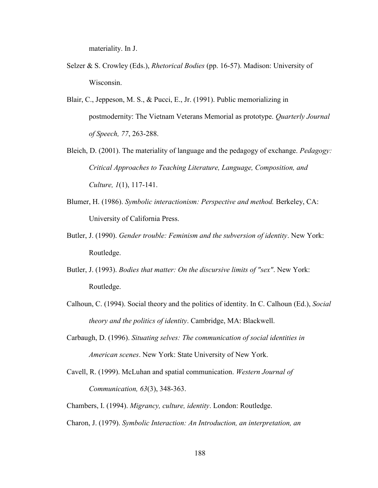materiality. In J.

- Selzer & S. Crowley (Eds.), *Rhetorical Bodies* (pp. 16-57). Madison: University of Wisconsin.
- Blair, C., Jeppeson, M. S., & Pucci, E., Jr. (1991). Public memorializing in postmodernity: The Vietnam Veterans Memorial as prototype. *Quarterly Journal of Speech, 77*, 263-288.
- Bleich, D. (2001). The materiality of language and the pedagogy of exchange. *Pedagogy: Critical Approaches to Teaching Literature, Language, Composition, and Culture, 1*(1), 117-141.
- Blumer, H. (1986). *Symbolic interactionism: Perspective and method.* Berkeley, CA: University of California Press.
- Butler, J. (1990). *Gender trouble: Feminism and the subversion of identity*. New York: Routledge.
- Butler, J. (1993). *Bodies that matter: On the discursive limits of "sex"*. New York: Routledge.
- Calhoun, C. (1994). Social theory and the politics of identity. In C. Calhoun (Ed.), *Social theory and the politics of identity*. Cambridge, MA: Blackwell.
- Carbaugh, D. (1996). *Situating selves: The communication of social identities in American scenes*. New York: State University of New York.
- Cavell, R. (1999). McLuhan and spatial communication. *Western Journal of Communication, 63*(3), 348-363.
- Chambers, I. (1994). *Migrancy, culture, identity*. London: Routledge.

Charon, J. (1979). *Symbolic Interaction: An Introduction, an interpretation, an*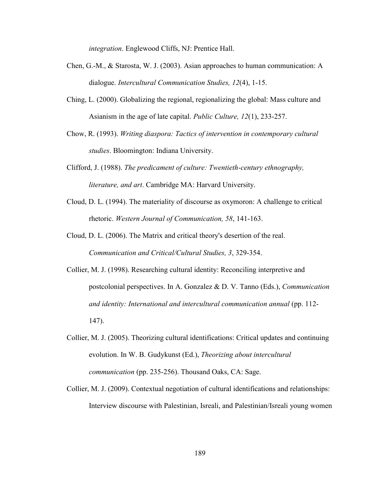*integration*. Englewood Cliffs, NJ: Prentice Hall.

- Chen, G.-M., & Starosta, W. J. (2003). Asian approaches to human communication: A dialogue. *Intercultural Communication Studies, 12*(4), 1-15.
- Ching, L. (2000). Globalizing the regional, regionalizing the global: Mass culture and Asianism in the age of late capital. *Public Culture, 12*(1), 233-257.
- Chow, R. (1993). *Writing diaspora: Tactics of intervention in contemporary cultural studies*. Bloomington: Indiana University.
- Clifford, J. (1988). *The predicament of culture: Twentieth-century ethnography, literature, and art*. Cambridge MA: Harvard University.
- Cloud, D. L. (1994). The materiality of discourse as oxymoron: A challenge to critical rhetoric. *Western Journal of Communication, 58*, 141-163.
- Cloud, D. L. (2006). The Matrix and critical theory's desertion of the real. *Communication and Critical/Cultural Studies, 3*, 329-354.
- Collier, M. J. (1998). Researching cultural identity: Reconciling interpretive and postcolonial perspectives. In A. Gonzalez & D. V. Tanno (Eds.), *Communication and identity: International and intercultural communication annual* (pp. 112- 147).
- Collier, M. J. (2005). Theorizing cultural identifications: Critical updates and continuing evolution. In W. B. Gudykunst (Ed.), *Theorizing about intercultural communication* (pp. 235-256). Thousand Oaks, CA: Sage.
- Collier, M. J. (2009). Contextual negotiation of cultural identifications and relationships: Interview discourse with Palestinian, Isreali, and Palestinian/Isreali young women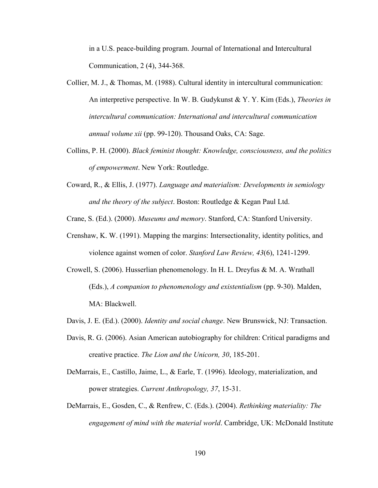in a U.S. peace-building program. Journal of International and Intercultural Communication, 2 (4), 344-368.

- Collier, M. J., & Thomas, M. (1988). Cultural identity in intercultural communication: An interpretive perspective. In W. B. Gudykunst & Y. Y. Kim (Eds.), *Theories in intercultural communication: International and intercultural communication annual volume xii* (pp. 99-120). Thousand Oaks, CA: Sage.
- Collins, P. H. (2000). *Black feminist thought: Knowledge, consciousness, and the politics of empowerment*. New York: Routledge.
- Coward, R., & Ellis, J. (1977). *Language and materialism: Developments in semiology and the theory of the subject*. Boston: Routledge & Kegan Paul Ltd.

Crane, S. (Ed.). (2000). *Museums and memory*. Stanford, CA: Stanford University.

- Crenshaw, K. W. (1991). Mapping the margins: Intersectionality, identity politics, and violence against women of color. *Stanford Law Review, 43*(6), 1241-1299.
- Crowell, S. (2006). Husserlian phenomenology. In H. L. Dreyfus & M. A. Wrathall (Eds.), *A companion to phenomenology and existentialism* (pp. 9-30). Malden, MA: Blackwell.
- Davis, J. E. (Ed.). (2000). *Identity and social change*. New Brunswick, NJ: Transaction.
- Davis, R. G. (2006). Asian American autobiography for children: Critical paradigms and creative practice. *The Lion and the Unicorn, 30*, 185-201.
- DeMarrais, E., Castillo, Jaime, L., & Earle, T. (1996). Ideology, materialization, and power strategies. *Current Anthropology, 37*, 15-31.
- DeMarrais, E., Gosden, C., & Renfrew, C. (Eds.). (2004). *Rethinking materiality: The engagement of mind with the material world*. Cambridge, UK: McDonald Institute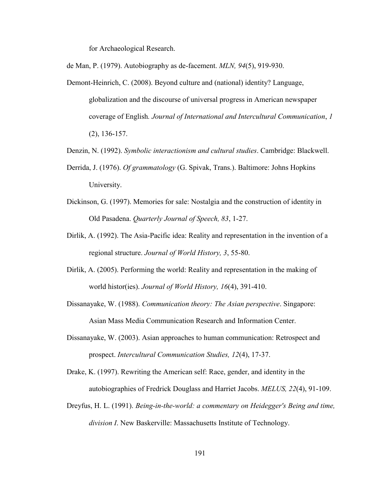for Archaeological Research.

de Man, P. (1979). Autobiography as de-facement. *MLN, 94*(5), 919-930.

- Demont-Heinrich, C. (2008). Beyond culture and (national) identity? Language, globalization and the discourse of universal progress in American newspaper coverage of English*. Journal of International and Intercultural Communication*, *1* (2), 136-157.
- Denzin, N. (1992). *Symbolic interactionism and cultural studies*. Cambridge: Blackwell.
- Derrida, J. (1976). *Of grammatology* (G. Spivak, Trans.). Baltimore: Johns Hopkins University.
- Dickinson, G. (1997). Memories for sale: Nostalgia and the construction of identity in Old Pasadena. *Quarterly Journal of Speech, 83*, 1-27.
- Dirlik, A. (1992). The Asia-Pacific idea: Reality and representation in the invention of a regional structure. *Journal of World History, 3*, 55-80.
- Dirlik, A. (2005). Performing the world: Reality and representation in the making of world histor(ies). *Journal of World History, 16*(4), 391-410.
- Dissanayake, W. (1988). *Communication theory: The Asian perspective*. Singapore: Asian Mass Media Communication Research and Information Center.
- Dissanayake, W. (2003). Asian approaches to human communication: Retrospect and prospect. *Intercultural Communication Studies, 12*(4), 17-37.

Drake, K. (1997). Rewriting the American self: Race, gender, and identity in the autobiographies of Fredrick Douglass and Harriet Jacobs. *MELUS, 22*(4), 91-109.

Dreyfus, H. L. (1991). *Being-in-the-world: a commentary on Heidegger's Being and time, division I*. New Baskerville: Massachusetts Institute of Technology.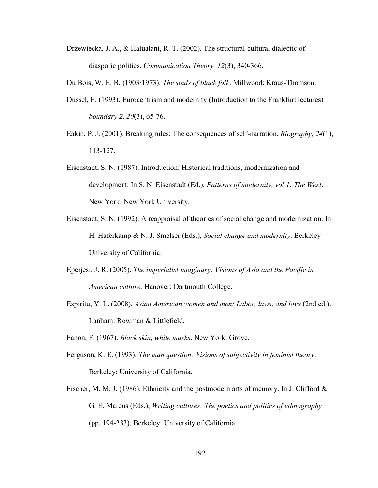Drzewiecka, J. A., & Halualani, R. T. (2002). The structural-cultural dialectic of diasporic politics. *Communication Theory, 12*(3), 340-366.

Du Bois, W. E. B. (1903/1973). *The souls of black folk*. Millwood: Kraus-Thomson.

- Dussel, E. (1993). Eurocentrism and modernity (Introduction to the Frankfurt lectures) *boundary 2, 20*(3), 65-76.
- Eakin, P. J. (2001). Breaking rules: The consequences of self-narration. *Biography, 24*(1), 113-127.
- Eisenstadt, S. N. (1987). Introduction: Historical traditions, modernization and development. In S. N. Eisenstadt (Ed.), *Patterns of modernity, vol 1: The West*. New York: New York University.
- Eisenstadt, S. N. (1992). A reappraisal of theories of social change and modernization. In H. Haferkamp & N. J. Smelser (Eds.), *Social change and modernity*. Berkeley University of California.
- Eperjesi, J. R. (2005). *The imperialist imaginary: Visions of Asia and the Pacific in American culture*. Hanover: Dartmouth College.
- Espiritu, Y. L. (2008). *Asian American women and men: Labor, laws, and love* (2nd ed.). Lanham: Rowman & Littlefield.
- Fanon, F. (1967). *Black skin, white masks*. New York: Grove.
- Ferguson, K. E. (1993). *The man question: Visions of subjectivity in feminist theory*. Berkeley: University of California.
- Fischer, M. M. J. (1986). Ethnicity and the postmodern arts of memory. In J. Clifford  $\&$  G. E. Marcus (Eds.), *Writing cultures: The poetics and politics of ethnography* (pp. 194-233). Berkeley: University of California.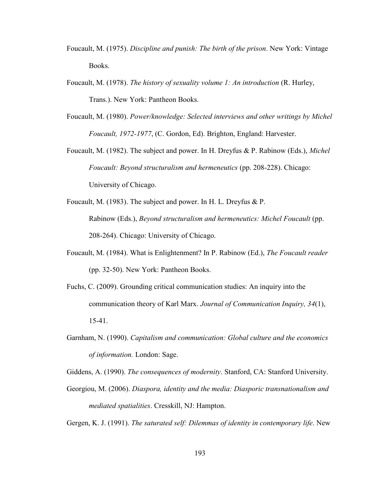- Foucault, M. (1975). *Discipline and punish: The birth of the prison*. New York: Vintage Books.
- Foucault, M. (1978). *The history of sexuality volume 1: An introduction* (R. Hurley, Trans.). New York: Pantheon Books.
- Foucault, M. (1980). *Power/knowledge: Selected interviews and other writings by Michel Foucault, 1972-1977*, (C. Gordon, Ed). Brighton, England: Harvester.
- Foucault, M. (1982). The subject and power. In H. Dreyfus & P. Rabinow (Eds.), *Michel Foucault: Beyond structuralism and hermeneutics* (pp. 208-228). Chicago: University of Chicago.
- Foucault, M. (1983). The subject and power. In H. L. Dreyfus & P. Rabinow (Eds.), *Beyond structuralism and hermeneutics: Michel Foucault* (pp. 208-264). Chicago: University of Chicago.
- Foucault, M. (1984). What is Enlightenment? In P. Rabinow (Ed.), *The Foucault reader* (pp. 32-50). New York: Pantheon Books.
- Fuchs, C. (2009). Grounding critical communication studies: An inquiry into the communication theory of Karl Marx. *Journal of Communication Inquiry, 34*(1), 15-41.
- Garnham, N. (1990). *Capitalism and communication: Global culture and the economics of information.* London: Sage.

Giddens, A. (1990). *The consequences of modernity*. Stanford, CA: Stanford University.

Georgiou, M. (2006). *Diaspora, identity and the media: Diasporic transnationalism and mediated spatialities*. Cresskill, NJ: Hampton.

Gergen, K. J. (1991). *The saturated self: Dilemmas of identity in contemporary life*. New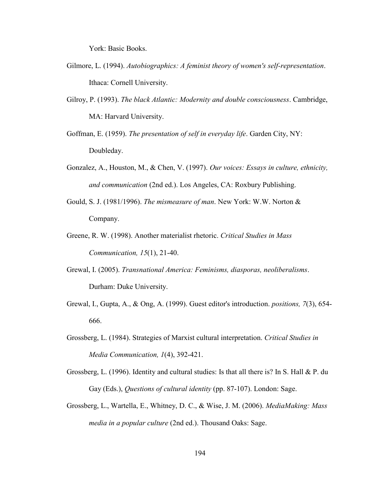York: Basic Books.

- Gilmore, L. (1994). *Autobiographics: A feminist theory of women's self-representation*. Ithaca: Cornell University.
- Gilroy, P. (1993). *The black Atlantic: Modernity and double consciousness*. Cambridge, MA: Harvard University.
- Goffman, E. (1959). *The presentation of self in everyday life*. Garden City, NY: Doubleday.
- Gonzalez, A., Houston, M., & Chen, V. (1997). *Our voices: Essays in culture, ethnicity, and communication* (2nd ed.). Los Angeles, CA: Roxbury Publishing.
- Gould, S. J. (1981/1996). *The mismeasure of man*. New York: W.W. Norton & Company.
- Greene, R. W. (1998). Another materialist rhetoric. *Critical Studies in Mass Communication, 15*(1), 21-40.
- Grewal, I. (2005). *Transnational America: Feminisms, diasporas, neoliberalisms*. Durham: Duke University.
- Grewal, I., Gupta, A., & Ong, A. (1999). Guest editor's introduction. *positions, 7*(3), 654- 666.
- Grossberg, L. (1984). Strategies of Marxist cultural interpretation. *Critical Studies in Media Communication, 1*(4), 392-421.
- Grossberg, L. (1996). Identity and cultural studies: Is that all there is? In S. Hall & P. du Gay (Eds.), *Questions of cultural identity* (pp. 87-107). London: Sage.
- Grossberg, L., Wartella, E., Whitney, D. C., & Wise, J. M. (2006). *MediaMaking: Mass media in a popular culture* (2nd ed.). Thousand Oaks: Sage.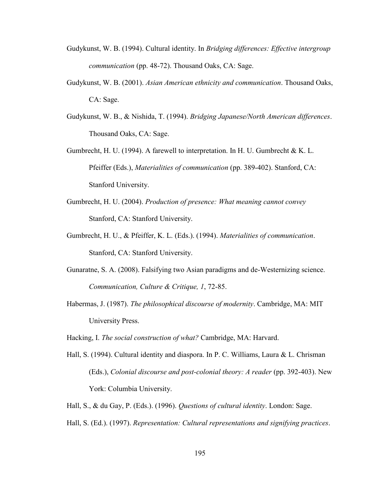- Gudykunst, W. B. (1994). Cultural identity. In *Bridging differences: Effective intergroup communication* (pp. 48-72). Thousand Oaks, CA: Sage.
- Gudykunst, W. B. (2001). *Asian American ethnicity and communication*. Thousand Oaks, CA: Sage.
- Gudykunst, W. B., & Nishida, T. (1994). *Bridging Japanese/North American differences*. Thousand Oaks, CA: Sage.
- Gumbrecht, H. U. (1994). A farewell to interpretation. In H. U. Gumbrecht & K. L. Pfeiffer (Eds.), *Materialities of communication* (pp. 389-402). Stanford, CA: Stanford University.
- Gumbrecht, H. U. (2004). *Production of presence: What meaning cannot convey* Stanford, CA: Stanford University.
- Gumbrecht, H. U., & Pfeiffer, K. L. (Eds.). (1994). *Materialities of communication*. Stanford, CA: Stanford University.
- Gunaratne, S. A. (2008). Falsifying two Asian paradigms and de-Westernizing science. *Communication, Culture & Critique, 1*, 72-85.
- Habermas, J. (1987). *The philosophical discourse of modernity*. Cambridge, MA: MIT University Press.
- Hacking, I. *The social construction of what?* Cambridge, MA: Harvard.
- Hall, S. (1994). Cultural identity and diaspora. In P. C. Williams, Laura & L. Chrisman (Eds.), *Colonial discourse and post-colonial theory: A reader* (pp. 392-403). New York: Columbia University.
- Hall, S., & du Gay, P. (Eds.). (1996). *Questions of cultural identity*. London: Sage.
- Hall, S. (Ed.). (1997). *Representation: Cultural representations and signifying practices*.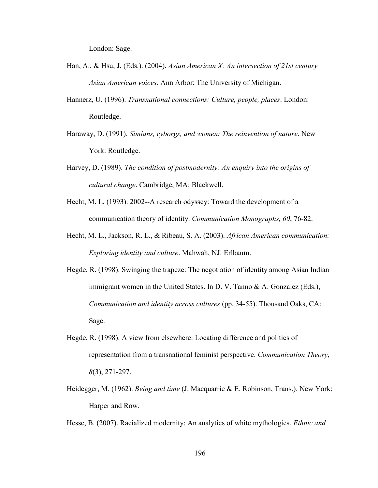London: Sage.

- Han, A., & Hsu, J. (Eds.). (2004). *Asian American X: An intersection of 21st century Asian American voices*. Ann Arbor: The University of Michigan.
- Hannerz, U. (1996). *Transnational connections: Culture, people, places*. London: Routledge.
- Haraway, D. (1991). *Simians, cyborgs, and women: The reinvention of nature*. New York: Routledge.
- Harvey, D. (1989). *The condition of postmodernity: An enquiry into the origins of cultural change*. Cambridge, MA: Blackwell.
- Hecht, M. L. (1993). 2002--A research odyssey: Toward the development of a communication theory of identity. *Communication Monographs, 60*, 76-82.
- Hecht, M. L., Jackson, R. L., & Ribeau, S. A. (2003). *African American communication: Exploring identity and culture*. Mahwah, NJ: Erlbaum.
- Hegde, R. (1998). Swinging the trapeze: The negotiation of identity among Asian Indian immigrant women in the United States. In D. V. Tanno & A. Gonzalez (Eds.), *Communication and identity across cultures* (pp. 34-55). Thousand Oaks, CA: Sage.
- Hegde, R. (1998). A view from elsewhere: Locating difference and politics of representation from a transnational feminist perspective. *Communication Theory, 8*(3), 271-297.
- Heidegger, M. (1962). *Being and time* (J. Macquarrie & E. Robinson, Trans.). New York: Harper and Row.

Hesse, B. (2007). Racialized modernity: An analytics of white mythologies. *Ethnic and*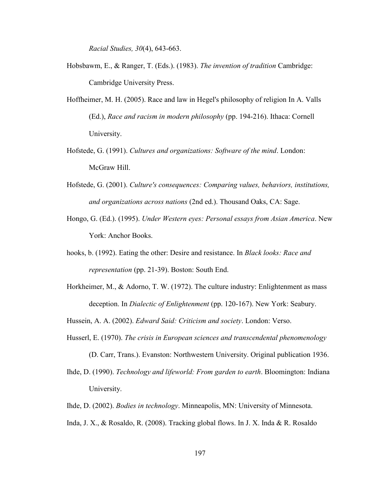*Racial Studies, 30*(4), 643-663.

- Hobsbawm, E., & Ranger, T. (Eds.). (1983). *The invention of tradition* Cambridge: Cambridge University Press.
- Hoffheimer, M. H. (2005). Race and law in Hegel's philosophy of religion In A. Valls (Ed.), *Race and racism in modern philosophy* (pp. 194-216). Ithaca: Cornell University.
- Hofstede, G. (1991). *Cultures and organizations: Software of the mind*. London: McGraw Hill.
- Hofstede, G. (2001). *Culture's consequences: Comparing values, behaviors, institutions, and organizations across nations* (2nd ed.). Thousand Oaks, CA: Sage.
- Hongo, G. (Ed.). (1995). *Under Western eyes: Personal essays from Asian America*. New York: Anchor Books.
- hooks, b. (1992). Eating the other: Desire and resistance. In *Black looks: Race and representation* (pp. 21-39). Boston: South End.
- Horkheimer, M., & Adorno, T. W. (1972). The culture industry: Enlightenment as mass deception. In *Dialectic of Enlightenment* (pp. 120-167). New York: Seabury.
- Hussein, A. A. (2002). *Edward Said: Criticism and society*. London: Verso.
- Husserl, E. (1970). *The crisis in European sciences and transcendental phenomenology*
	- (D. Carr, Trans.). Evanston: Northwestern University. Original publication 1936.
- Ihde, D. (1990). *Technology and lifeworld: From garden to earth*. Bloomington: Indiana University.
- Ihde, D. (2002). *Bodies in technology*. Minneapolis, MN: University of Minnesota.
- Inda, J. X., & Rosaldo, R. (2008). Tracking global flows. In J. X. Inda & R. Rosaldo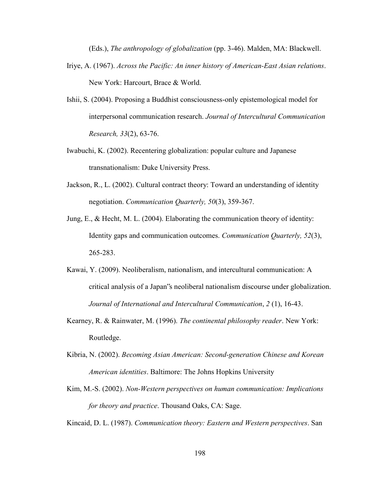(Eds.), *The anthropology of globalization* (pp. 3-46). Malden, MA: Blackwell.

- Iriye, A. (1967). *Across the Pacific: An inner history of American-East Asian relations*. New York: Harcourt, Brace & World.
- Ishii, S. (2004). Proposing a Buddhist consciousness-only epistemological model for interpersonal communication research. *Journal of Intercultural Communication Research, 33*(2), 63-76.
- Iwabuchi, K. (2002). Recentering globalization: popular culture and Japanese transnationalism: Duke University Press.
- Jackson, R., L. (2002). Cultural contract theory: Toward an understanding of identity negotiation. *Communication Quarterly, 50*(3), 359-367.
- Jung, E., & Hecht, M. L. (2004). Elaborating the communication theory of identity: Identity gaps and communication outcomes. *Communication Quarterly, 52*(3), 265-283.
- Kawai, Y. (2009). Neoliberalism, nationalism, and intercultural communication: A critical analysis of a Japan"s neoliberal nationalism discourse under globalization. *Journal of International and Intercultural Communication*, *2* (1), 16-43.
- Kearney, R. & Rainwater, M. (1996). *The continental philosophy reader*. New York: Routledge.
- Kibria, N. (2002). *Becoming Asian American: Second-generation Chinese and Korean American identities*. Baltimore: The Johns Hopkins University
- Kim, M.-S. (2002). *Non-Western perspectives on human communication: Implications for theory and practice*. Thousand Oaks, CA: Sage.

Kincaid, D. L. (1987). *Communication theory: Eastern and Western perspectives*. San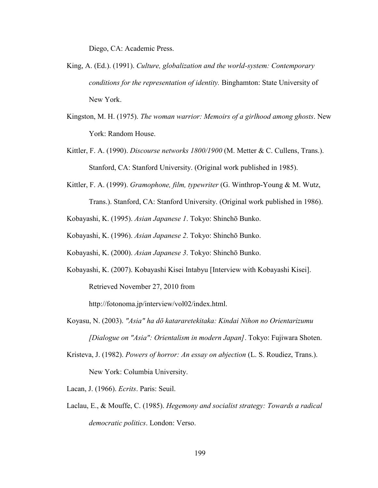Diego, CA: Academic Press.

- King, A. (Ed.). (1991). *Culture, globalization and the world-system: Contemporary conditions for the representation of identity.* Binghamton: State University of New York.
- Kingston, M. H. (1975). *The woman warrior: Memoirs of a girlhood among ghosts*. New York: Random House.
- Kittler, F. A. (1990). *Discourse networks 1800/1900* (M. Metter & C. Cullens, Trans.). Stanford, CA: Stanford University. (Original work published in 1985).
- Kittler, F. A. (1999). *Gramophone, film, typewriter* (G. Winthrop-Young & M. Wutz, Trans.). Stanford, CA: Stanford University. (Original work published in 1986).

Kobayashi, K. (1995). *Asian Japanese 1*. Tokyo: Shinchō Bunko.

Kobayashi, K. (1996). *Asian Japanese 2*. Tokyo: Shinchō Bunko.

Kobayashi, K. (2000). *Asian Japanese 3*. Tokyo: Shinchō Bunko.

Kobayashi, K. (2007). Kobayashi Kisei Intabyu [Interview with Kobayashi Kisei]. Retrieved November 27, 2010 from

http://fotonoma.jp/interview/vol02/index.html.

Koyasu, N. (2003). *"Asia" ha dō katararetekitaka: Kindai Nihon no Orientarizumu [Dialogue on "Asia": Orientalism in modern Japan]*. Tokyo: Fujiwara Shoten.

Kristeva, J. (1982). *Powers of horror: An essay on abjection* (L. S. Roudiez, Trans.).

New York: Columbia University.

Lacan, J. (1966). *Ecrits*. Paris: Seuil.

Laclau, E., & Mouffe, C. (1985). *Hegemony and socialist strategy: Towards a radical democratic politics*. London: Verso.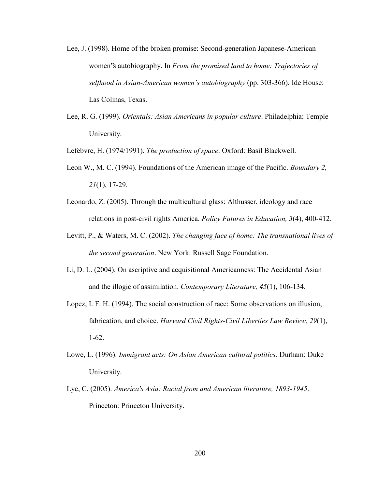- Lee, J. (1998). Home of the broken promise: Second-generation Japanese-American women"s autobiography. In *From the promised land to home: Trajectories of selfhood in Asian-American women's autobiography* (pp. 303-366). Ide House: Las Colinas, Texas.
- Lee, R. G. (1999). *Orientals: Asian Americans in popular culture*. Philadelphia: Temple University.

Lefebvre, H. (1974/1991). *The production of space*. Oxford: Basil Blackwell.

- Leon W., M. C. (1994). Foundations of the American image of the Pacific. *Boundary 2, 21*(1), 17-29.
- Leonardo, Z. (2005). Through the multicultural glass: Althusser, ideology and race relations in post-civil rights America. *Policy Futures in Education, 3*(4), 400-412.
- Levitt, P., & Waters, M. C. (2002). *The changing face of home: The transnational lives of the second generation*. New York: Russell Sage Foundation.
- Li, D. L. (2004). On ascriptive and acquisitional Americanness: The Accidental Asian and the illogic of assimilation. *Contemporary Literature, 45*(1), 106-134.
- Lopez, I. F. H. (1994). The social construction of race: Some observations on illusion, fabrication, and choice. *Harvard Civil Rights-Civil Liberties Law Review, 29*(1), 1-62.
- Lowe, L. (1996). *Immigrant acts: On Asian American cultural politics*. Durham: Duke University.
- Lye, C. (2005). *America's Asia: Racial from and American literature, 1893-1945*. Princeton: Princeton University.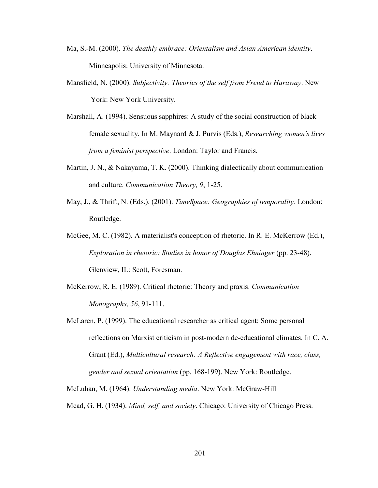- Ma, S.-M. (2000). *The deathly embrace: Orientalism and Asian American identity*. Minneapolis: University of Minnesota.
- Mansfield, N. (2000). *Subjectivity: Theories of the self from Freud to Haraway*. New York: New York University.
- Marshall, A. (1994). Sensuous sapphires: A study of the social construction of black female sexuality. In M. Maynard & J. Purvis (Eds.), *Researching women's lives from a feminist perspective*. London: Taylor and Francis.
- Martin, J. N., & Nakayama, T. K. (2000). Thinking dialectically about communication and culture. *Communication Theory, 9*, 1-25.
- May, J., & Thrift, N. (Eds.). (2001). *TimeSpace: Geographies of temporality*. London: Routledge.
- McGee, M. C. (1982). A materialist's conception of rhetoric. In R. E. McKerrow (Ed.), *Exploration in rhetoric: Studies in honor of Douglas Ehninger* (pp. 23-48). Glenview, IL: Scott, Foresman.
- McKerrow, R. E. (1989). Critical rhetoric: Theory and praxis. *Communication Monographs, 56*, 91-111.
- McLaren, P. (1999). The educational researcher as critical agent: Some personal reflections on Marxist criticism in post-modern de-educational climates. In C. A. Grant (Ed.), *Multicultural research: A Reflective engagement with race, class, gender and sexual orientation* (pp. 168-199). New York: Routledge.

McLuhan, M. (1964). *Understanding media*. New York: McGraw-Hill

Mead, G. H. (1934). *Mind, self, and society*. Chicago: University of Chicago Press.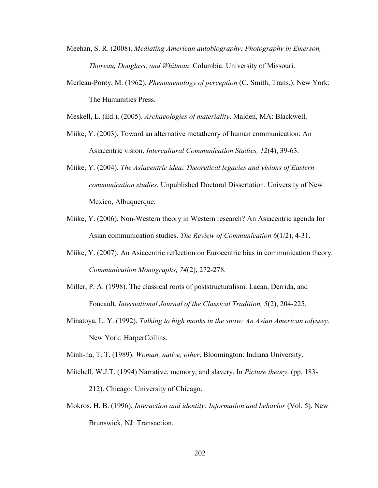- Meehan, S. R. (2008). *Mediating American autobiography: Photography in Emerson, Thoreau, Douglass, and Whitman*. Columbia: University of Missouri.
- Merleau-Ponty, M. (1962). *Phenomenology of perception* (C. Smith, Trans.). New York: The Humanities Press.
- Meskell, L. (Ed.). (2005). *Archaeologies of materiality*. Malden, MA: Blackwell.
- Miike, Y. (2003). Toward an alternative metatheory of human communication: An Asiacentric vision. *Intercultural Communication Studies, 12*(4), 39-63.
- Miike, Y. (2004). *The Asiacentric idea: Theoretical legacies and visions of Eastern communication studies.* Unpublished Doctoral Dissertation. University of New Mexico, Albuquerque.
- Miike, Y. (2006). Non-Western theory in Western research? An Asiacentric agenda for Asian communication studies. *The Review of Communication 6*(1/2), 4-31.
- Miike, Y. (2007). An Asiacentric reflection on Eurocentric bias in communication theory. *Communication Monographs, 74*(2), 272-278.
- Miller, P. A. (1998). The classical roots of poststructuralism: Lacan, Derrida, and Foucault. *International Journal of the Classical Tradition, 5*(2), 204-225.
- Minatoya, L. Y. (1992). *Talking to high monks in the snow: An Asian American odyssey*. New York: HarperCollins.

Minh-ha, T. T. (1989). *Woman, native, other*. Bloomington: Indiana University.

- Mitchell, W.J.T. (1994) Narrative, memory, and slavery. In *Picture theory*. (pp. 183- 212). Chicago: University of Chicago.
- Mokros, H. B. (1996). *Interaction and identity: Information and behavior* (Vol. 5). New Brunswick, NJ: Transaction.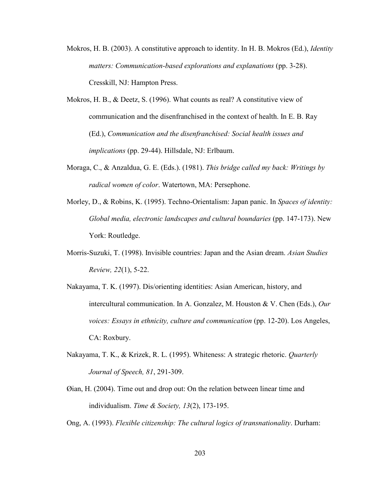- Mokros, H. B. (2003). A constitutive approach to identity. In H. B. Mokros (Ed.), *Identity matters: Communication-based explorations and explanations* (pp. 3-28). Cresskill, NJ: Hampton Press.
- Mokros, H. B., & Deetz, S. (1996). What counts as real? A constitutive view of communication and the disenfranchised in the context of health. In E. B. Ray (Ed.), *Communication and the disenfranchised: Social health issues and implications* (pp. 29-44). Hillsdale, NJ: Erlbaum.
- Moraga, C., & Anzaldua, G. E. (Eds.). (1981). *This bridge called my back: Writings by radical women of color*. Watertown, MA: Persephone.
- Morley, D., & Robins, K. (1995). Techno-Orientalism: Japan panic. In *Spaces of identity: Global media, electronic landscapes and cultural boundaries* (pp. 147-173). New York: Routledge.
- Morris-Suzuki, T. (1998). Invisible countries: Japan and the Asian dream. *Asian Studies Review, 22*(1), 5-22.
- Nakayama, T. K. (1997). Dis/orienting identities: Asian American, history, and intercultural communication. In A. Gonzalez, M. Houston & V. Chen (Eds.), *Our voices: Essays in ethnicity, culture and communication* (pp. 12-20). Los Angeles, CA: Roxbury.
- Nakayama, T. K., & Krizek, R. L. (1995). Whiteness: A strategic rhetoric. *Quarterly Journal of Speech, 81*, 291-309.
- Øian, H. (2004). Time out and drop out: On the relation between linear time and individualism. *Time & Society, 13*(2), 173-195.
- Ong, A. (1993). *Flexible citizenship: The cultural logics of transnationality*. Durham: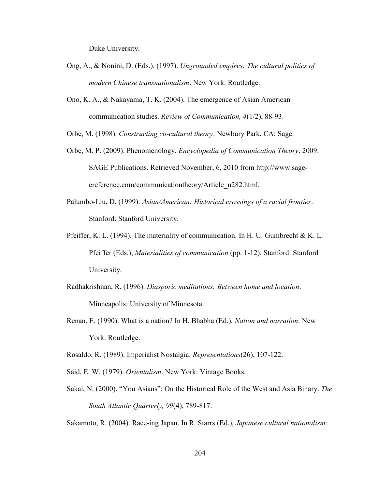Duke University.

- Ong, A., & Nonini, D. (Eds.). (1997). *Ungrounded empires: The cultural politics of modern Chinese transnationalism*. New York: Routledge.
- Ono, K. A., & Nakayama, T. K. (2004). The emergence of Asian American communication studies. *Review of Communication, 4*(1/2), 88-93.

Orbe, M. (1998). *Constructing co-cultural theory*. Newbury Park, CA: Sage.

- Orbe, M. P. (2009). Phenomenology. *Encyclopedia of Communication Theory*. 2009. SAGE Publications. Retrieved November, 6, 2010 from http://www.sageereference.com/communicationtheory/Article\_n282.html.
- Palumbo-Liu, D. (1999). *Asian/American: Historical crossings of a racial frontier*. Stanford: Stanford University.
- Pfeiffer, K. L. (1994). The materiality of communication. In H. U. Gumbrecht & K. L. Pfeiffer (Eds.), *Materialities of communication* (pp. 1-12). Stanford: Stanford University.
- Radhakrishnan, R. (1996). *Diasporic meditations: Between home and location*. Minneapolis: University of Minnesota.
- Renan, E. (1990). What is a nation? In H. Bhabha (Ed.), *Nation and narration*. New York: Routledge.

Rosaldo, R. (1989). Imperialist Nostalgia. *Representations*(26), 107-122.

- Said, E. W. (1979). *Orientalism*. New York: Vintage Books.
- Sakai, N. (2000). "You Asians": On the Historical Role of the West and Asia Binary. *The South Atlantic Quarterly, 99*(4), 789-817.

Sakamoto, R. (2004). Race-ing Japan. In R. Starrs (Ed.), *Japanese cultural nationalism:*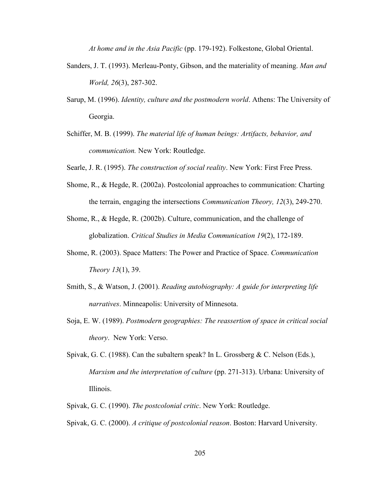*At home and in the Asia Pacific* (pp. 179-192). Folkestone, Global Oriental.

- Sanders, J. T. (1993). Merleau-Ponty, Gibson, and the materiality of meaning. *Man and World, 26*(3), 287-302.
- Sarup, M. (1996). *Identity, culture and the postmodern world*. Athens: The University of Georgia.
- Schiffer, M. B. (1999). *The material life of human beings: Artifacts, behavior, and communication.* New York: Routledge.
- Searle, J. R. (1995). *The construction of social reality*. New York: First Free Press.
- Shome, R., & Hegde, R. (2002a). Postcolonial approaches to communication: Charting the terrain, engaging the intersections *Communication Theory, 12*(3), 249-270.
- Shome, R., & Hegde, R. (2002b). Culture, communication, and the challenge of globalization. *Critical Studies in Media Communication 19*(2), 172-189.
- Shome, R. (2003). Space Matters: The Power and Practice of Space. *Communication Theory 13*(1), 39.
- Smith, S., & Watson, J. (2001). *Reading autobiography: A guide for interpreting life narratives*. Minneapolis: University of Minnesota.
- Soja, E. W. (1989). *Postmodern geographies: The reassertion of space in critical social theory*. New York: Verso.
- Spivak, G. C. (1988). Can the subaltern speak? In L. Grossberg & C. Nelson (Eds.), *Marxism and the interpretation of culture* (pp. 271-313). Urbana: University of Illinois.
- Spivak, G. C. (1990). *The postcolonial critic*. New York: Routledge.
- Spivak, G. C. (2000). *A critique of postcolonial reason*. Boston: Harvard University.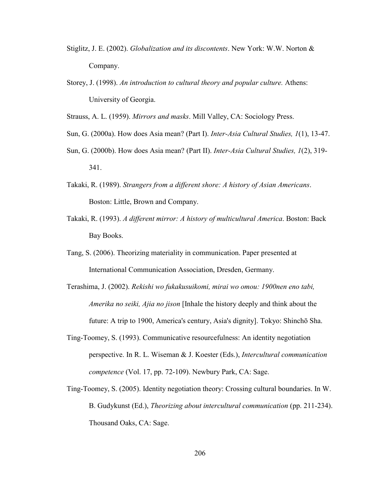- Stiglitz, J. E. (2002). *Globalization and its discontents*. New York: W.W. Norton & Company.
- Storey, J. (1998). *An introduction to cultural theory and popular culture.* Athens: University of Georgia.

Strauss, A. L. (1959). *Mirrors and masks*. Mill Valley, CA: Sociology Press.

- Sun, G. (2000a). How does Asia mean? (Part I). *Inter-Asia Cultural Studies, 1*(1), 13-47.
- Sun, G. (2000b). How does Asia mean? (Part II). *Inter-Asia Cultural Studies, 1*(2), 319- 341.
- Takaki, R. (1989). *Strangers from a different shore: A history of Asian Americans*. Boston: Little, Brown and Company.
- Takaki, R. (1993). *A different mirror: A history of multicultural America*. Boston: Back Bay Books.
- Tang, S. (2006). Theorizing materiality in communication. Paper presented at International Communication Association, Dresden, Germany.
- Terashima, J. (2002). *Rekishi wo fukakusuikomi, mirai wo omou: 1900nen eno tabi, Amerika no seiki, Ajia no jison* [Inhale the history deeply and think about the future: A trip to 1900, America's century, Asia's dignity]. Tokyo: Shinchō Sha.
- Ting-Toomey, S. (1993). Communicative resourcefulness: An identity negotiation perspective. In R. L. Wiseman & J. Koester (Eds.), *Intercultural communication competence* (Vol. 17, pp. 72-109). Newbury Park, CA: Sage.
- Ting-Toomey, S. (2005). Identity negotiation theory: Crossing cultural boundaries. In W. B. Gudykunst (Ed.), *Theorizing about intercultural communication* (pp. 211-234). Thousand Oaks, CA: Sage.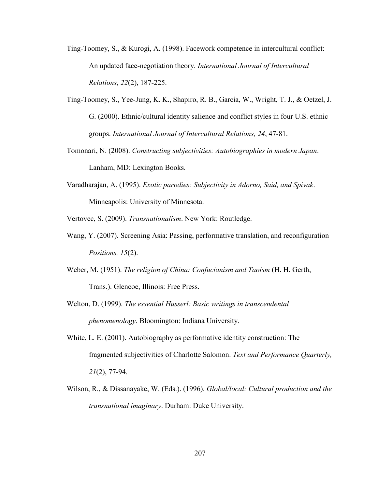- Ting-Toomey, S., & Kurogi, A. (1998). Facework competence in intercultural conflict: An updated face-negotiation theory. *International Journal of Intercultural Relations, 22*(2), 187-225.
- Ting-Toomey, S., Yee-Jung, K. K., Shapiro, R. B., Garcia, W., Wright, T. J., & Oetzel, J. G. (2000). Ethnic/cultural identity salience and conflict styles in four U.S. ethnic groups. *International Journal of Intercultural Relations, 24*, 47-81.
- Tomonari, N. (2008). *Constructing subjectivities: Autobiographies in modern Japan*. Lanham, MD: Lexington Books.
- Varadharajan, A. (1995). *Exotic parodies: Subjectivity in Adorno, Said, and Spivak*. Minneapolis: University of Minnesota.

Vertovec, S. (2009). *Transnationalism*. New York: Routledge.

- Wang, Y. (2007). Screening Asia: Passing, performative translation, and reconfiguration *Positions, 15*(2).
- Weber, M. (1951). *The religion of China: Confucianism and Taoism* (H. H. Gerth, Trans.). Glencoe, Illinois: Free Press.
- Welton, D. (1999). *The essential Husserl: Basic writings in transcendental phenomenology*. Bloomington: Indiana University.
- White, L. E. (2001). Autobiography as performative identity construction: The fragmented subjectivities of Charlotte Salomon. *Text and Performance Quarterly, 21*(2), 77-94.
- Wilson, R., & Dissanayake, W. (Eds.). (1996). *Global/local: Cultural production and the transnational imaginary*. Durham: Duke University.